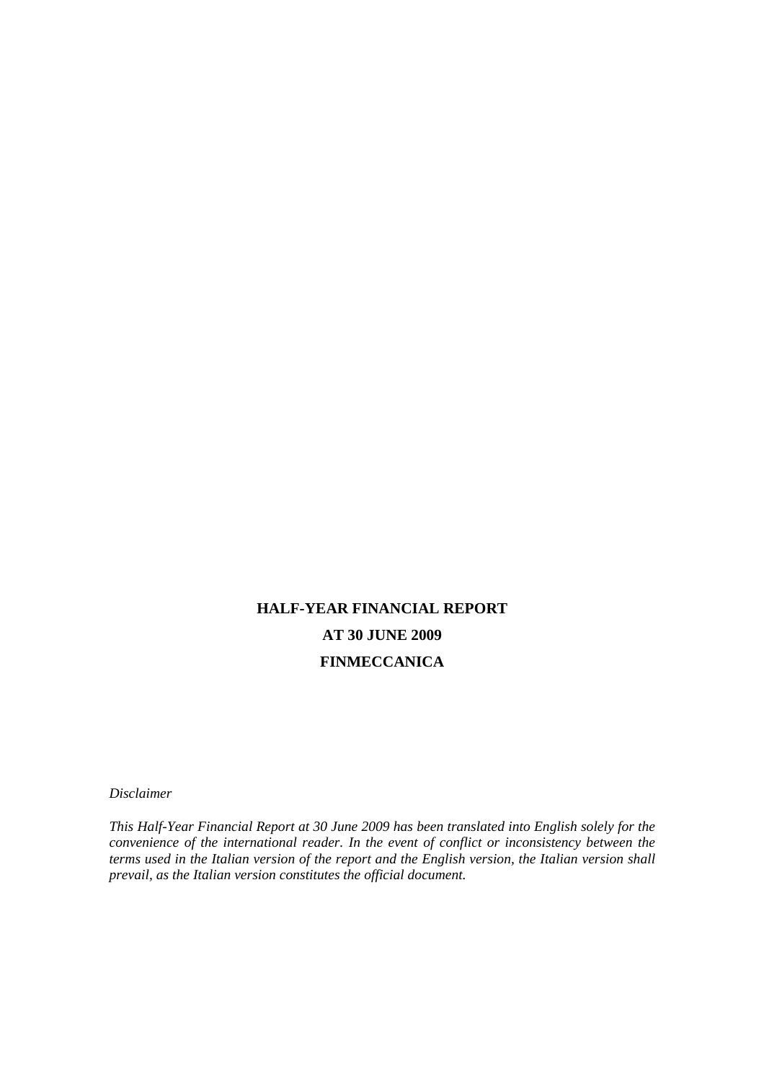# **HALF-YEAR FINANCIAL REPORT AT 30 JUNE 2009 FINMECCANICA**

*Disclaimer* 

*This Half-Year Financial Report at 30 June 2009 has been translated into English solely for the convenience of the international reader. In the event of conflict or inconsistency between the terms used in the Italian version of the report and the English version, the Italian version shall prevail, as the Italian version constitutes the official document.*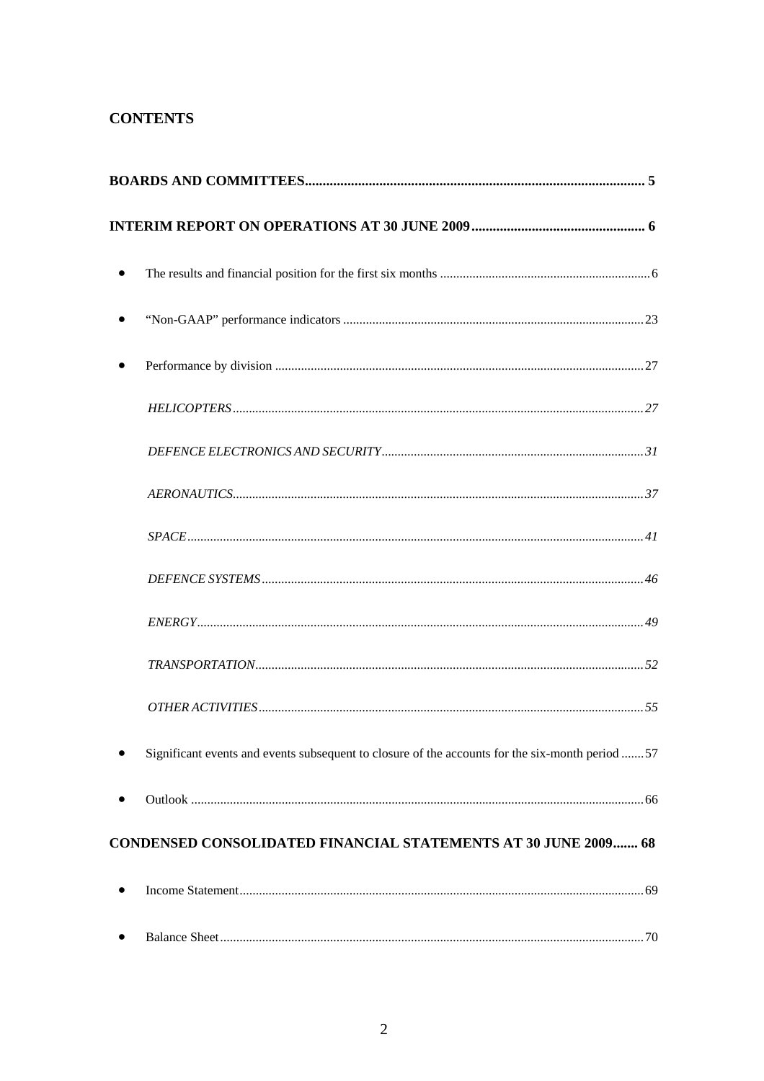# **CONTENTS**

| $\bullet$                                                                                       |
|-------------------------------------------------------------------------------------------------|
|                                                                                                 |
|                                                                                                 |
|                                                                                                 |
|                                                                                                 |
|                                                                                                 |
|                                                                                                 |
|                                                                                                 |
|                                                                                                 |
|                                                                                                 |
|                                                                                                 |
| Significant events and events subsequent to closure of the accounts for the six-month period 57 |
|                                                                                                 |
| <b>CONDENSED CONSOLIDATED FINANCIAL STATEMENTS AT 30 JUNE 2009  68</b>                          |
|                                                                                                 |
| ٠                                                                                               |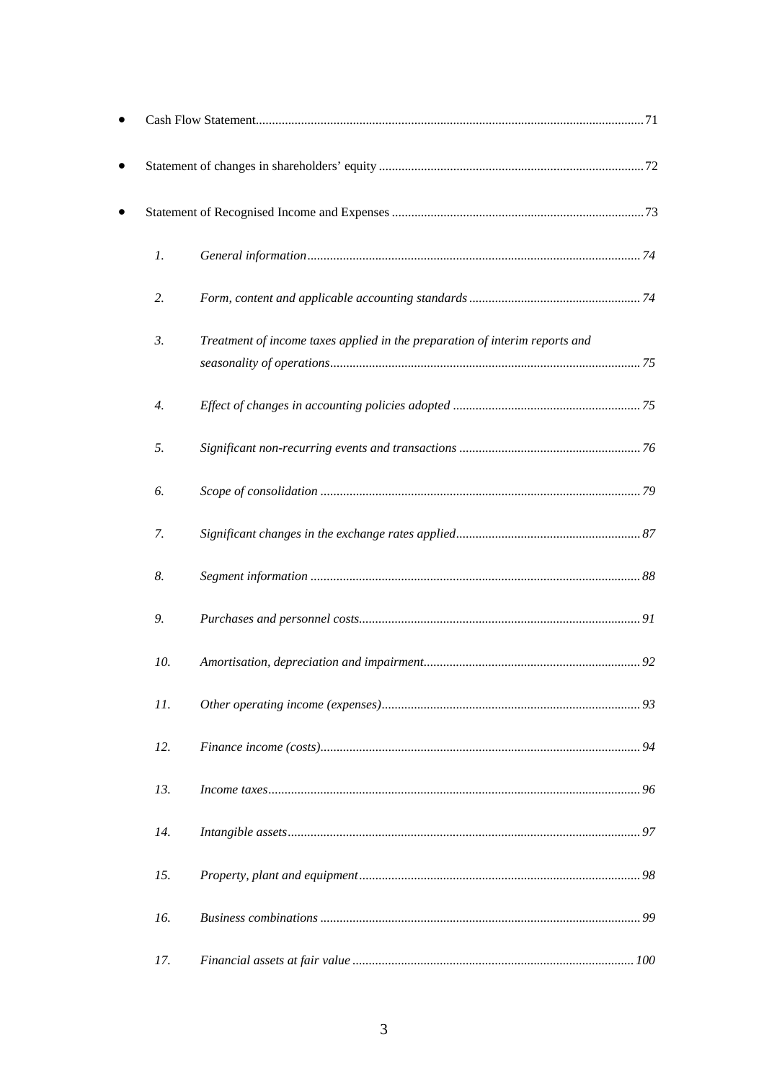| $\mathfrak{1}.$ |                                                                             |
|-----------------|-----------------------------------------------------------------------------|
| 2.              |                                                                             |
| 3.              | Treatment of income taxes applied in the preparation of interim reports and |
| 4.              |                                                                             |
| 5.              |                                                                             |
| 6.              |                                                                             |
| 7.              |                                                                             |
| 8.              |                                                                             |
| 9.              |                                                                             |
| 10.             |                                                                             |
| 11.             |                                                                             |
| 12.             |                                                                             |
| 13.             |                                                                             |
| 14.             |                                                                             |
| 15.             |                                                                             |
| 16.             |                                                                             |
| 17.             |                                                                             |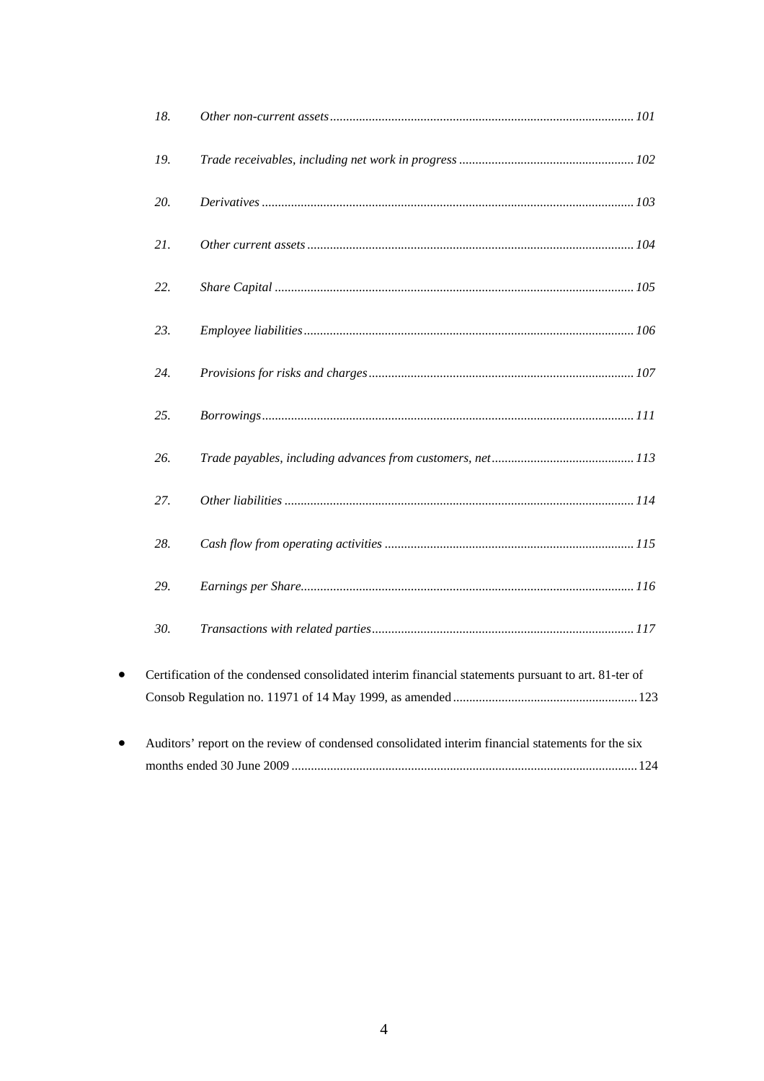|           | 18. |                                                                                                     |  |
|-----------|-----|-----------------------------------------------------------------------------------------------------|--|
|           | 19. |                                                                                                     |  |
|           | 20. |                                                                                                     |  |
|           | 21. |                                                                                                     |  |
|           | 22. |                                                                                                     |  |
|           | 23. |                                                                                                     |  |
|           | 24. |                                                                                                     |  |
|           | 25. |                                                                                                     |  |
|           | 26. |                                                                                                     |  |
|           | 27. |                                                                                                     |  |
|           | 28. |                                                                                                     |  |
|           | 29. |                                                                                                     |  |
|           | 30. |                                                                                                     |  |
| $\bullet$ |     | Certification of the condensed consolidated interim financial statements pursuant to art. 81-ter of |  |
| $\bullet$ |     | Auditors' report on the review of condensed consolidated interim financial statements for the six   |  |
|           |     |                                                                                                     |  |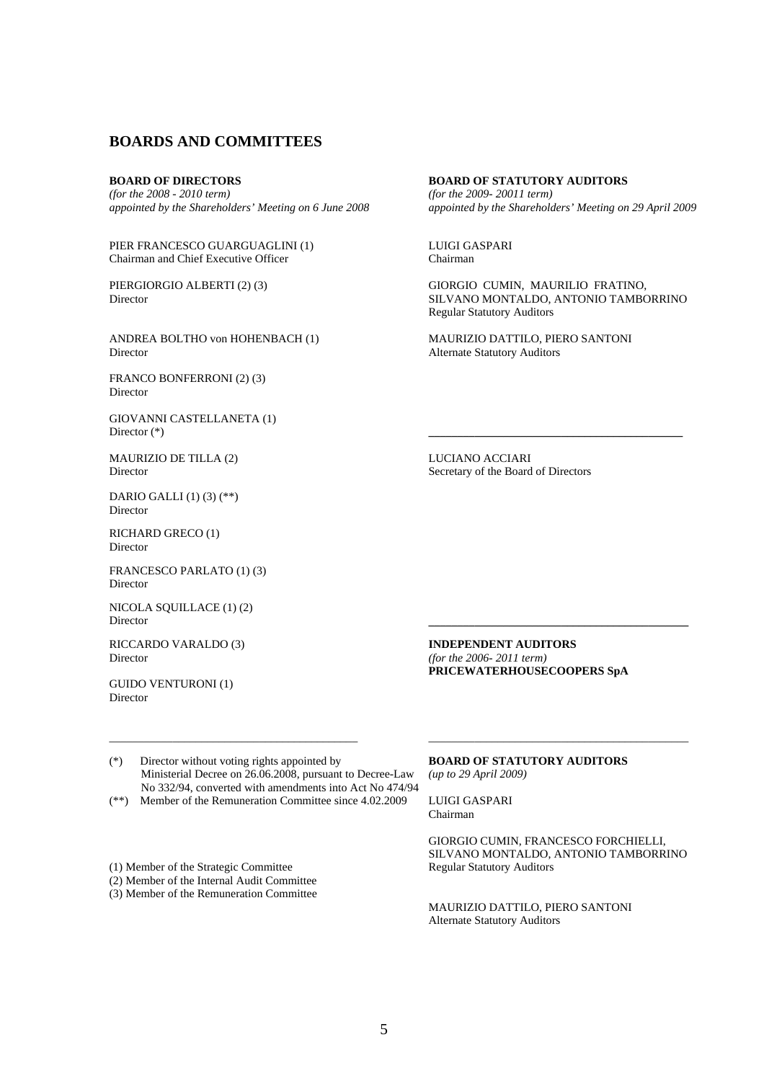### **BOARDS AND COMMITTEES**

### **BOARD OF DIRECTORS**

*(for the 2008 - 2010 term) appointed by the Shareholders' Meeting on 6 June 2008* 

PIER FRANCESCO GUARGUAGLINI (1) Chairman and Chief Executive Officer

PIERGIORGIO ALBERTI (2) (3) Director

ANDREA BOLTHO von HOHENBACH (1) Director

FRANCO BONFERRONI (2) (3) Director

GIOVANNI CASTELLANETA (1) Director (\*) **\_\_\_\_\_\_\_\_\_\_\_\_\_\_\_\_\_\_\_\_\_\_\_\_\_\_\_\_\_\_\_\_\_\_\_\_\_\_\_\_\_\_\_\_** 

MAURIZIO DE TILLA (2) Director

DARIO GALLI (1) (3) (\*\*) Director

RICHARD GRECO (1) Director

FRANCESCO PARLATO (1) (3) Director

NICOLA SQUILLACE (1) (2) Director **\_\_\_\_\_\_\_\_\_\_\_\_\_\_\_\_\_\_\_\_\_\_\_\_\_\_\_\_\_\_\_\_\_\_\_\_\_\_\_\_\_\_\_\_\_** 

RICCARDO VARALDO (3) Director

GUIDO VENTURONI (1) Director

**BOARD OF STATUTORY AUDITORS**  *(for the 2009- 20011 term) appointed by the Shareholders' Meeting on 29 April 2009*

LUIGI GASPARI Chairman

GIORGIO CUMIN, MAURILIO FRATINO, SILVANO MONTALDO, ANTONIO TAMBORRINO Regular Statutory Auditors

MAURIZIO DATTILO, PIERO SANTONI Alternate Statutory Auditors

LUCIANO ACCIARI Secretary of the Board of Directors

**INDEPENDENT AUDITORS**  *(for the 2006- 2011 term)* **PRICEWATERHOUSECOOPERS SpA** 

(\*) Director without voting rights appointed by **BOARD OF STATUTORY AUDITORS**  Ministerial Decree on 26.06.2008, pursuant to Decree-Law *(up to 29 April 2009)*  No 332/94, converted with amendments into Act No 474/94

- (\*\*) Member of the Remuneration Committee since 4.02.2009 LUIGI GASPARI
- (1) Member of the Strategic Committee Regular Statutory Auditors
- (2) Member of the Internal Audit Committee
- (3) Member of the Remuneration Committee

Chairman

GIORGIO CUMIN, FRANCESCO FORCHIELLI, SILVANO MONTALDO, ANTONIO TAMBORRINO

MAURIZIO DATTILO, PIERO SANTONI Alternate Statutory Auditors

\_\_\_\_\_\_\_\_\_\_\_\_\_\_\_\_\_\_\_\_\_\_\_\_\_\_\_\_\_\_\_\_\_\_\_\_\_\_\_\_\_\_\_ \_\_\_\_\_\_\_\_\_\_\_\_\_\_\_\_\_\_\_\_\_\_\_\_\_\_\_\_\_\_\_\_\_\_\_\_\_\_\_\_\_\_\_\_\_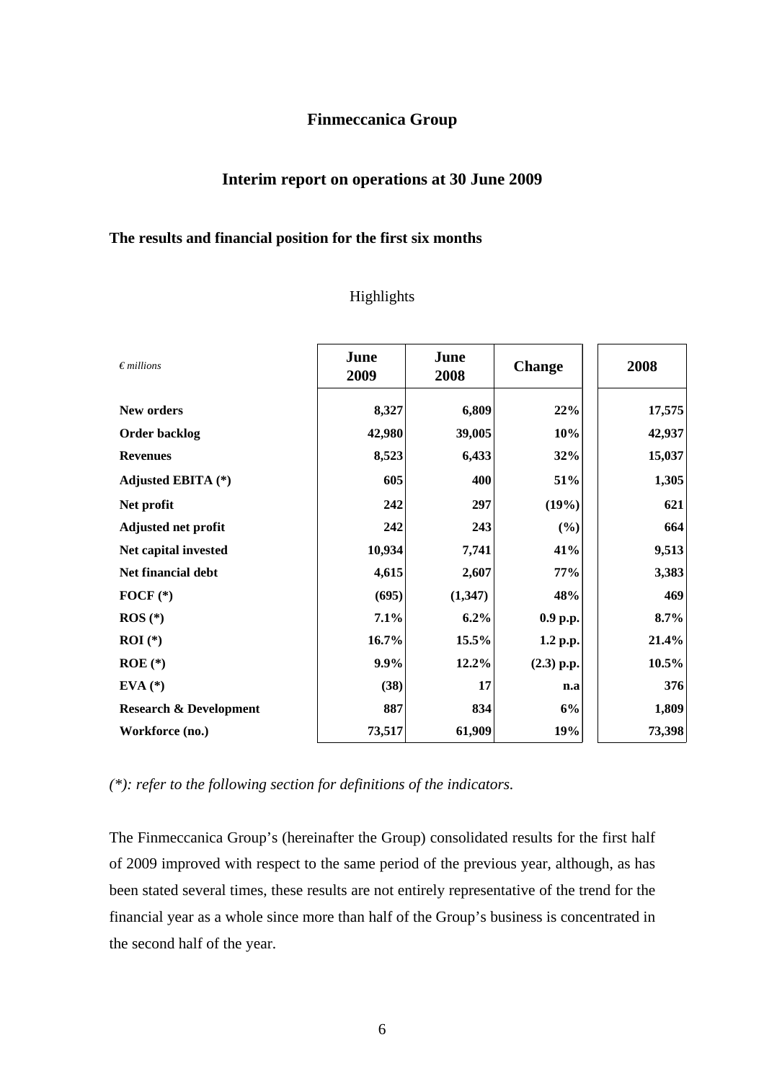# **Finmeccanica Group**

# **Interim report on operations at 30 June 2009**

# **The results and financial position for the first six months**

# Highlights

| $\epsilon$ millions               | June<br>2009 | June<br>2008 | <b>Change</b> | 2008   |
|-----------------------------------|--------------|--------------|---------------|--------|
| New orders                        | 8,327        | 6,809        | 22%           | 17,575 |
| <b>Order backlog</b>              | 42,980       | 39,005       | 10%           | 42,937 |
| <b>Revenues</b>                   | 8,523        | 6,433        | 32%           | 15,037 |
| Adjusted EBITA (*)                | 605          | 400          | 51%           | 1,305  |
| Net profit                        | 242          | 297          | (19%)         | 621    |
| <b>Adjusted net profit</b>        | 242          | 243          | (%)           | 664    |
| Net capital invested              | 10,934       | 7,741        | 41%           | 9,513  |
| Net financial debt                | 4,615        | 2,607        | 77%           | 3,383  |
| FOCF $(*)$                        | (695)        | (1,347)      | 48%           | 469    |
| $ROS (*)$                         | 7.1%         | 6.2%         | 0.9 p.p.      | 8.7%   |
| $ROI (*)$                         | 16.7%        | 15.5%        | 1.2 p.p.      | 21.4%  |
| $ROE$ $(*)$                       | 9.9%         | 12.2%        | $(2.3)$ p.p.  | 10.5%  |
| $EVA$ (*)                         | (38)         | 17           | n.a           | 376    |
| <b>Research &amp; Development</b> | 887          | 834          | 6%            | 1,809  |
| Workforce (no.)                   | 73,517       | 61,909       | 19%           | 73,398 |

*(\*): refer to the following section for definitions of the indicators.* 

The Finmeccanica Group's (hereinafter the Group) consolidated results for the first half of 2009 improved with respect to the same period of the previous year, although, as has been stated several times, these results are not entirely representative of the trend for the financial year as a whole since more than half of the Group's business is concentrated in the second half of the year.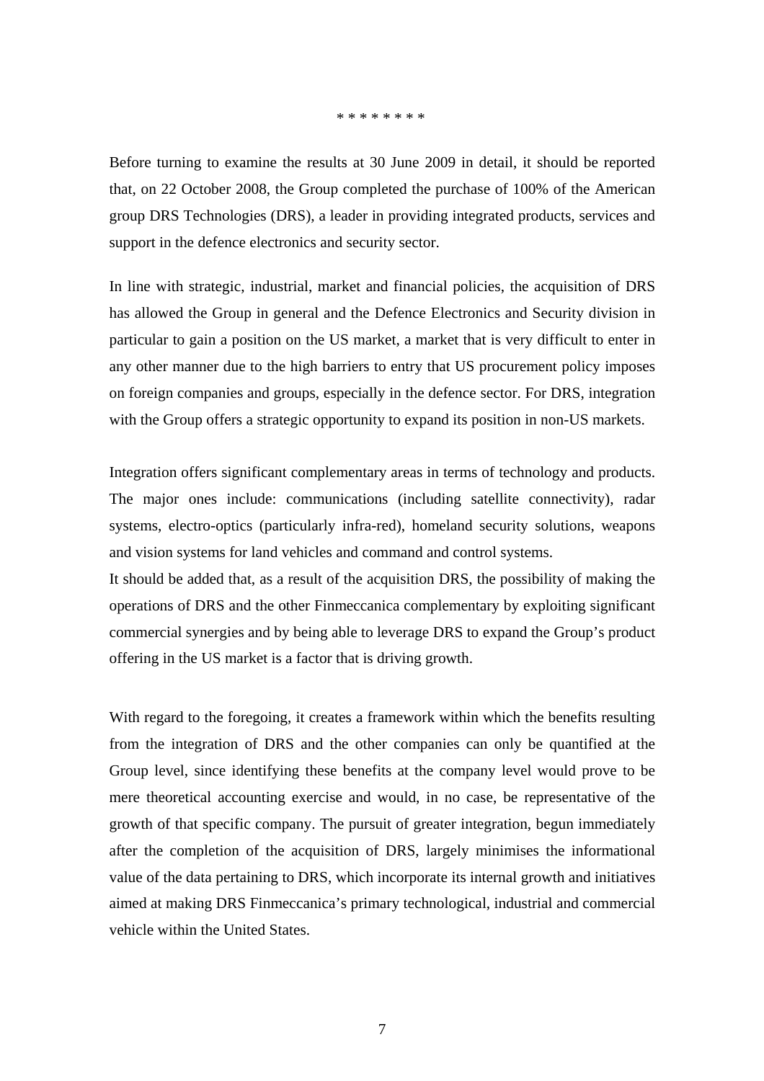#### \* \* \* \* \* \* \* \*

Before turning to examine the results at 30 June 2009 in detail, it should be reported that, on 22 October 2008, the Group completed the purchase of 100% of the American group DRS Technologies (DRS), a leader in providing integrated products, services and support in the defence electronics and security sector.

In line with strategic, industrial, market and financial policies, the acquisition of DRS has allowed the Group in general and the Defence Electronics and Security division in particular to gain a position on the US market, a market that is very difficult to enter in any other manner due to the high barriers to entry that US procurement policy imposes on foreign companies and groups, especially in the defence sector. For DRS, integration with the Group offers a strategic opportunity to expand its position in non-US markets.

Integration offers significant complementary areas in terms of technology and products. The major ones include: communications (including satellite connectivity), radar systems, electro-optics (particularly infra-red), homeland security solutions, weapons and vision systems for land vehicles and command and control systems.

It should be added that, as a result of the acquisition DRS, the possibility of making the operations of DRS and the other Finmeccanica complementary by exploiting significant commercial synergies and by being able to leverage DRS to expand the Group's product offering in the US market is a factor that is driving growth.

With regard to the foregoing, it creates a framework within which the benefits resulting from the integration of DRS and the other companies can only be quantified at the Group level, since identifying these benefits at the company level would prove to be mere theoretical accounting exercise and would, in no case, be representative of the growth of that specific company. The pursuit of greater integration, begun immediately after the completion of the acquisition of DRS, largely minimises the informational value of the data pertaining to DRS, which incorporate its internal growth and initiatives aimed at making DRS Finmeccanica's primary technological, industrial and commercial vehicle within the United States.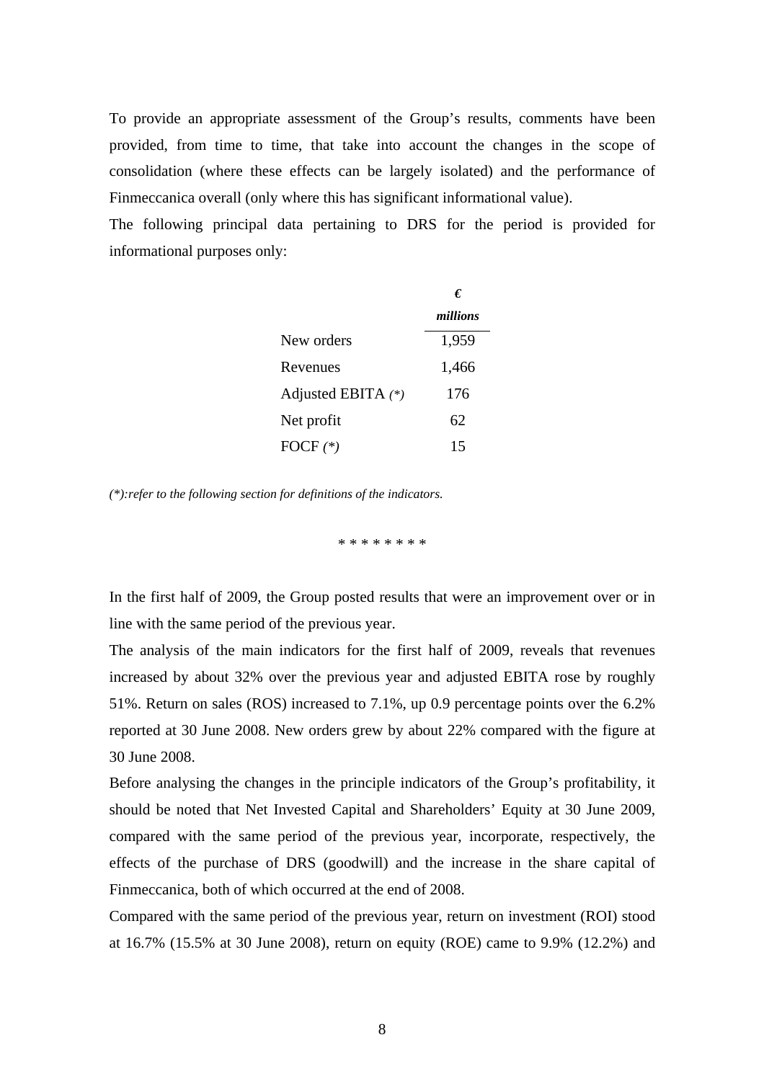To provide an appropriate assessment of the Group's results, comments have been provided, from time to time, that take into account the changes in the scope of consolidation (where these effects can be largely isolated) and the performance of Finmeccanica overall (only where this has significant informational value).

The following principal data pertaining to DRS for the period is provided for informational purposes only:

|                      | €        |
|----------------------|----------|
|                      | millions |
| New orders           | 1,959    |
| Revenues             | 1,466    |
| Adjusted EBITA $(*)$ | 176      |
| Net profit           | 62       |
| FOCF $(*)$           | 15       |

*(\*):refer to the following section for definitions of the indicators.* 

\* \* \* \* \* \* \* \*

In the first half of 2009, the Group posted results that were an improvement over or in line with the same period of the previous year.

The analysis of the main indicators for the first half of 2009, reveals that revenues increased by about 32% over the previous year and adjusted EBITA rose by roughly 51%. Return on sales (ROS) increased to 7.1%, up 0.9 percentage points over the 6.2% reported at 30 June 2008. New orders grew by about 22% compared with the figure at 30 June 2008.

Before analysing the changes in the principle indicators of the Group's profitability, it should be noted that Net Invested Capital and Shareholders' Equity at 30 June 2009, compared with the same period of the previous year, incorporate, respectively, the effects of the purchase of DRS (goodwill) and the increase in the share capital of Finmeccanica, both of which occurred at the end of 2008.

Compared with the same period of the previous year, return on investment (ROI) stood at 16.7% (15.5% at 30 June 2008), return on equity (ROE) came to 9.9% (12.2%) and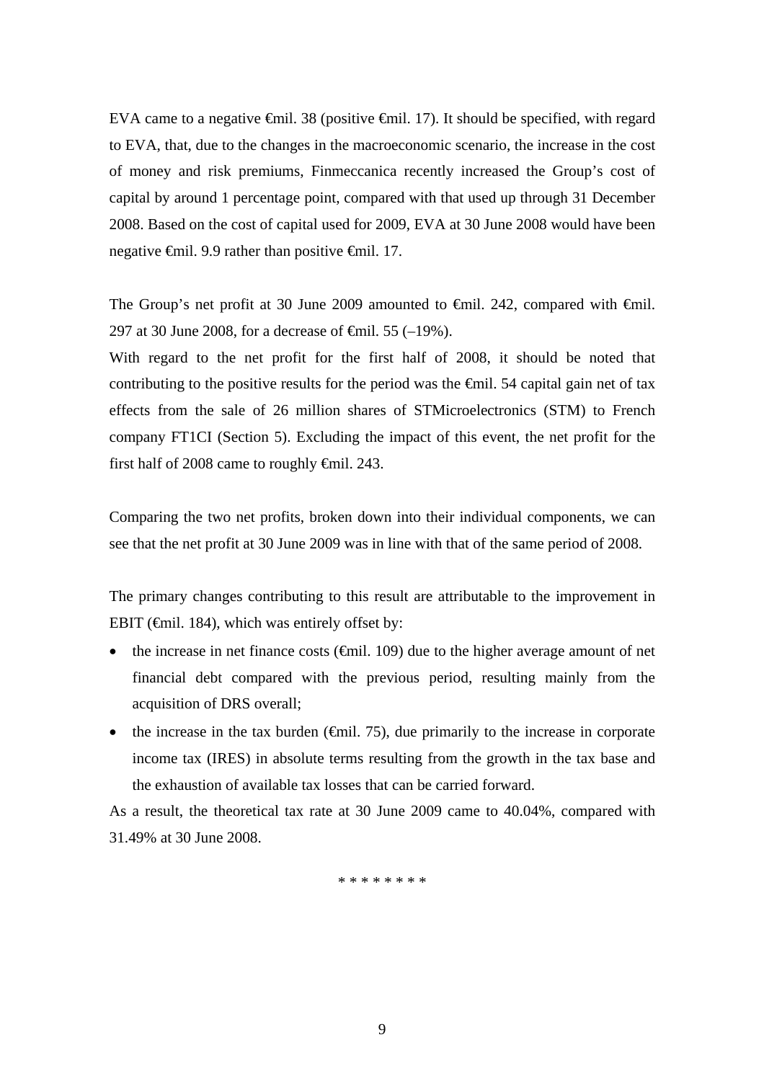EVA came to a negative €mil. 38 (positive €mil. 17). It should be specified, with regard to EVA, that, due to the changes in the macroeconomic scenario, the increase in the cost of money and risk premiums, Finmeccanica recently increased the Group's cost of capital by around 1 percentage point, compared with that used up through 31 December 2008. Based on the cost of capital used for 2009, EVA at 30 June 2008 would have been negative €mil. 9.9 rather than positive €mil. 17.

The Group's net profit at 30 June 2009 amounted to €mil. 242, compared with €mil. 297 at 30 June 2008, for a decrease of  $\theta$ mil. 55 (-19%).

With regard to the net profit for the first half of 2008, it should be noted that contributing to the positive results for the period was the  $\epsilon$ mil. 54 capital gain net of tax effects from the sale of 26 million shares of STMicroelectronics (STM) to French company FT1CI (Section 5). Excluding the impact of this event, the net profit for the first half of 2008 came to roughly  $\epsilon$ mil. 243.

Comparing the two net profits, broken down into their individual components, we can see that the net profit at 30 June 2009 was in line with that of the same period of 2008.

The primary changes contributing to this result are attributable to the improvement in EBIT ( $\epsilon$ mil. 184), which was entirely offset by:

- the increase in net finance costs  $(\theta$ mil. 109) due to the higher average amount of net financial debt compared with the previous period, resulting mainly from the acquisition of DRS overall;
- the increase in the tax burden  $(\text{Gmil. 75})$ , due primarily to the increase in corporate income tax (IRES) in absolute terms resulting from the growth in the tax base and the exhaustion of available tax losses that can be carried forward.

As a result, the theoretical tax rate at 30 June 2009 came to 40.04%, compared with 31.49% at 30 June 2008.

\* \* \* \* \* \* \* \*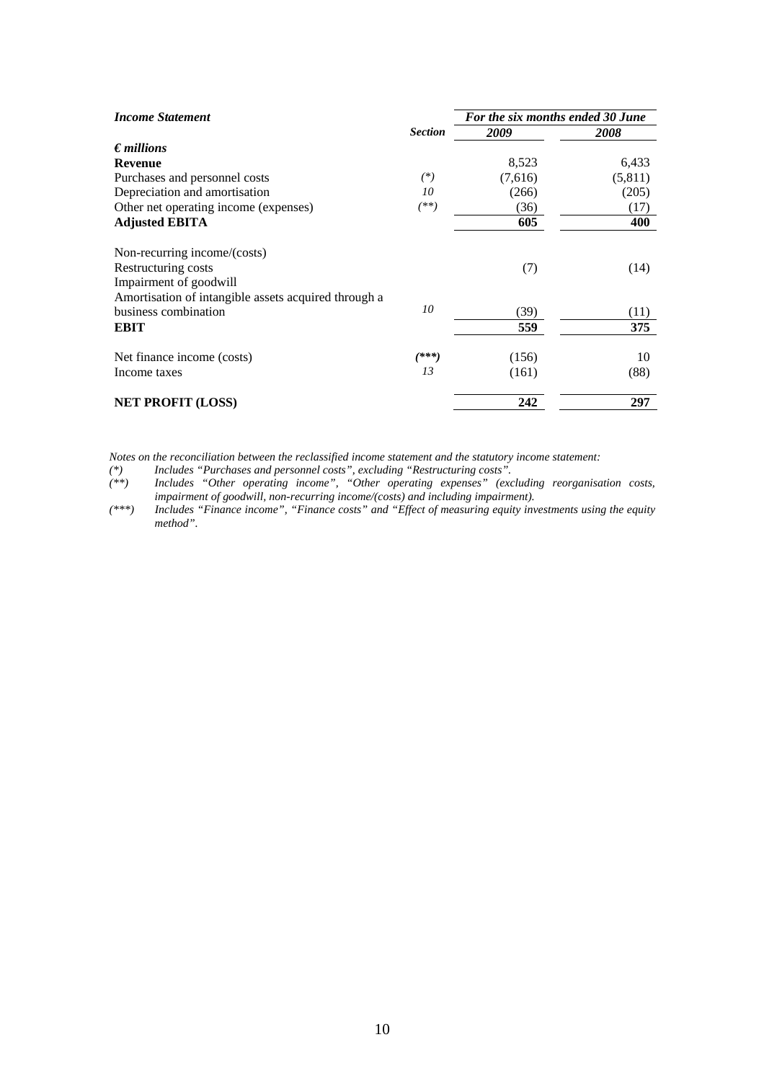| <b>Income Statement</b>                              |                | For the six months ended 30 June |         |  |
|------------------------------------------------------|----------------|----------------------------------|---------|--|
|                                                      | <b>Section</b> | 2009                             | 2008    |  |
| $\epsilon$ <i>millions</i>                           |                |                                  |         |  |
| <b>Revenue</b>                                       |                | 8,523                            | 6,433   |  |
| Purchases and personnel costs                        | $(*)$          | (7,616)                          | (5,811) |  |
| Depreciation and amortisation                        | 10             | (266)                            | (205)   |  |
| Other net operating income (expenses)                | $^{(**)}$      | (36)                             | (17)    |  |
| <b>Adjusted EBITA</b>                                |                | 605                              | 400     |  |
| Non-recurring income/(costs)                         |                |                                  |         |  |
| Restructuring costs                                  |                | (7)                              | (14)    |  |
| Impairment of goodwill                               |                |                                  |         |  |
| Amortisation of intangible assets acquired through a |                |                                  |         |  |
| business combination                                 | 10             | (39)                             | (11)    |  |
| <b>EBIT</b>                                          |                | 559                              | 375     |  |
| Net finance income (costs)                           | (***)          | (156)                            | 10      |  |
| Income taxes                                         | 13             | (161)                            | (88)    |  |
| <b>NET PROFIT (LOSS)</b>                             |                | 242                              | 297     |  |

*Notes on the reconciliation between the reclassified income statement and the statutory income statement:* 

*(\*) Includes "Purchases and personnel costs", excluding "Restructuring costs".* 

*(\*\*) Includes "Other operating income", "Other operating expenses" (excluding reorganisation costs, impairment of goodwill, non-recurring income/(costs) and including impairment).* 

*(\*\*\*) Includes "Finance income", "Finance costs" and "Effect of measuring equity investments using the equity method".*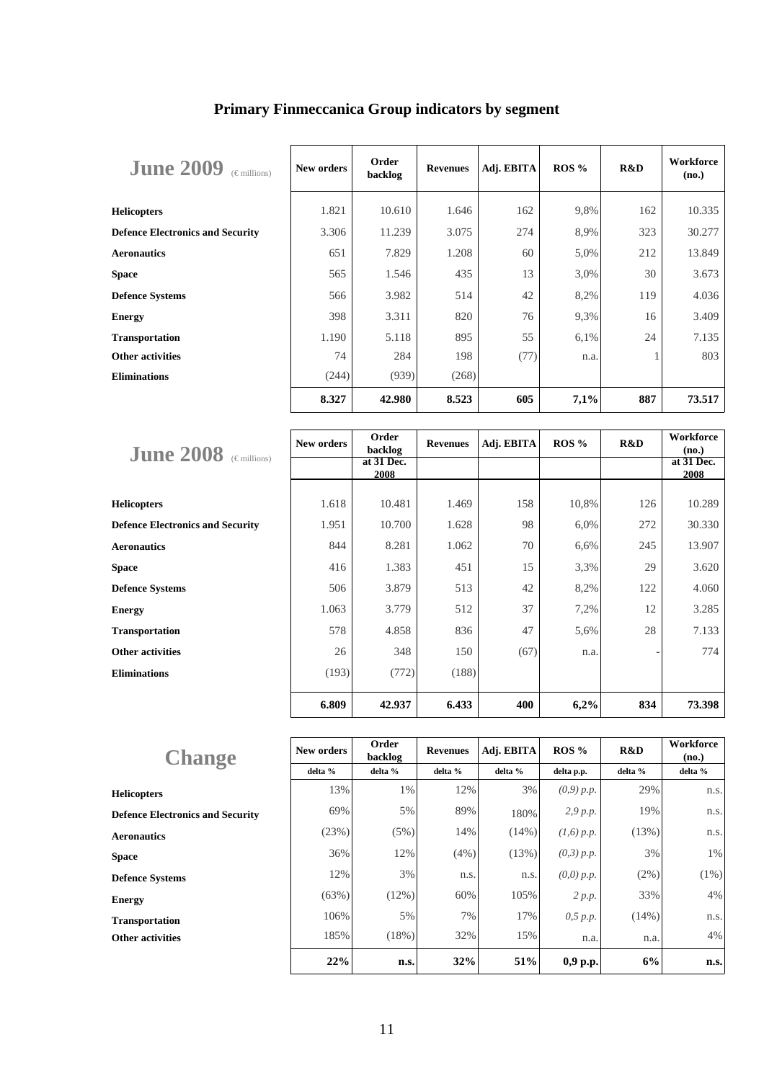| <b>June 2009</b><br>$(\epsilon$ millions) | New orders | Order<br>backlog | <b>Revenues</b> | Adj. EBITA | ROS% | R&D | Workforce<br>(no.) |
|-------------------------------------------|------------|------------------|-----------------|------------|------|-----|--------------------|
| <b>Helicopters</b>                        | 1.821      | 10.610           | 1.646           | 162        | 9,8% | 162 | 10.335             |
| <b>Defence Electronics and Security</b>   | 3.306      | 11.239           | 3.075           | 274        | 8.9% | 323 | 30.277             |
| <b>Aeronautics</b>                        | 651        | 7.829            | 1.208           | 60         | 5,0% | 212 | 13.849             |
| <b>Space</b>                              | 565        | 1.546            | 435             | 13         | 3,0% | 30  | 3.673              |
| <b>Defence Systems</b>                    | 566        | 3.982            | 514             | 42         | 8,2% | 119 | 4.036              |
| <b>Energy</b>                             | 398        | 3.311            | 820             | 76         | 9,3% | 16  | 3.409              |
| <b>Transportation</b>                     | 1.190      | 5.118            | 895             | 55         | 6,1% | 24  | 7.135              |
| <b>Other activities</b>                   | 74         | 284              | 198             | (77)       | n.a. |     | 803                |
| <b>Eliminations</b>                       | (244)      | (939)            | (268)           |            |      |     |                    |
|                                           | 8.327      | 42.980           | 8.523           | 605        | 7,1% | 887 | 73.517             |

# **Primary Finmeccanica Group indicators by segment**

|                                           | New orders | Order      | <b>Revenues</b> | Adj. EBITA | ROS % | R&D | Workforce  |
|-------------------------------------------|------------|------------|-----------------|------------|-------|-----|------------|
| <b>June 2008</b><br>$(\epsilon$ millions) |            | backlog    |                 |            |       |     | (no.)      |
|                                           |            | at 31 Dec. |                 |            |       |     | at 31 Dec. |
|                                           |            | 2008       |                 |            |       |     | 2008       |
|                                           |            |            |                 |            |       |     |            |
| <b>Helicopters</b>                        | 1.618      | 10.481     | 1.469           | 158        | 10,8% | 126 | 10.289     |
| <b>Defence Electronics and Security</b>   | 1.951      | 10.700     | 1.628           | 98         | 6,0%  | 272 | 30.330     |
| <b>Aeronautics</b>                        | 844        | 8.281      | 1.062           | 70         | 6,6%  | 245 | 13.907     |
| <b>Space</b>                              | 416        | 1.383      | 451             | 15         | 3,3%  | 29  | 3.620      |
| <b>Defence Systems</b>                    | 506        | 3.879      | 513             | 42         | 8,2%  | 122 | 4.060      |
| <b>Energy</b>                             | 1.063      | 3.779      | 512             | 37         | 7,2%  | 12  | 3.285      |
| <b>Transportation</b>                     | 578        | 4.858      | 836             | 47         | 5,6%  | 28  | 7.133      |
| <b>Other activities</b>                   | 26         | 348        | 150             | (67)       | n.a.  |     | 774        |
| <b>Eliminations</b>                       | (193)      | (772)      | (188)           |            |       |     |            |
|                                           | 6.809      | 42.937     | 6.433           | 400        | 6,2%  | 834 | 73.398     |

| <b>Change</b>                           | New orders | Order<br>backlog | <b>Revenues</b> | Adj. EBITA | $ROS\%$      | R&D      | Workforce<br>(no.) |
|-----------------------------------------|------------|------------------|-----------------|------------|--------------|----------|--------------------|
|                                         | delta %    | delta %          | delta %         | delta %    | delta p.p.   | delta %  | delta %            |
| <b>Helicopters</b>                      | 13%        | 1%               | 12%             | 3%         | (0,9) p.p.   | 29%      | n.s.               |
| <b>Defence Electronics and Security</b> | 69%        | 5%               | 89%             | 180%       | 2,9 p.p.     | 19%      | n.s.               |
| <b>Aeronautics</b>                      | (23%)      | (5%)             | 14%             | $(14\%)$   | $(1,6)$ p.p. | (13%)    | n.s.               |
| <b>Space</b>                            | 36%        | 12%              | (4%)            | (13%)      | $(0,3)$ p.p. | 3%       | 1%                 |
| <b>Defence Systems</b>                  | 12%        | 3%               | n.s.            | n.s.       | $(0,0)$ p.p. | $(2\%)$  | $(1\%)$            |
| <b>Energy</b>                           | (63%)      | (12%)            | 60%             | 105%       | 2 p.p.       | 33%      | 4%                 |
| <b>Transportation</b>                   | 106%       | 5%               | 7%              | 17%        | 0,5 p.p.     | $(14\%)$ | n.s.               |
| <b>Other activities</b>                 | 185%       | (18%)            | 32%             | 15%        | n.a.         | n.a.     | 4%                 |
|                                         | 22%        | n.s.             | 32%             | 51%        | $0,9$ p.p.   | 6%       | n.s.               |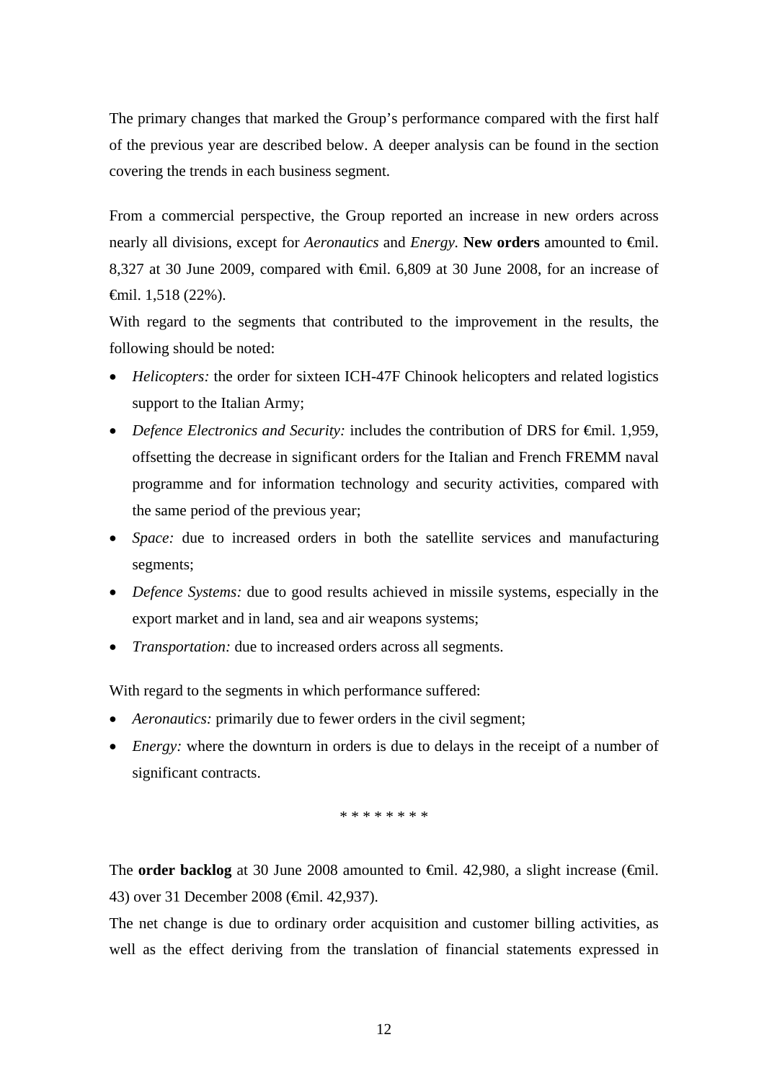The primary changes that marked the Group's performance compared with the first half of the previous year are described below. A deeper analysis can be found in the section covering the trends in each business segment*.*

From a commercial perspective, the Group reported an increase in new orders across nearly all divisions, except for *Aeronautics* and *Energy.* **New orders** amounted to €mil. 8,327 at 30 June 2009, compared with <del>€</del>mil. 6,809 at 30 June 2008, for an increase of €mil. 1,518 (22%).

With regard to the segments that contributed to the improvement in the results, the following should be noted:

- *Helicopters:* the order for sixteen ICH-47F Chinook helicopters and related logistics support to the Italian Army;
- *Defence Electronics and Security:* includes the contribution of DRS for  $\bigoplus$  finil. 1,959, offsetting the decrease in significant orders for the Italian and French FREMM naval programme and for information technology and security activities, compared with the same period of the previous year;
- *Space:* due to increased orders in both the satellite services and manufacturing segments;
- *Defence Systems:* due to good results achieved in missile systems, especially in the export market and in land, sea and air weapons systems;
- *Transportation:* due to increased orders across all segments.

With regard to the segments in which performance suffered:

- *Aeronautics:* primarily due to fewer orders in the civil segment;
- *Energy:* where the downturn in orders is due to delays in the receipt of a number of significant contracts.

\* \* \* \* \* \* \* \*

The **order backlog** at 30 June 2008 amounted to <del>€mil</del>. 42,980, a slight increase (€mil. 43) over 31 December 2008 (€mil. 42,937).

The net change is due to ordinary order acquisition and customer billing activities, as well as the effect deriving from the translation of financial statements expressed in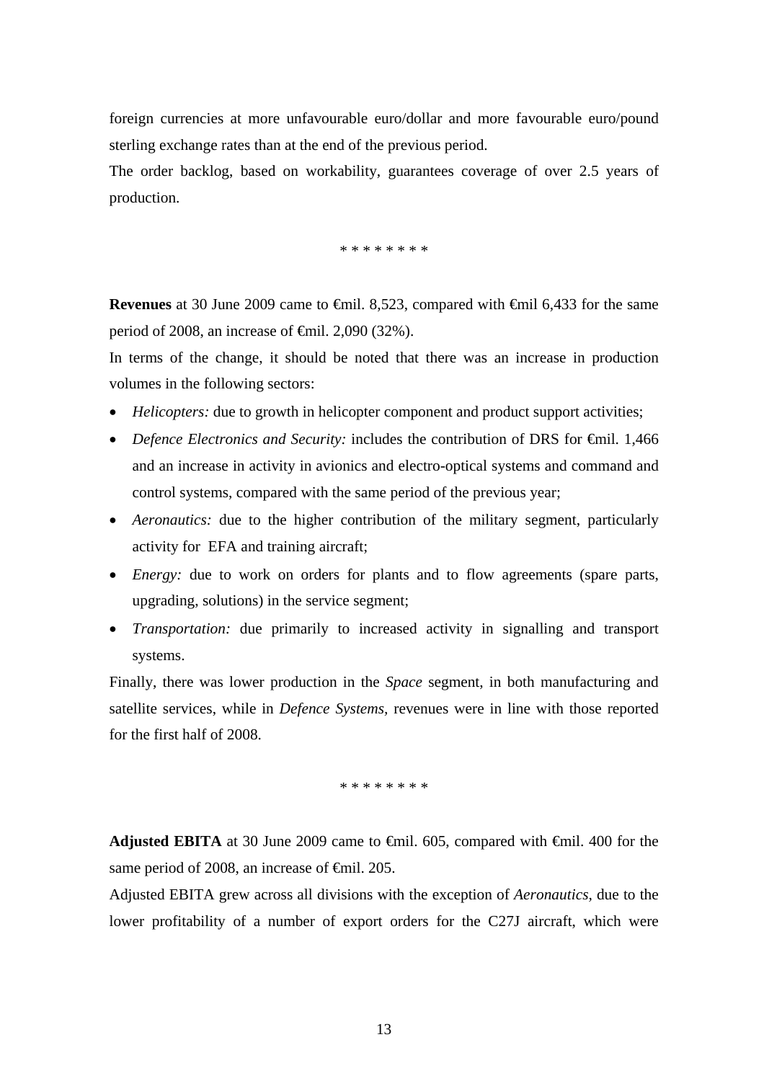foreign currencies at more unfavourable euro/dollar and more favourable euro/pound sterling exchange rates than at the end of the previous period.

The order backlog, based on workability, guarantees coverage of over 2.5 years of production.

\* \* \* \* \* \* \* \*

**Revenues** at 30 June 2009 came to <del>€</del>mil. 8,523, compared with €mil 6,433 for the same period of 2008, an increase of  $\epsilon$ mil. 2,090 (32%).

In terms of the change, it should be noted that there was an increase in production volumes in the following sectors:

- *Helicopters:* due to growth in helicopter component and product support activities;
- *Defence Electronics and Security:* includes the contribution of DRS for €mil. 1,466 and an increase in activity in avionics and electro-optical systems and command and control systems, compared with the same period of the previous year;
- *Aeronautics:* due to the higher contribution of the military segment, particularly activity for EFA and training aircraft;
- *Energy:* due to work on orders for plants and to flow agreements (spare parts, upgrading, solutions) in the service segment;
- *Transportation:* due primarily to increased activity in signalling and transport systems.

Finally, there was lower production in the *Space* segment, in both manufacturing and satellite services, while in *Defence Systems,* revenues were in line with those reported for the first half of 2008.

\* \* \* \* \* \* \* \*

**Adjusted EBITA** at 30 June 2009 came to €mil. 605, compared with €mil. 400 for the same period of 2008, an increase of <del>€mil</del>. 205.

Adjusted EBITA grew across all divisions with the exception of *Aeronautics,* due to the lower profitability of a number of export orders for the C27J aircraft, which were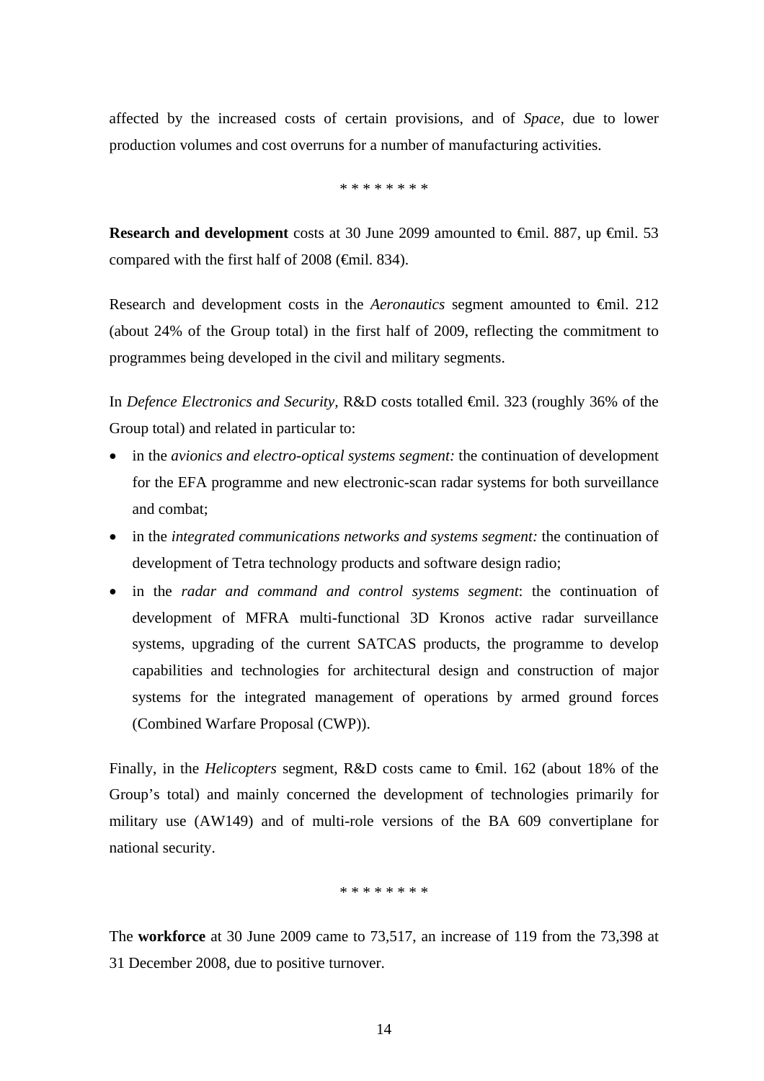affected by the increased costs of certain provisions, and of *Space,* due to lower production volumes and cost overruns for a number of manufacturing activities.

\* \* \* \* \* \* \* \*

**Research and development** costs at 30 June 2099 amounted to <del>€</del>mil. 887, up €mil. 53 compared with the first half of  $2008$  ( $\epsilon$ mil. 834).

Research and development costs in the *Aeronautics* segment amounted to €mil. 212 (about 24% of the Group total) in the first half of 2009, reflecting the commitment to programmes being developed in the civil and military segments.

In *Defence Electronics and Security,* R&D costs totalled €mil. 323 (roughly 36% of the Group total) and related in particular to:

- in the *avionics and electro-optical systems segment*: the continuation of development for the EFA programme and new electronic-scan radar systems for both surveillance and combat;
- in the *integrated communications networks and systems segment*: the continuation of development of Tetra technology products and software design radio;
- in the *radar and command and control systems segment*: the continuation of development of MFRA multi-functional 3D Kronos active radar surveillance systems, upgrading of the current SATCAS products, the programme to develop capabilities and technologies for architectural design and construction of major systems for the integrated management of operations by armed ground forces (Combined Warfare Proposal (CWP)).

Finally, in the *Helicopters* segment*,* R&D costs came to €mil. 162 (about 18% of the Group's total) and mainly concerned the development of technologies primarily for military use (AW149) and of multi-role versions of the BA 609 convertiplane for national security.

### \* \* \* \* \* \* \* \*

The **workforce** at 30 June 2009 came to 73,517, an increase of 119 from the 73,398 at 31 December 2008, due to positive turnover.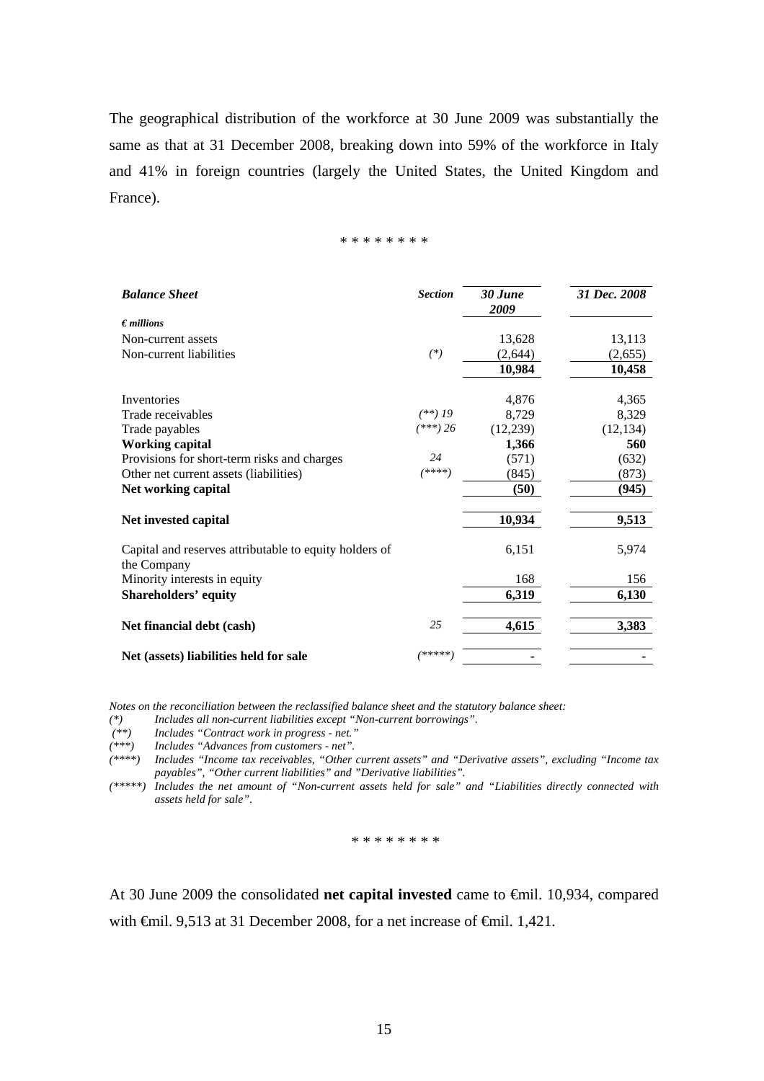The geographical distribution of the workforce at 30 June 2009 was substantially the same as that at 31 December 2008, breaking down into 59% of the workforce in Italy and 41% in foreign countries (largely the United States, the United Kingdom and France).

\* \* \* \* \* \* \* \*

| <b>Balance Sheet</b>                                                  | <b>Section</b> | 30 June<br>2009 | 31 Dec. 2008 |
|-----------------------------------------------------------------------|----------------|-----------------|--------------|
| $\epsilon$ <i>millions</i>                                            |                |                 |              |
| Non-current assets                                                    |                | 13,628          | 13,113       |
| Non-current liabilities                                               | $(*)$          | (2,644)         | (2,655)      |
|                                                                       |                | 10,984          | 10,458       |
| Inventories                                                           |                | 4,876           | 4,365        |
| Trade receivables                                                     | $(**)$ 19      | 8,729           | 8,329        |
| Trade payables                                                        | $(***) 26$     | (12, 239)       | (12, 134)    |
| <b>Working capital</b>                                                |                | 1,366           | 560          |
| Provisions for short-term risks and charges                           | 24             | (571)           | (632)        |
| Other net current assets (liabilities)                                | $(****)$       | (845)           | (873)        |
| Net working capital                                                   |                | (50)            | (945)        |
| Net invested capital                                                  |                | 10,934          | 9,513        |
| Capital and reserves attributable to equity holders of<br>the Company |                | 6,151           | 5,974        |
| Minority interests in equity                                          |                | 168             | 156          |
| <b>Shareholders' equity</b>                                           |                | 6,319           | 6,130        |
| Net financial debt (cash)                                             | 25             | 4,615           | 3,383        |
| Net (assets) liabilities held for sale                                | *****          |                 |              |

*Notes on the reconciliation between the reclassified balance sheet and the statutory balance sheet:* 

*(\*) Includes all non-current liabilities except "Non-current borrowings".* 

 *(\*\*) Includes "Contract work in progress - net."* 

*(\*\*\*) Includes "Advances from customers - net".* 

*(\*\*\*\*) Includes "Income tax receivables, "Other current assets" and "Derivative assets", excluding "Income tax payables", "Other current liabilities" and "Derivative liabilities".* 

*(\*\*\*\*\*) Includes the net amount of "Non-current assets held for sale" and "Liabilities directly connected with assets held for sale".* 

\* \* \* \* \* \* \* \*

At 30 June 2009 the consolidated **net capital invested** came to €mil. 10,934, compared with <del>€</del>mil. 9,513 at 31 December 2008, for a net increase of <del>€</del>mil. 1,421.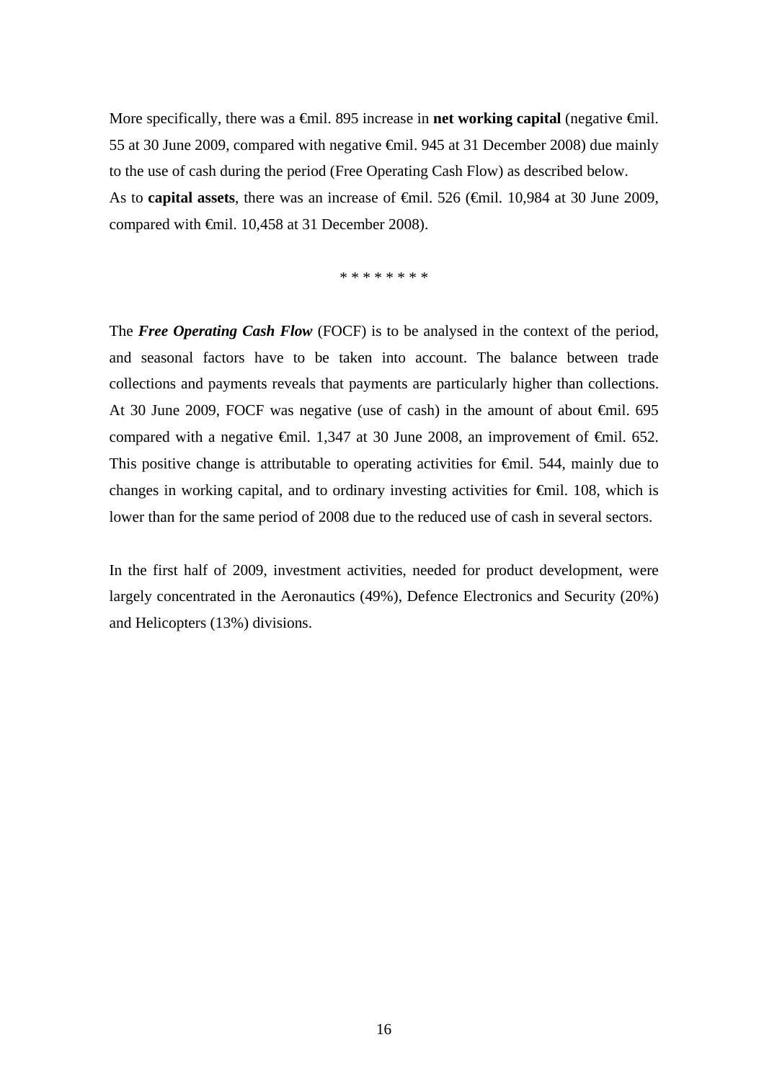More specifically, there was a <del>€m</del>il. 895 increase in **net working capital** (negative <del>€m</del>il. 55 at 30 June 2009, compared with negative €mil. 945 at 31 December 2008) due mainly to the use of cash during the period (Free Operating Cash Flow) as described below. As to **capital assets**, there was an increase of <del>€mil.</del> 526 (€mil. 10,984 at 30 June 2009, compared with €mil. 10,458 at 31 December 2008).

\* \* \* \* \* \* \* \*

The *Free Operating Cash Flow* (FOCF) is to be analysed in the context of the period, and seasonal factors have to be taken into account. The balance between trade collections and payments reveals that payments are particularly higher than collections. At 30 June 2009, FOCF was negative (use of cash) in the amount of about €mil. 695 compared with a negative €mil. 1,347 at 30 June 2008, an improvement of €mil. 652. This positive change is attributable to operating activities for €mil. 544, mainly due to changes in working capital, and to ordinary investing activities for  $\epsilon$ mil. 108, which is lower than for the same period of 2008 due to the reduced use of cash in several sectors.

In the first half of 2009, investment activities, needed for product development, were largely concentrated in the Aeronautics (49%), Defence Electronics and Security (20%) and Helicopters (13%) divisions.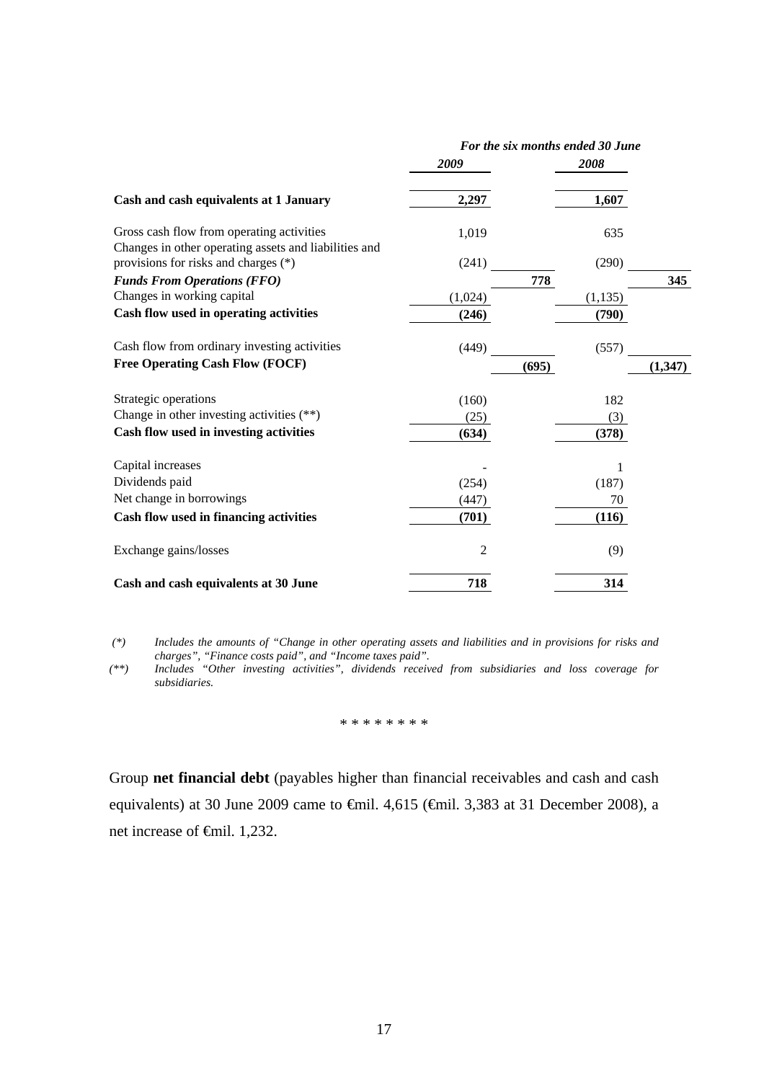|                                                                                                    | For the six months ended 30 June |          |          |
|----------------------------------------------------------------------------------------------------|----------------------------------|----------|----------|
|                                                                                                    | 2009                             | 2008     |          |
| Cash and cash equivalents at 1 January                                                             | 2,297                            | 1,607    |          |
| Gross cash flow from operating activities<br>Changes in other operating assets and liabilities and | 1,019                            | 635      |          |
| provisions for risks and charges (*)                                                               | (241)                            | (290)    |          |
| <b>Funds From Operations (FFO)</b>                                                                 |                                  | 778      | 345      |
| Changes in working capital                                                                         | (1,024)                          | (1, 135) |          |
| Cash flow used in operating activities                                                             | (246)                            | (790)    |          |
| Cash flow from ordinary investing activities                                                       | (449)                            | (557)    |          |
| <b>Free Operating Cash Flow (FOCF)</b>                                                             |                                  | (695)    | (1, 347) |
| Strategic operations                                                                               | (160)                            | 182      |          |
| Change in other investing activities $(**)$                                                        | (25)                             | (3)      |          |
| Cash flow used in investing activities                                                             | (634)                            | (378)    |          |
| Capital increases                                                                                  |                                  | 1        |          |
| Dividends paid                                                                                     | (254)                            | (187)    |          |
| Net change in borrowings                                                                           | (447)                            | 70       |          |
| Cash flow used in financing activities                                                             | (701)                            | (116)    |          |
| Exchange gains/losses                                                                              | 2                                | (9)      |          |
| Cash and cash equivalents at 30 June                                                               | 718                              | 314      |          |

 *(\*) Includes the amounts of "Change in other operating assets and liabilities and in provisions for risks and charges", "Finance costs paid", and "Income taxes paid".* 

*(\*\*) Includes "Other investing activities", dividends received from subsidiaries and loss coverage for subsidiaries.* 

\* \* \* \* \* \* \* \*

Group **net financial debt** (payables higher than financial receivables and cash and cash equivalents) at 30 June 2009 came to €mil. 4,615 (€mil. 3,383 at 31 December 2008), a net increase of €mil. 1,232.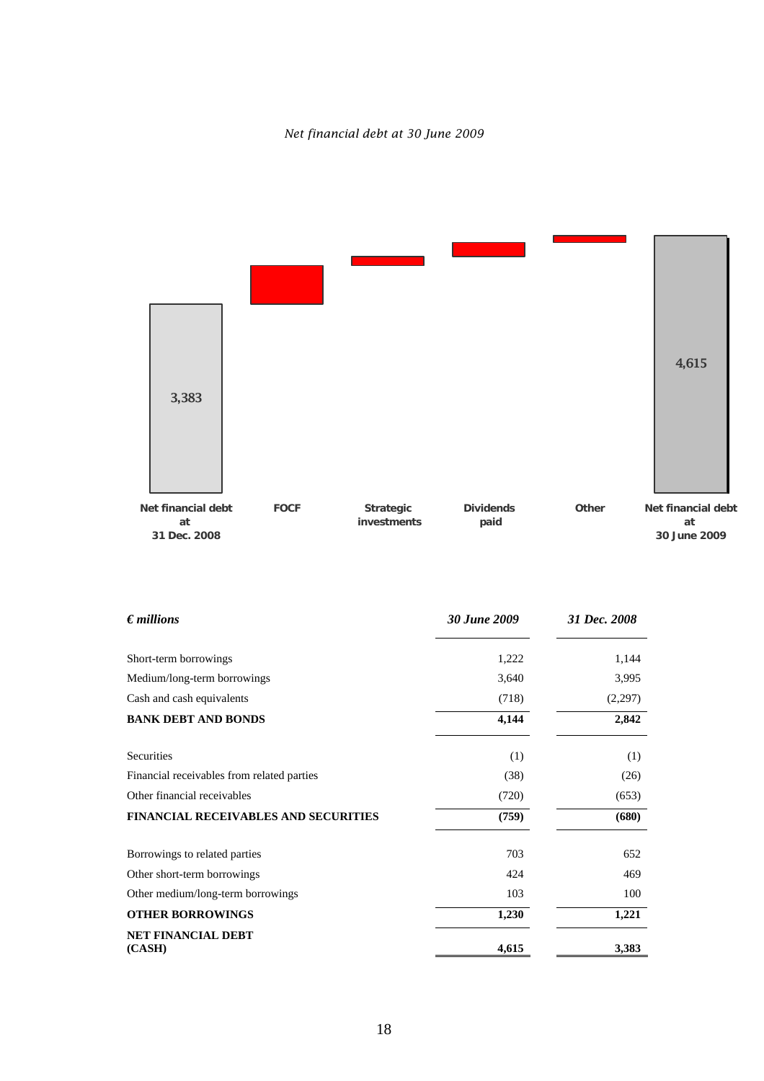# *Net financial debt at 30 June 2009*



| $\epsilon$ millions                         | 30 June 2009 | 31 Dec. 2008 |
|---------------------------------------------|--------------|--------------|
| Short-term borrowings                       | 1,222        | 1,144        |
| Medium/long-term borrowings                 | 3,640        | 3,995        |
| Cash and cash equivalents                   | (718)        | (2,297)      |
| <b>BANK DEBT AND BONDS</b>                  | 4,144        | 2,842        |
| Securities                                  | (1)          | (1)          |
| Financial receivables from related parties  | (38)         | (26)         |
| Other financial receivables                 | (720)        | (653)        |
| <b>FINANCIAL RECEIVABLES AND SECURITIES</b> | (759)        | (680)        |
| Borrowings to related parties               | 703          | 652          |
| Other short-term borrowings                 | 424          | 469          |
| Other medium/long-term borrowings           | 103          | 100          |
| <b>OTHER BORROWINGS</b>                     | 1,230        | 1,221        |
| NET FINANCIAL DEBT<br>(CASH)                | 4,615        | 3,383        |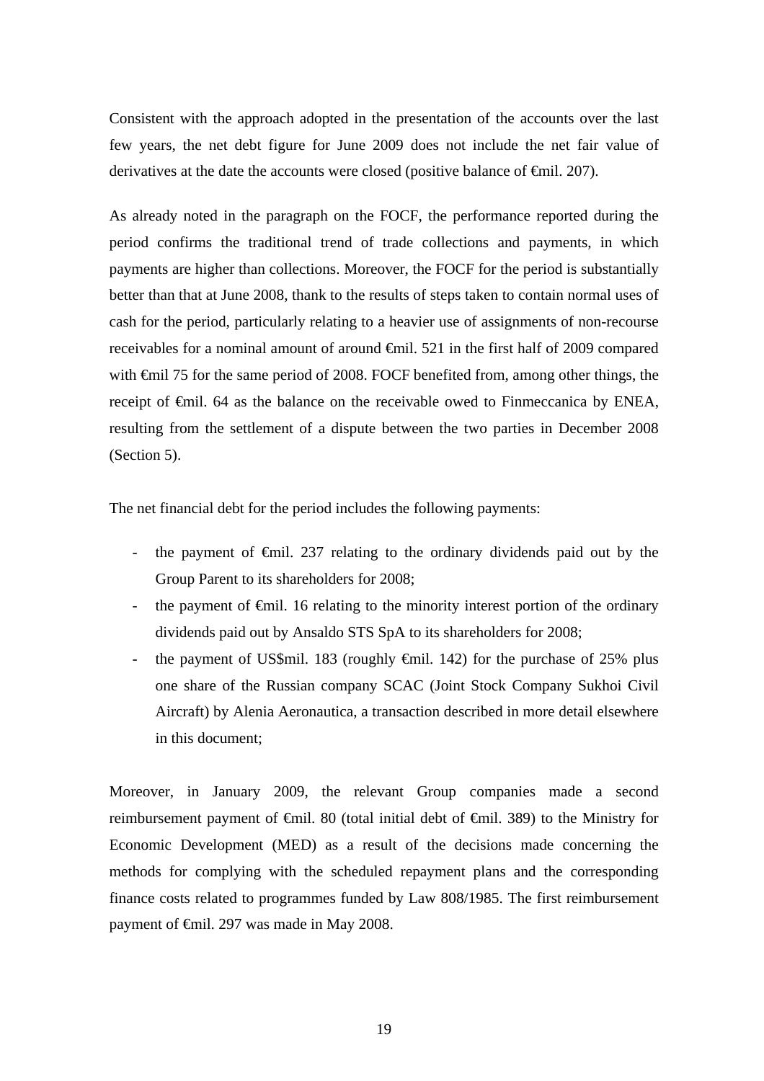Consistent with the approach adopted in the presentation of the accounts over the last few years, the net debt figure for June 2009 does not include the net fair value of derivatives at the date the accounts were closed (positive balance of <del>€</del>mil. 207).

As already noted in the paragraph on the FOCF, the performance reported during the period confirms the traditional trend of trade collections and payments, in which payments are higher than collections. Moreover, the FOCF for the period is substantially better than that at June 2008, thank to the results of steps taken to contain normal uses of cash for the period, particularly relating to a heavier use of assignments of non-recourse receivables for a nominal amount of around €mil. 521 in the first half of 2009 compared with €mil 75 for the same period of 2008. FOCF benefited from, among other things, the receipt of €mil. 64 as the balance on the receivable owed to Finmeccanica by ENEA, resulting from the settlement of a dispute between the two parties in December 2008 (Section 5).

The net financial debt for the period includes the following payments:

- the payment of €mil. 237 relating to the ordinary dividends paid out by the Group Parent to its shareholders for 2008;
- the payment of  $\epsilon$ mil. 16 relating to the minority interest portion of the ordinary dividends paid out by Ansaldo STS SpA to its shareholders for 2008;
- the payment of US\$mil. 183 (roughly  $\epsilon$ mil. 142) for the purchase of 25% plus one share of the Russian company SCAC (Joint Stock Company Sukhoi Civil Aircraft) by Alenia Aeronautica, a transaction described in more detail elsewhere in this document;

Moreover, in January 2009, the relevant Group companies made a second reimbursement payment of €mil. 80 (total initial debt of €mil. 389) to the Ministry for Economic Development (MED) as a result of the decisions made concerning the methods for complying with the scheduled repayment plans and the corresponding finance costs related to programmes funded by Law 808/1985. The first reimbursement payment of €mil. 297 was made in May 2008.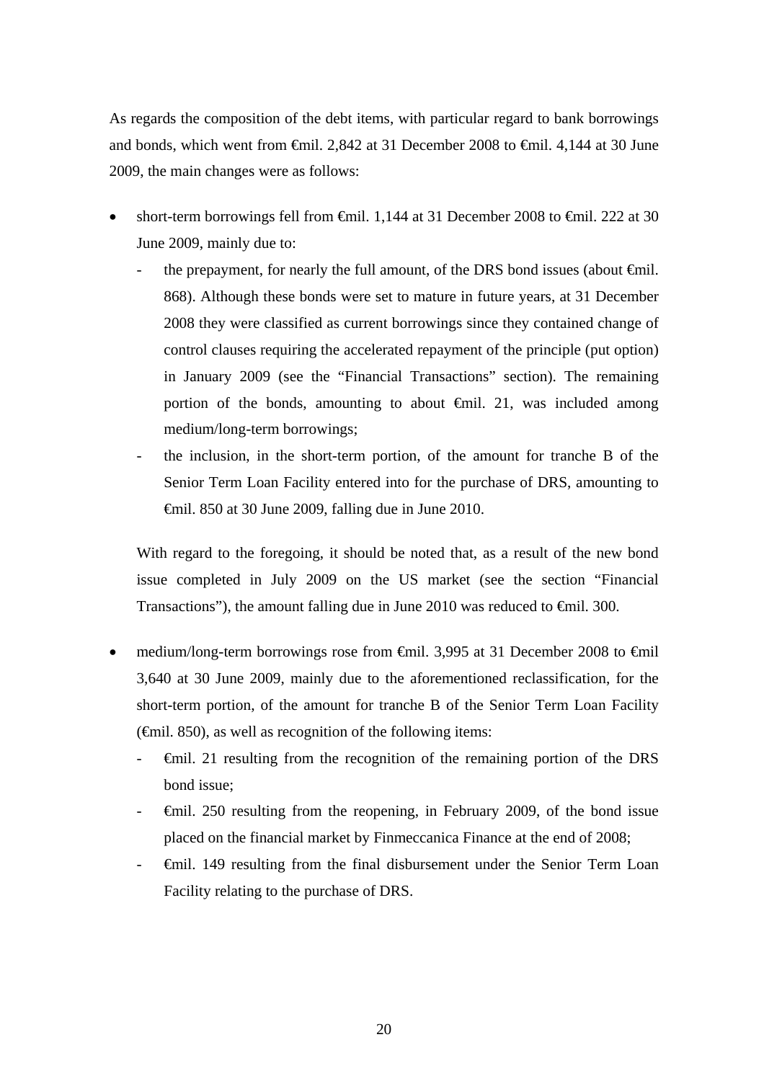As regards the composition of the debt items, with particular regard to bank borrowings and bonds, which went from €mil. 2,842 at 31 December 2008 to €mil. 4,144 at 30 June 2009, the main changes were as follows:

- short-term borrowings fell from €mil. 1,144 at 31 December 2008 to €mil. 222 at 30 June 2009, mainly due to:
	- the prepayment, for nearly the full amount, of the DRS bond issues (about  $\epsilon$ mil. 868). Although these bonds were set to mature in future years, at 31 December 2008 they were classified as current borrowings since they contained change of control clauses requiring the accelerated repayment of the principle (put option) in January 2009 (see the "Financial Transactions" section). The remaining portion of the bonds, amounting to about  $\oplus$  finil. 21, was included among medium/long-term borrowings;
	- the inclusion, in the short-term portion, of the amount for tranche B of the Senior Term Loan Facility entered into for the purchase of DRS, amounting to €mil. 850 at 30 June 2009, falling due in June 2010.

With regard to the foregoing, it should be noted that, as a result of the new bond issue completed in July 2009 on the US market (see the section "Financial Transactions"), the amount falling due in June 2010 was reduced to  $\epsilon$ mil. 300.

- medium/long-term borrowings rose from €mil. 3,995 at 31 December 2008 to €mil 3,640 at 30 June 2009, mainly due to the aforementioned reclassification, for the short-term portion, of the amount for tranche B of the Senior Term Loan Facility  $(\text{f})$ , as well as recognition of the following items:
	- €mil. 21 resulting from the recognition of the remaining portion of the DRS bond issue;
	- €mil. 250 resulting from the reopening, in February 2009, of the bond issue placed on the financial market by Finmeccanica Finance at the end of 2008;
	- €mil. 149 resulting from the final disbursement under the Senior Term Loan Facility relating to the purchase of DRS.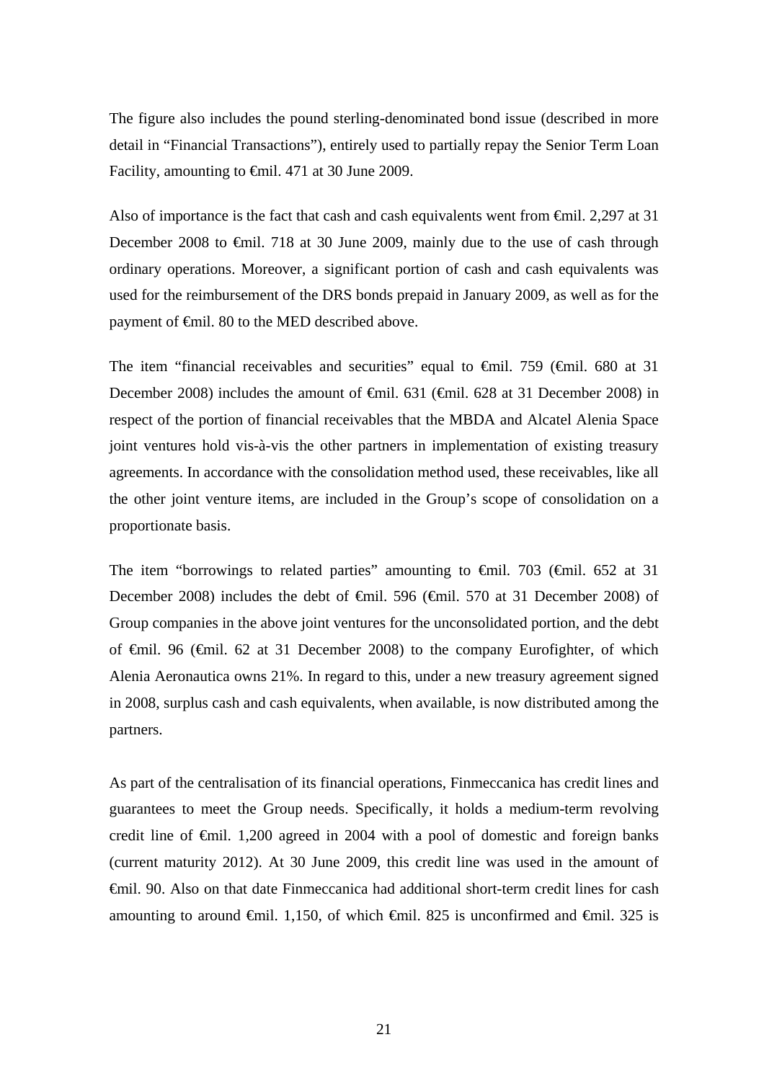The figure also includes the pound sterling-denominated bond issue (described in more detail in "Financial Transactions"), entirely used to partially repay the Senior Term Loan Facility, amounting to €mil. 471 at 30 June 2009.

Also of importance is the fact that cash and cash equivalents went from €mil. 2,297 at 31 December 2008 to €mil. 718 at 30 June 2009, mainly due to the use of cash through ordinary operations. Moreover, a significant portion of cash and cash equivalents was used for the reimbursement of the DRS bonds prepaid in January 2009, as well as for the payment of €mil. 80 to the MED described above.

The item "financial receivables and securities" equal to  $\theta$ mil. 759 ( $\theta$ mil. 680 at 31 December 2008) includes the amount of €mil. 631 (€mil. 628 at 31 December 2008) in respect of the portion of financial receivables that the MBDA and Alcatel Alenia Space joint ventures hold vis-à-vis the other partners in implementation of existing treasury agreements. In accordance with the consolidation method used, these receivables, like all the other joint venture items, are included in the Group's scope of consolidation on a proportionate basis.

The item "borrowings to related parties" amounting to  $\epsilon$ mil. 703 ( $\epsilon$ mil. 652 at 31 December 2008) includes the debt of <del>€m</del>il. 596 (€mil. 570 at 31 December 2008) of Group companies in the above joint ventures for the unconsolidated portion, and the debt of €mil. 96 (€mil. 62 at 31 December 2008) to the company Eurofighter, of which Alenia Aeronautica owns 21%. In regard to this, under a new treasury agreement signed in 2008, surplus cash and cash equivalents, when available, is now distributed among the partners.

As part of the centralisation of its financial operations, Finmeccanica has credit lines and guarantees to meet the Group needs. Specifically, it holds a medium-term revolving credit line of  $\epsilon$ mil. 1,200 agreed in 2004 with a pool of domestic and foreign banks (current maturity 2012). At 30 June 2009, this credit line was used in the amount of €mil. 90. Also on that date Finmeccanica had additional short-term credit lines for cash amounting to around  $\epsilon$ mil. 1,150, of which  $\epsilon$ mil. 825 is unconfirmed and  $\epsilon$ mil. 325 is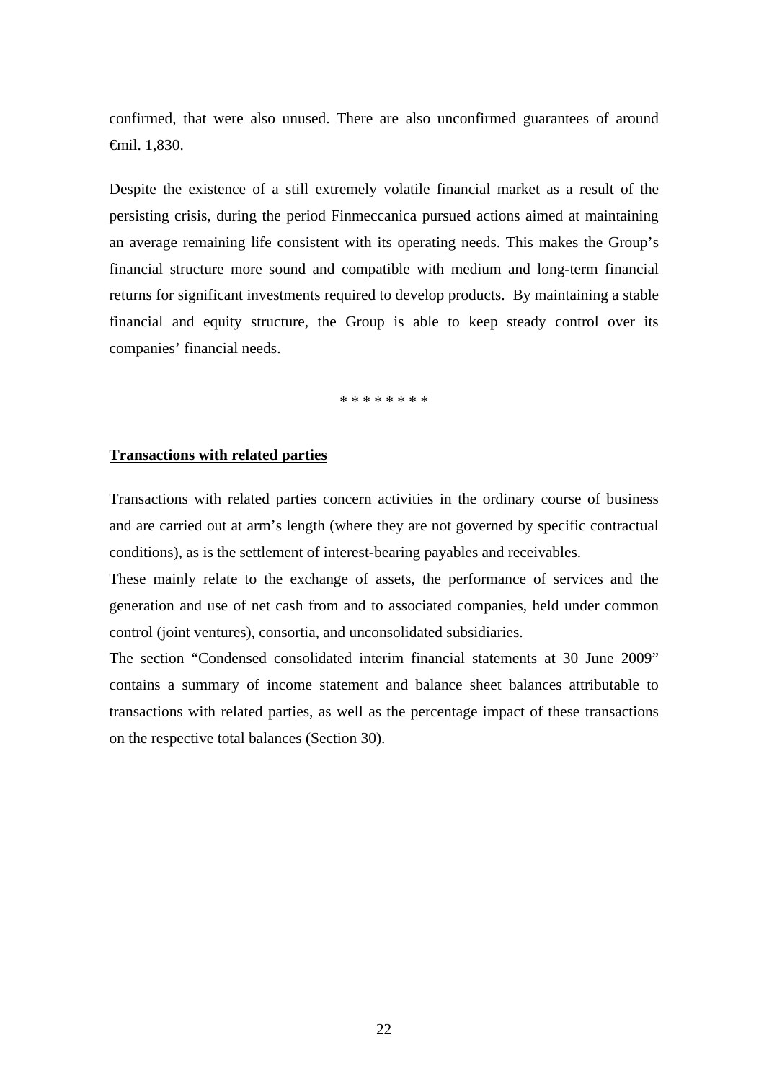confirmed, that were also unused. There are also unconfirmed guarantees of around €mil. 1,830.

Despite the existence of a still extremely volatile financial market as a result of the persisting crisis, during the period Finmeccanica pursued actions aimed at maintaining an average remaining life consistent with its operating needs. This makes the Group's financial structure more sound and compatible with medium and long-term financial returns for significant investments required to develop products. By maintaining a stable financial and equity structure, the Group is able to keep steady control over its companies' financial needs.

\* \* \* \* \* \* \* \*

### **Transactions with related parties**

Transactions with related parties concern activities in the ordinary course of business and are carried out at arm's length (where they are not governed by specific contractual conditions), as is the settlement of interest-bearing payables and receivables.

These mainly relate to the exchange of assets, the performance of services and the generation and use of net cash from and to associated companies, held under common control (joint ventures), consortia, and unconsolidated subsidiaries.

The section "Condensed consolidated interim financial statements at 30 June 2009" contains a summary of income statement and balance sheet balances attributable to transactions with related parties, as well as the percentage impact of these transactions on the respective total balances (Section 30).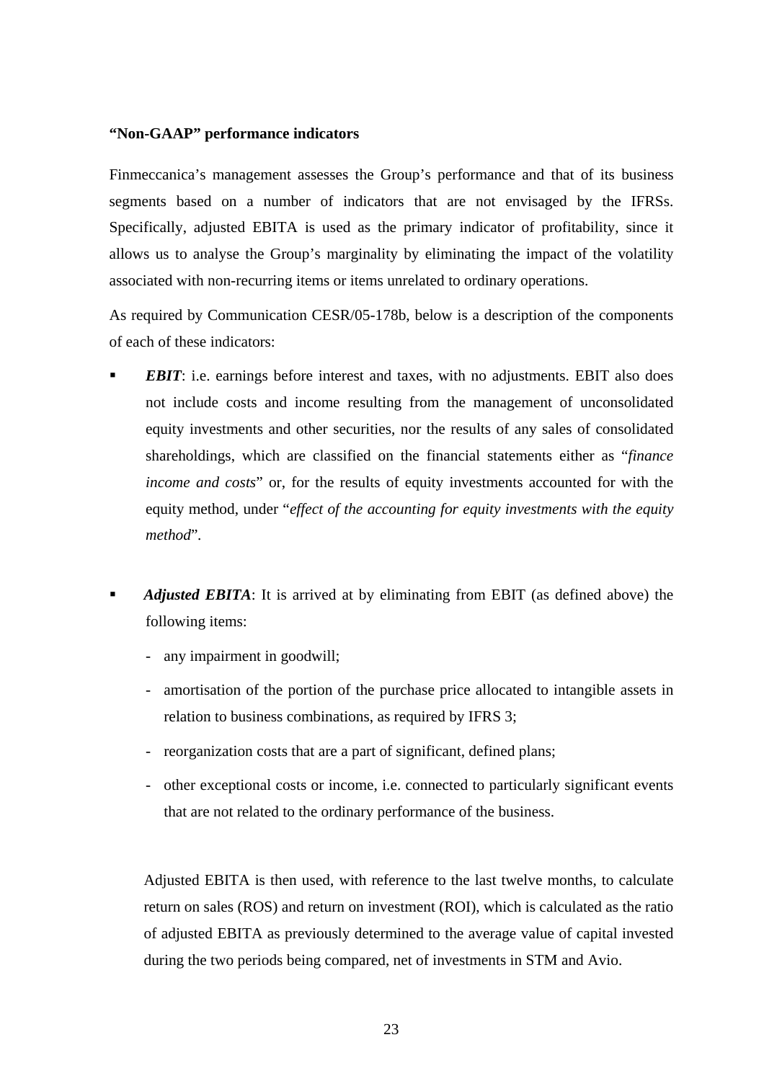# **"Non-GAAP" performance indicators**

Finmeccanica's management assesses the Group's performance and that of its business segments based on a number of indicators that are not envisaged by the IFRSs. Specifically, adjusted EBITA is used as the primary indicator of profitability, since it allows us to analyse the Group's marginality by eliminating the impact of the volatility associated with non-recurring items or items unrelated to ordinary operations.

As required by Communication CESR/05-178b, below is a description of the components of each of these indicators:

- *EBIT*: i.e. earnings before interest and taxes, with no adjustments. EBIT also does not include costs and income resulting from the management of unconsolidated equity investments and other securities, nor the results of any sales of consolidated shareholdings, which are classified on the financial statements either as "*finance income and costs*" or, for the results of equity investments accounted for with the equity method, under "*effect of the accounting for equity investments with the equity method*"*.*
- *Adjusted EBITA*: It is arrived at by eliminating from EBIT (as defined above) the following items:
	- any impairment in goodwill;
	- amortisation of the portion of the purchase price allocated to intangible assets in relation to business combinations, as required by IFRS 3;
	- reorganization costs that are a part of significant, defined plans;
	- other exceptional costs or income, i.e. connected to particularly significant events that are not related to the ordinary performance of the business.

Adjusted EBITA is then used, with reference to the last twelve months, to calculate return on sales (ROS) and return on investment (ROI), which is calculated as the ratio of adjusted EBITA as previously determined to the average value of capital invested during the two periods being compared, net of investments in STM and Avio.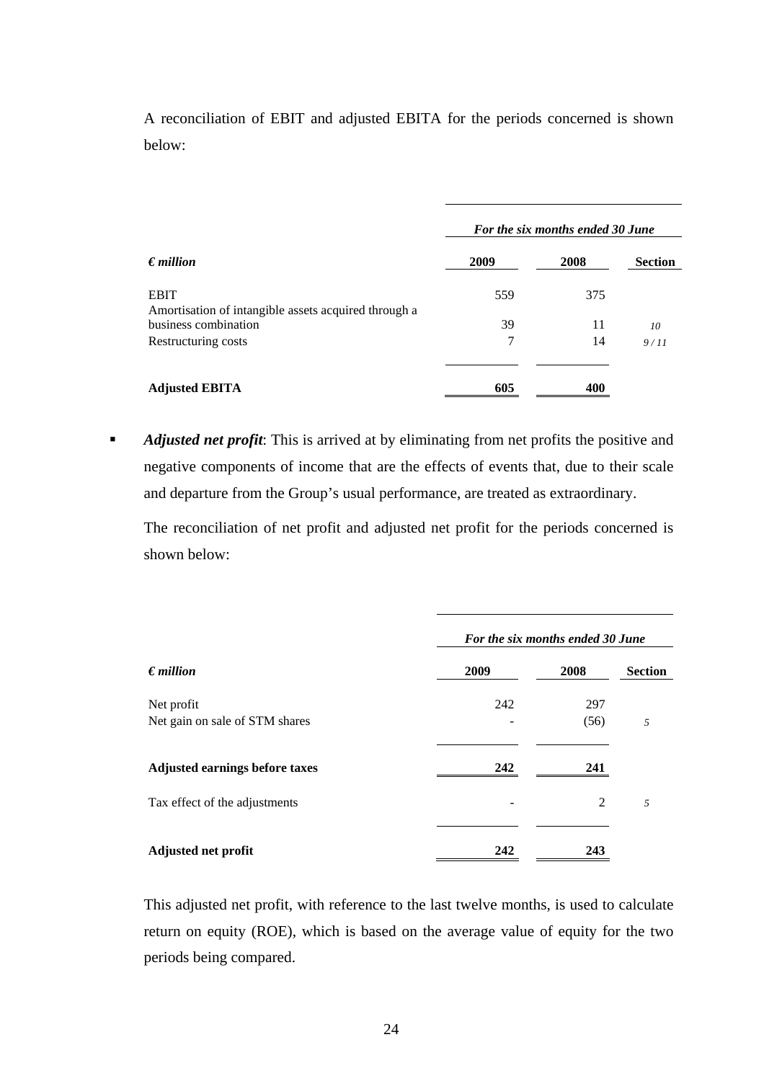A reconciliation of EBIT and adjusted EBITA for the periods concerned is shown below:

| $\epsilon$ <i>million</i>                                           | For the six months ended 30 June |      |                |
|---------------------------------------------------------------------|----------------------------------|------|----------------|
|                                                                     | 2009                             | 2008 | <b>Section</b> |
| <b>EBIT</b><br>Amortisation of intangible assets acquired through a | 559                              | 375  |                |
| business combination                                                | 39                               | 11   | 10             |
| Restructuring costs                                                 | 7                                | 14   | 9/11           |
| <b>Adjusted EBITA</b>                                               | 605                              | 400  |                |

**Adjusted net profit:** This is arrived at by eliminating from net profits the positive and negative components of income that are the effects of events that, due to their scale and departure from the Group's usual performance, are treated as extraordinary.

The reconciliation of net profit and adjusted net profit for the periods concerned is shown below:

|                                       | For the six months ended 30 June |                |                |  |
|---------------------------------------|----------------------------------|----------------|----------------|--|
| $\epsilon$ <i>million</i>             | 2009                             | 2008           | <b>Section</b> |  |
| Net profit                            | 242                              | 297            |                |  |
| Net gain on sale of STM shares        |                                  | (56)           | 5              |  |
| <b>Adjusted earnings before taxes</b> | 242                              | 241            |                |  |
| Tax effect of the adjustments         |                                  | $\mathfrak{D}$ | 5              |  |
| Adjusted net profit                   | 242                              | 243            |                |  |

This adjusted net profit, with reference to the last twelve months, is used to calculate return on equity (ROE), which is based on the average value of equity for the two periods being compared.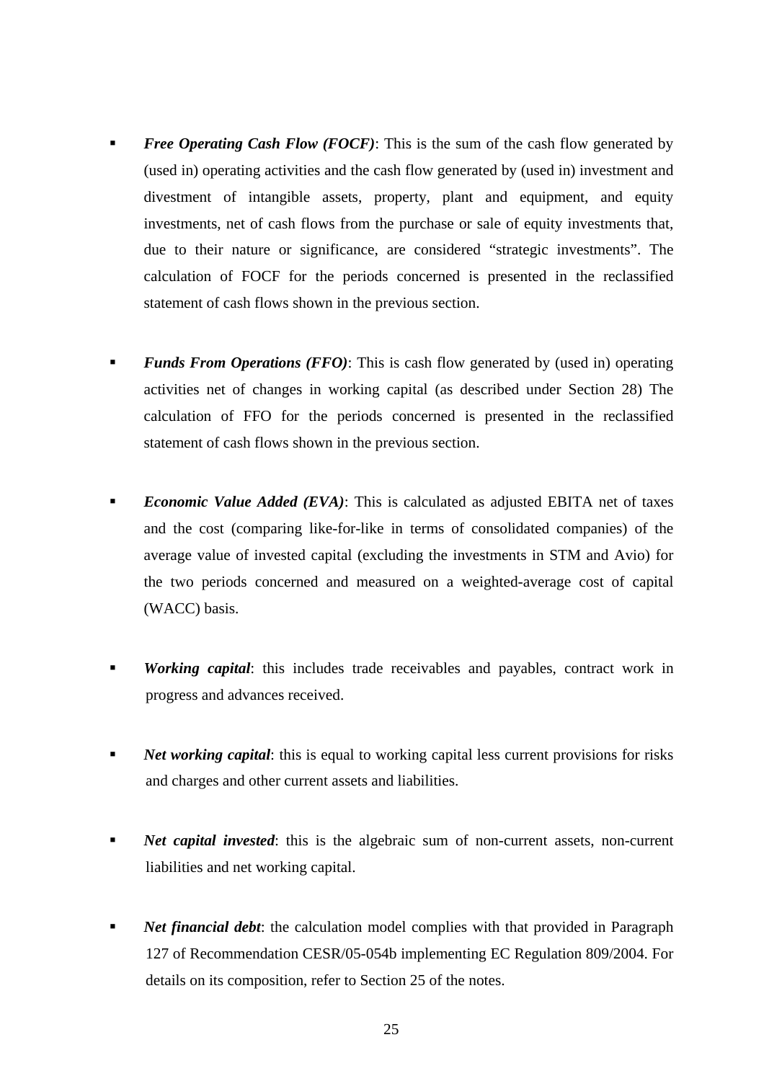- *Free Operating Cash Flow (FOCF)*: This is the sum of the cash flow generated by (used in) operating activities and the cash flow generated by (used in) investment and divestment of intangible assets, property, plant and equipment, and equity investments, net of cash flows from the purchase or sale of equity investments that, due to their nature or significance, are considered "strategic investments". The calculation of FOCF for the periods concerned is presented in the reclassified statement of cash flows shown in the previous section.
- *Funds From Operations (FFO)*: This is cash flow generated by (used in) operating activities net of changes in working capital (as described under Section 28) The calculation of FFO for the periods concerned is presented in the reclassified statement of cash flows shown in the previous section.
- *Economic Value Added (EVA)*: This is calculated as adjusted EBITA net of taxes and the cost (comparing like-for-like in terms of consolidated companies) of the average value of invested capital (excluding the investments in STM and Avio) for the two periods concerned and measured on a weighted-average cost of capital (WACC) basis.
- *Working capital*: this includes trade receivables and payables, contract work in progress and advances received.
- *Net working capital*: this is equal to working capital less current provisions for risks and charges and other current assets and liabilities.
- *Net capital invested*: this is the algebraic sum of non-current assets, non-current liabilities and net working capital.
- *Net financial debt*: the calculation model complies with that provided in Paragraph 127 of Recommendation CESR/05-054b implementing EC Regulation 809/2004. For details on its composition, refer to Section 25 of the notes.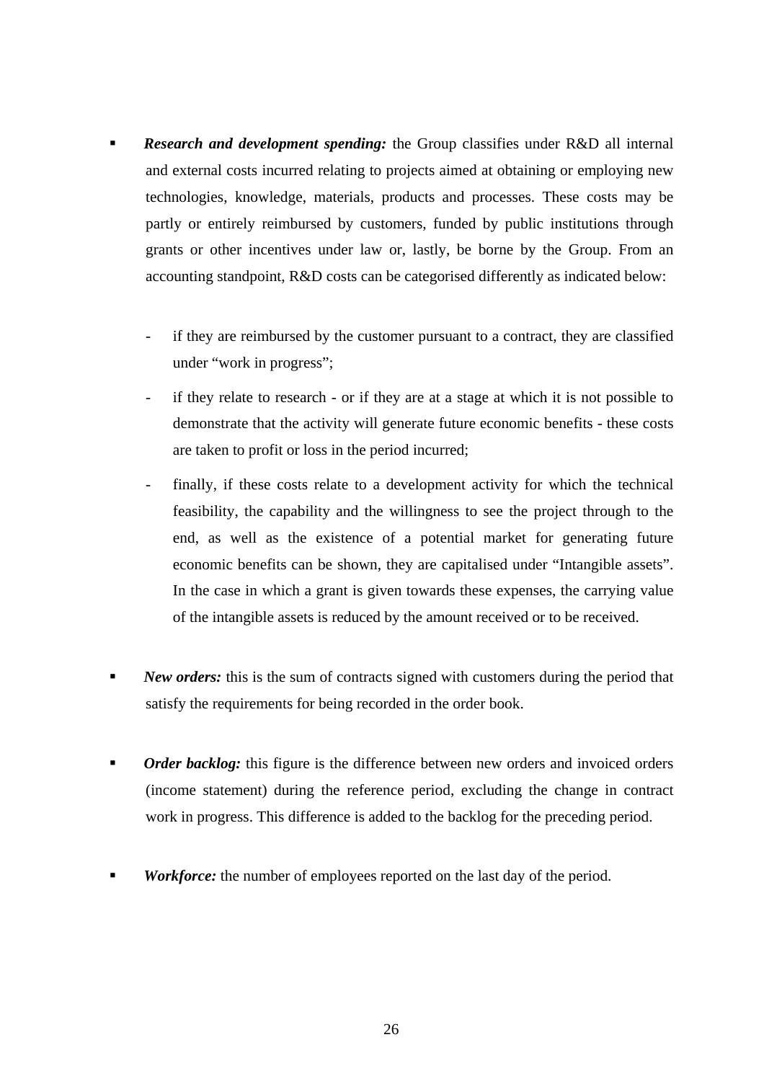- *Research and development spending:* the Group classifies under R&D all internal and external costs incurred relating to projects aimed at obtaining or employing new technologies, knowledge, materials, products and processes. These costs may be partly or entirely reimbursed by customers, funded by public institutions through grants or other incentives under law or, lastly, be borne by the Group. From an accounting standpoint, R&D costs can be categorised differently as indicated below:
	- if they are reimbursed by the customer pursuant to a contract, they are classified under "work in progress";
	- if they relate to research or if they are at a stage at which it is not possible to demonstrate that the activity will generate future economic benefits - these costs are taken to profit or loss in the period incurred;
	- finally, if these costs relate to a development activity for which the technical feasibility, the capability and the willingness to see the project through to the end, as well as the existence of a potential market for generating future economic benefits can be shown, they are capitalised under "Intangible assets". In the case in which a grant is given towards these expenses, the carrying value of the intangible assets is reduced by the amount received or to be received.
- **New orders:** this is the sum of contracts signed with customers during the period that satisfy the requirements for being recorded in the order book.
- **•** *Order backlog:* this figure is the difference between new orders and invoiced orders (income statement) during the reference period, excluding the change in contract work in progress. This difference is added to the backlog for the preceding period.
- *Workforce:* the number of employees reported on the last day of the period.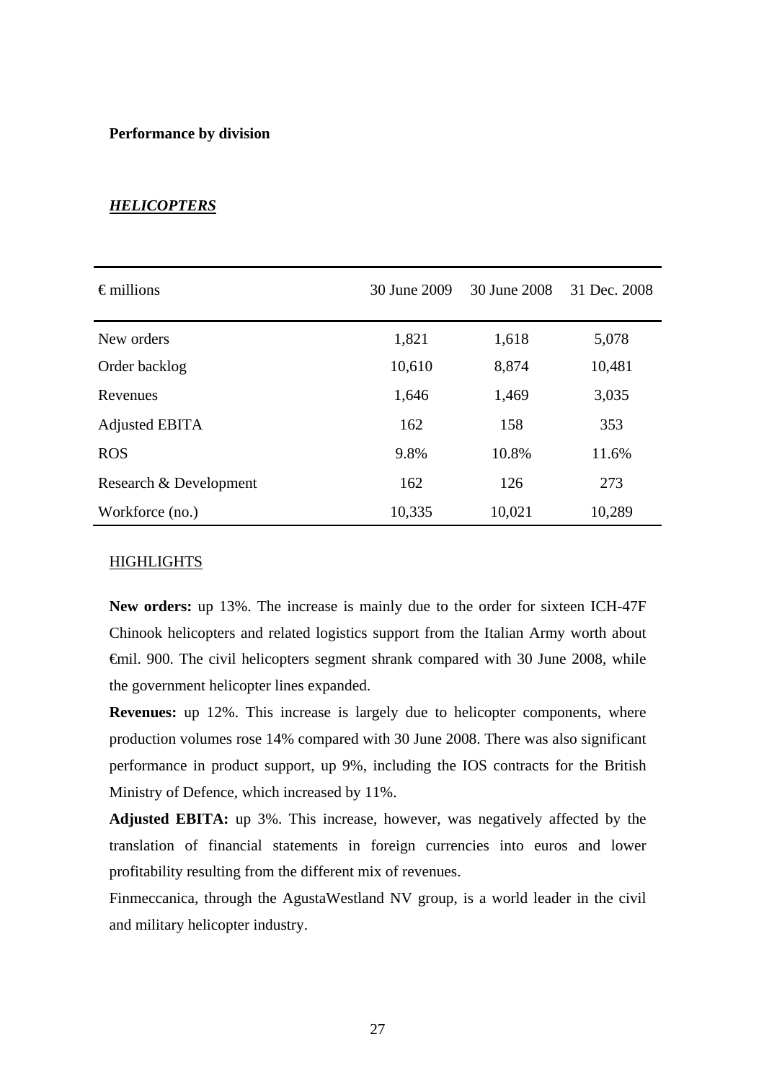### **Performance by division**

# *HELICOPTERS*

| $\epsilon$ millions    | 30 June 2009 | 30 June 2008 | 31 Dec. 2008 |
|------------------------|--------------|--------------|--------------|
| New orders             | 1,821        | 1,618        | 5,078        |
| Order backlog          | 10,610       | 8,874        | 10,481       |
| Revenues               | 1,646        | 1,469        | 3,035        |
| Adjusted EBITA         | 162          | 158          | 353          |
| <b>ROS</b>             | 9.8%         | 10.8%        | 11.6%        |
| Research & Development | 162          | 126          | 273          |
| Workforce (no.)        | 10,335       | 10,021       | 10,289       |

### **HIGHLIGHTS**

**New orders:** up 13%. The increase is mainly due to the order for sixteen ICH-47F Chinook helicopters and related logistics support from the Italian Army worth about €mil. 900. The civil helicopters segment shrank compared with 30 June 2008, while the government helicopter lines expanded.

**Revenues:** up 12%. This increase is largely due to helicopter components, where production volumes rose 14% compared with 30 June 2008. There was also significant performance in product support, up 9%, including the IOS contracts for the British Ministry of Defence, which increased by 11%.

**Adjusted EBITA:** up 3%. This increase, however, was negatively affected by the translation of financial statements in foreign currencies into euros and lower profitability resulting from the different mix of revenues.

Finmeccanica, through the AgustaWestland NV group, is a world leader in the civil and military helicopter industry.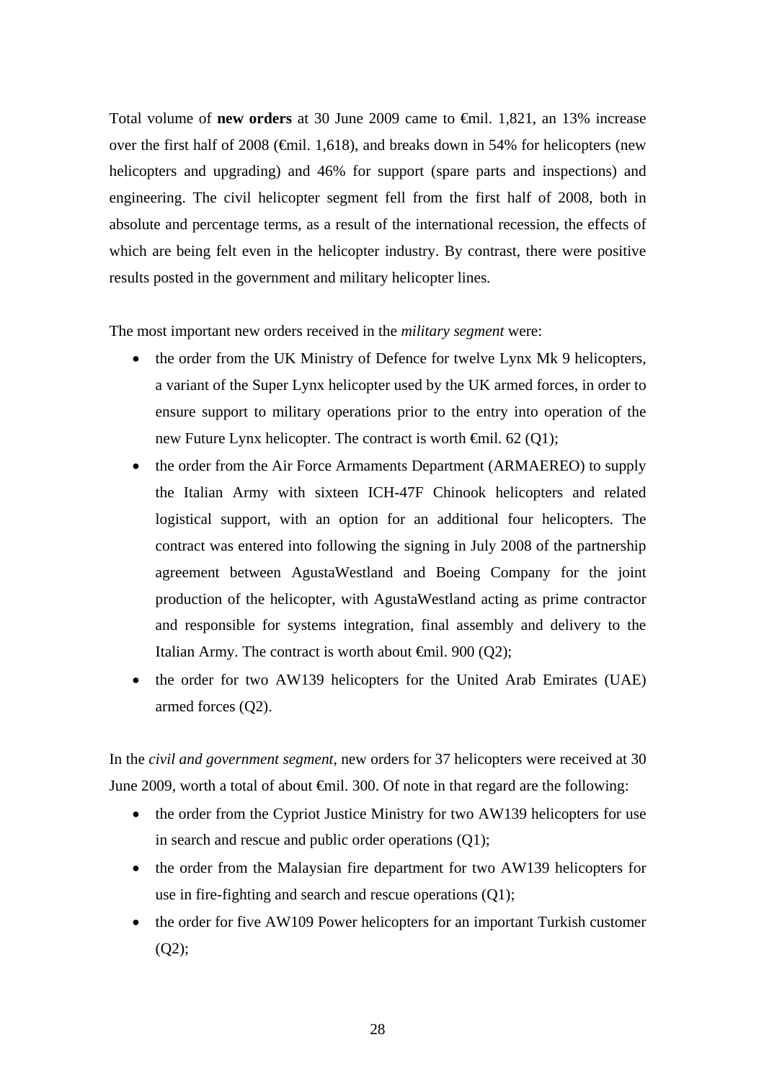Total volume of **new orders** at 30 June 2009 came to €mil. 1,821, an 13% increase over the first half of 2008 ( $\epsilon$ mil. 1,618), and breaks down in 54% for helicopters (new helicopters and upgrading) and 46% for support (spare parts and inspections) and engineering. The civil helicopter segment fell from the first half of 2008, both in absolute and percentage terms, as a result of the international recession, the effects of which are being felt even in the helicopter industry. By contrast, there were positive results posted in the government and military helicopter lines.

The most important new orders received in the *military segment* were:

- the order from the UK Ministry of Defence for twelve Lynx Mk 9 helicopters, a variant of the Super Lynx helicopter used by the UK armed forces, in order to ensure support to military operations prior to the entry into operation of the new Future Lynx helicopter. The contract is worth  $\epsilon$ mil. 62 (Q1);
- the order from the Air Force Armaments Department (ARMAEREO) to supply the Italian Army with sixteen ICH-47F Chinook helicopters and related logistical support, with an option for an additional four helicopters. The contract was entered into following the signing in July 2008 of the partnership agreement between AgustaWestland and Boeing Company for the joint production of the helicopter, with AgustaWestland acting as prime contractor and responsible for systems integration, final assembly and delivery to the Italian Army. The contract is worth about  $\epsilon$ mil. 900 (Q2);
- the order for two AW139 helicopters for the United Arab Emirates (UAE) armed forces (Q2).

In the *civil and government segment*, new orders for 37 helicopters were received at 30 June 2009, worth a total of about  $\oplus$ mil. 300. Of note in that regard are the following:

- the order from the Cypriot Justice Ministry for two AW139 helicopters for use in search and rescue and public order operations (Q1);
- the order from the Malaysian fire department for two AW139 helicopters for use in fire-fighting and search and rescue operations (Q1);
- the order for five AW109 Power helicopters for an important Turkish customer (Q2);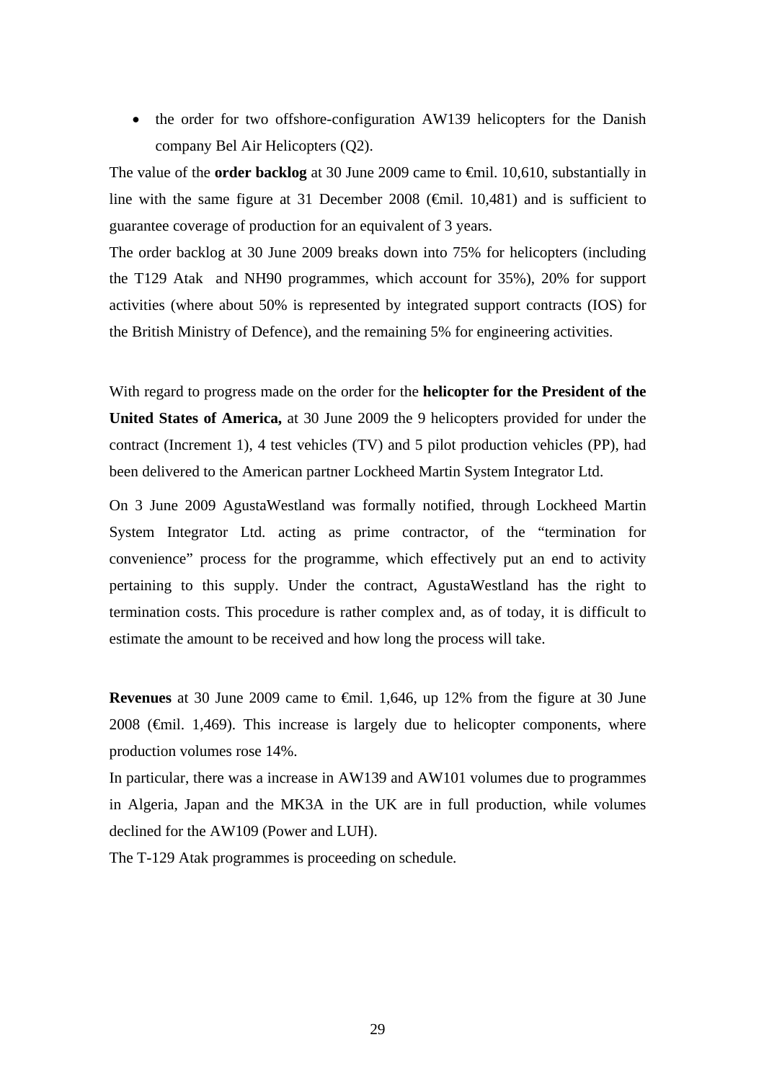• the order for two offshore-configuration AW139 helicopters for the Danish company Bel Air Helicopters (Q2).

The value of the **order backlog** at 30 June 2009 came to €mil. 10,610, substantially in line with the same figure at 31 December 2008 ( $\epsilon$ mil. 10,481) and is sufficient to guarantee coverage of production for an equivalent of 3 years.

The order backlog at 30 June 2009 breaks down into 75% for helicopters (including the T129 Atak and NH90 programmes, which account for 35%), 20% for support activities (where about 50% is represented by integrated support contracts (IOS) for the British Ministry of Defence), and the remaining 5% for engineering activities.

With regard to progress made on the order for the **helicopter for the President of the United States of America,** at 30 June 2009 the 9 helicopters provided for under the contract (Increment 1), 4 test vehicles (TV) and 5 pilot production vehicles (PP), had been delivered to the American partner Lockheed Martin System Integrator Ltd.

On 3 June 2009 AgustaWestland was formally notified, through Lockheed Martin System Integrator Ltd. acting as prime contractor, of the "termination for convenience" process for the programme, which effectively put an end to activity pertaining to this supply. Under the contract, AgustaWestland has the right to termination costs. This procedure is rather complex and, as of today, it is difficult to estimate the amount to be received and how long the process will take.

**Revenues** at 30 June 2009 came to €mil. 1,646, up 12% from the figure at 30 June 2008 ( $\epsilon$ mil. 1,469). This increase is largely due to helicopter components, where production volumes rose 14%.

In particular, there was a increase in AW139 and AW101 volumes due to programmes in Algeria, Japan and the MK3A in the UK are in full production, while volumes declined for the AW109 (Power and LUH).

The T-129 Atak programmes is proceeding on schedule*.*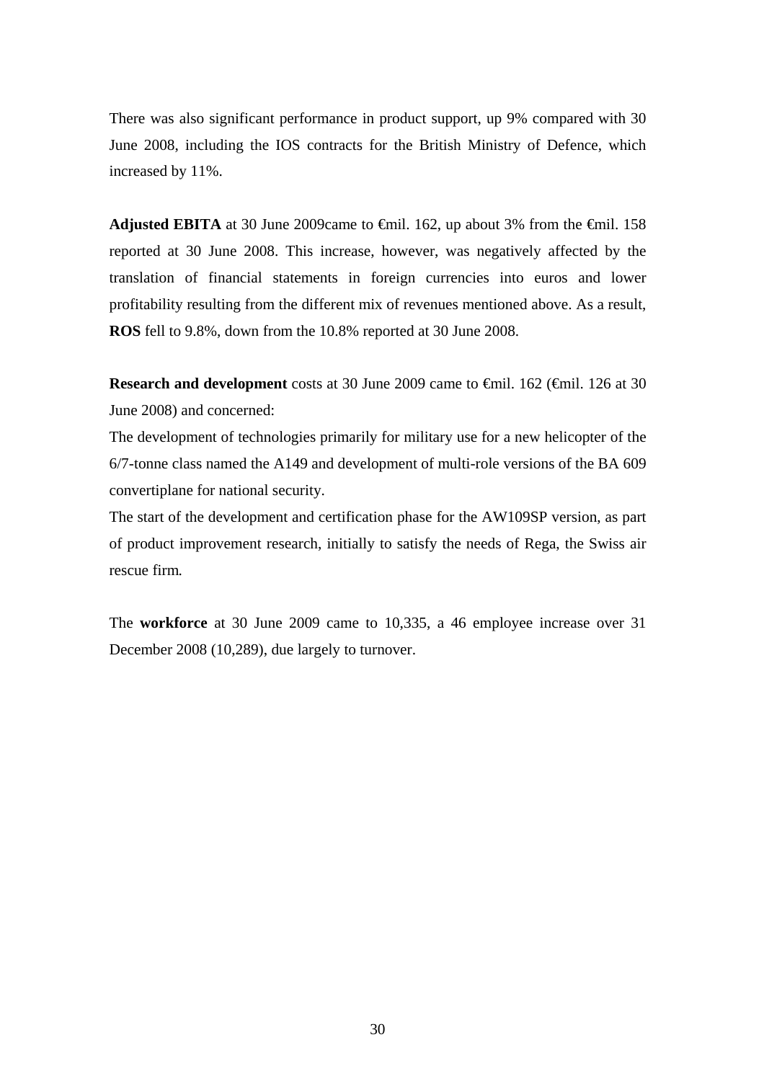There was also significant performance in product support, up 9% compared with 30 June 2008, including the IOS contracts for the British Ministry of Defence, which increased by 11%.

Adjusted EBITA at 30 June 2009came to  $\epsilon$ mil. 162, up about 3% from the  $\epsilon$ mil. 158 reported at 30 June 2008. This increase, however, was negatively affected by the translation of financial statements in foreign currencies into euros and lower profitability resulting from the different mix of revenues mentioned above. As a result, **ROS** fell to 9.8%, down from the 10.8% reported at 30 June 2008.

**Research and development** costs at 30 June 2009 came to €mil. 162 (€mil. 126 at 30 June 2008) and concerned:

The development of technologies primarily for military use for a new helicopter of the 6/7-tonne class named the A149 and development of multi-role versions of the BA 609 convertiplane for national security.

The start of the development and certification phase for the AW109SP version, as part of product improvement research, initially to satisfy the needs of Rega, the Swiss air rescue firm*.*

The **workforce** at 30 June 2009 came to 10,335, a 46 employee increase over 31 December 2008 (10,289), due largely to turnover.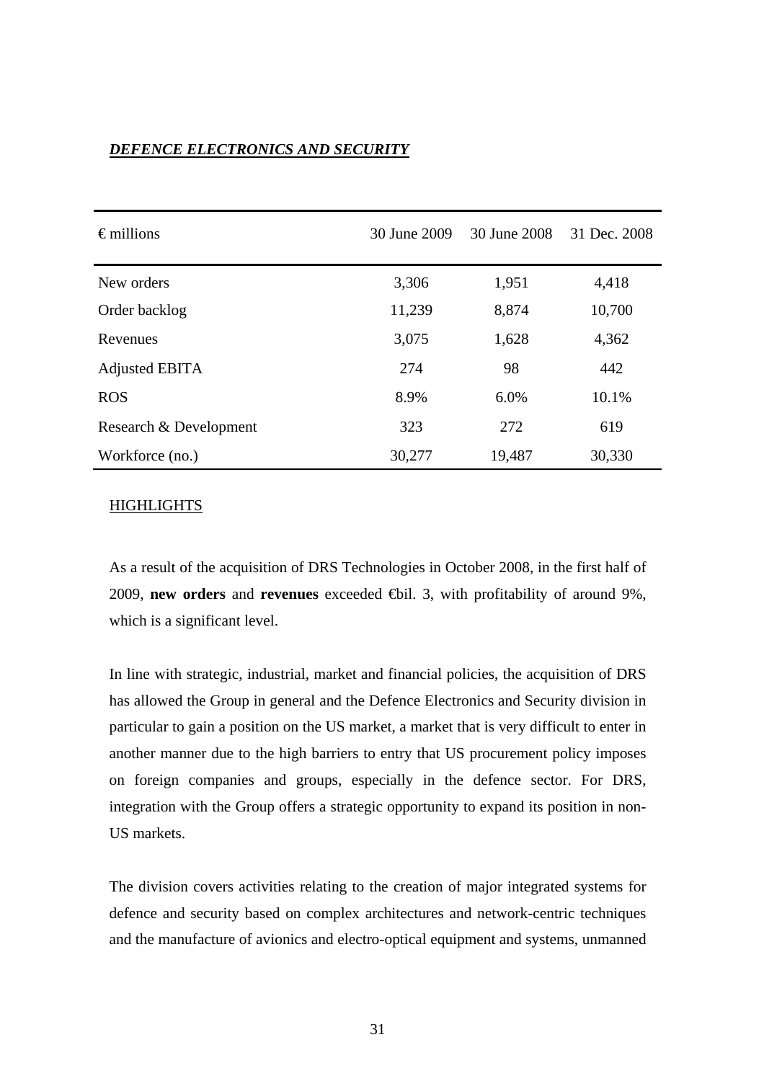# *DEFENCE ELECTRONICS AND SECURITY*

| $\epsilon$ millions    | 30 June 2009 | 30 June 2008 | 31 Dec. 2008 |
|------------------------|--------------|--------------|--------------|
| New orders             | 3,306        | 1,951        | 4,418        |
| Order backlog          | 11,239       | 8,874        | 10,700       |
| Revenues               | 3,075        | 1,628        | 4,362        |
| Adjusted EBITA         | 274          | 98           | 442          |
| <b>ROS</b>             | 8.9%         | 6.0%         | 10.1%        |
| Research & Development | 323          | 272          | 619          |
| Workforce (no.)        | 30,277       | 19,487       | 30,330       |

# HIGHLIGHTS

As a result of the acquisition of DRS Technologies in October 2008, in the first half of 2009, **new orders** and **revenues** exceeded €bil. 3, with profitability of around 9%, which is a significant level.

In line with strategic, industrial, market and financial policies, the acquisition of DRS has allowed the Group in general and the Defence Electronics and Security division in particular to gain a position on the US market, a market that is very difficult to enter in another manner due to the high barriers to entry that US procurement policy imposes on foreign companies and groups, especially in the defence sector. For DRS, integration with the Group offers a strategic opportunity to expand its position in non-US markets.

The division covers activities relating to the creation of major integrated systems for defence and security based on complex architectures and network-centric techniques and the manufacture of avionics and electro-optical equipment and systems, unmanned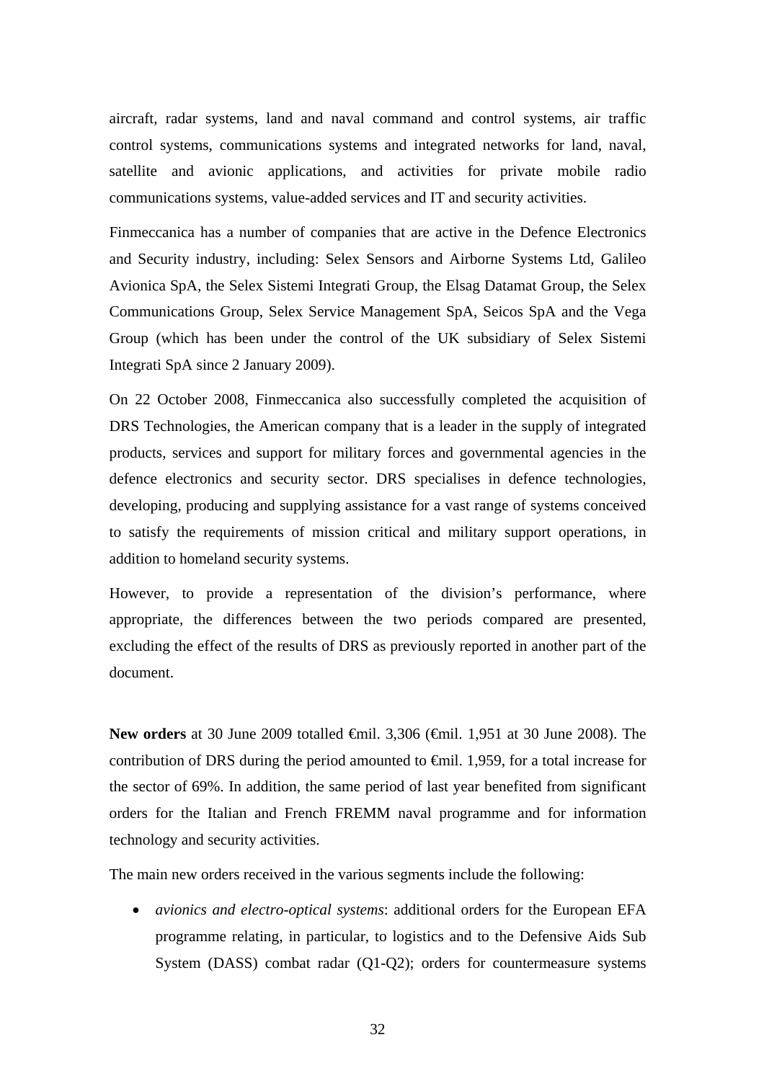aircraft, radar systems, land and naval command and control systems, air traffic control systems, communications systems and integrated networks for land, naval, satellite and avionic applications, and activities for private mobile radio communications systems, value-added services and IT and security activities.

Finmeccanica has a number of companies that are active in the Defence Electronics and Security industry, including: Selex Sensors and Airborne Systems Ltd, Galileo Avionica SpA, the Selex Sistemi Integrati Group, the Elsag Datamat Group, the Selex Communications Group, Selex Service Management SpA, Seicos SpA and the Vega Group (which has been under the control of the UK subsidiary of Selex Sistemi Integrati SpA since 2 January 2009).

On 22 October 2008, Finmeccanica also successfully completed the acquisition of DRS Technologies, the American company that is a leader in the supply of integrated products, services and support for military forces and governmental agencies in the defence electronics and security sector. DRS specialises in defence technologies, developing, producing and supplying assistance for a vast range of systems conceived to satisfy the requirements of mission critical and military support operations, in addition to homeland security systems.

However, to provide a representation of the division's performance, where appropriate, the differences between the two periods compared are presented, excluding the effect of the results of DRS as previously reported in another part of the document.

**New orders** at 30 June 2009 totalled €mil. 3,306 (€mil. 1,951 at 30 June 2008). The contribution of DRS during the period amounted to  $\epsilon$ mil. 1,959, for a total increase for the sector of 69%. In addition, the same period of last year benefited from significant orders for the Italian and French FREMM naval programme and for information technology and security activities.

The main new orders received in the various segments include the following:

• *avionics and electro-optical systems*: additional orders for the European EFA programme relating, in particular, to logistics and to the Defensive Aids Sub System (DASS) combat radar (Q1-Q2); orders for countermeasure systems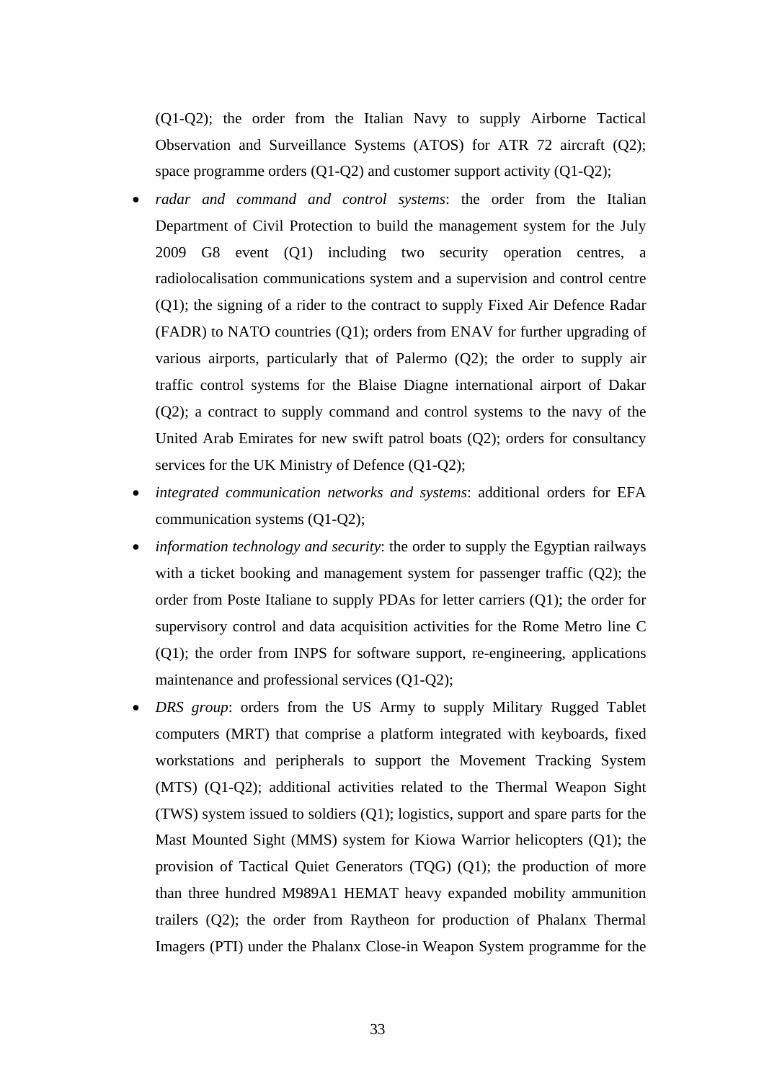(Q1-Q2); the order from the Italian Navy to supply Airborne Tactical Observation and Surveillance Systems (ATOS) for ATR 72 aircraft (Q2); space programme orders (Q1-Q2) and customer support activity (Q1-Q2);

- *radar and command and control systems*: the order from the Italian Department of Civil Protection to build the management system for the July 2009 G8 event (Q1) including two security operation centres, a radiolocalisation communications system and a supervision and control centre (Q1); the signing of a rider to the contract to supply Fixed Air Defence Radar (FADR) to NATO countries (Q1); orders from ENAV for further upgrading of various airports, particularly that of Palermo (Q2); the order to supply air traffic control systems for the Blaise Diagne international airport of Dakar (Q2); a contract to supply command and control systems to the navy of the United Arab Emirates for new swift patrol boats (Q2); orders for consultancy services for the UK Ministry of Defence (Q1-Q2);
- *integrated communication networks and systems*: additional orders for EFA communication systems (Q1-Q2);
- *information technology and security*: the order to supply the Egyptian railways with a ticket booking and management system for passenger traffic (O2); the order from Poste Italiane to supply PDAs for letter carriers (Q1); the order for supervisory control and data acquisition activities for the Rome Metro line C (Q1); the order from INPS for software support, re-engineering, applications maintenance and professional services (Q1-Q2);
- *DRS group*: orders from the US Army to supply Military Rugged Tablet computers (MRT) that comprise a platform integrated with keyboards, fixed workstations and peripherals to support the Movement Tracking System (MTS) (Q1-Q2); additional activities related to the Thermal Weapon Sight (TWS) system issued to soldiers (Q1); logistics, support and spare parts for the Mast Mounted Sight (MMS) system for Kiowa Warrior helicopters (Q1); the provision of Tactical Quiet Generators (TQG) (Q1); the production of more than three hundred M989A1 HEMAT heavy expanded mobility ammunition trailers (Q2); the order from Raytheon for production of Phalanx Thermal Imagers (PTI) under the Phalanx Close-in Weapon System programme for the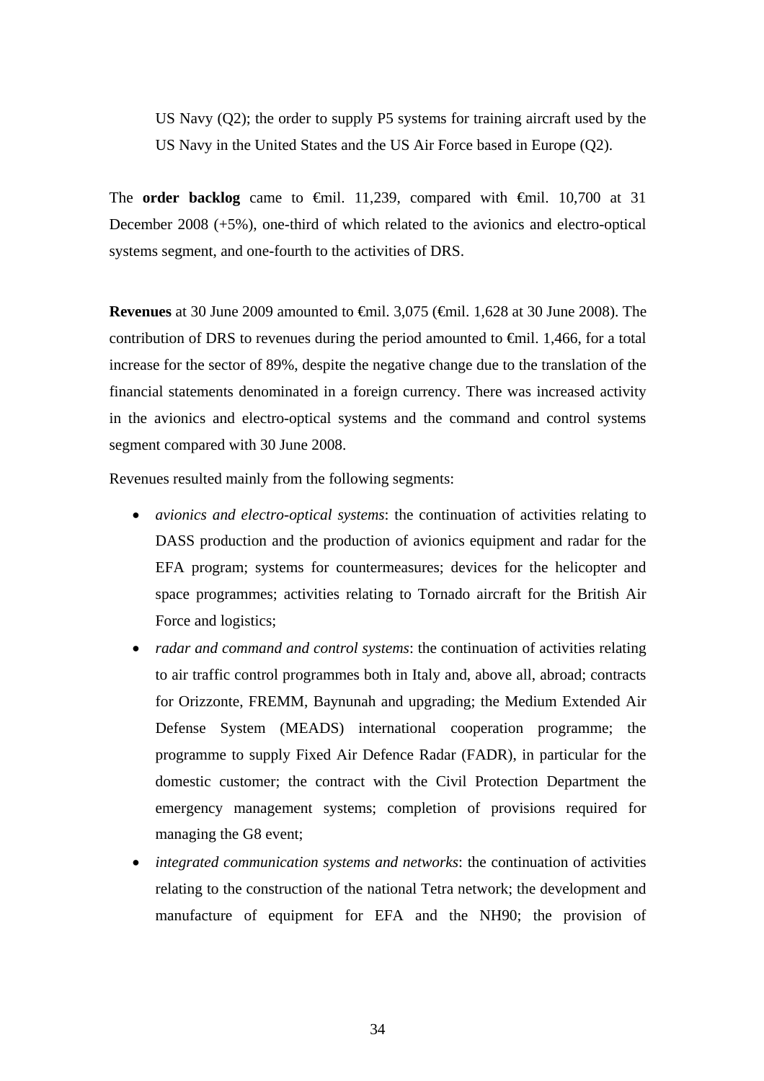US Navy (Q2); the order to supply P5 systems for training aircraft used by the US Navy in the United States and the US Air Force based in Europe (Q2).

The **order backlog** came to  $\oplus$  mil. 11,239, compared with  $\oplus$  mil. 10,700 at 31 December 2008 (+5%), one-third of which related to the avionics and electro-optical systems segment, and one-fourth to the activities of DRS.

**Revenues** at 30 June 2009 amounted to <del>€</del>mil. 3,075 (€mil. 1,628 at 30 June 2008). The contribution of DRS to revenues during the period amounted to  $\epsilon$ mil. 1,466, for a total increase for the sector of 89%, despite the negative change due to the translation of the financial statements denominated in a foreign currency. There was increased activity in the avionics and electro-optical systems and the command and control systems segment compared with 30 June 2008.

Revenues resulted mainly from the following segments:

- *avionics and electro-optical systems*: the continuation of activities relating to DASS production and the production of avionics equipment and radar for the EFA program; systems for countermeasures; devices for the helicopter and space programmes; activities relating to Tornado aircraft for the British Air Force and logistics;
- *radar and command and control systems*: the continuation of activities relating to air traffic control programmes both in Italy and, above all, abroad; contracts for Orizzonte, FREMM, Baynunah and upgrading; the Medium Extended Air Defense System (MEADS) international cooperation programme; the programme to supply Fixed Air Defence Radar (FADR), in particular for the domestic customer; the contract with the Civil Protection Department the emergency management systems; completion of provisions required for managing the G8 event;
- *integrated communication systems and networks*: the continuation of activities relating to the construction of the national Tetra network; the development and manufacture of equipment for EFA and the NH90; the provision of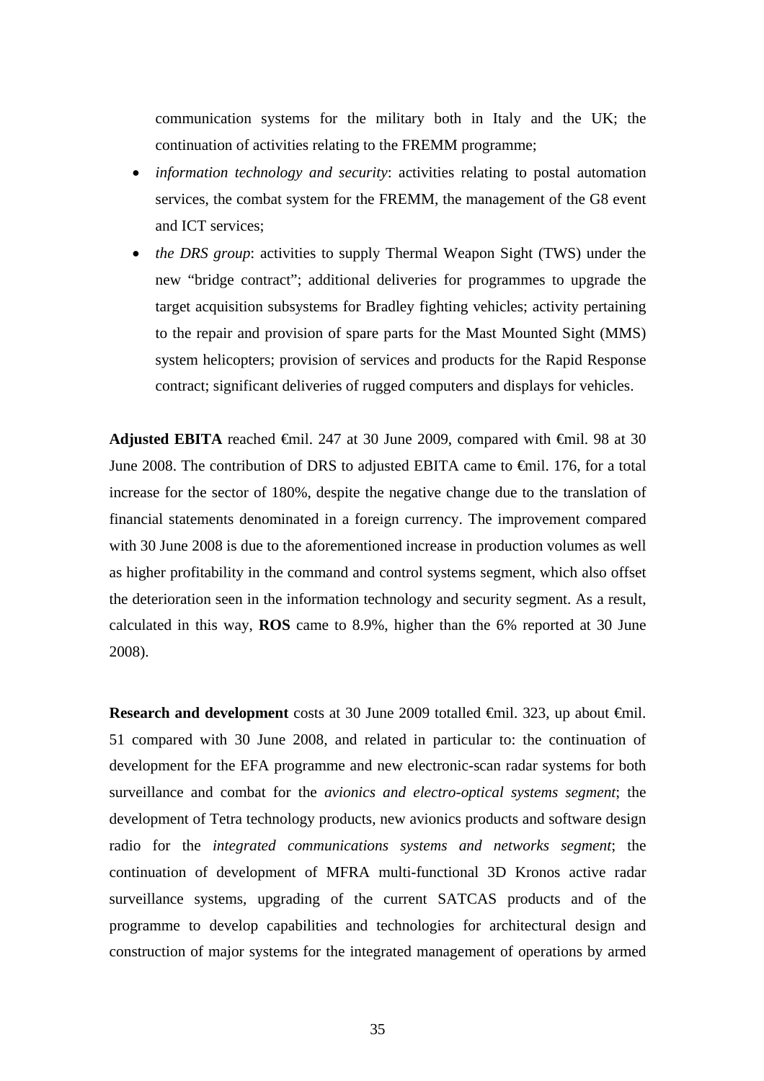communication systems for the military both in Italy and the UK; the continuation of activities relating to the FREMM programme;

- *information technology and security*: activities relating to postal automation services, the combat system for the FREMM, the management of the G8 event and ICT services;
- *the DRS group*: activities to supply Thermal Weapon Sight (TWS) under the new "bridge contract"; additional deliveries for programmes to upgrade the target acquisition subsystems for Bradley fighting vehicles; activity pertaining to the repair and provision of spare parts for the Mast Mounted Sight (MMS) system helicopters; provision of services and products for the Rapid Response contract; significant deliveries of rugged computers and displays for vehicles.

Adjusted EBITA reached  $\epsilon$ mil. 247 at 30 June 2009, compared with  $\epsilon$ mil. 98 at 30 June 2008. The contribution of DRS to adjusted EBITA came to €mil. 176, for a total increase for the sector of 180%, despite the negative change due to the translation of financial statements denominated in a foreign currency. The improvement compared with 30 June 2008 is due to the aforementioned increase in production volumes as well as higher profitability in the command and control systems segment, which also offset the deterioration seen in the information technology and security segment. As a result, calculated in this way, **ROS** came to 8.9%, higher than the 6% reported at 30 June 2008).

**Research and development** costs at 30 June 2009 totalled €mil. 323, up about €mil. 51 compared with 30 June 2008, and related in particular to: the continuation of development for the EFA programme and new electronic-scan radar systems for both surveillance and combat for the *avionics and electro-optical systems segment*; the development of Tetra technology products, new avionics products and software design radio for the *integrated communications systems and networks segment*; the continuation of development of MFRA multi-functional 3D Kronos active radar surveillance systems, upgrading of the current SATCAS products and of the programme to develop capabilities and technologies for architectural design and construction of major systems for the integrated management of operations by armed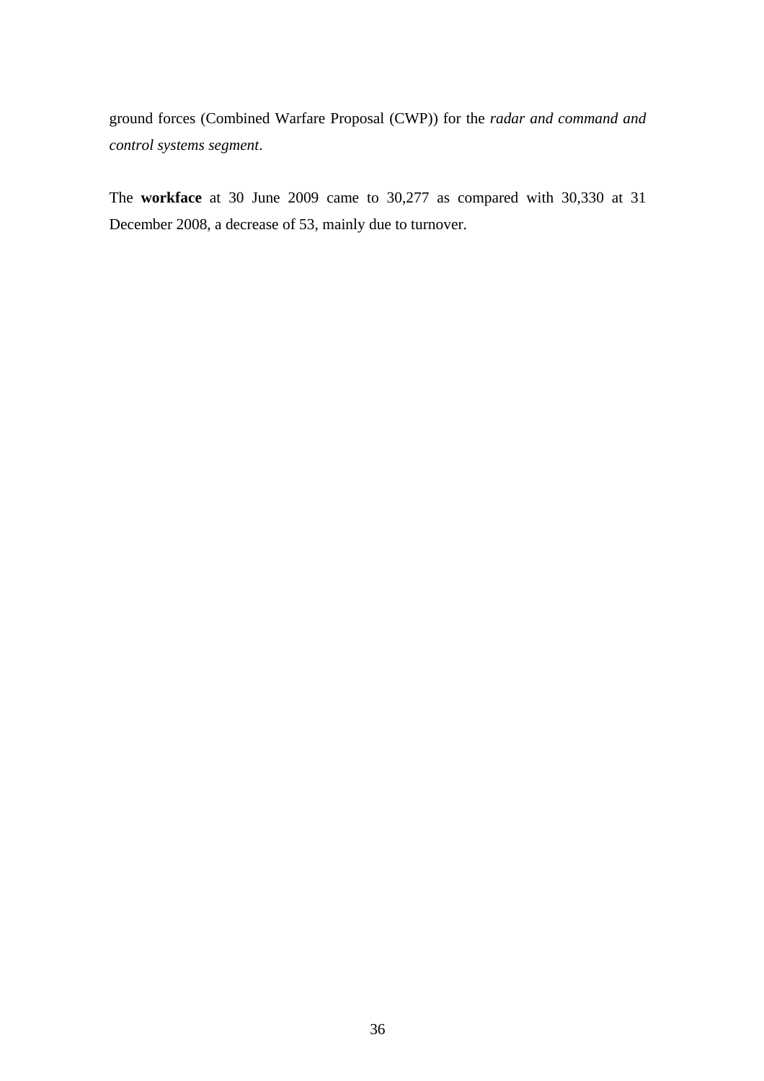ground forces (Combined Warfare Proposal (CWP)) for the *radar and command and control systems segment*.

The **workface** at 30 June 2009 came to 30,277 as compared with 30,330 at 31 December 2008, a decrease of 53, mainly due to turnover.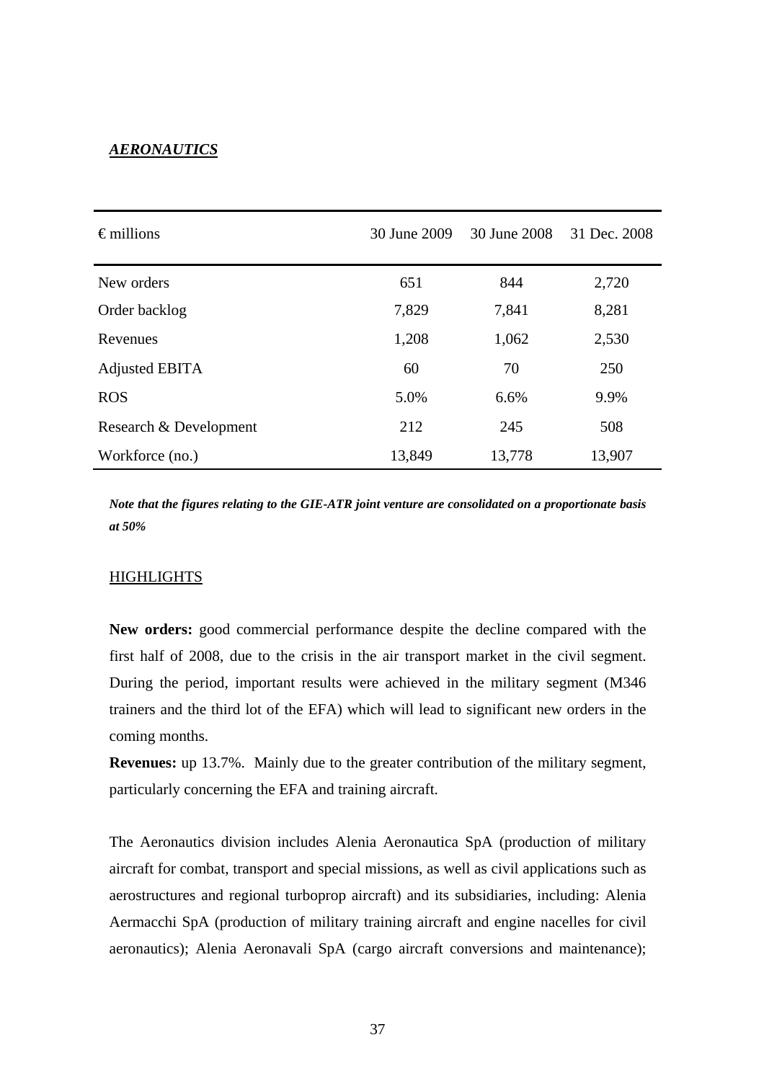#### *AERONAUTICS*

| $\epsilon$ millions    | 30 June 2009 |        | 31 Dec. 2008 |
|------------------------|--------------|--------|--------------|
| New orders             | 651          | 844    | 2,720        |
| Order backlog          | 7,829        | 7,841  | 8,281        |
| Revenues               | 1,208        | 1,062  | 2,530        |
| Adjusted EBITA         | 60           | 70     | 250          |
| <b>ROS</b>             | 5.0%         | 6.6%   | 9.9%         |
| Research & Development | 212          | 245    | 508          |
| Workforce (no.)        | 13,849       | 13,778 | 13,907       |

*Note that the figures relating to the GIE-ATR joint venture are consolidated on a proportionate basis at 50%* 

#### **HIGHLIGHTS**

**New orders:** good commercial performance despite the decline compared with the first half of 2008, due to the crisis in the air transport market in the civil segment. During the period, important results were achieved in the military segment (M346 trainers and the third lot of the EFA) which will lead to significant new orders in the coming months.

**Revenues:** up 13.7%. Mainly due to the greater contribution of the military segment, particularly concerning the EFA and training aircraft.

The Aeronautics division includes Alenia Aeronautica SpA (production of military aircraft for combat, transport and special missions, as well as civil applications such as aerostructures and regional turboprop aircraft) and its subsidiaries, including: Alenia Aermacchi SpA (production of military training aircraft and engine nacelles for civil aeronautics); Alenia Aeronavali SpA (cargo aircraft conversions and maintenance);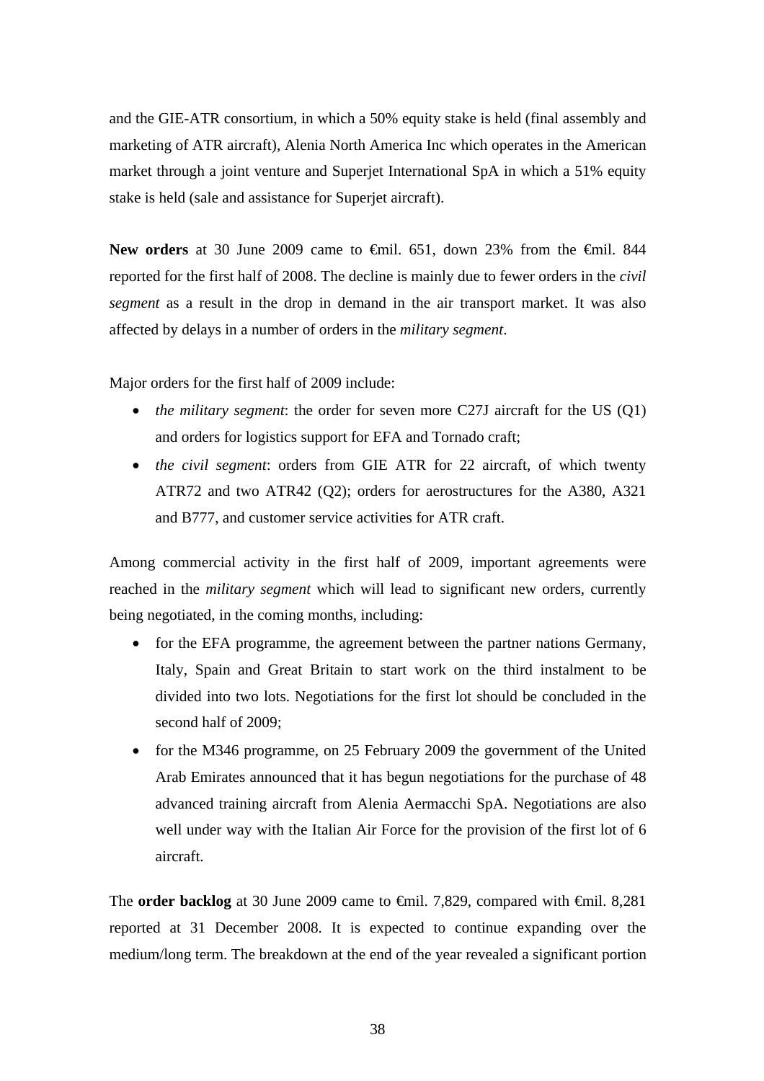and the GIE-ATR consortium, in which a 50% equity stake is held (final assembly and marketing of ATR aircraft), Alenia North America Inc which operates in the American market through a joint venture and Superjet International SpA in which a 51% equity stake is held (sale and assistance for Superjet aircraft).

New orders at 30 June 2009 came to <del>€</del>mil. 651, down 23% from the €mil. 844 reported for the first half of 2008. The decline is mainly due to fewer orders in the *civil segment* as a result in the drop in demand in the air transport market. It was also affected by delays in a number of orders in the *military segment*.

Major orders for the first half of 2009 include:

- *the military segment*: the order for seven more C27J aircraft for the US (Q1) and orders for logistics support for EFA and Tornado craft;
- *the civil segment*: orders from GIE ATR for 22 aircraft, of which twenty ATR72 and two ATR42 (Q2); orders for aerostructures for the A380, A321 and B777, and customer service activities for ATR craft.

Among commercial activity in the first half of 2009, important agreements were reached in the *military segment* which will lead to significant new orders, currently being negotiated, in the coming months, including:

- for the EFA programme, the agreement between the partner nations Germany, Italy, Spain and Great Britain to start work on the third instalment to be divided into two lots. Negotiations for the first lot should be concluded in the second half of 2009;
- for the M346 programme, on 25 February 2009 the government of the United Arab Emirates announced that it has begun negotiations for the purchase of 48 advanced training aircraft from Alenia Aermacchi SpA. Negotiations are also well under way with the Italian Air Force for the provision of the first lot of 6 aircraft.

The **order backlog** at 30 June 2009 came to <del>€</del>mil. 7,829, compared with €mil. 8,281 reported at 31 December 2008. It is expected to continue expanding over the medium/long term. The breakdown at the end of the year revealed a significant portion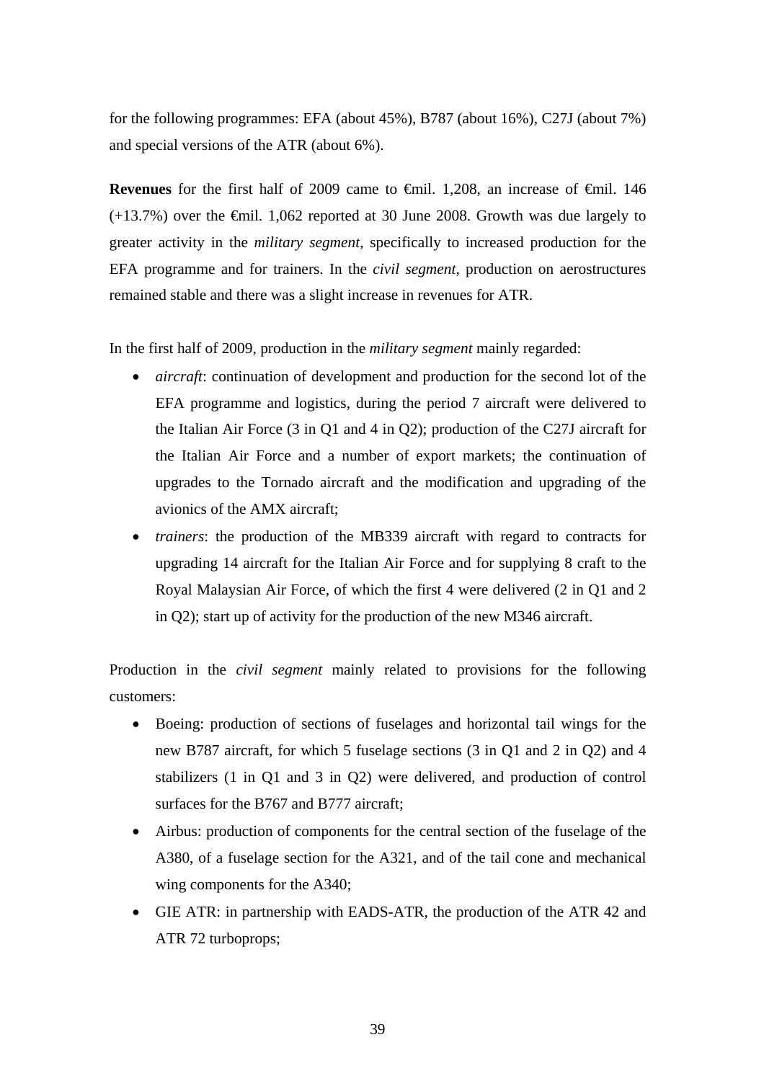for the following programmes: EFA (about 45%), B787 (about 16%), C27J (about 7%) and special versions of the ATR (about 6%).

Revenues for the first half of 2009 came to €mil. 1,208, an increase of €mil. 146  $(+13.7%)$  over the  $\epsilon$ mil. 1,062 reported at 30 June 2008. Growth was due largely to greater activity in the *military segment*, specifically to increased production for the EFA programme and for trainers. In the *civil segment*, production on aerostructures remained stable and there was a slight increase in revenues for ATR.

In the first half of 2009, production in the *military segment* mainly regarded:

- *aircraft*: continuation of development and production for the second lot of the EFA programme and logistics, during the period 7 aircraft were delivered to the Italian Air Force (3 in Q1 and 4 in Q2); production of the C27J aircraft for the Italian Air Force and a number of export markets; the continuation of upgrades to the Tornado aircraft and the modification and upgrading of the avionics of the AMX aircraft;
- *trainers*: the production of the MB339 aircraft with regard to contracts for upgrading 14 aircraft for the Italian Air Force and for supplying 8 craft to the Royal Malaysian Air Force, of which the first 4 were delivered (2 in Q1 and 2 in Q2); start up of activity for the production of the new M346 aircraft.

Production in the *civil segment* mainly related to provisions for the following customers:

- Boeing: production of sections of fuselages and horizontal tail wings for the new B787 aircraft, for which 5 fuselage sections (3 in Q1 and 2 in Q2) and 4 stabilizers (1 in Q1 and 3 in Q2) were delivered, and production of control surfaces for the B767 and B777 aircraft;
- Airbus: production of components for the central section of the fuselage of the A380, of a fuselage section for the A321, and of the tail cone and mechanical wing components for the A340;
- GIE ATR: in partnership with EADS-ATR, the production of the ATR 42 and ATR 72 turboprops;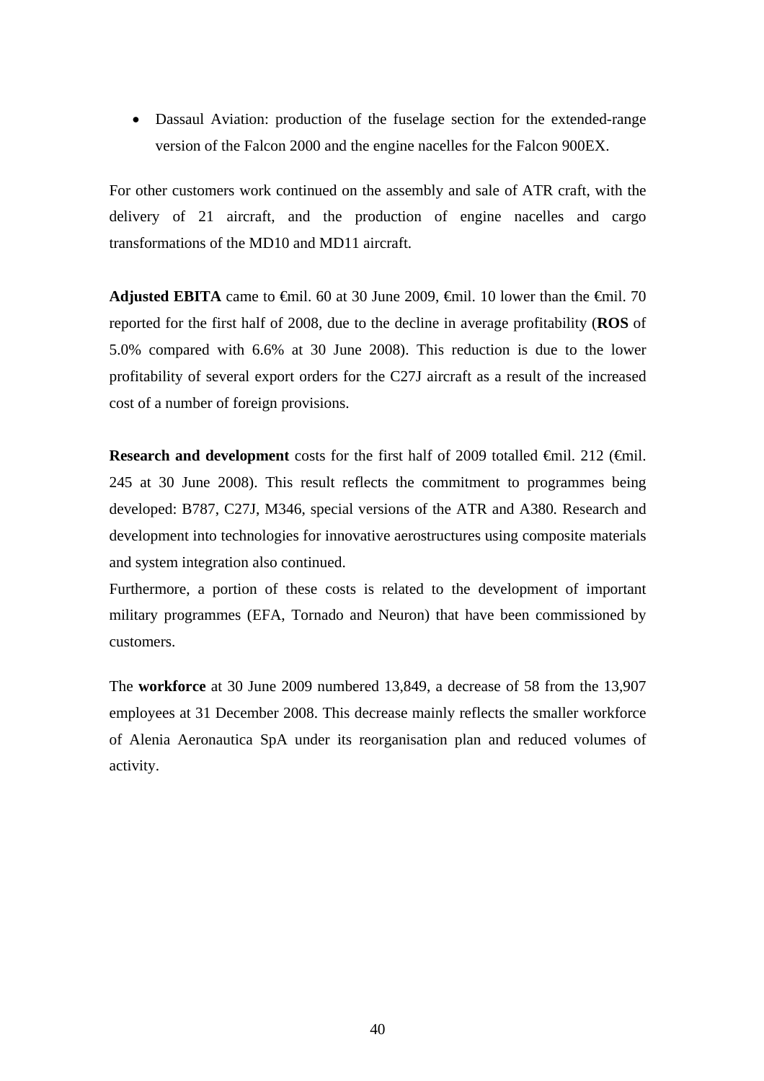• Dassaul Aviation: production of the fuselage section for the extended-range version of the Falcon 2000 and the engine nacelles for the Falcon 900EX.

For other customers work continued on the assembly and sale of ATR craft, with the delivery of 21 aircraft, and the production of engine nacelles and cargo transformations of the MD10 and MD11 aircraft.

**Adjusted EBITA** came to  $\theta$ mil. 60 at 30 June 2009,  $\theta$ mil. 10 lower than the  $\theta$ mil. 70 reported for the first half of 2008, due to the decline in average profitability (**ROS** of 5.0% compared with 6.6% at 30 June 2008). This reduction is due to the lower profitability of several export orders for the C27J aircraft as a result of the increased cost of a number of foreign provisions.

**Research and development** costs for the first half of 2009 totalled €mil. 212 (€mil. 245 at 30 June 2008). This result reflects the commitment to programmes being developed: B787, C27J, M346, special versions of the ATR and A380*.* Research and development into technologies for innovative aerostructures using composite materials and system integration also continued.

Furthermore, a portion of these costs is related to the development of important military programmes (EFA, Tornado and Neuron) that have been commissioned by customers.

The **workforce** at 30 June 2009 numbered 13,849, a decrease of 58 from the 13,907 employees at 31 December 2008. This decrease mainly reflects the smaller workforce of Alenia Aeronautica SpA under its reorganisation plan and reduced volumes of activity.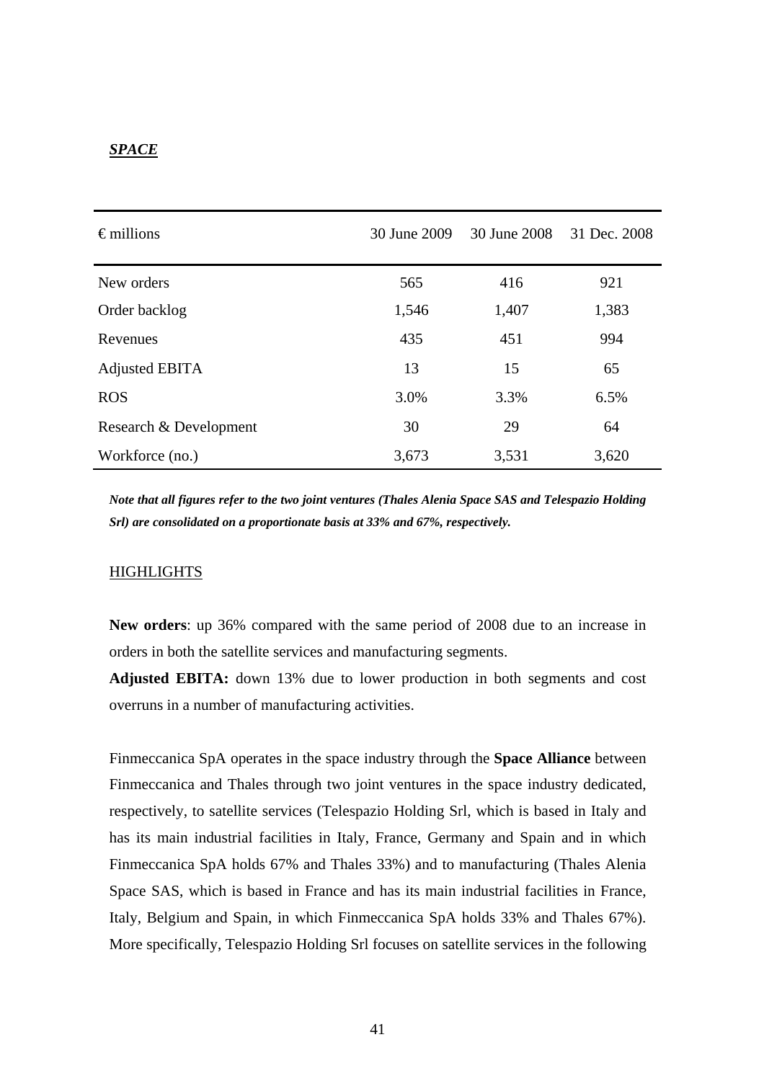#### *SPACE*

| $\epsilon$ millions    | 30 June 2009 | 30 June 2008 | 31 Dec. 2008 |
|------------------------|--------------|--------------|--------------|
| New orders             | 565          | 416          | 921          |
| Order backlog          | 1,546        | 1,407        | 1,383        |
| Revenues               | 435          | 451          | 994          |
| Adjusted EBITA         | 13           | 15           | 65           |
| <b>ROS</b>             | 3.0%         | 3.3%         | 6.5%         |
| Research & Development | 30           | 29           | 64           |
| Workforce (no.)        | 3,673        | 3,531        | 3,620        |

*Note that all figures refer to the two joint ventures (Thales Alenia Space SAS and Telespazio Holding Srl) are consolidated on a proportionate basis at 33% and 67%, respectively.* 

#### HIGHLIGHTS

**New orders**: up 36% compared with the same period of 2008 due to an increase in orders in both the satellite services and manufacturing segments.

**Adjusted EBITA:** down 13% due to lower production in both segments and cost overruns in a number of manufacturing activities.

Finmeccanica SpA operates in the space industry through the **Space Alliance** between Finmeccanica and Thales through two joint ventures in the space industry dedicated, respectively, to satellite services (Telespazio Holding Srl, which is based in Italy and has its main industrial facilities in Italy, France, Germany and Spain and in which Finmeccanica SpA holds 67% and Thales 33%) and to manufacturing (Thales Alenia Space SAS, which is based in France and has its main industrial facilities in France, Italy, Belgium and Spain, in which Finmeccanica SpA holds 33% and Thales 67%). More specifically, Telespazio Holding Srl focuses on satellite services in the following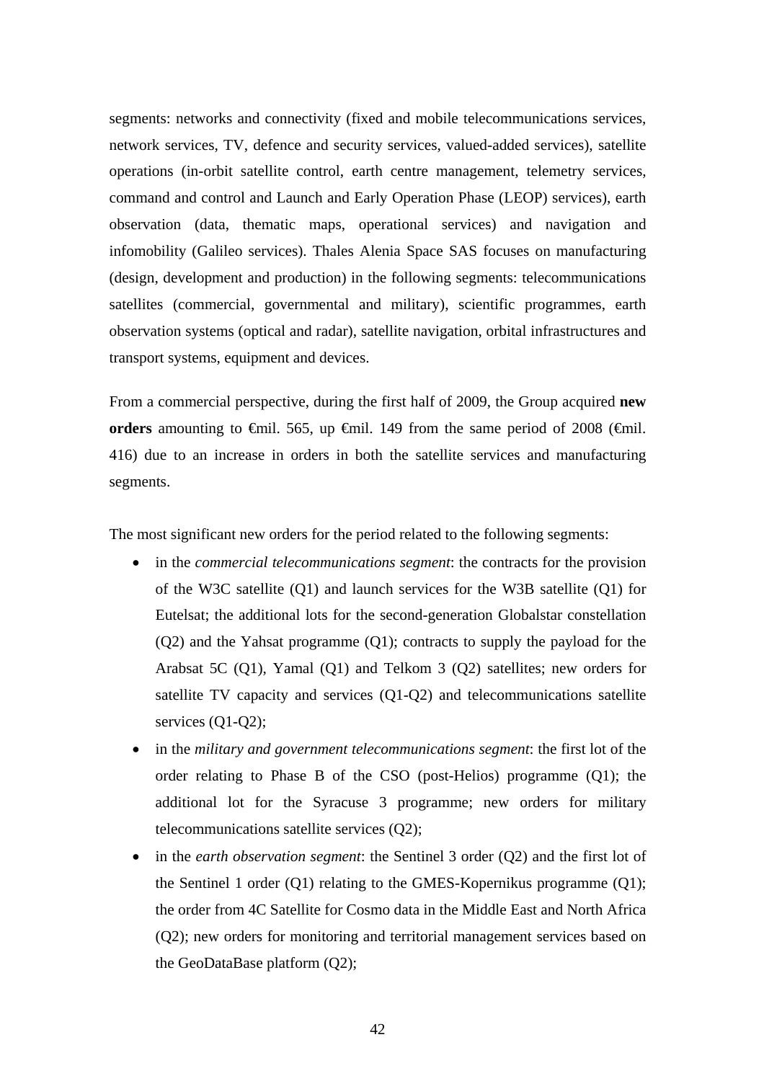segments: networks and connectivity (fixed and mobile telecommunications services, network services, TV, defence and security services, valued-added services), satellite operations (in-orbit satellite control, earth centre management, telemetry services, command and control and Launch and Early Operation Phase (LEOP) services), earth observation (data, thematic maps, operational services) and navigation and infomobility (Galileo services). Thales Alenia Space SAS focuses on manufacturing (design, development and production) in the following segments: telecommunications satellites (commercial, governmental and military), scientific programmes, earth observation systems (optical and radar), satellite navigation, orbital infrastructures and transport systems, equipment and devices.

From a commercial perspective, during the first half of 2009, the Group acquired **new**  orders amounting to  $\epsilon$ mil. 565, up  $\epsilon$ mil. 149 from the same period of 2008 ( $\epsilon$ mil. 416) due to an increase in orders in both the satellite services and manufacturing segments.

The most significant new orders for the period related to the following segments:

- in the *commercial telecommunications segment*: the contracts for the provision of the W3C satellite (Q1) and launch services for the W3B satellite (Q1) for Eutelsat; the additional lots for the second-generation Globalstar constellation (Q2) and the Yahsat programme (Q1); contracts to supply the payload for the Arabsat 5C (Q1), Yamal (Q1) and Telkom 3 (Q2) satellites; new orders for satellite TV capacity and services (Q1-Q2) and telecommunications satellite services (Q1-Q2);
- in the *military and government telecommunications segment*: the first lot of the order relating to Phase B of the CSO (post-Helios) programme (Q1); the additional lot for the Syracuse 3 programme; new orders for military telecommunications satellite services (Q2);
- in the *earth observation segment*: the Sentinel 3 order (Q2) and the first lot of the Sentinel 1 order (Q1) relating to the GMES-Kopernikus programme (Q1); the order from 4C Satellite for Cosmo data in the Middle East and North Africa (Q2); new orders for monitoring and territorial management services based on the GeoDataBase platform (Q2);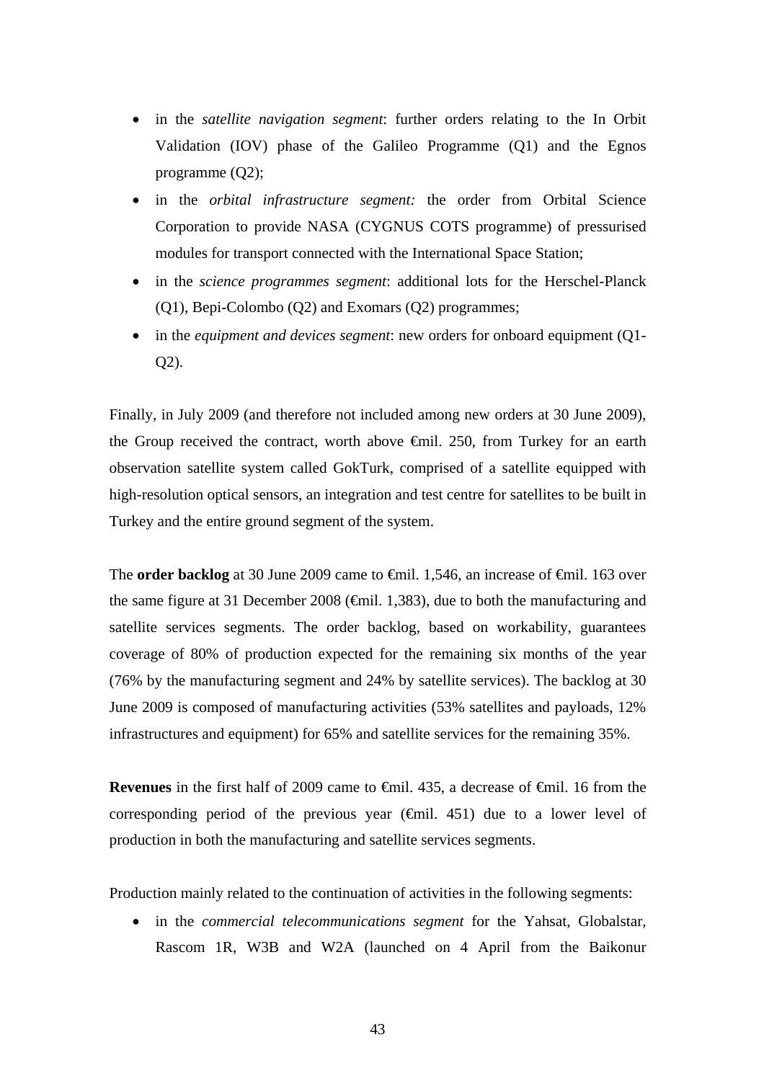- in the *satellite navigation segment*: further orders relating to the In Orbit Validation (IOV) phase of the Galileo Programme (Q1) and the Egnos programme (Q2);
- in the *orbital infrastructure segment:* the order from Orbital Science Corporation to provide NASA (CYGNUS COTS programme) of pressurised modules for transport connected with the International Space Station;
- in the *science programmes segment*: additional lots for the Herschel-Planck (Q1), Bepi-Colombo (Q2) and Exomars (Q2) programmes;
- in the *equipment and devices segment*: new orders for onboard equipment (Q1- Q2).

Finally, in July 2009 (and therefore not included among new orders at 30 June 2009), the Group received the contract, worth above €mil. 250, from Turkey for an earth observation satellite system called GokTurk, comprised of a satellite equipped with high-resolution optical sensors, an integration and test centre for satellites to be built in Turkey and the entire ground segment of the system.

The **order backlog** at 30 June 2009 came to <del>€</del>mil. 1,546, an increase of €mil. 163 over the same figure at 31 December 2008 ( $\epsilon$ mil. 1,383), due to both the manufacturing and satellite services segments. The order backlog, based on workability, guarantees coverage of 80% of production expected for the remaining six months of the year (76% by the manufacturing segment and 24% by satellite services). The backlog at 30 June 2009 is composed of manufacturing activities (53% satellites and payloads, 12% infrastructures and equipment) for 65% and satellite services for the remaining 35%.

**Revenues** in the first half of 2009 came to €mil. 435, a decrease of €mil. 16 from the corresponding period of the previous year ( $\oplus$ mil. 451) due to a lower level of production in both the manufacturing and satellite services segments.

Production mainly related to the continuation of activities in the following segments:

• in the *commercial telecommunications segment* for the Yahsat, Globalstar, Rascom 1R, W3B and W2A (launched on 4 April from the Baikonur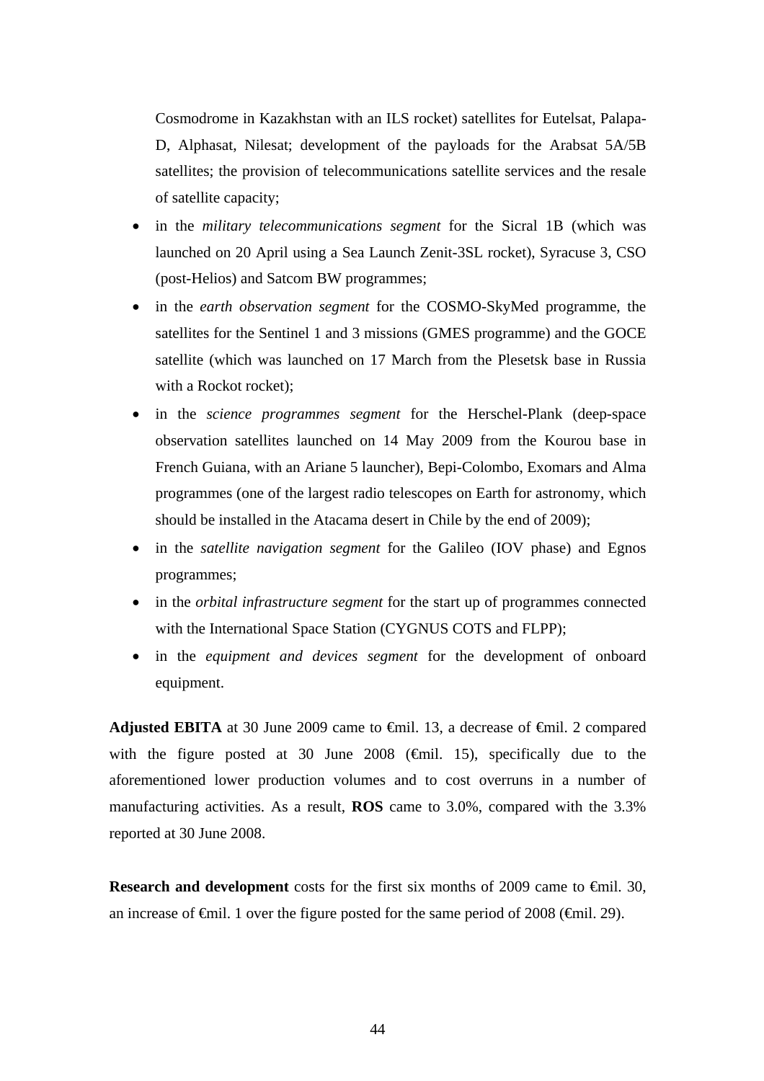Cosmodrome in Kazakhstan with an ILS rocket) satellites for Eutelsat, Palapa-D, Alphasat, Nilesat; development of the payloads for the Arabsat 5A/5B satellites; the provision of telecommunications satellite services and the resale of satellite capacity;

- in the *military telecommunications segment* for the Sicral 1B (which was launched on 20 April using a Sea Launch Zenit-3SL rocket), Syracuse 3, CSO (post-Helios) and Satcom BW programmes;
- in the *earth observation segment* for the COSMO-SkyMed programme, the satellites for the Sentinel 1 and 3 missions (GMES programme) and the GOCE satellite (which was launched on 17 March from the Plesetsk base in Russia with a Rockot rocket);
- in the *science programmes segment* for the Herschel-Plank (deep-space observation satellites launched on 14 May 2009 from the Kourou base in French Guiana, with an Ariane 5 launcher), Bepi-Colombo, Exomars and Alma programmes (one of the largest radio telescopes on Earth for astronomy, which should be installed in the Atacama desert in Chile by the end of 2009);
- in the *satellite navigation segment* for the Galileo (IOV phase) and Egnos programmes;
- in the *orbital infrastructure segment* for the start up of programmes connected with the International Space Station (CYGNUS COTS and FLPP);
- in the *equipment and devices segment* for the development of onboard equipment.

**Adjusted EBITA** at 30 June 2009 came to  $\theta$ mil. 13, a decrease of  $\theta$ mil. 2 compared with the figure posted at 30 June 2008 ( $\oplus$ mil. 15), specifically due to the aforementioned lower production volumes and to cost overruns in a number of manufacturing activities. As a result, **ROS** came to 3.0%, compared with the 3.3% reported at 30 June 2008.

**Research and development** costs for the first six months of 2009 came to  $\epsilon$ mil. 30, an increase of  $\epsilon$ mil. 1 over the figure posted for the same period of 2008 ( $\epsilon$ mil. 29).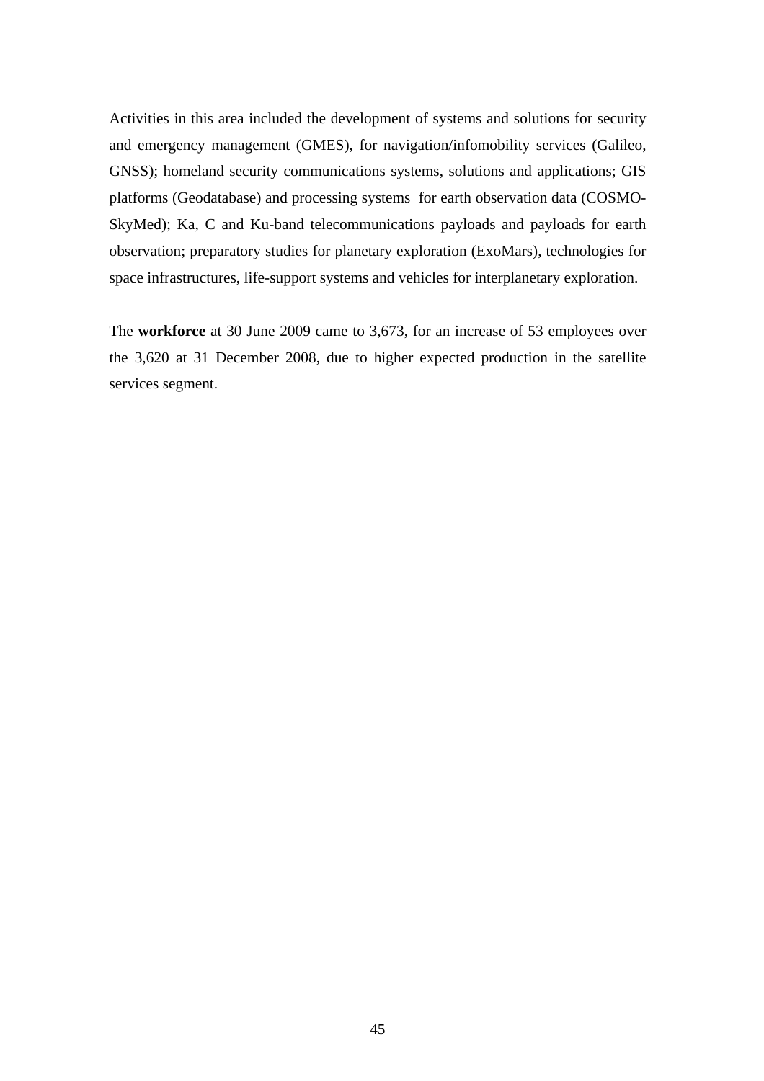Activities in this area included the development of systems and solutions for security and emergency management (GMES), for navigation/infomobility services (Galileo, GNSS); homeland security communications systems, solutions and applications; GIS platforms (Geodatabase) and processing systems for earth observation data (COSMO-SkyMed); Ka, C and Ku-band telecommunications payloads and payloads for earth observation; preparatory studies for planetary exploration (ExoMars), technologies for space infrastructures, life-support systems and vehicles for interplanetary exploration.

The **workforce** at 30 June 2009 came to 3,673, for an increase of 53 employees over the 3,620 at 31 December 2008, due to higher expected production in the satellite services segment.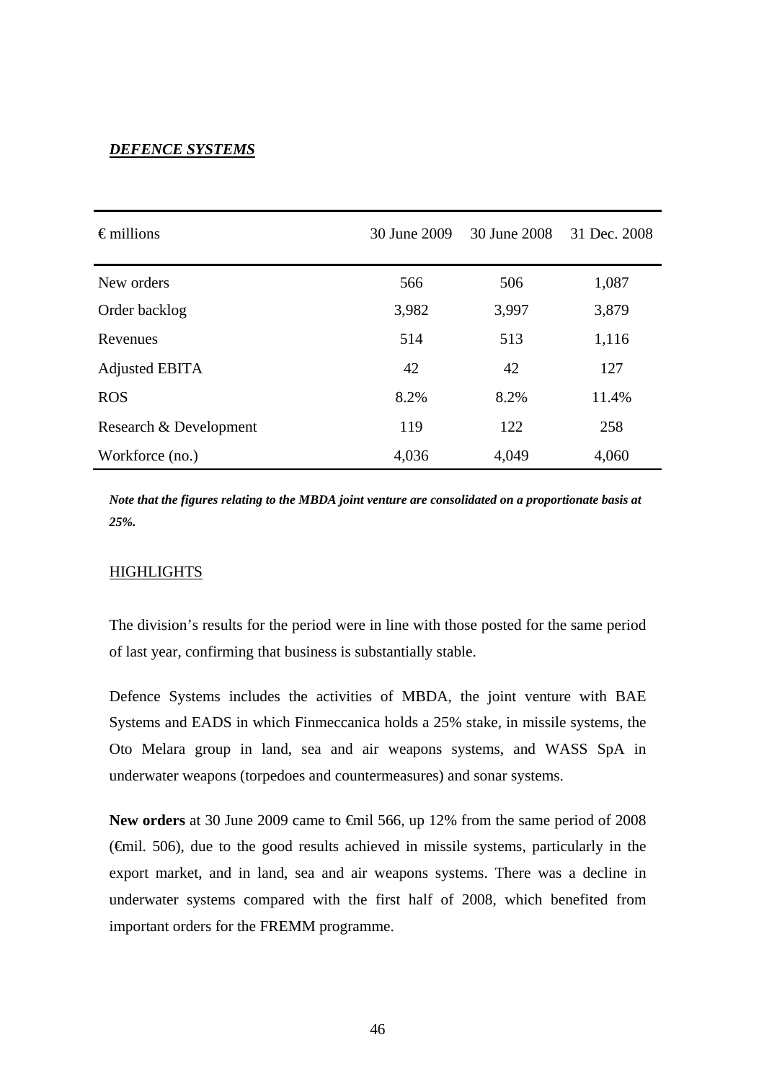#### *DEFENCE SYSTEMS*

| $\epsilon$ millions    | 30 June 2009 | 30 June 2008 | 31 Dec. 2008 |
|------------------------|--------------|--------------|--------------|
| New orders             | 566          | 506          | 1,087        |
| Order backlog          | 3,982        | 3,997        | 3,879        |
| Revenues               | 514          | 513          | 1,116        |
| Adjusted EBITA         | 42           | 42           | 127          |
| <b>ROS</b>             | 8.2%         | 8.2%         | 11.4%        |
| Research & Development | 119          | 122          | 258          |
| Workforce (no.)        | 4,036        | 4,049        | 4,060        |

*Note that the figures relating to the MBDA joint venture are consolidated on a proportionate basis at 25%.*

#### HIGHLIGHTS

The division's results for the period were in line with those posted for the same period of last year, confirming that business is substantially stable.

Defence Systems includes the activities of MBDA, the joint venture with BAE Systems and EADS in which Finmeccanica holds a 25% stake, in missile systems, the Oto Melara group in land, sea and air weapons systems, and WASS SpA in underwater weapons (torpedoes and countermeasures) and sonar systems.

New orders at 30 June 2009 came to <del>€</del>mil 566, up 12% from the same period of 2008 (€mil. 506), due to the good results achieved in missile systems, particularly in the export market, and in land, sea and air weapons systems. There was a decline in underwater systems compared with the first half of 2008, which benefited from important orders for the FREMM programme.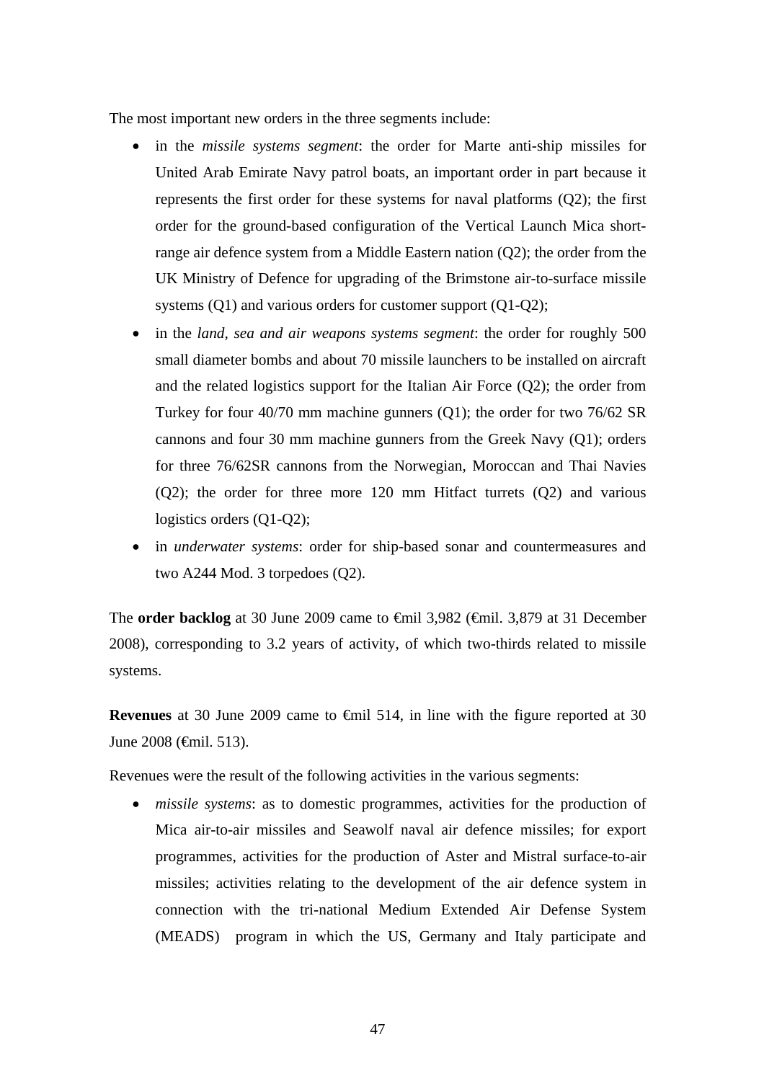The most important new orders in the three segments include:

- in the *missile systems segment*: the order for Marte anti-ship missiles for United Arab Emirate Navy patrol boats, an important order in part because it represents the first order for these systems for naval platforms (Q2); the first order for the ground-based configuration of the Vertical Launch Mica shortrange air defence system from a Middle Eastern nation (Q2); the order from the UK Ministry of Defence for upgrading of the Brimstone air-to-surface missile systems (Q1) and various orders for customer support (Q1-Q2);
- in the *land, sea and air weapons systems segment*: the order for roughly 500 small diameter bombs and about 70 missile launchers to be installed on aircraft and the related logistics support for the Italian Air Force (Q2); the order from Turkey for four 40/70 mm machine gunners (Q1); the order for two 76/62 SR cannons and four 30 mm machine gunners from the Greek Navy (Q1); orders for three 76/62SR cannons from the Norwegian, Moroccan and Thai Navies (Q2); the order for three more 120 mm Hitfact turrets (Q2) and various logistics orders (Q1-Q2);
- in *underwater systems*: order for ship-based sonar and countermeasures and two A244 Mod. 3 torpedoes (Q2).

The **order backlog** at 30 June 2009 came to €mil 3,982 (€mil. 3,879 at 31 December 2008), corresponding to 3.2 years of activity, of which two-thirds related to missile systems.

**Revenues** at 30 June 2009 came to €mil 514, in line with the figure reported at 30 June 2008 (€mil. 513).

Revenues were the result of the following activities in the various segments:

• *missile systems*: as to domestic programmes, activities for the production of Mica air-to-air missiles and Seawolf naval air defence missiles; for export programmes, activities for the production of Aster and Mistral surface-to-air missiles; activities relating to the development of the air defence system in connection with the tri-national Medium Extended Air Defense System (MEADS)program in which the US, Germany and Italy participate and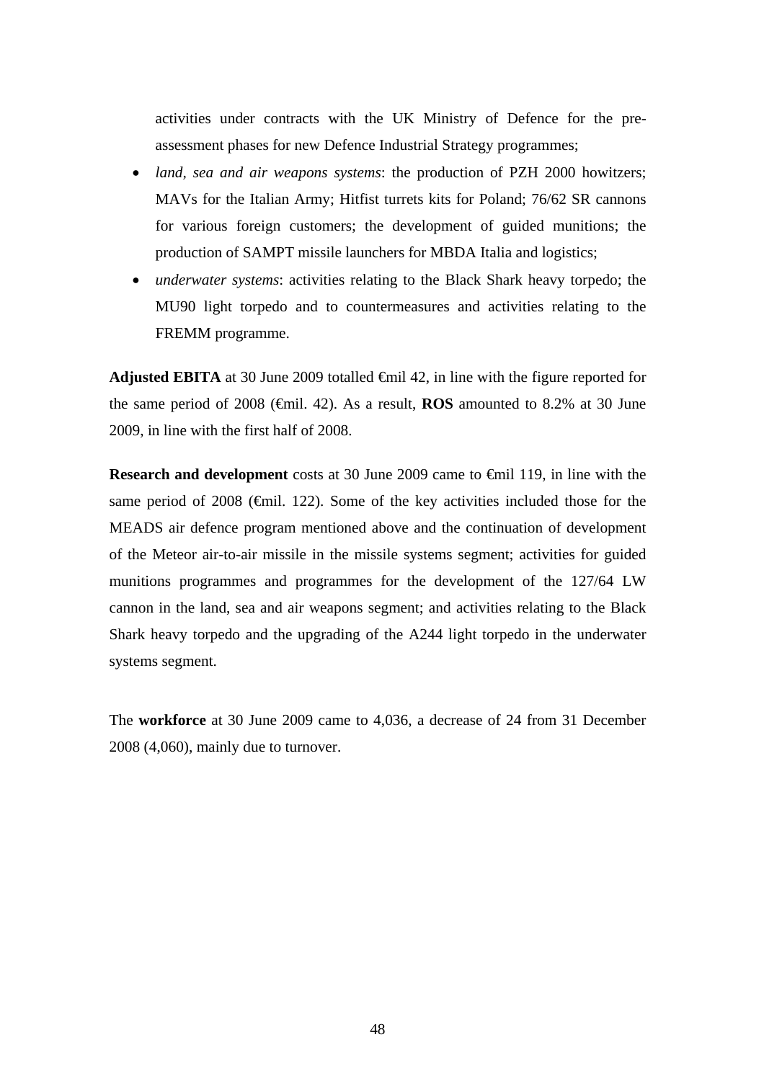activities under contracts with the UK Ministry of Defence for the preassessment phases for new Defence Industrial Strategy programmes;

- *land, sea and air weapons systems*: the production of PZH 2000 howitzers; MAVs for the Italian Army; Hitfist turrets kits for Poland; 76/62 SR cannons for various foreign customers; the development of guided munitions; the production of SAMPT missile launchers for MBDA Italia and logistics;
- *underwater systems*: activities relating to the Black Shark heavy torpedo; the MU90 light torpedo and to countermeasures and activities relating to the FREMM programme.

**Adjusted EBITA** at 30 June 2009 totalled  $\oplus$  finil 42, in line with the figure reported for the same period of 2008 ( $\bigoplus$  fil. 42). As a result, **ROS** amounted to 8.2% at 30 June 2009, in line with the first half of 2008.

**Research and development** costs at 30 June 2009 came to €mil 119, in line with the same period of 2008 ( $\epsilon$ mil. 122). Some of the key activities included those for the MEADS air defence program mentioned above and the continuation of development of the Meteor air-to-air missile in the missile systems segment; activities for guided munitions programmes and programmes for the development of the 127/64 LW cannon in the land, sea and air weapons segment; and activities relating to the Black Shark heavy torpedo and the upgrading of the A244 light torpedo in the underwater systems segment.

The **workforce** at 30 June 2009 came to 4,036, a decrease of 24 from 31 December 2008 (4,060), mainly due to turnover.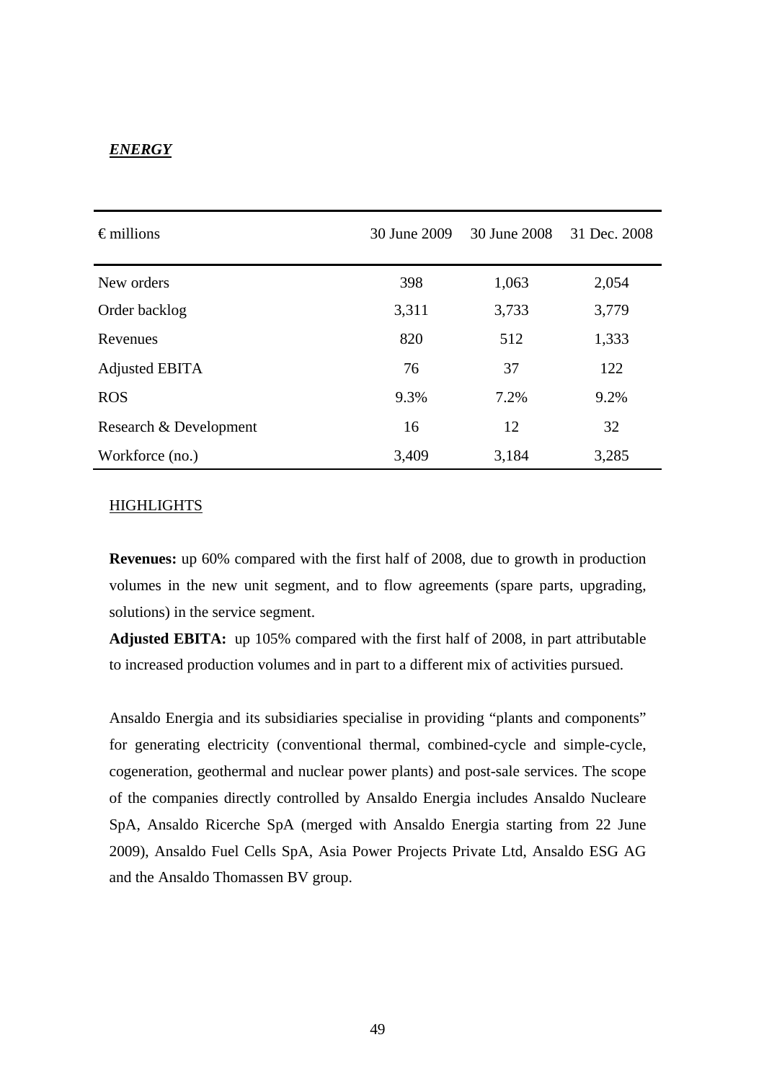#### *ENERGY*

| $\epsilon$ millions    | 30 June 2009 | 30 June 2008 | 31 Dec. 2008 |  |
|------------------------|--------------|--------------|--------------|--|
| New orders             | 398          | 1,063        | 2,054        |  |
| Order backlog          | 3,311        | 3,733        | 3,779        |  |
| Revenues               | 820          | 512          | 1,333        |  |
| Adjusted EBITA         | 76           | 37           | 122          |  |
| <b>ROS</b>             | 9.3%         | 7.2%         | 9.2%         |  |
| Research & Development | 16           | 12           | 32           |  |
| Workforce (no.)        | 3,409        | 3,184        | 3,285        |  |

#### HIGHLIGHTS

**Revenues:** up 60% compared with the first half of 2008, due to growth in production volumes in the new unit segment, and to flow agreements (spare parts, upgrading, solutions) in the service segment.

**Adjusted EBITA:**up 105% compared with the first half of 2008, in part attributable to increased production volumes and in part to a different mix of activities pursued.

Ansaldo Energia and its subsidiaries specialise in providing "plants and components" for generating electricity (conventional thermal, combined-cycle and simple-cycle, cogeneration, geothermal and nuclear power plants) and post-sale services. The scope of the companies directly controlled by Ansaldo Energia includes Ansaldo Nucleare SpA, Ansaldo Ricerche SpA (merged with Ansaldo Energia starting from 22 June 2009), Ansaldo Fuel Cells SpA, Asia Power Projects Private Ltd, Ansaldo ESG AG and the Ansaldo Thomassen BV group.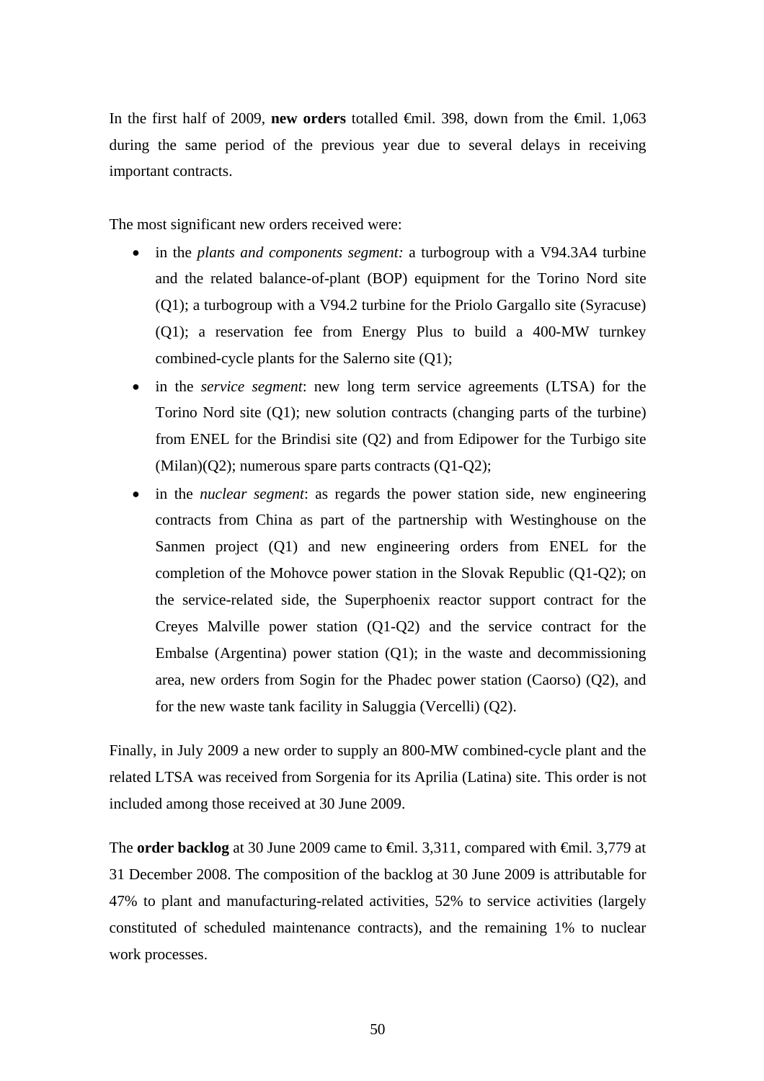In the first half of 2009, **new orders** totalled €mil. 398, down from the €mil. 1,063 during the same period of the previous year due to several delays in receiving important contracts.

The most significant new orders received were:

- in the *plants and components segment:* a turbogroup with a V94.3A4 turbine and the related balance-of-plant (BOP) equipment for the Torino Nord site (Q1); a turbogroup with a V94.2 turbine for the Priolo Gargallo site (Syracuse) (Q1); a reservation fee from Energy Plus to build a 400-MW turnkey combined-cycle plants for the Salerno site (Q1);
- in the *service segment*: new long term service agreements (LTSA) for the Torino Nord site (Q1); new solution contracts (changing parts of the turbine) from ENEL for the Brindisi site (Q2) and from Edipower for the Turbigo site (Milan)(Q2); numerous spare parts contracts (Q1-Q2);
- in the *nuclear segment*: as regards the power station side, new engineering contracts from China as part of the partnership with Westinghouse on the Sanmen project (Q1) and new engineering orders from ENEL for the completion of the Mohovce power station in the Slovak Republic (Q1-Q2); on the service-related side, the Superphoenix reactor support contract for the Creyes Malville power station (Q1-Q2) and the service contract for the Embalse (Argentina) power station (Q1); in the waste and decommissioning area, new orders from Sogin for the Phadec power station (Caorso) (Q2), and for the new waste tank facility in Saluggia (Vercelli) (Q2).

Finally, in July 2009 a new order to supply an 800-MW combined-cycle plant and the related LTSA was received from Sorgenia for its Aprilia (Latina) site. This order is not included among those received at 30 June 2009.

The **order backlog** at 30 June 2009 came to <del>€mil.</del> 3,311, compared with <del>€mil.</del> 3,779 at 31 December 2008. The composition of the backlog at 30 June 2009 is attributable for 47% to plant and manufacturing-related activities, 52% to service activities (largely constituted of scheduled maintenance contracts), and the remaining 1% to nuclear work processes.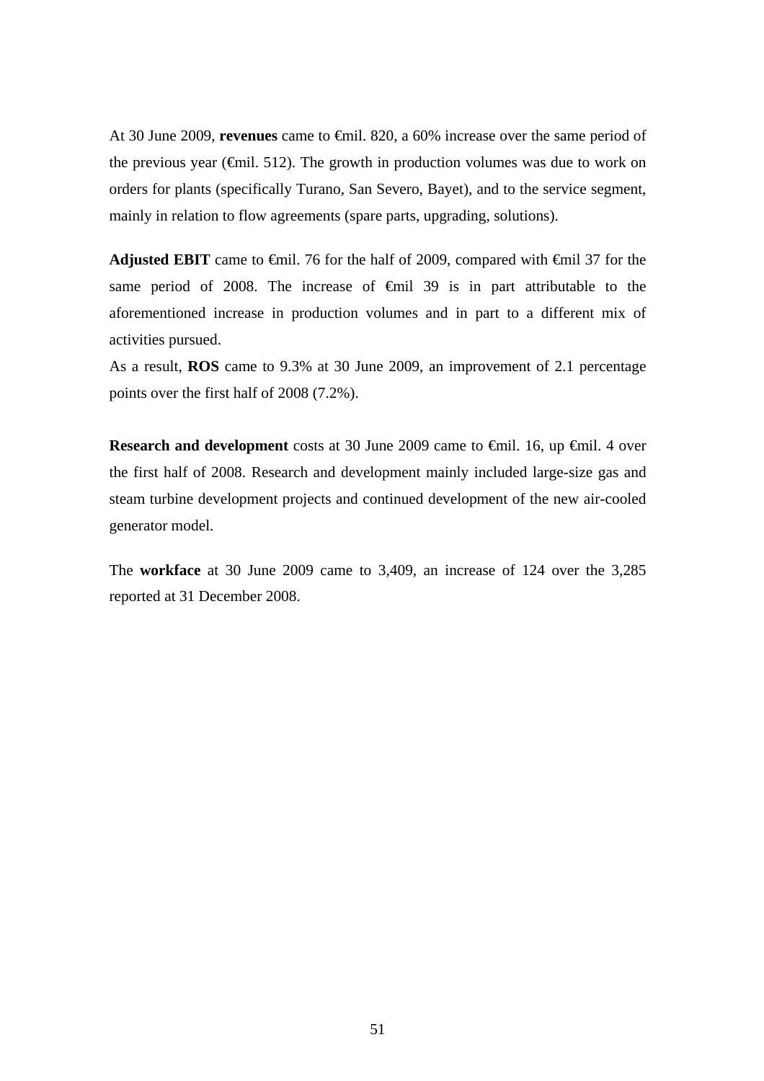At 30 June 2009, **revenues** came to €mil. 820, a 60% increase over the same period of the previous year ( $\epsilon$ mil. 512). The growth in production volumes was due to work on orders for plants (specifically Turano, San Severo, Bayet), and to the service segment, mainly in relation to flow agreements (spare parts, upgrading, solutions).

**Adjusted EBIT** came to €mil. 76 for the half of 2009, compared with €mil 37 for the same period of 2008. The increase of <del>€mil</del> 39 is in part attributable to the aforementioned increase in production volumes and in part to a different mix of activities pursued.

As a result, **ROS** came to 9.3% at 30 June 2009, an improvement of 2.1 percentage points over the first half of 2008 (7.2%).

**Research and development** costs at 30 June 2009 came to €mil. 16, up €mil. 4 over the first half of 2008. Research and development mainly included large-size gas and steam turbine development projects and continued development of the new air-cooled generator model.

The **workface** at 30 June 2009 came to 3,409, an increase of 124 over the 3,285 reported at 31 December 2008.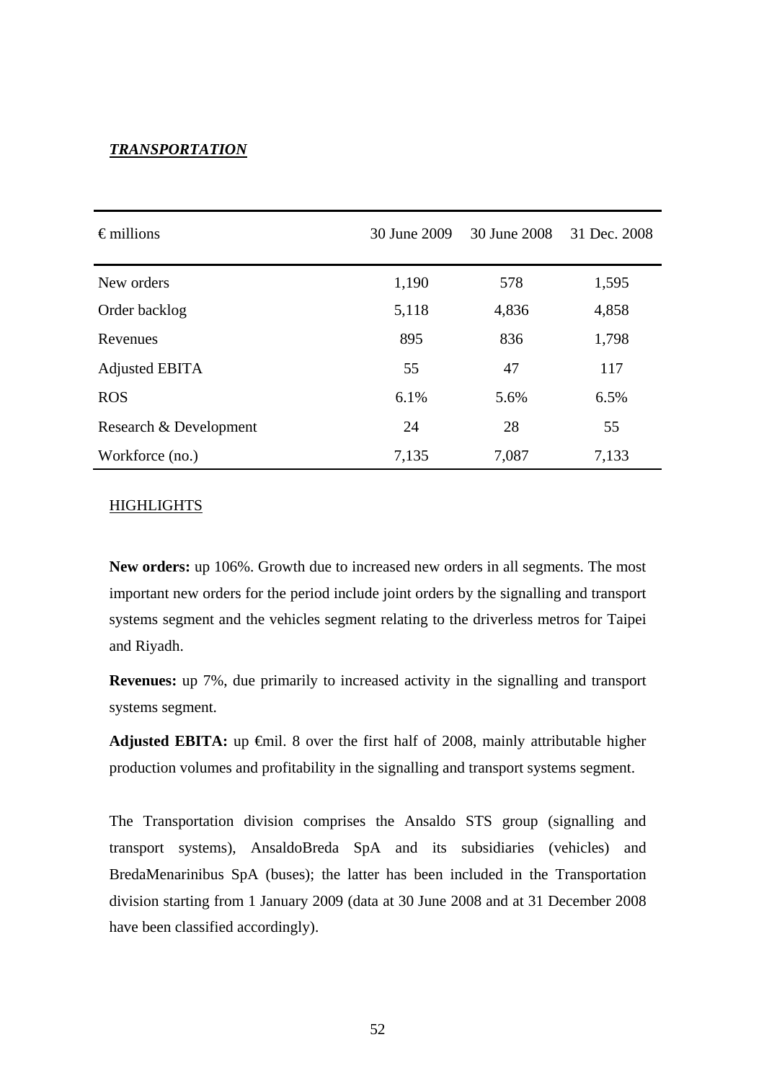#### *TRANSPORTATION*

| $\epsilon$ millions    | 30 June 2009 | 30 June 2008 | 31 Dec. 2008 |  |
|------------------------|--------------|--------------|--------------|--|
| New orders             | 1,190        | 578          | 1,595        |  |
| Order backlog          | 5,118        | 4,836        | 4,858        |  |
| Revenues               | 895          | 836          | 1,798        |  |
| Adjusted EBITA         | 55           | 47           | 117          |  |
| <b>ROS</b>             | 6.1%         | 5.6%         | 6.5%         |  |
| Research & Development | 24           | 28           | 55           |  |
| Workforce (no.)        | 7,135        | 7,087        | 7,133        |  |

#### HIGHLIGHTS

**New orders:** up 106%. Growth due to increased new orders in all segments. The most important new orders for the period include joint orders by the signalling and transport systems segment and the vehicles segment relating to the driverless metros for Taipei and Riyadh.

**Revenues:** up 7%, due primarily to increased activity in the signalling and transport systems segment.

Adjusted EBITA: up <del>€</del>mil. 8 over the first half of 2008, mainly attributable higher production volumes and profitability in the signalling and transport systems segment.

The Transportation division comprises the Ansaldo STS group (signalling and transport systems), AnsaldoBreda SpA and its subsidiaries (vehicles) and BredaMenarinibus SpA (buses); the latter has been included in the Transportation division starting from 1 January 2009 (data at 30 June 2008 and at 31 December 2008 have been classified accordingly).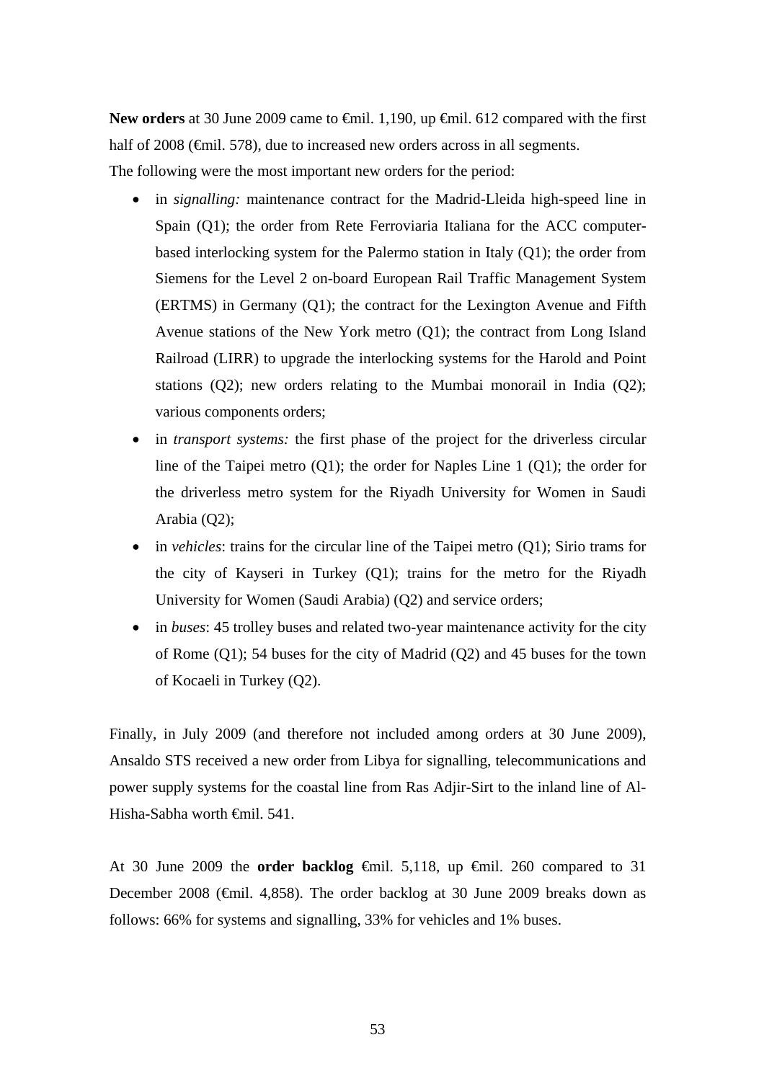New orders at 30 June 2009 came to <del>€</del>mil. 1,190, up <del>€</del>mil. 612 compared with the first half of 2008 (€mil. 578), due to increased new orders across in all segments. The following were the most important new orders for the period:

- in *signalling:* maintenance contract for the Madrid-Lleida high-speed line in Spain (Q1); the order from Rete Ferroviaria Italiana for the ACC computerbased interlocking system for the Palermo station in Italy (Q1); the order from Siemens for the Level 2 on-board European Rail Traffic Management System (ERTMS) in Germany (Q1); the contract for the Lexington Avenue and Fifth Avenue stations of the New York metro (Q1); the contract from Long Island Railroad (LIRR) to upgrade the interlocking systems for the Harold and Point stations (Q2); new orders relating to the Mumbai monorail in India (Q2); various components orders;
- in *transport systems*: the first phase of the project for the driverless circular line of the Taipei metro (Q1); the order for Naples Line 1 (Q1); the order for the driverless metro system for the Riyadh University for Women in Saudi Arabia (Q2);
- in *vehicles*: trains for the circular line of the Taipei metro (Q1); Sirio trams for the city of Kayseri in Turkey (Q1); trains for the metro for the Riyadh University for Women (Saudi Arabia) (Q2) and service orders;
- in *buses*: 45 trolley buses and related two-year maintenance activity for the city of Rome (Q1); 54 buses for the city of Madrid (Q2) and 45 buses for the town of Kocaeli in Turkey (Q2).

Finally, in July 2009 (and therefore not included among orders at 30 June 2009), Ansaldo STS received a new order from Libya for signalling, telecommunications and power supply systems for the coastal line from Ras Adjir-Sirt to the inland line of Al-Hisha-Sabha worth €mil. 541.

At 30 June 2009 the **order backlog** €mil. 5,118, up €mil. 260 compared to 31 December 2008 (€mil. 4,858). The order backlog at 30 June 2009 breaks down as follows: 66% for systems and signalling, 33% for vehicles and 1% buses.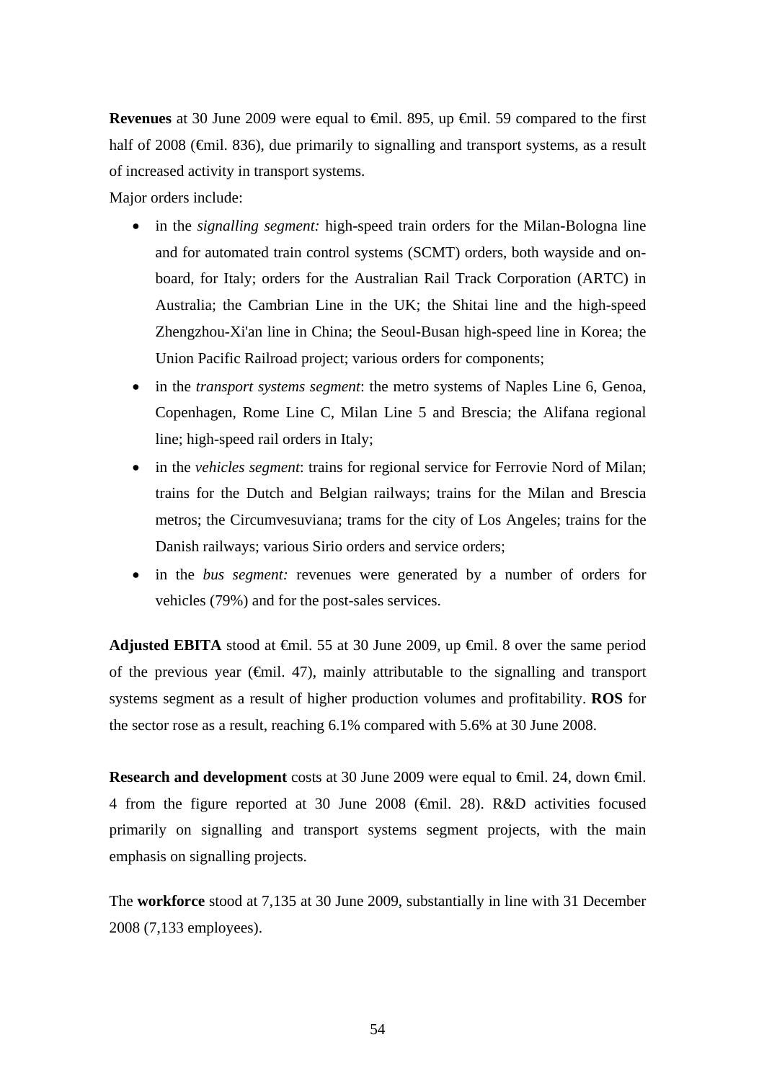**Revenues** at 30 June 2009 were equal to €mil. 895, up €mil. 59 compared to the first half of 2008 (€mil. 836), due primarily to signalling and transport systems, as a result of increased activity in transport systems.

Major orders include:

- in the *signalling segment*: high-speed train orders for the Milan-Bologna line and for automated train control systems (SCMT) orders, both wayside and onboard, for Italy; orders for the Australian Rail Track Corporation (ARTC) in Australia; the Cambrian Line in the UK; the Shitai line and the high-speed Zhengzhou-Xi'an line in China; the Seoul-Busan high-speed line in Korea; the Union Pacific Railroad project; various orders for components;
- in the *transport systems segment*: the metro systems of Naples Line 6, Genoa, Copenhagen, Rome Line C, Milan Line 5 and Brescia; the Alifana regional line; high-speed rail orders in Italy;
- in the *vehicles segment*: trains for regional service for Ferrovie Nord of Milan; trains for the Dutch and Belgian railways; trains for the Milan and Brescia metros; the Circumvesuviana; trams for the city of Los Angeles; trains for the Danish railways; various Sirio orders and service orders;
- in the *bus segment:* revenues were generated by a number of orders for vehicles (79%) and for the post-sales services.

**Adjusted EBITA** stood at €mil. 55 at 30 June 2009, up €mil. 8 over the same period of the previous year ( $\epsilon$ mil. 47), mainly attributable to the signalling and transport systems segment as a result of higher production volumes and profitability. **ROS** for the sector rose as a result, reaching 6.1% compared with 5.6% at 30 June 2008.

**Research and development** costs at 30 June 2009 were equal to €mil. 24, down €mil. 4 from the figure reported at 30 June 2008 (€mil. 28). R&D activities focused primarily on signalling and transport systems segment projects, with the main emphasis on signalling projects.

The **workforce** stood at 7,135 at 30 June 2009, substantially in line with 31 December 2008 (7,133 employees).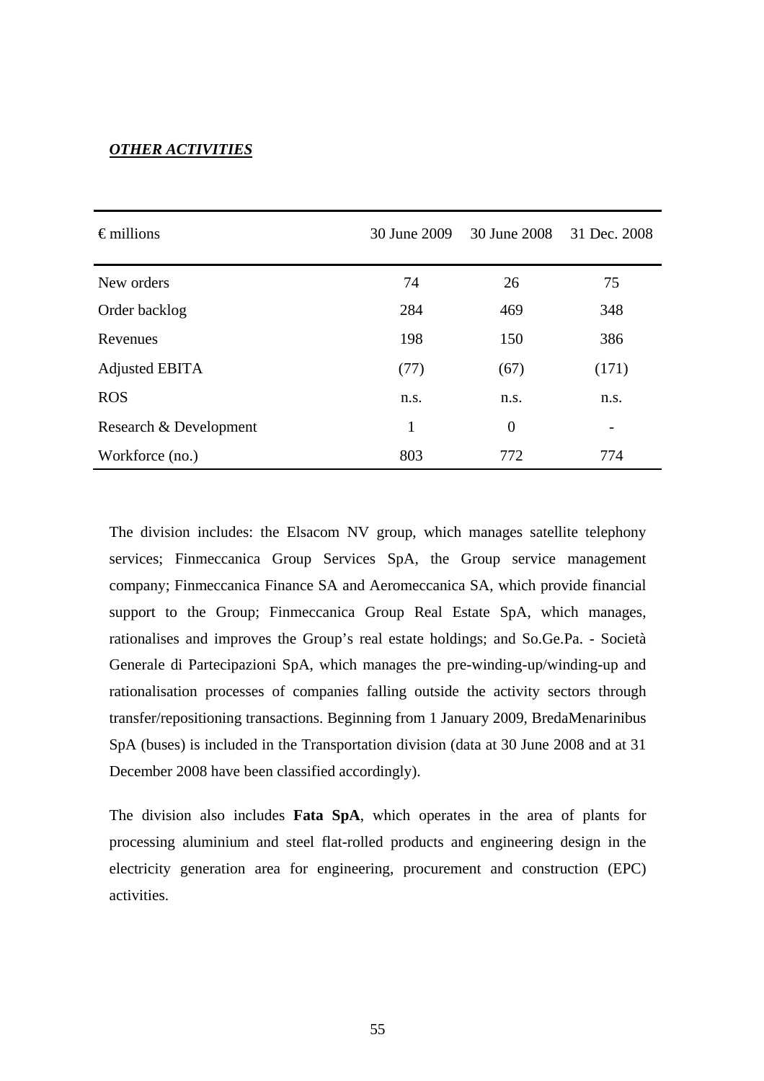#### *OTHER ACTIVITIES*

| $\epsilon$ millions    | 30 June 2009 | 30 June 2008 |       |
|------------------------|--------------|--------------|-------|
| New orders             | 74           | 26           | 75    |
| Order backlog          | 284          | 469          | 348   |
| Revenues               | 198          | 150          | 386   |
| Adjusted EBITA         | (77)         | (67)         | (171) |
| <b>ROS</b>             | n.s.         | n.s.         | n.s.  |
| Research & Development | $\mathbf{1}$ | $\theta$     |       |
| Workforce (no.)        | 803          | 772          | 774   |

The division includes: the Elsacom NV group, which manages satellite telephony services; Finmeccanica Group Services SpA, the Group service management company; Finmeccanica Finance SA and Aeromeccanica SA, which provide financial support to the Group; Finmeccanica Group Real Estate SpA, which manages, rationalises and improves the Group's real estate holdings; and So.Ge.Pa. - Società Generale di Partecipazioni SpA, which manages the pre-winding-up/winding-up and rationalisation processes of companies falling outside the activity sectors through transfer/repositioning transactions. Beginning from 1 January 2009, BredaMenarinibus SpA (buses) is included in the Transportation division (data at 30 June 2008 and at 31 December 2008 have been classified accordingly).

The division also includes **Fata SpA**, which operates in the area of plants for processing aluminium and steel flat-rolled products and engineering design in the electricity generation area for engineering, procurement and construction (EPC) activities.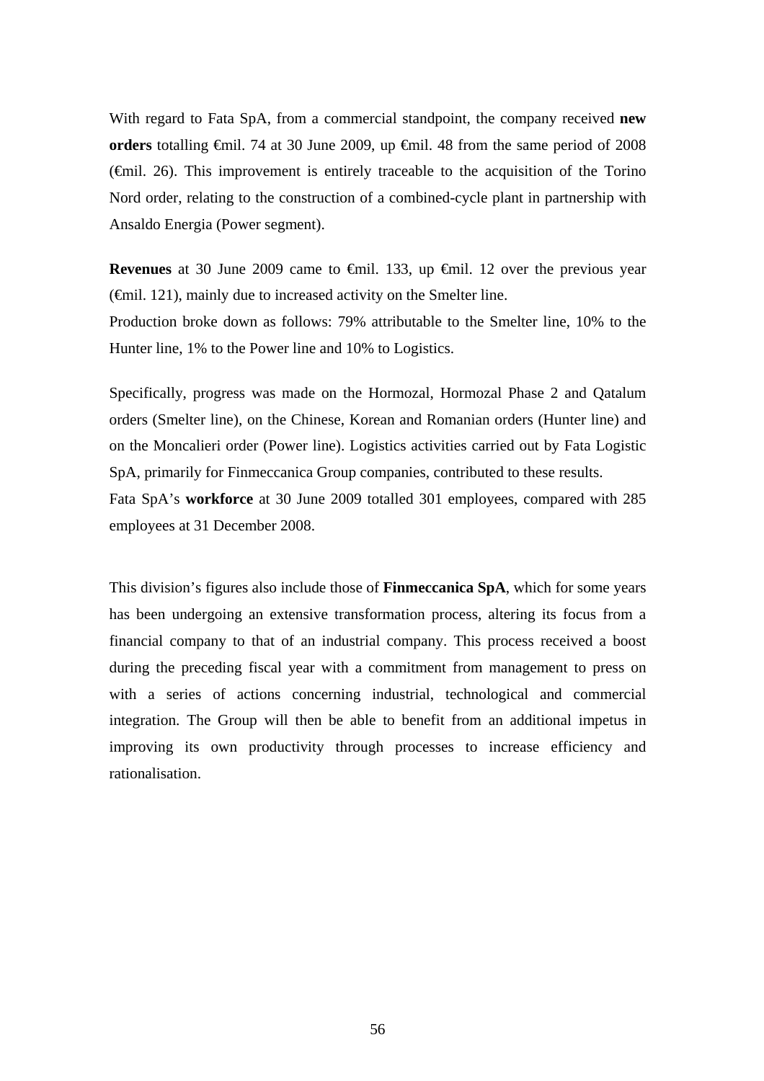With regard to Fata SpA, from a commercial standpoint, the company received **new orders** totalling €mil. 74 at 30 June 2009, up €mil. 48 from the same period of 2008  $(\text{f})$ . This improvement is entirely traceable to the acquisition of the Torino Nord order, relating to the construction of a combined-cycle plant in partnership with Ansaldo Energia (Power segment).

**Revenues** at 30 June 2009 came to €mil. 133, up €mil. 12 over the previous year (€mil. 121), mainly due to increased activity on the Smelter line.

Production broke down as follows: 79% attributable to the Smelter line, 10% to the Hunter line, 1% to the Power line and 10% to Logistics.

Specifically, progress was made on the Hormozal, Hormozal Phase 2 and Qatalum orders (Smelter line), on the Chinese, Korean and Romanian orders (Hunter line) and on the Moncalieri order (Power line). Logistics activities carried out by Fata Logistic SpA, primarily for Finmeccanica Group companies, contributed to these results. Fata SpA's **workforce** at 30 June 2009 totalled 301 employees, compared with 285 employees at 31 December 2008.

This division's figures also include those of **Finmeccanica SpA**, which for some years has been undergoing an extensive transformation process, altering its focus from a financial company to that of an industrial company. This process received a boost during the preceding fiscal year with a commitment from management to press on with a series of actions concerning industrial, technological and commercial integration. The Group will then be able to benefit from an additional impetus in improving its own productivity through processes to increase efficiency and rationalisation.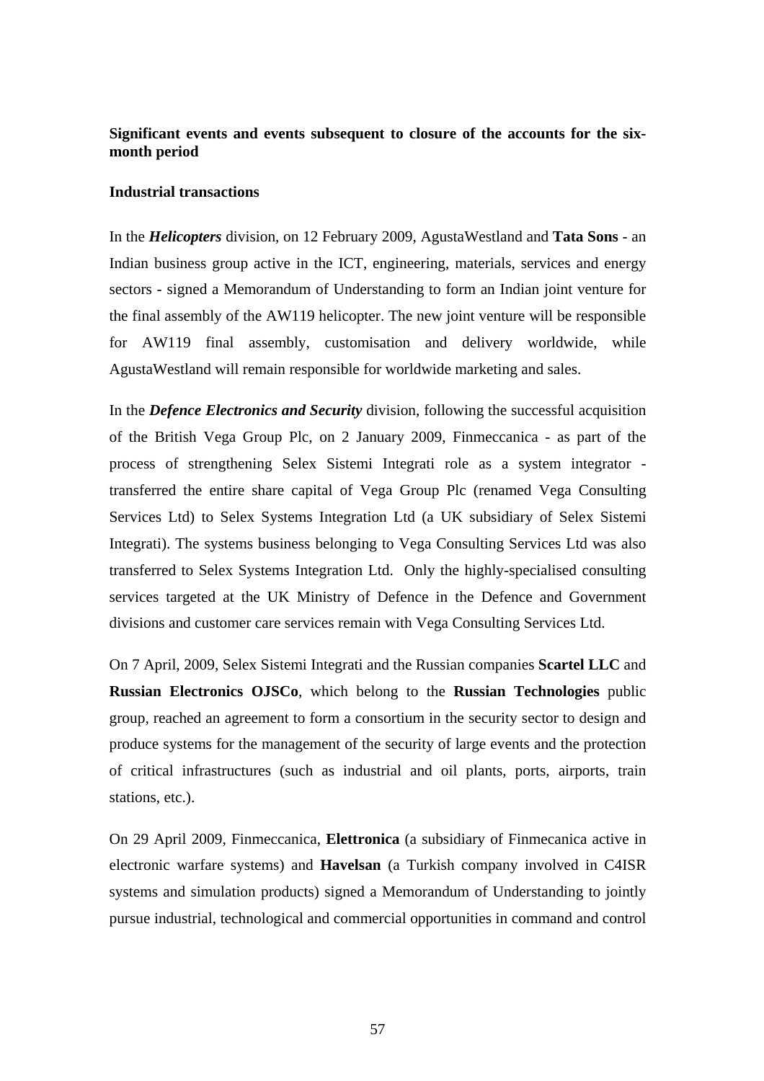## **Significant events and events subsequent to closure of the accounts for the sixmonth period**

#### **Industrial transactions**

In the *Helicopters* division, on 12 February 2009, AgustaWestland and **Tata Sons** - an Indian business group active in the ICT, engineering, materials, services and energy sectors - signed a Memorandum of Understanding to form an Indian joint venture for the final assembly of the AW119 helicopter. The new joint venture will be responsible for AW119 final assembly, customisation and delivery worldwide, while AgustaWestland will remain responsible for worldwide marketing and sales.

In the *Defence Electronics and Security* division, following the successful acquisition of the British Vega Group Plc, on 2 January 2009, Finmeccanica - as part of the process of strengthening Selex Sistemi Integrati role as a system integrator transferred the entire share capital of Vega Group Plc (renamed Vega Consulting Services Ltd) to Selex Systems Integration Ltd (a UK subsidiary of Selex Sistemi Integrati). The systems business belonging to Vega Consulting Services Ltd was also transferred to Selex Systems Integration Ltd. Only the highly-specialised consulting services targeted at the UK Ministry of Defence in the Defence and Government divisions and customer care services remain with Vega Consulting Services Ltd.

On 7 April, 2009, Selex Sistemi Integrati and the Russian companies **Scartel LLC** and **Russian Electronics OJSCo**, which belong to the **Russian Technologies** public group, reached an agreement to form a consortium in the security sector to design and produce systems for the management of the security of large events and the protection of critical infrastructures (such as industrial and oil plants, ports, airports, train stations, etc.).

On 29 April 2009, Finmeccanica, **Elettronica** (a subsidiary of Finmecanica active in electronic warfare systems) and **Havelsan** (a Turkish company involved in C4ISR systems and simulation products) signed a Memorandum of Understanding to jointly pursue industrial, technological and commercial opportunities in command and control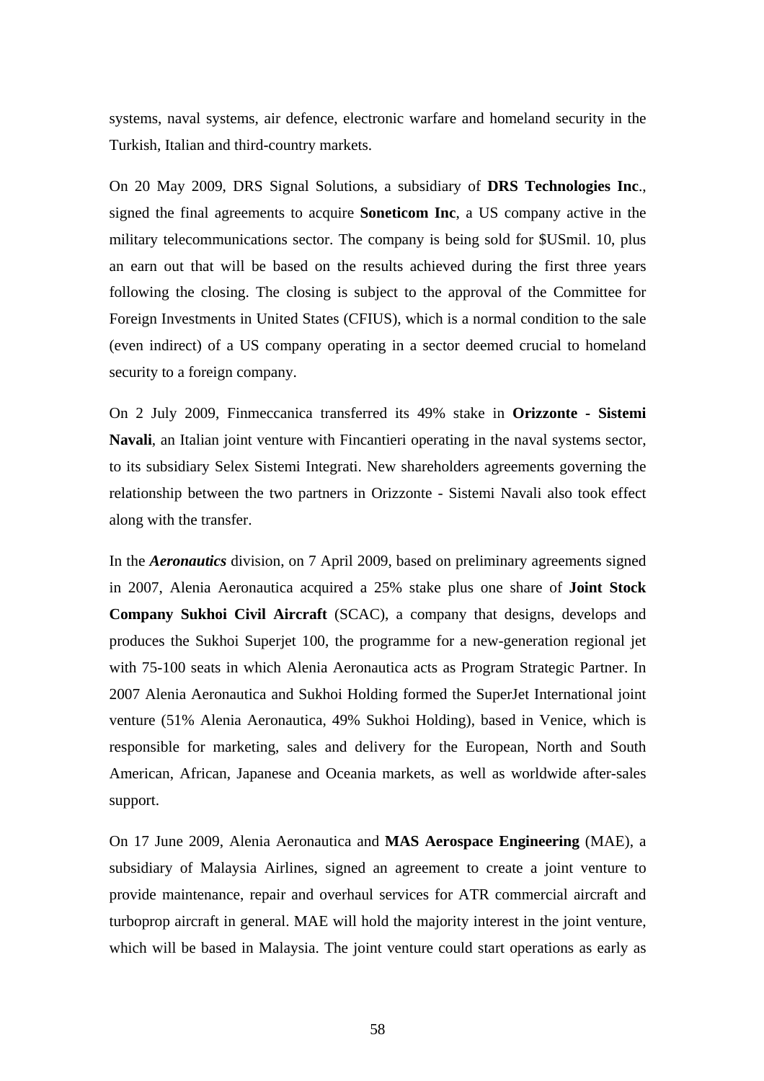systems, naval systems, air defence, electronic warfare and homeland security in the Turkish, Italian and third-country markets.

On 20 May 2009, DRS Signal Solutions, a subsidiary of **DRS Technologies Inc**., signed the final agreements to acquire **Soneticom Inc**, a US company active in the military telecommunications sector. The company is being sold for \$USmil. 10, plus an earn out that will be based on the results achieved during the first three years following the closing. The closing is subject to the approval of the Committee for Foreign Investments in United States (CFIUS), which is a normal condition to the sale (even indirect) of a US company operating in a sector deemed crucial to homeland security to a foreign company.

On 2 July 2009, Finmeccanica transferred its 49% stake in **Orizzonte - Sistemi Navali**, an Italian joint venture with Fincantieri operating in the naval systems sector, to its subsidiary Selex Sistemi Integrati. New shareholders agreements governing the relationship between the two partners in Orizzonte - Sistemi Navali also took effect along with the transfer.

In the *Aeronautics* division, on 7 April 2009, based on preliminary agreements signed in 2007, Alenia Aeronautica acquired a 25% stake plus one share of **Joint Stock Company Sukhoi Civil Aircraft** (SCAC), a company that designs, develops and produces the Sukhoi Superjet 100, the programme for a new-generation regional jet with 75-100 seats in which Alenia Aeronautica acts as Program Strategic Partner. In 2007 Alenia Aeronautica and Sukhoi Holding formed the SuperJet International joint venture (51% Alenia Aeronautica, 49% Sukhoi Holding), based in Venice, which is responsible for marketing, sales and delivery for the European, North and South American, African, Japanese and Oceania markets, as well as worldwide after-sales support.

On 17 June 2009, Alenia Aeronautica and **MAS Aerospace Engineering** (MAE), a subsidiary of Malaysia Airlines, signed an agreement to create a joint venture to provide maintenance, repair and overhaul services for ATR commercial aircraft and turboprop aircraft in general. MAE will hold the majority interest in the joint venture, which will be based in Malaysia. The joint venture could start operations as early as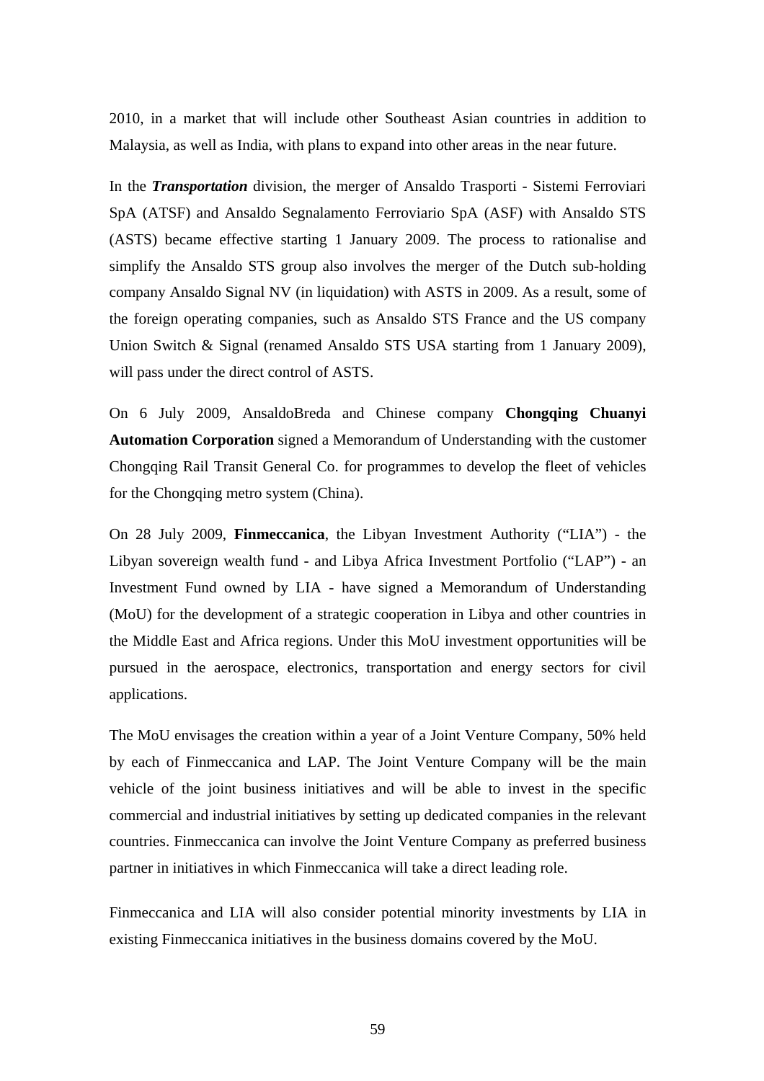2010, in a market that will include other Southeast Asian countries in addition to Malaysia, as well as India, with plans to expand into other areas in the near future.

In the *Transportation* division, the merger of Ansaldo Trasporti - Sistemi Ferroviari SpA (ATSF) and Ansaldo Segnalamento Ferroviario SpA (ASF) with Ansaldo STS (ASTS) became effective starting 1 January 2009. The process to rationalise and simplify the Ansaldo STS group also involves the merger of the Dutch sub-holding company Ansaldo Signal NV (in liquidation) with ASTS in 2009. As a result, some of the foreign operating companies, such as Ansaldo STS France and the US company Union Switch & Signal (renamed Ansaldo STS USA starting from 1 January 2009), will pass under the direct control of ASTS.

On 6 July 2009, AnsaldoBreda and Chinese company **Chongqing Chuanyi Automation Corporation** signed a Memorandum of Understanding with the customer Chongqing Rail Transit General Co. for programmes to develop the fleet of vehicles for the Chongqing metro system (China).

On 28 July 2009, **Finmeccanica**, the Libyan Investment Authority ("LIA") - the Libyan sovereign wealth fund - and Libya Africa Investment Portfolio ("LAP") - an Investment Fund owned by LIA - have signed a Memorandum of Understanding (MoU) for the development of a strategic cooperation in Libya and other countries in the Middle East and Africa regions. Under this MoU investment opportunities will be pursued in the aerospace, electronics, transportation and energy sectors for civil applications.

The MoU envisages the creation within a year of a Joint Venture Company, 50% held by each of Finmeccanica and LAP. The Joint Venture Company will be the main vehicle of the joint business initiatives and will be able to invest in the specific commercial and industrial initiatives by setting up dedicated companies in the relevant countries. Finmeccanica can involve the Joint Venture Company as preferred business partner in initiatives in which Finmeccanica will take a direct leading role.

Finmeccanica and LIA will also consider potential minority investments by LIA in existing Finmeccanica initiatives in the business domains covered by the MoU.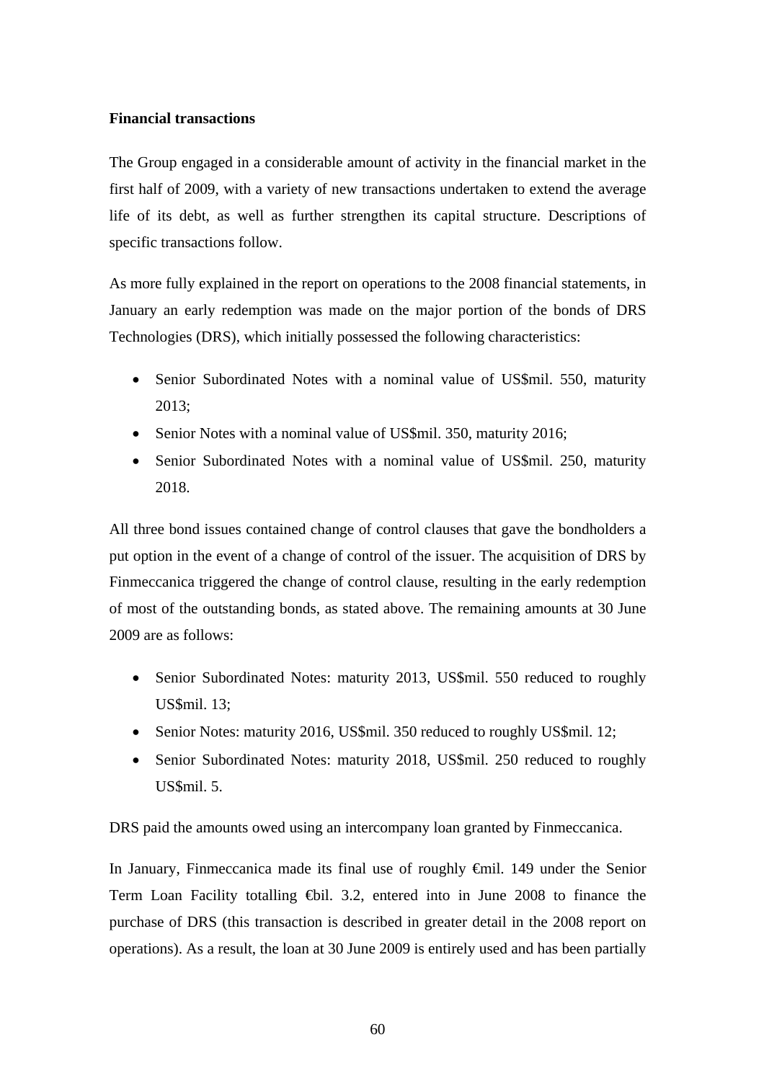#### **Financial transactions**

The Group engaged in a considerable amount of activity in the financial market in the first half of 2009, with a variety of new transactions undertaken to extend the average life of its debt, as well as further strengthen its capital structure. Descriptions of specific transactions follow.

As more fully explained in the report on operations to the 2008 financial statements, in January an early redemption was made on the major portion of the bonds of DRS Technologies (DRS), which initially possessed the following characteristics:

- Senior Subordinated Notes with a nominal value of US\$mil. 550, maturity 2013;
- Senior Notes with a nominal value of US\$mil. 350, maturity 2016;
- Senior Subordinated Notes with a nominal value of US\$mil. 250, maturity 2018.

All three bond issues contained change of control clauses that gave the bondholders a put option in the event of a change of control of the issuer. The acquisition of DRS by Finmeccanica triggered the change of control clause, resulting in the early redemption of most of the outstanding bonds, as stated above. The remaining amounts at 30 June 2009 are as follows:

- Senior Subordinated Notes: maturity 2013, US\$mil. 550 reduced to roughly US\$mil. 13;
- Senior Notes: maturity 2016, US\$mil. 350 reduced to roughly US\$mil. 12;
- Senior Subordinated Notes: maturity 2018, US\$mil. 250 reduced to roughly US\$mil. 5.

DRS paid the amounts owed using an intercompany loan granted by Finmeccanica.

In January, Finmeccanica made its final use of roughly €mil. 149 under the Senior Term Loan Facility totalling €bil. 3.2, entered into in June 2008 to finance the purchase of DRS (this transaction is described in greater detail in the 2008 report on operations). As a result, the loan at 30 June 2009 is entirely used and has been partially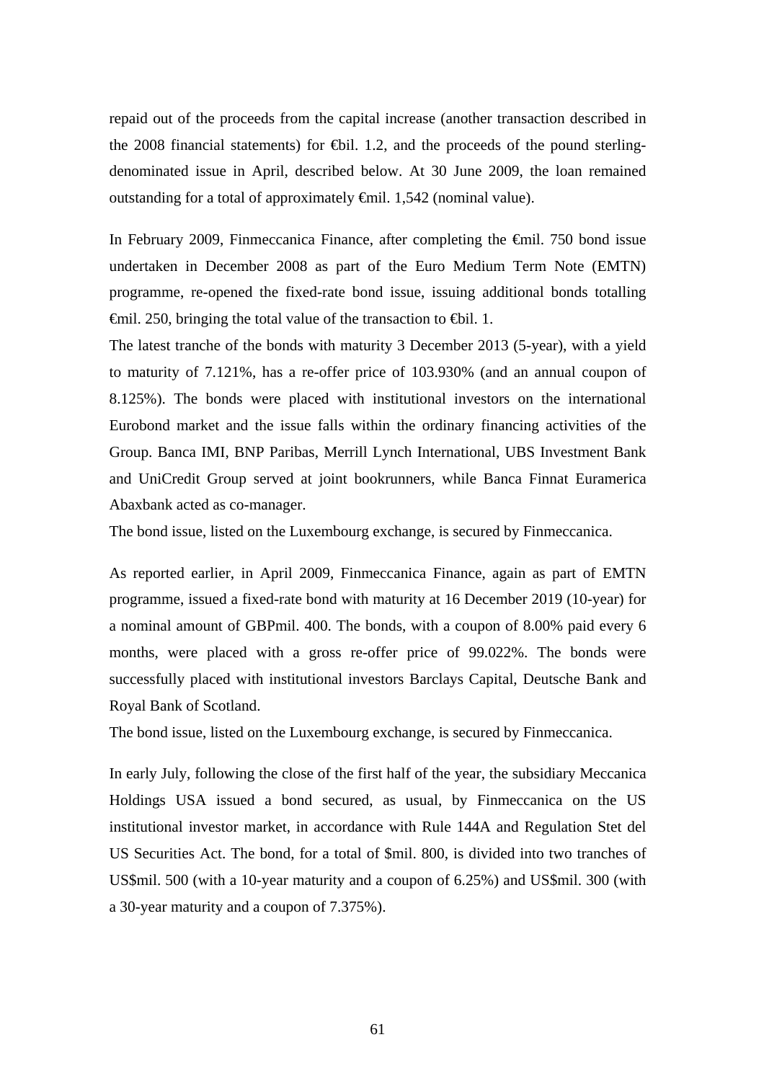repaid out of the proceeds from the capital increase (another transaction described in the 2008 financial statements) for  $\bigoplus$ il. 1.2, and the proceeds of the pound sterlingdenominated issue in April, described below. At 30 June 2009, the loan remained outstanding for a total of approximately €mil. 1,542 (nominal value).

In February 2009, Finmeccanica Finance, after completing the €mil. 750 bond issue undertaken in December 2008 as part of the Euro Medium Term Note (EMTN) programme, re-opened the fixed-rate bond issue, issuing additional bonds totalling €mil. 250, bringing the total value of the transaction to €bil. 1.

The latest tranche of the bonds with maturity 3 December 2013 (5-year), with a yield to maturity of 7.121%, has a re-offer price of 103.930% (and an annual coupon of 8.125%). The bonds were placed with institutional investors on the international Eurobond market and the issue falls within the ordinary financing activities of the Group. Banca IMI, BNP Paribas, Merrill Lynch International, UBS Investment Bank and UniCredit Group served at joint bookrunners, while Banca Finnat Euramerica Abaxbank acted as co-manager.

The bond issue, listed on the Luxembourg exchange, is secured by Finmeccanica.

As reported earlier, in April 2009, Finmeccanica Finance, again as part of EMTN programme, issued a fixed-rate bond with maturity at 16 December 2019 (10-year) for a nominal amount of GBPmil. 400. The bonds, with a coupon of 8.00% paid every 6 months, were placed with a gross re-offer price of 99.022%. The bonds were successfully placed with institutional investors Barclays Capital, Deutsche Bank and Royal Bank of Scotland.

The bond issue, listed on the Luxembourg exchange, is secured by Finmeccanica.

In early July, following the close of the first half of the year, the subsidiary Meccanica Holdings USA issued a bond secured, as usual, by Finmeccanica on the US institutional investor market, in accordance with Rule 144A and Regulation Stet del US Securities Act. The bond, for a total of \$mil. 800, is divided into two tranches of US\$mil. 500 (with a 10-year maturity and a coupon of 6.25%) and US\$mil. 300 (with a 30-year maturity and a coupon of 7.375%).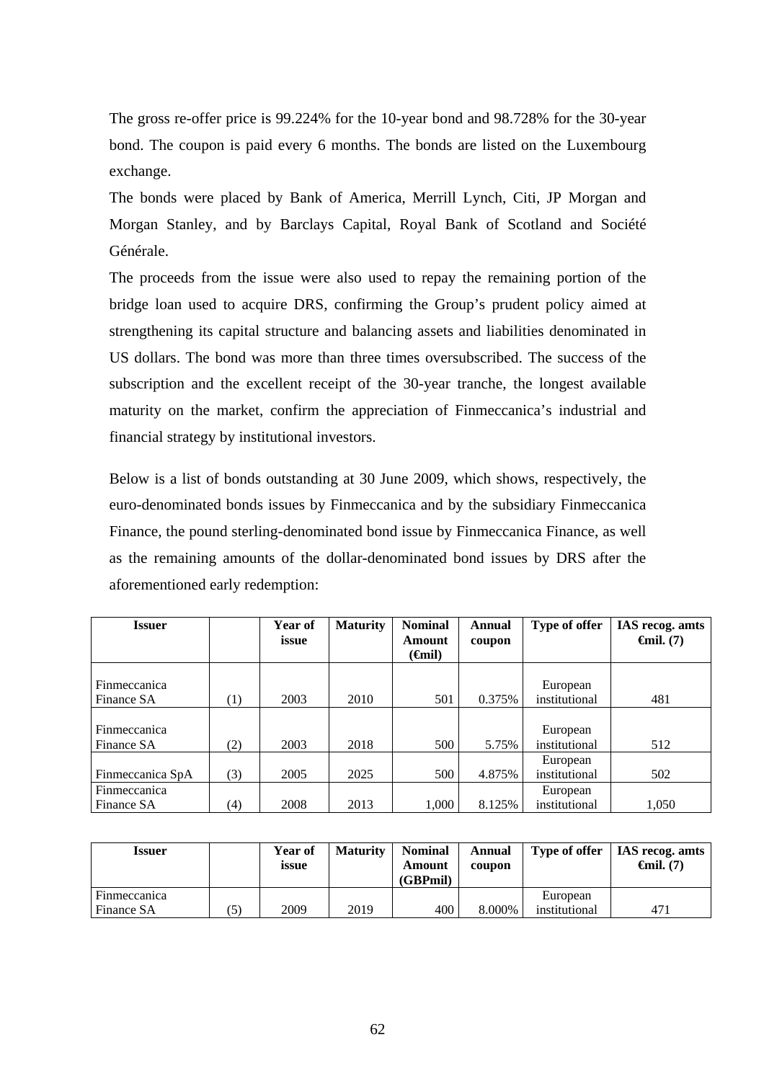The gross re-offer price is 99.224% for the 10-year bond and 98.728% for the 30-year bond. The coupon is paid every 6 months. The bonds are listed on the Luxembourg exchange.

The bonds were placed by Bank of America, Merrill Lynch, Citi, JP Morgan and Morgan Stanley, and by Barclays Capital, Royal Bank of Scotland and Société Générale.

The proceeds from the issue were also used to repay the remaining portion of the bridge loan used to acquire DRS, confirming the Group's prudent policy aimed at strengthening its capital structure and balancing assets and liabilities denominated in US dollars. The bond was more than three times oversubscribed. The success of the subscription and the excellent receipt of the 30-year tranche, the longest available maturity on the market, confirm the appreciation of Finmeccanica's industrial and financial strategy by institutional investors.

Below is a list of bonds outstanding at 30 June 2009, which shows, respectively, the euro-denominated bonds issues by Finmeccanica and by the subsidiary Finmeccanica Finance, the pound sterling-denominated bond issue by Finmeccanica Finance, as well as the remaining amounts of the dollar-denominated bond issues by DRS after the aforementioned early redemption:

| <b>Issuer</b>       |                  | Year of | <b>Maturity</b> | <b>Nominal</b>      | Annual | Type of offer | IAS recog. amts                |
|---------------------|------------------|---------|-----------------|---------------------|--------|---------------|--------------------------------|
|                     |                  | issue   |                 | Amount              | coupon |               | $\boldsymbol{\Theta}$ mil. (7) |
|                     |                  |         |                 | ( <del>G</del> nil) |        |               |                                |
|                     |                  |         |                 |                     |        |               |                                |
| Finmeccanica        |                  |         |                 |                     |        | European      |                                |
| Finance SA          | $\left(1\right)$ | 2003    | 2010            | 501                 | 0.375% | institutional | 481                            |
|                     |                  |         |                 |                     |        |               |                                |
| <b>Finmeccanica</b> |                  |         |                 |                     |        | European      |                                |
| Finance SA          | (2)              | 2003    | 2018            | 500                 | 5.75%  | institutional | 512                            |
|                     |                  |         |                 |                     |        | European      |                                |
| Finmeccanica SpA    | (3)              | 2005    | 2025            | 500                 | 4.875% | institutional | 502                            |
| Finmeccanica        |                  |         |                 |                     |        | European      |                                |
| Finance SA          | (4)              | 2008    | 2013            | 1,000               | 8.125% | institutional | 1,050                          |

| Issuer       |    | Year of<br>issue | Maturity | <b>Nominal</b><br>Amount<br>(GBPmil) | Annual<br>coupon | Type of offer | IAS recog. amts<br>$\boldsymbol{\Theta}$ mil. (7) |
|--------------|----|------------------|----------|--------------------------------------|------------------|---------------|---------------------------------------------------|
| Finmeccanica |    |                  |          |                                      |                  | European      |                                                   |
| Finance SA   | 5. | 2009             | 2019     | 400                                  | 8.000%           | institutional | 471                                               |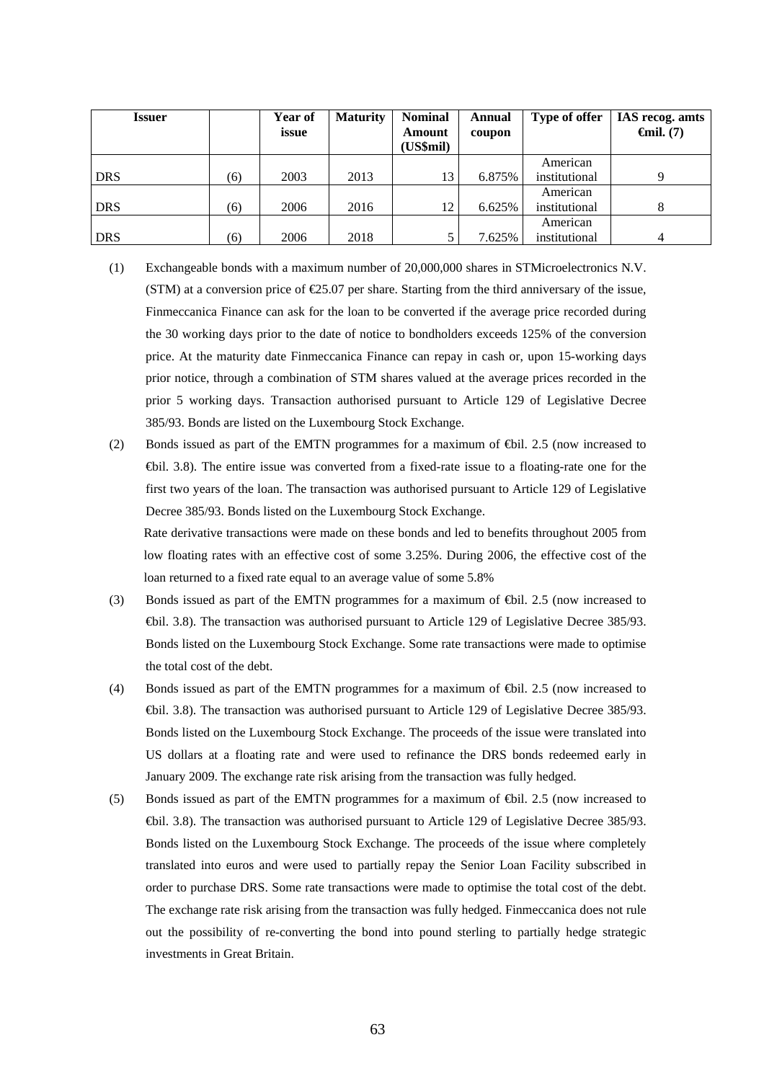| <b>Issuer</b> |     | Year of<br>issue | <b>Maturity</b> | <b>Nominal</b><br><b>Amount</b><br>(US\$mil) | Annual<br>coupon | Type of offer | IAS recog. amts<br>$\boldsymbol{\Theta}$ mil. (7) |
|---------------|-----|------------------|-----------------|----------------------------------------------|------------------|---------------|---------------------------------------------------|
|               |     |                  |                 |                                              |                  | American      |                                                   |
| DRS           | (6) | 2003             | 2013            | 13                                           | 6.875%           | institutional | Q                                                 |
|               |     |                  |                 |                                              |                  | American      |                                                   |
| <b>DRS</b>    | (6) | 2006             | 2016            | 12                                           | 6.625%           | institutional |                                                   |
|               |     |                  |                 |                                              |                  | American      |                                                   |
| DRS           | (6) | 2006             | 2018            |                                              | 7.625%           | institutional | $\overline{4}$                                    |

- (1) Exchangeable bonds with a maximum number of 20,000,000 shares in STMicroelectronics N.V.  $(STM)$  at a conversion price of  $\epsilon$ 25.07 per share. Starting from the third anniversary of the issue, Finmeccanica Finance can ask for the loan to be converted if the average price recorded during the 30 working days prior to the date of notice to bondholders exceeds 125% of the conversion price. At the maturity date Finmeccanica Finance can repay in cash or, upon 15-working days prior notice, through a combination of STM shares valued at the average prices recorded in the prior 5 working days. Transaction authorised pursuant to Article 129 of Legislative Decree 385/93. Bonds are listed on the Luxembourg Stock Exchange.
- (2) Bonds issued as part of the EMTN programmes for a maximum of €bil. 2.5 (now increased to €bil. 3.8). The entire issue was converted from a fixed-rate issue to a floating-rate one for the first two years of the loan. The transaction was authorised pursuant to Article 129 of Legislative Decree 385/93. Bonds listed on the Luxembourg Stock Exchange.

Rate derivative transactions were made on these bonds and led to benefits throughout 2005 from low floating rates with an effective cost of some 3.25%. During 2006, the effective cost of the loan returned to a fixed rate equal to an average value of some 5.8%

- (3) Bonds issued as part of the EMTN programmes for a maximum of €bil. 2.5 (now increased to €bil. 3.8). The transaction was authorised pursuant to Article 129 of Legislative Decree 385/93. Bonds listed on the Luxembourg Stock Exchange. Some rate transactions were made to optimise the total cost of the debt.
- (4) Bonds issued as part of the EMTN programmes for a maximum of €bil. 2.5 (now increased to €bil. 3.8). The transaction was authorised pursuant to Article 129 of Legislative Decree 385/93. Bonds listed on the Luxembourg Stock Exchange. The proceeds of the issue were translated into US dollars at a floating rate and were used to refinance the DRS bonds redeemed early in January 2009. The exchange rate risk arising from the transaction was fully hedged.
- (5) Bonds issued as part of the EMTN programmes for a maximum of  $\bigoplus$  il. 2.5 (now increased to €bil. 3.8). The transaction was authorised pursuant to Article 129 of Legislative Decree 385/93. Bonds listed on the Luxembourg Stock Exchange. The proceeds of the issue where completely translated into euros and were used to partially repay the Senior Loan Facility subscribed in order to purchase DRS. Some rate transactions were made to optimise the total cost of the debt. The exchange rate risk arising from the transaction was fully hedged. Finmeccanica does not rule out the possibility of re-converting the bond into pound sterling to partially hedge strategic investments in Great Britain.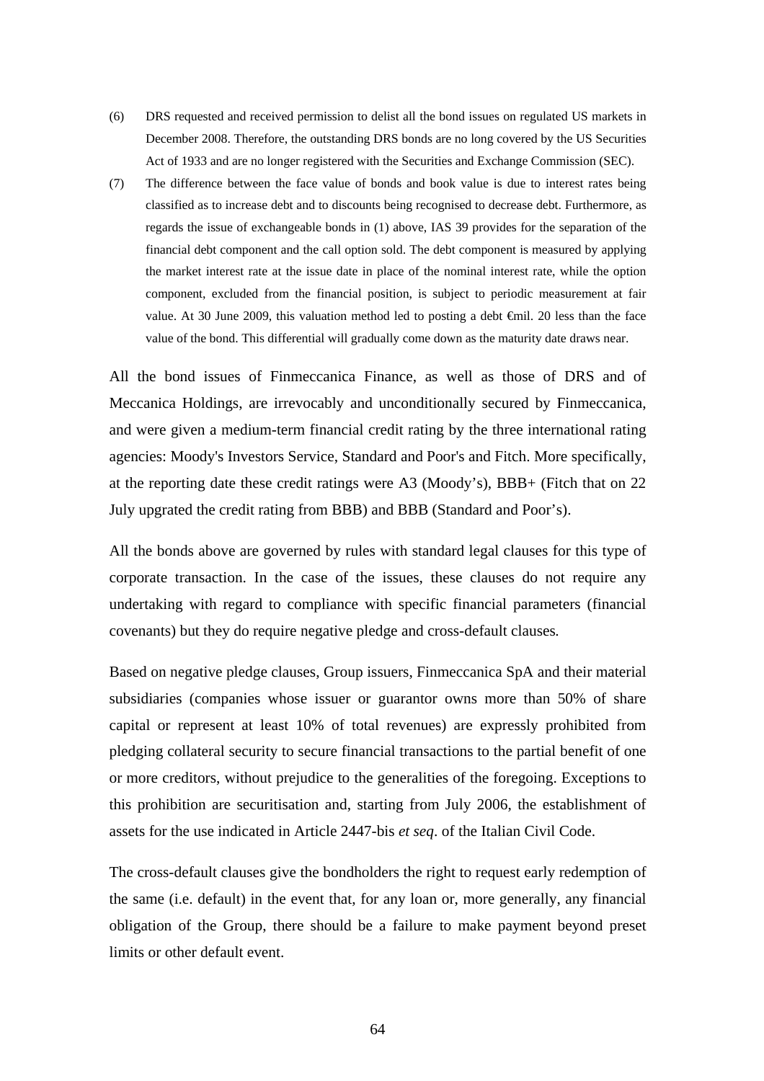- (6) DRS requested and received permission to delist all the bond issues on regulated US markets in December 2008. Therefore, the outstanding DRS bonds are no long covered by the US Securities Act of 1933 and are no longer registered with the Securities and Exchange Commission (SEC).
- (7) The difference between the face value of bonds and book value is due to interest rates being classified as to increase debt and to discounts being recognised to decrease debt. Furthermore, as regards the issue of exchangeable bonds in (1) above, IAS 39 provides for the separation of the financial debt component and the call option sold. The debt component is measured by applying the market interest rate at the issue date in place of the nominal interest rate, while the option component, excluded from the financial position, is subject to periodic measurement at fair value. At 30 June 2009, this valuation method led to posting a debt €mil. 20 less than the face value of the bond. This differential will gradually come down as the maturity date draws near.

All the bond issues of Finmeccanica Finance, as well as those of DRS and of Meccanica Holdings, are irrevocably and unconditionally secured by Finmeccanica, and were given a medium-term financial credit rating by the three international rating agencies: Moody's Investors Service, Standard and Poor's and Fitch. More specifically, at the reporting date these credit ratings were A3 (Moody's), BBB+ (Fitch that on 22 July upgrated the credit rating from BBB) and BBB (Standard and Poor's).

All the bonds above are governed by rules with standard legal clauses for this type of corporate transaction. In the case of the issues, these clauses do not require any undertaking with regard to compliance with specific financial parameters (financial covenants) but they do require negative pledge and cross-default clauses*.*

Based on negative pledge clauses, Group issuers, Finmeccanica SpA and their material subsidiaries (companies whose issuer or guarantor owns more than 50% of share capital or represent at least 10% of total revenues) are expressly prohibited from pledging collateral security to secure financial transactions to the partial benefit of one or more creditors, without prejudice to the generalities of the foregoing. Exceptions to this prohibition are securitisation and, starting from July 2006, the establishment of assets for the use indicated in Article 2447-bis *et seq*. of the Italian Civil Code.

The cross-default clauses give the bondholders the right to request early redemption of the same (i.e. default) in the event that, for any loan or, more generally, any financial obligation of the Group, there should be a failure to make payment beyond preset limits or other default event.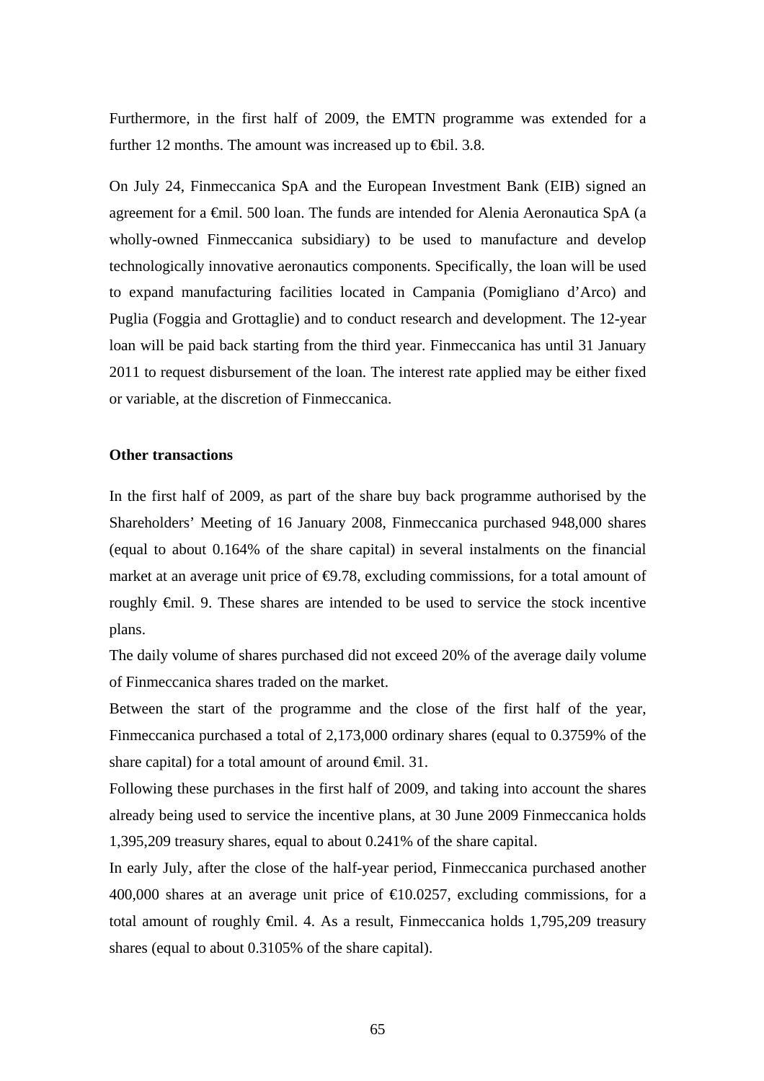Furthermore, in the first half of 2009, the EMTN programme was extended for a further 12 months. The amount was increased up to  $\text{th}$ . 3.8.

On July 24, Finmeccanica SpA and the European Investment Bank (EIB) signed an agreement for a €mil. 500 loan. The funds are intended for Alenia Aeronautica SpA (a wholly-owned Finmeccanica subsidiary) to be used to manufacture and develop technologically innovative aeronautics components. Specifically, the loan will be used to expand manufacturing facilities located in Campania (Pomigliano d'Arco) and Puglia (Foggia and Grottaglie) and to conduct research and development. The 12-year loan will be paid back starting from the third year. Finmeccanica has until 31 January 2011 to request disbursement of the loan. The interest rate applied may be either fixed or variable, at the discretion of Finmeccanica.

#### **Other transactions**

In the first half of 2009, as part of the share buy back programme authorised by the Shareholders' Meeting of 16 January 2008, Finmeccanica purchased 948,000 shares (equal to about 0.164% of the share capital) in several instalments on the financial market at an average unit price of  $\Theta$ .78, excluding commissions, for a total amount of roughly €mil. 9. These shares are intended to be used to service the stock incentive plans.

The daily volume of shares purchased did not exceed 20% of the average daily volume of Finmeccanica shares traded on the market.

Between the start of the programme and the close of the first half of the year, Finmeccanica purchased a total of 2,173,000 ordinary shares (equal to 0.3759% of the share capital) for a total amount of around <del>€</del>mil. 31.

Following these purchases in the first half of 2009, and taking into account the shares already being used to service the incentive plans, at 30 June 2009 Finmeccanica holds 1,395,209 treasury shares, equal to about 0.241% of the share capital.

In early July, after the close of the half-year period, Finmeccanica purchased another 400,000 shares at an average unit price of  $\text{\textsterling}0.0257$ , excluding commissions, for a total amount of roughly €mil. 4. As a result, Finmeccanica holds 1,795,209 treasury shares (equal to about 0.3105% of the share capital).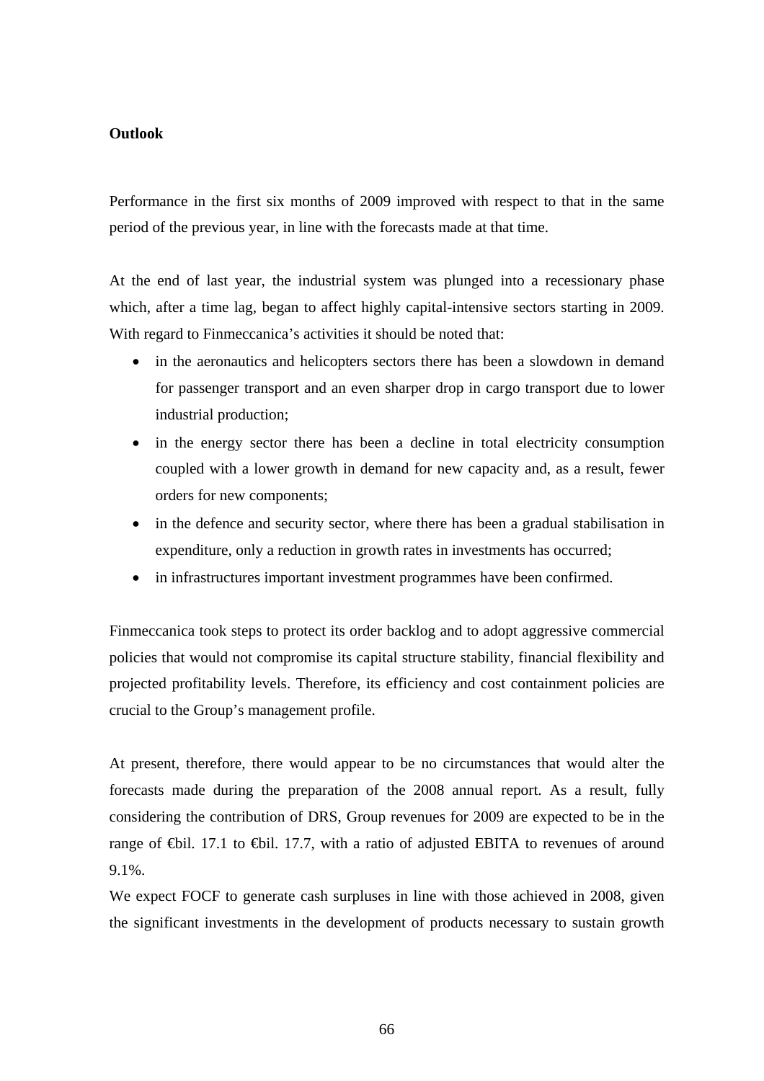## **Outlook**

Performance in the first six months of 2009 improved with respect to that in the same period of the previous year, in line with the forecasts made at that time.

At the end of last year, the industrial system was plunged into a recessionary phase which, after a time lag, began to affect highly capital-intensive sectors starting in 2009. With regard to Finmeccanica's activities it should be noted that:

- in the aeronautics and helicopters sectors there has been a slowdown in demand for passenger transport and an even sharper drop in cargo transport due to lower industrial production;
- in the energy sector there has been a decline in total electricity consumption coupled with a lower growth in demand for new capacity and, as a result, fewer orders for new components;
- in the defence and security sector, where there has been a gradual stabilisation in expenditure, only a reduction in growth rates in investments has occurred;
- in infrastructures important investment programmes have been confirmed.

Finmeccanica took steps to protect its order backlog and to adopt aggressive commercial policies that would not compromise its capital structure stability, financial flexibility and projected profitability levels. Therefore, its efficiency and cost containment policies are crucial to the Group's management profile.

At present, therefore, there would appear to be no circumstances that would alter the forecasts made during the preparation of the 2008 annual report. As a result, fully considering the contribution of DRS, Group revenues for 2009 are expected to be in the range of  $\bigoplus$ il. 17.1 to  $\bigoplus$ il. 17.7, with a ratio of adjusted EBITA to revenues of around 9.1%.

We expect FOCF to generate cash surpluses in line with those achieved in 2008, given the significant investments in the development of products necessary to sustain growth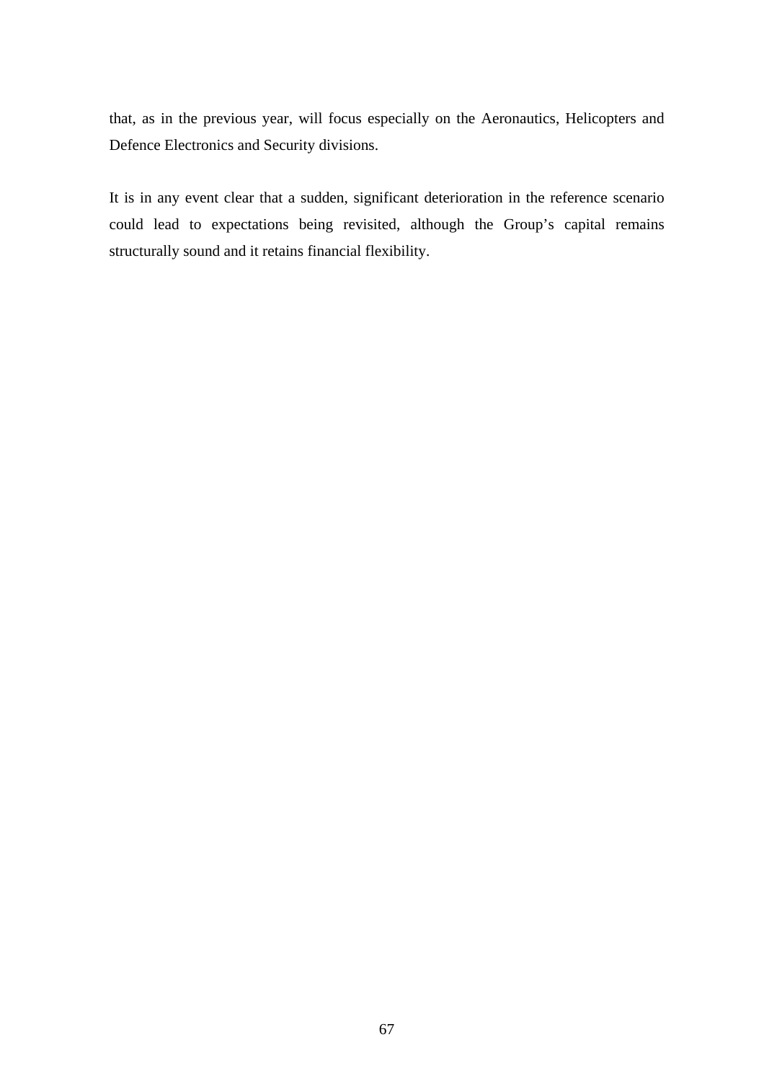that, as in the previous year, will focus especially on the Aeronautics, Helicopters and Defence Electronics and Security divisions.

It is in any event clear that a sudden, significant deterioration in the reference scenario could lead to expectations being revisited, although the Group's capital remains structurally sound and it retains financial flexibility.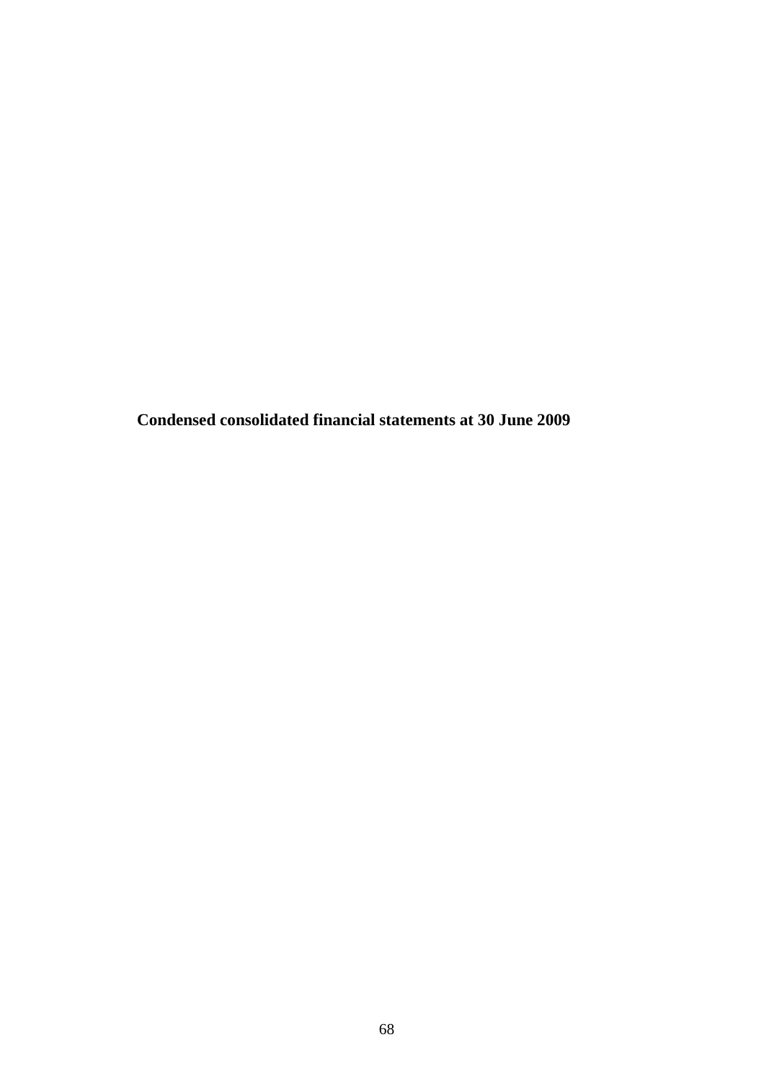**Condensed consolidated financial statements at 30 June 2009**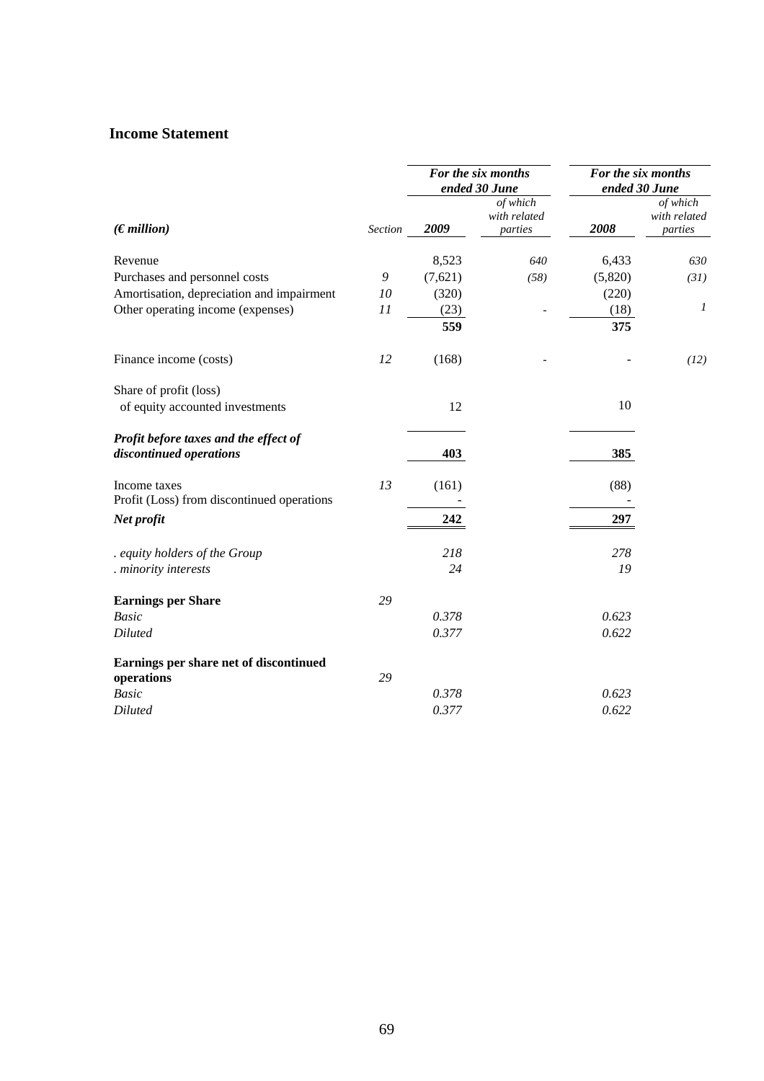## **Income Statement**

|                                                                  |         |         | For the six months<br>ended 30 June | For the six months<br>ended 30 June |                                     |
|------------------------------------------------------------------|---------|---------|-------------------------------------|-------------------------------------|-------------------------------------|
| (Emillion)                                                       | Section | 2009    | of which<br>with related<br>parties | 2008                                | of which<br>with related<br>parties |
| Revenue                                                          |         | 8,523   | 640                                 | 6,433                               | 630                                 |
| Purchases and personnel costs                                    | 9       | (7,621) | (58)                                | (5,820)                             | (31)                                |
| Amortisation, depreciation and impairment                        | 10      | (320)   |                                     | (220)                               |                                     |
| Other operating income (expenses)                                | 11      | (23)    |                                     | (18)                                | $\boldsymbol{l}$                    |
|                                                                  |         | 559     |                                     | 375                                 |                                     |
| Finance income (costs)                                           | 12      | (168)   |                                     |                                     | (12)                                |
| Share of profit (loss)                                           |         |         |                                     |                                     |                                     |
| of equity accounted investments                                  |         | 12      |                                     | 10                                  |                                     |
| Profit before taxes and the effect of<br>discontinued operations |         | 403     |                                     | 385                                 |                                     |
| Income taxes                                                     | 13      | (161)   |                                     | (88)                                |                                     |
| Profit (Loss) from discontinued operations                       |         |         |                                     |                                     |                                     |
| Net profit                                                       |         | 242     |                                     | 297                                 |                                     |
| . equity holders of the Group                                    |         | 218     |                                     | 278                                 |                                     |
| . minority interests                                             |         | 24      |                                     | 19                                  |                                     |
| <b>Earnings per Share</b>                                        | 29      |         |                                     |                                     |                                     |
| <b>Basic</b>                                                     |         | 0.378   |                                     | 0.623                               |                                     |
| <b>Diluted</b>                                                   |         | 0.377   |                                     | 0.622                               |                                     |
| Earnings per share net of discontinued<br>operations             | 29      |         |                                     |                                     |                                     |
| <b>Basic</b>                                                     |         | 0.378   |                                     | 0.623                               |                                     |
| <b>Diluted</b>                                                   |         | 0.377   |                                     | 0.622                               |                                     |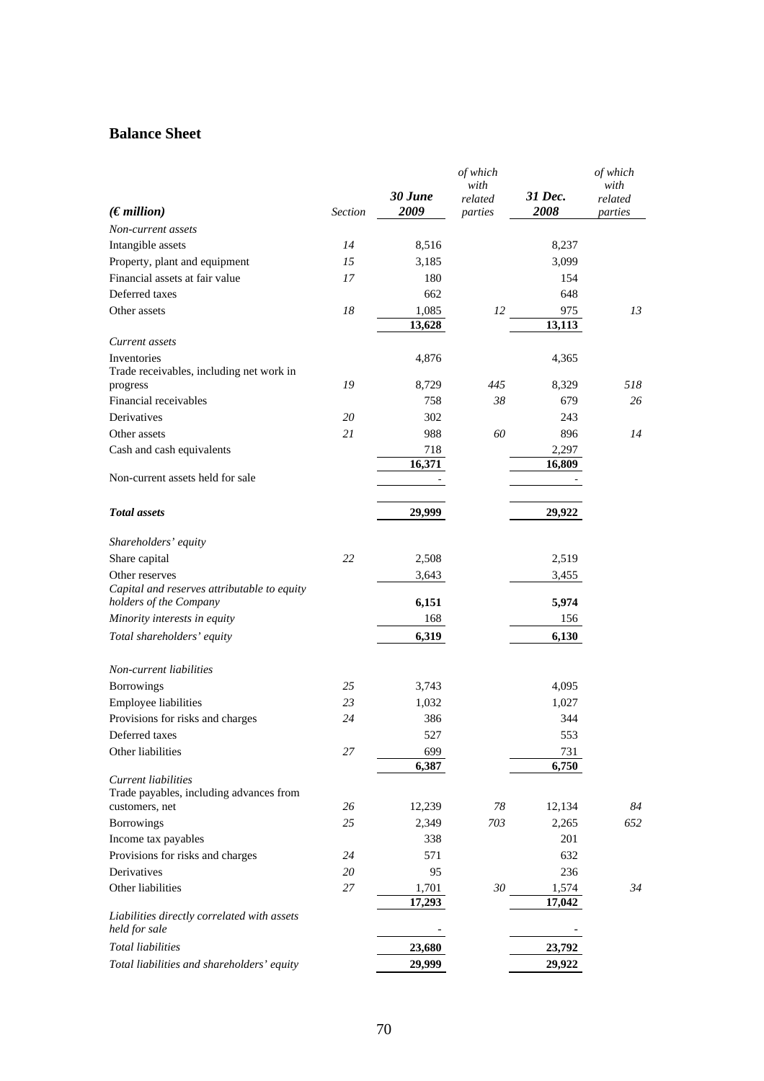# **Balance Sheet**

|                                                                       |         | 30 June         | of which<br>with<br>related | 31 Dec.         | of which<br>with<br>related |
|-----------------------------------------------------------------------|---------|-----------------|-----------------------------|-----------------|-----------------------------|
| $(\epsilon$ <i>million</i> )                                          | Section | 2009            | parties                     | 2008            | parties                     |
| Non-current assets                                                    |         |                 |                             |                 |                             |
| Intangible assets                                                     | 14      | 8,516           |                             | 8,237           |                             |
| Property, plant and equipment                                         | 15      | 3,185           |                             | 3,099           |                             |
| Financial assets at fair value                                        | 17      | 180             |                             | 154             |                             |
| Deferred taxes                                                        |         | 662             |                             | 648             |                             |
| Other assets                                                          | 18      | 1,085<br>13,628 | 12                          | 975<br>13,113   | 13                          |
| Current assets                                                        |         |                 |                             |                 |                             |
| Inventories                                                           |         | 4,876           |                             | 4,365           |                             |
| Trade receivables, including net work in                              |         |                 |                             |                 |                             |
| progress                                                              | 19      | 8,729           | 445                         | 8,329           | 518                         |
| Financial receivables                                                 |         | 758             | 38                          | 679             | 26                          |
| Derivatives                                                           | 20      | 302             |                             | 243             |                             |
| Other assets                                                          | 21      | 988             | 60                          | 896             | 14                          |
| Cash and cash equivalents                                             |         | 718             |                             | 2,297           |                             |
| Non-current assets held for sale                                      |         | 16,371          |                             | 16,809          |                             |
|                                                                       |         |                 |                             |                 |                             |
| <b>Total</b> assets                                                   |         | 29,999          |                             | 29,922          |                             |
| Shareholders' equity                                                  |         |                 |                             |                 |                             |
| Share capital                                                         | 22      | 2,508           |                             | 2,519           |                             |
| Other reserves                                                        |         | 3,643           |                             | 3,455           |                             |
| Capital and reserves attributable to equity<br>holders of the Company |         | 6,151           |                             | 5,974           |                             |
| Minority interests in equity                                          |         | 168             |                             | 156             |                             |
| Total shareholders' equity                                            |         | 6,319           |                             | 6,130           |                             |
| Non-current liabilities                                               |         |                 |                             |                 |                             |
| Borrowings                                                            | 25      | 3,743           |                             | 4,095           |                             |
| Employee liabilities                                                  | 23      | 1,032           |                             | 1,027           |                             |
| Provisions for risks and charges                                      | 24      | 386             |                             | 344             |                             |
| Deferred taxes                                                        |         | 527             |                             | 553             |                             |
| Other liabilities                                                     | 27      | 699             |                             | 731             |                             |
|                                                                       |         | 6,387           |                             | 6,750           |                             |
| Current liabilities                                                   |         |                 |                             |                 |                             |
| Trade payables, including advances from                               | 26      | 12,239          | 78                          | 12,134          | 84                          |
| customers, net<br>Borrowings                                          | 25      | 2,349           | 703                         | 2,265           | 652                         |
| Income tax payables                                                   |         | 338             |                             | 201             |                             |
|                                                                       |         |                 |                             |                 |                             |
| Provisions for risks and charges                                      | 24      | 571             |                             | 632             |                             |
| Derivatives                                                           | 20      | 95              |                             | 236             |                             |
| Other liabilities                                                     | 27      | 1,701<br>17,293 | 30                          | 1,574<br>17,042 | 34                          |
| Liabilities directly correlated with assets<br>held for sale          |         |                 |                             |                 |                             |
| <b>Total liabilities</b>                                              |         | 23,680          |                             | 23,792          |                             |
|                                                                       |         | 29,999          |                             |                 |                             |
| Total liabilities and shareholders' equity                            |         |                 |                             | 29,922          |                             |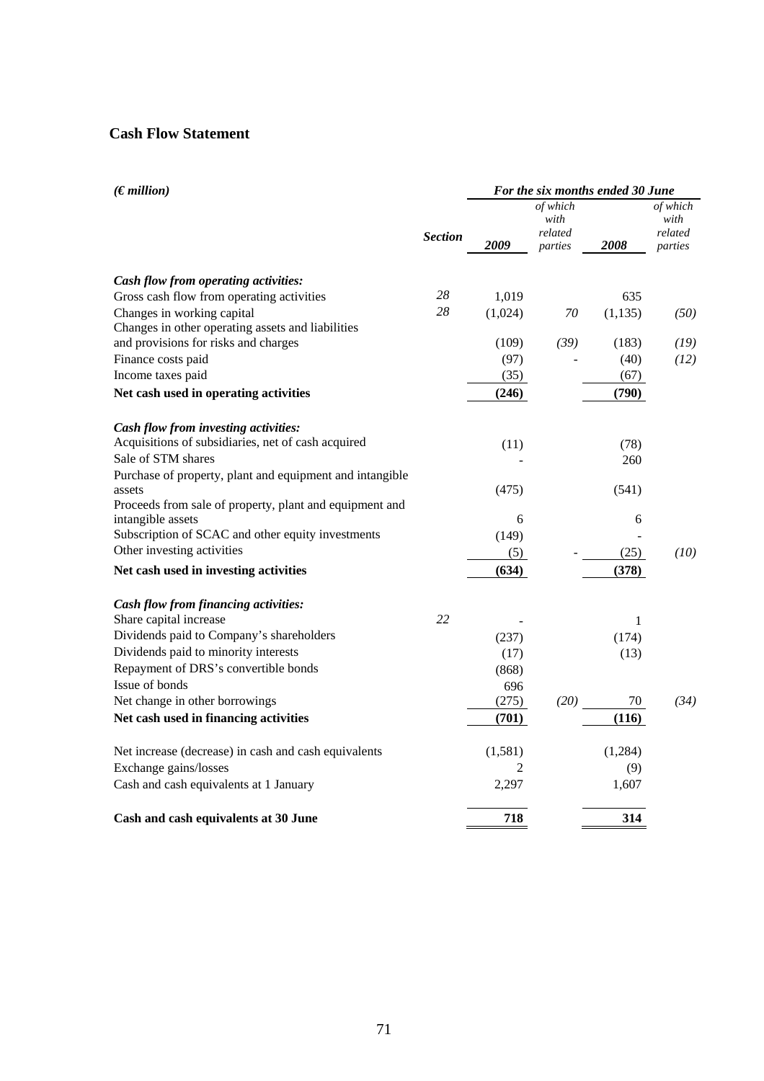# **Cash Flow Statement**

| (Emillion)                                               | For the six months ended 30 June |         |                                        |          |                                        |
|----------------------------------------------------------|----------------------------------|---------|----------------------------------------|----------|----------------------------------------|
|                                                          | <b>Section</b>                   | 2009    | of which<br>with<br>related<br>parties | 2008     | of which<br>with<br>related<br>parties |
|                                                          |                                  |         |                                        |          |                                        |
| Cash flow from operating activities:                     |                                  |         |                                        |          |                                        |
| Gross cash flow from operating activities                | 28                               | 1,019   |                                        | 635      |                                        |
| Changes in working capital                               | 28                               | (1,024) | 70                                     | (1, 135) | (50)                                   |
| Changes in other operating assets and liabilities        |                                  |         |                                        |          |                                        |
| and provisions for risks and charges                     |                                  | (109)   | (39)                                   | (183)    | (19)                                   |
| Finance costs paid                                       |                                  | (97)    |                                        | (40)     | (12)                                   |
| Income taxes paid                                        |                                  | (35)    |                                        | (67)     |                                        |
| Net cash used in operating activities                    |                                  | (246)   |                                        | (790)    |                                        |
| Cash flow from investing activities:                     |                                  |         |                                        |          |                                        |
| Acquisitions of subsidiaries, net of cash acquired       |                                  | (11)    |                                        | (78)     |                                        |
| Sale of STM shares                                       |                                  |         |                                        | 260      |                                        |
| Purchase of property, plant and equipment and intangible |                                  |         |                                        |          |                                        |
| assets                                                   |                                  | (475)   |                                        | (541)    |                                        |
| Proceeds from sale of property, plant and equipment and  |                                  |         |                                        |          |                                        |
| intangible assets                                        |                                  | 6       |                                        | 6        |                                        |
| Subscription of SCAC and other equity investments        |                                  | (149)   |                                        |          |                                        |
| Other investing activities                               |                                  | (5)     |                                        | (25)     | (10)                                   |
| Net cash used in investing activities                    |                                  | (634)   |                                        | (378)    |                                        |
| Cash flow from financing activities:                     |                                  |         |                                        |          |                                        |
| Share capital increase                                   | 22                               |         |                                        | 1        |                                        |
| Dividends paid to Company's shareholders                 |                                  | (237)   |                                        | (174)    |                                        |
| Dividends paid to minority interests                     |                                  | (17)    |                                        | (13)     |                                        |
| Repayment of DRS's convertible bonds                     |                                  | (868)   |                                        |          |                                        |
| Issue of bonds                                           |                                  | 696     |                                        |          |                                        |
| Net change in other borrowings                           |                                  | (275)   | (20)                                   | 70       | (34)                                   |
| Net cash used in financing activities                    |                                  | (701)   |                                        | (116)    |                                        |
| Net increase (decrease) in cash and cash equivalents     |                                  | (1,581) |                                        | (1,284)  |                                        |
| Exchange gains/losses                                    |                                  | 2       |                                        | (9)      |                                        |
| Cash and cash equivalents at 1 January                   |                                  | 2,297   |                                        | 1,607    |                                        |
| Cash and cash equivalents at 30 June                     |                                  | 718     |                                        | 314      |                                        |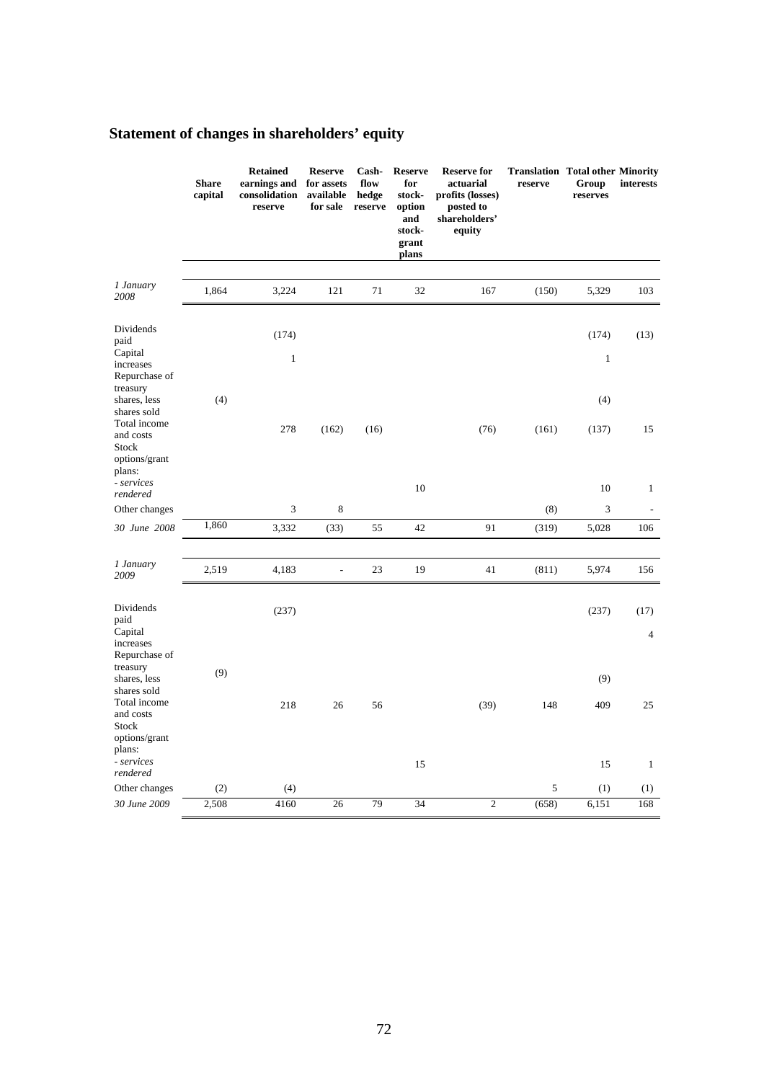|                                                                                                                 | <b>Share</b><br>capital | <b>Retained</b><br>earnings and<br>consolidation<br>reserve | <b>Reserve</b><br>for assets<br>available<br>for sale | Cash-<br>flow<br>hedge<br>reserve | <b>Reserve</b><br>for<br>stock-<br>option<br>and<br>stock-<br>grant<br>plans | <b>Reserve for</b><br>actuarial<br>profits (losses)<br>posted to<br>shareholders'<br>equity | <b>Translation Total other Minority</b><br>reserve | Group<br>reserves     | interests              |
|-----------------------------------------------------------------------------------------------------------------|-------------------------|-------------------------------------------------------------|-------------------------------------------------------|-----------------------------------|------------------------------------------------------------------------------|---------------------------------------------------------------------------------------------|----------------------------------------------------|-----------------------|------------------------|
| 1 January<br>2008                                                                                               | 1,864                   | 3,224                                                       | 121                                                   | 71                                | 32                                                                           | 167                                                                                         | (150)                                              | 5,329                 | 103                    |
| Dividends<br>paid<br>Capital<br>increases<br>Repurchase of                                                      |                         | (174)<br>$\mathbf{1}$                                       |                                                       |                                   |                                                                              |                                                                                             |                                                    | (174)<br>$\mathbf{1}$ | (13)                   |
| treasury<br>shares, less<br>shares sold<br>Total income<br>and costs<br>Stock<br>options/grant<br>plans:        | (4)                     | 278                                                         | (162)                                                 | (16)                              |                                                                              | (76)                                                                                        | (161)                                              | (4)<br>(137)          | 15                     |
| - services<br>rendered                                                                                          |                         |                                                             |                                                       |                                   | 10                                                                           |                                                                                             |                                                    | 10                    | $\mathbf{1}$           |
| Other changes                                                                                                   |                         | 3                                                           | 8                                                     |                                   |                                                                              |                                                                                             | (8)                                                | 3                     |                        |
| 30 June 2008                                                                                                    | 1,860                   | 3,332                                                       | (33)                                                  | 55                                | 42                                                                           | 91                                                                                          | (319)                                              | 5,028                 | 106                    |
|                                                                                                                 |                         |                                                             |                                                       |                                   |                                                                              |                                                                                             |                                                    |                       |                        |
| 1 January<br>2009                                                                                               | 2,519                   | 4,183                                                       | $\overline{\phantom{a}}$                              | 23                                | 19                                                                           | 41                                                                                          | (811)                                              | 5,974                 | 156                    |
| Dividends<br>paid<br>Capital<br>increases                                                                       |                         | (237)                                                       |                                                       |                                   |                                                                              |                                                                                             |                                                    | (237)                 | (17)<br>$\overline{4}$ |
| Repurchase of<br>treasury<br>shares, less<br>shares sold<br>Total income<br>and costs<br>Stock<br>options/grant | (9)                     | 218                                                         | 26                                                    | 56                                |                                                                              | (39)                                                                                        | 148                                                | (9)<br>409            | 25                     |
| plans:<br>- services                                                                                            |                         |                                                             |                                                       |                                   | 15                                                                           |                                                                                             |                                                    | 15                    | $\mathbf{1}$           |
| rendered<br>Other changes                                                                                       | (2)                     | (4)                                                         |                                                       |                                   |                                                                              |                                                                                             | 5                                                  | (1)                   | (1)                    |

# **Statement of changes in shareholders' equity**

*30 June 2009* 2,508 4160 26 79 34 2 (658) 6,151 168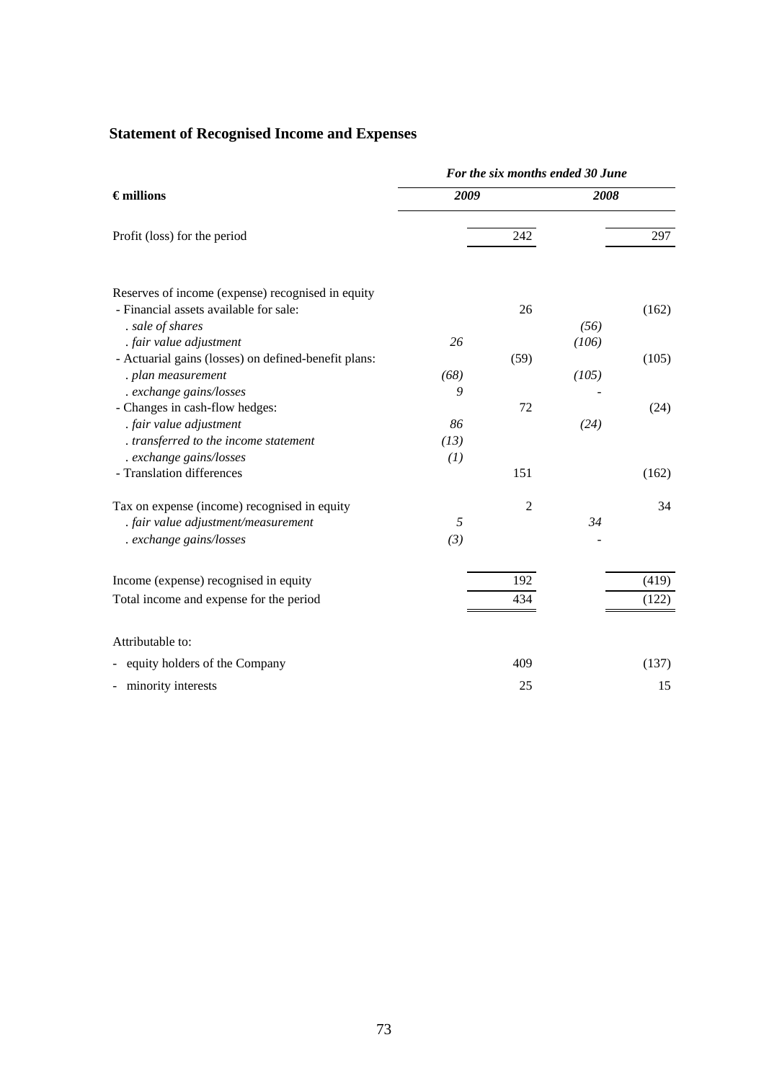# **Statement of Recognised Income and Expenses**

|                                                           | For the six months ended 30 June |                |       |       |  |
|-----------------------------------------------------------|----------------------------------|----------------|-------|-------|--|
| $\epsilon$ millions                                       | 2009                             |                | 2008  |       |  |
| Profit (loss) for the period                              |                                  | 242            |       | 297   |  |
| Reserves of income (expense) recognised in equity         |                                  |                |       |       |  |
| - Financial assets available for sale:                    |                                  | 26             |       | (162) |  |
| . sale of shares                                          |                                  |                | (56)  |       |  |
| . fair value adjustment                                   | 26                               |                | (106) |       |  |
| - Actuarial gains (losses) on defined-benefit plans:      |                                  | (59)           |       | (105) |  |
| . plan measurement                                        | (68)                             |                | (105) |       |  |
| . exchange gains/losses                                   | 9                                |                |       |       |  |
| - Changes in cash-flow hedges:                            |                                  | 72             |       | (24)  |  |
| . fair value adjustment                                   | 86                               |                | (24)  |       |  |
| . transferred to the income statement                     | (13)                             |                |       |       |  |
| . exchange gains/losses                                   | (1)                              |                |       |       |  |
| - Translation differences                                 |                                  | 151            |       | (162) |  |
| Tax on expense (income) recognised in equity              |                                  | $\overline{2}$ |       | 34    |  |
| . fair value adjustment/measurement                       | 5                                |                | 34    |       |  |
| . exchange gains/losses                                   | (3)                              |                |       |       |  |
| Income (expense) recognised in equity                     |                                  | 192            |       | (419) |  |
| Total income and expense for the period                   |                                  | 434            |       | (122) |  |
| Attributable to:                                          |                                  |                |       |       |  |
| equity holders of the Company<br>$\overline{\phantom{a}}$ |                                  | 409            |       | (137) |  |
| - minority interests                                      |                                  | 25             |       | 15    |  |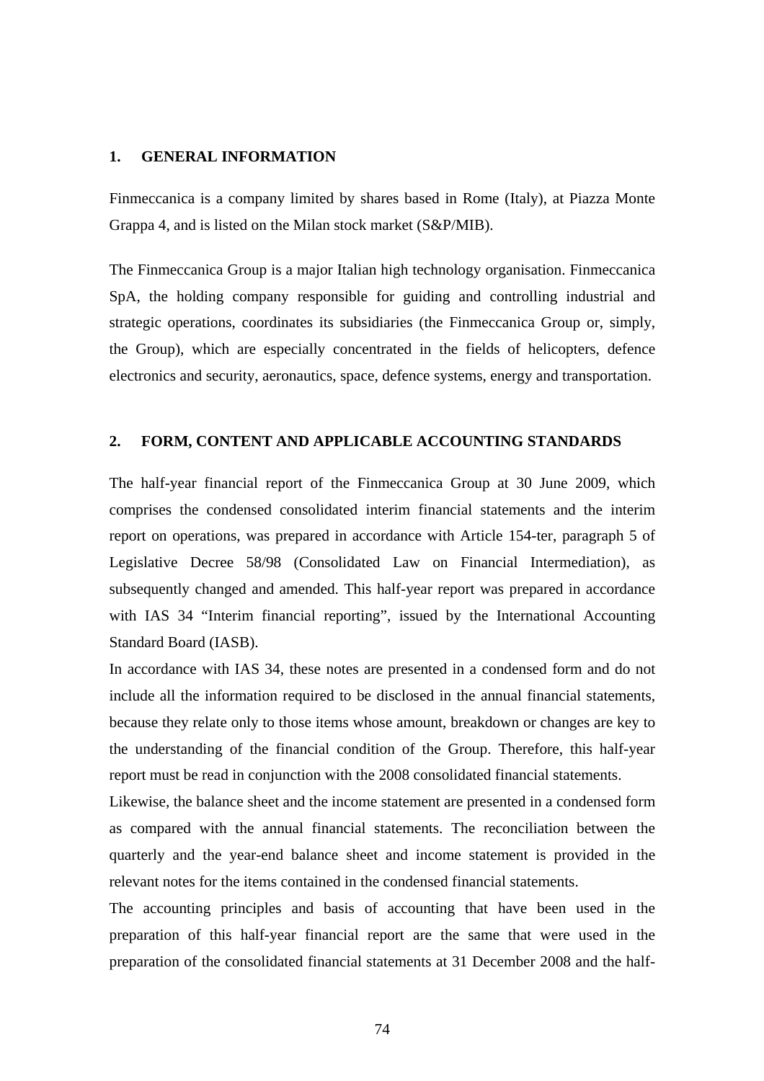### **1. GENERAL INFORMATION**

Finmeccanica is a company limited by shares based in Rome (Italy), at Piazza Monte Grappa 4, and is listed on the Milan stock market (S&P/MIB).

The Finmeccanica Group is a major Italian high technology organisation. Finmeccanica SpA, the holding company responsible for guiding and controlling industrial and strategic operations, coordinates its subsidiaries (the Finmeccanica Group or, simply, the Group), which are especially concentrated in the fields of helicopters, defence electronics and security, aeronautics, space, defence systems, energy and transportation.

### **2. FORM, CONTENT AND APPLICABLE ACCOUNTING STANDARDS**

The half-year financial report of the Finmeccanica Group at 30 June 2009, which comprises the condensed consolidated interim financial statements and the interim report on operations, was prepared in accordance with Article 154-ter, paragraph 5 of Legislative Decree 58/98 (Consolidated Law on Financial Intermediation), as subsequently changed and amended. This half-year report was prepared in accordance with IAS 34 "Interim financial reporting", issued by the International Accounting Standard Board (IASB).

In accordance with IAS 34, these notes are presented in a condensed form and do not include all the information required to be disclosed in the annual financial statements, because they relate only to those items whose amount, breakdown or changes are key to the understanding of the financial condition of the Group. Therefore, this half-year report must be read in conjunction with the 2008 consolidated financial statements.

Likewise, the balance sheet and the income statement are presented in a condensed form as compared with the annual financial statements. The reconciliation between the quarterly and the year-end balance sheet and income statement is provided in the relevant notes for the items contained in the condensed financial statements.

The accounting principles and basis of accounting that have been used in the preparation of this half-year financial report are the same that were used in the preparation of the consolidated financial statements at 31 December 2008 and the half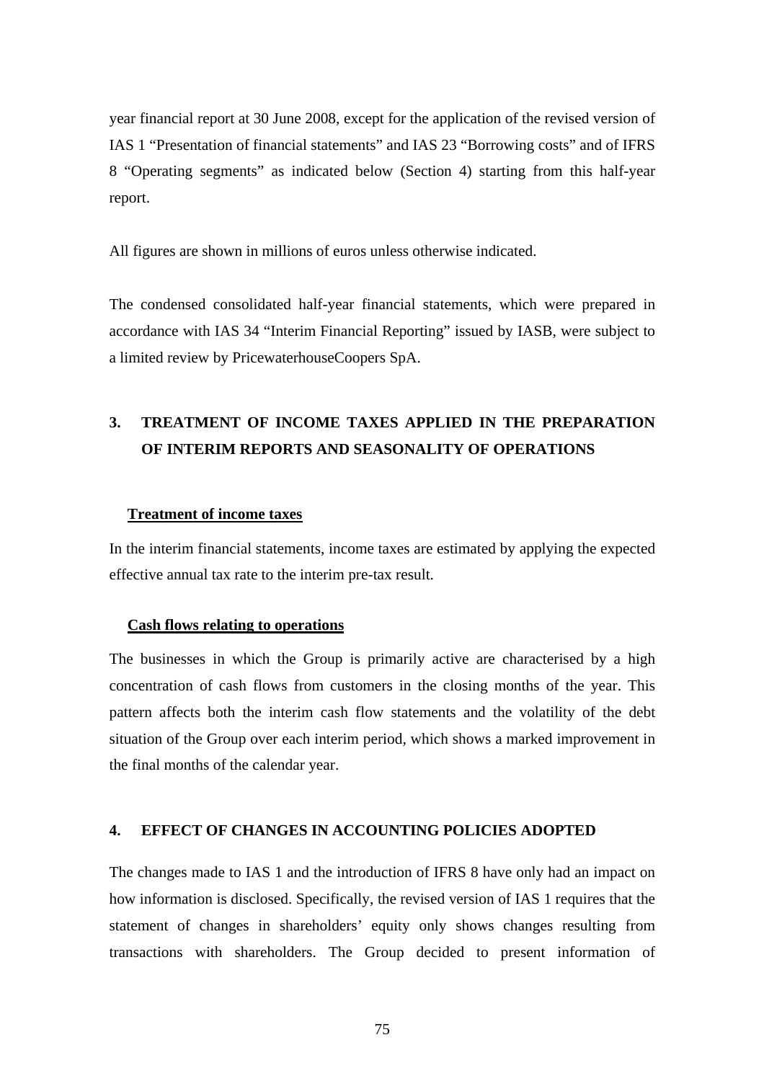year financial report at 30 June 2008, except for the application of the revised version of IAS 1 "Presentation of financial statements" and IAS 23 "Borrowing costs" and of IFRS 8 "Operating segments" as indicated below (Section 4) starting from this half-year report.

All figures are shown in millions of euros unless otherwise indicated.

The condensed consolidated half-year financial statements, which were prepared in accordance with IAS 34 "Interim Financial Reporting" issued by IASB, were subject to a limited review by PricewaterhouseCoopers SpA.

# **3. TREATMENT OF INCOME TAXES APPLIED IN THE PREPARATION OF INTERIM REPORTS AND SEASONALITY OF OPERATIONS**

### **Treatment of income taxes**

In the interim financial statements, income taxes are estimated by applying the expected effective annual tax rate to the interim pre-tax result.

### **Cash flows relating to operations**

The businesses in which the Group is primarily active are characterised by a high concentration of cash flows from customers in the closing months of the year. This pattern affects both the interim cash flow statements and the volatility of the debt situation of the Group over each interim period, which shows a marked improvement in the final months of the calendar year.

### **4. EFFECT OF CHANGES IN ACCOUNTING POLICIES ADOPTED**

The changes made to IAS 1 and the introduction of IFRS 8 have only had an impact on how information is disclosed. Specifically, the revised version of IAS 1 requires that the statement of changes in shareholders' equity only shows changes resulting from transactions with shareholders. The Group decided to present information of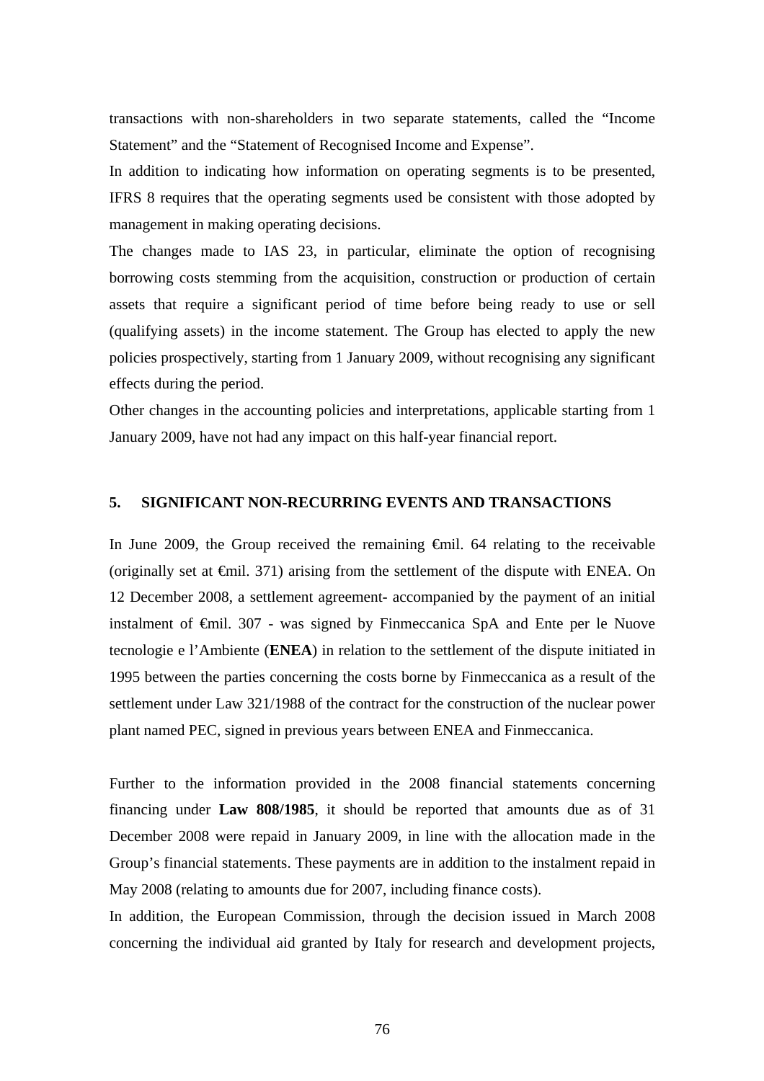transactions with non-shareholders in two separate statements, called the "Income Statement" and the "Statement of Recognised Income and Expense".

In addition to indicating how information on operating segments is to be presented, IFRS 8 requires that the operating segments used be consistent with those adopted by management in making operating decisions.

The changes made to IAS 23, in particular, eliminate the option of recognising borrowing costs stemming from the acquisition, construction or production of certain assets that require a significant period of time before being ready to use or sell (qualifying assets) in the income statement. The Group has elected to apply the new policies prospectively, starting from 1 January 2009, without recognising any significant effects during the period.

Other changes in the accounting policies and interpretations, applicable starting from 1 January 2009, have not had any impact on this half-year financial report.

# **5. SIGNIFICANT NON-RECURRING EVENTS AND TRANSACTIONS**

In June 2009, the Group received the remaining €mil. 64 relating to the receivable (originally set at  $\epsilon$ mil. 371) arising from the settlement of the dispute with ENEA. On 12 December 2008, a settlement agreement- accompanied by the payment of an initial instalment of €mil. 307 - was signed by Finmeccanica SpA and Ente per le Nuove tecnologie e l'Ambiente (**ENEA**) in relation to the settlement of the dispute initiated in 1995 between the parties concerning the costs borne by Finmeccanica as a result of the settlement under Law 321/1988 of the contract for the construction of the nuclear power plant named PEC, signed in previous years between ENEA and Finmeccanica.

Further to the information provided in the 2008 financial statements concerning financing under **Law 808/1985**, it should be reported that amounts due as of 31 December 2008 were repaid in January 2009, in line with the allocation made in the Group's financial statements. These payments are in addition to the instalment repaid in May 2008 (relating to amounts due for 2007, including finance costs).

In addition, the European Commission, through the decision issued in March 2008 concerning the individual aid granted by Italy for research and development projects,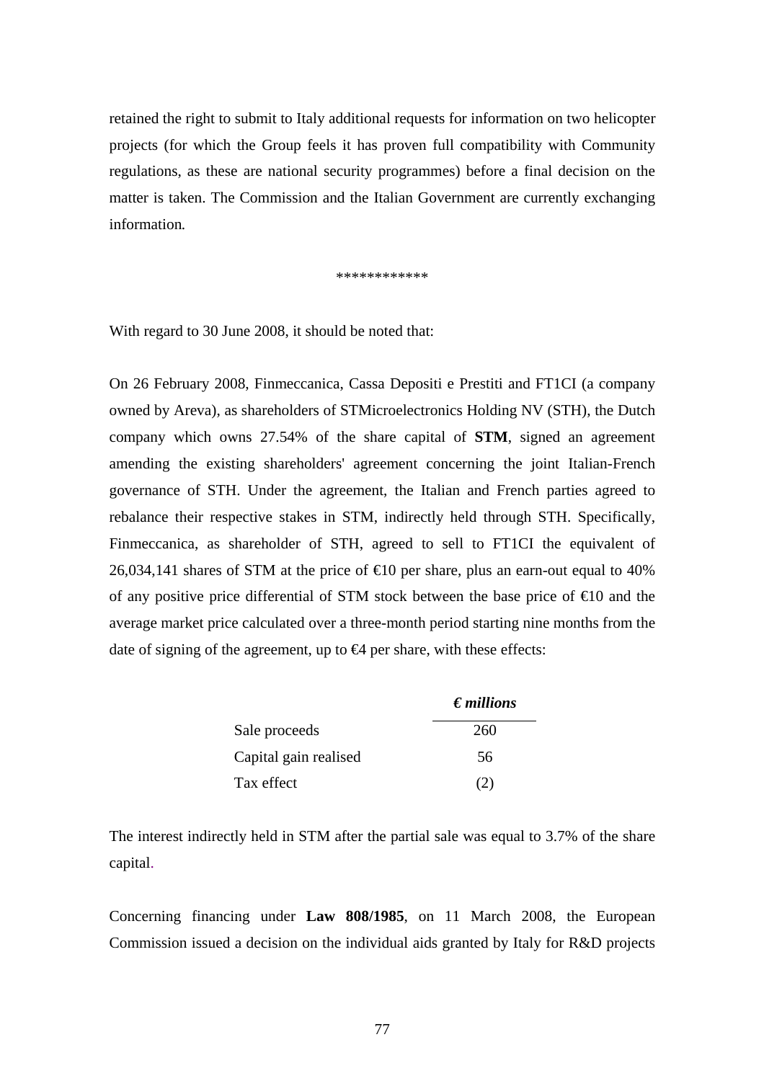retained the right to submit to Italy additional requests for information on two helicopter projects (for which the Group feels it has proven full compatibility with Community regulations, as these are national security programmes) before a final decision on the matter is taken. The Commission and the Italian Government are currently exchanging information*.*

\*\*\*\*\*\*\*\*\*\*\*\*

With regard to 30 June 2008, it should be noted that:

On 26 February 2008, Finmeccanica, Cassa Depositi e Prestiti and FT1CI (a company owned by Areva), as shareholders of STMicroelectronics Holding NV (STH), the Dutch company which owns 27.54% of the share capital of **STM**, signed an agreement amending the existing shareholders' agreement concerning the joint Italian-French governance of STH. Under the agreement, the Italian and French parties agreed to rebalance their respective stakes in STM, indirectly held through STH. Specifically, Finmeccanica, as shareholder of STH, agreed to sell to FT1CI the equivalent of 26,034,141 shares of STM at the price of  $\epsilon$ 10 per share, plus an earn-out equal to 40% of any positive price differential of STM stock between the base price of  $\epsilon 0$  and the average market price calculated over a three-month period starting nine months from the date of signing of the agreement, up to  $\bigoplus$  per share, with these effects:

|                       | $\epsilon$ <i>millions</i> |
|-----------------------|----------------------------|
| Sale proceeds         | 260                        |
| Capital gain realised | 56                         |
| Tax effect            |                            |

The interest indirectly held in STM after the partial sale was equal to 3.7% of the share capital.

Concerning financing under **Law 808/1985**, on 11 March 2008, the European Commission issued a decision on the individual aids granted by Italy for R&D projects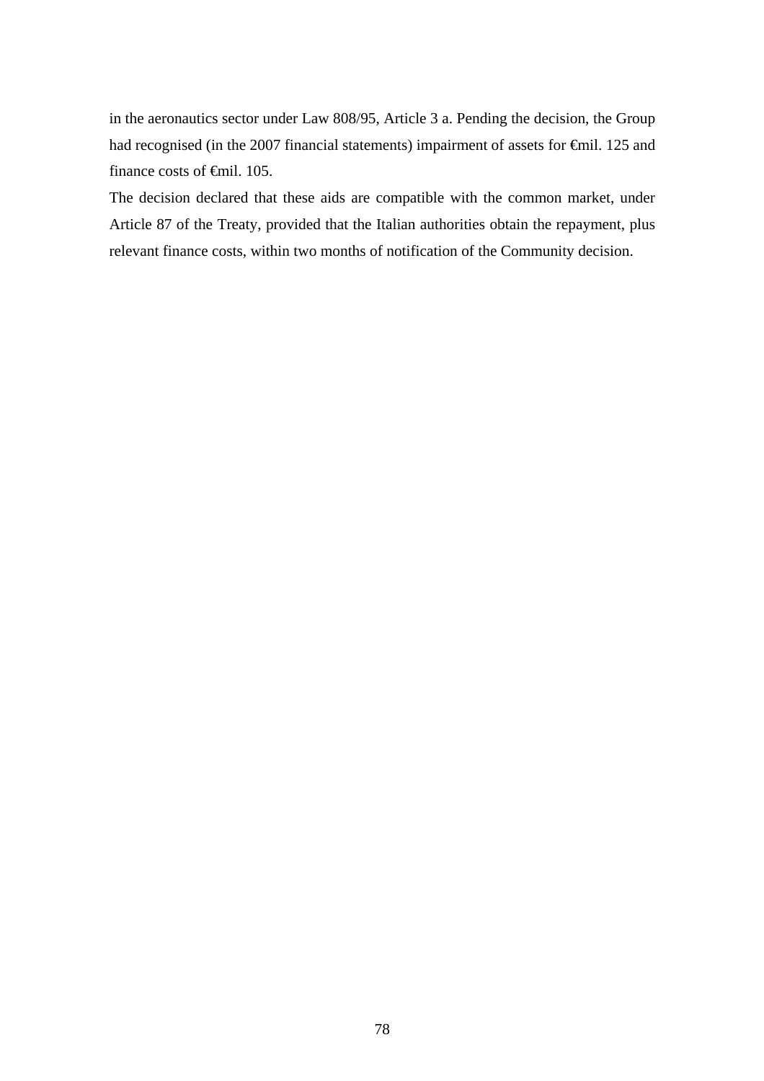in the aeronautics sector under Law 808/95, Article 3 a. Pending the decision, the Group had recognised (in the 2007 financial statements) impairment of assets for €mil. 125 and finance costs of <del>€</del>mil. 105.

The decision declared that these aids are compatible with the common market, under Article 87 of the Treaty, provided that the Italian authorities obtain the repayment, plus relevant finance costs, within two months of notification of the Community decision.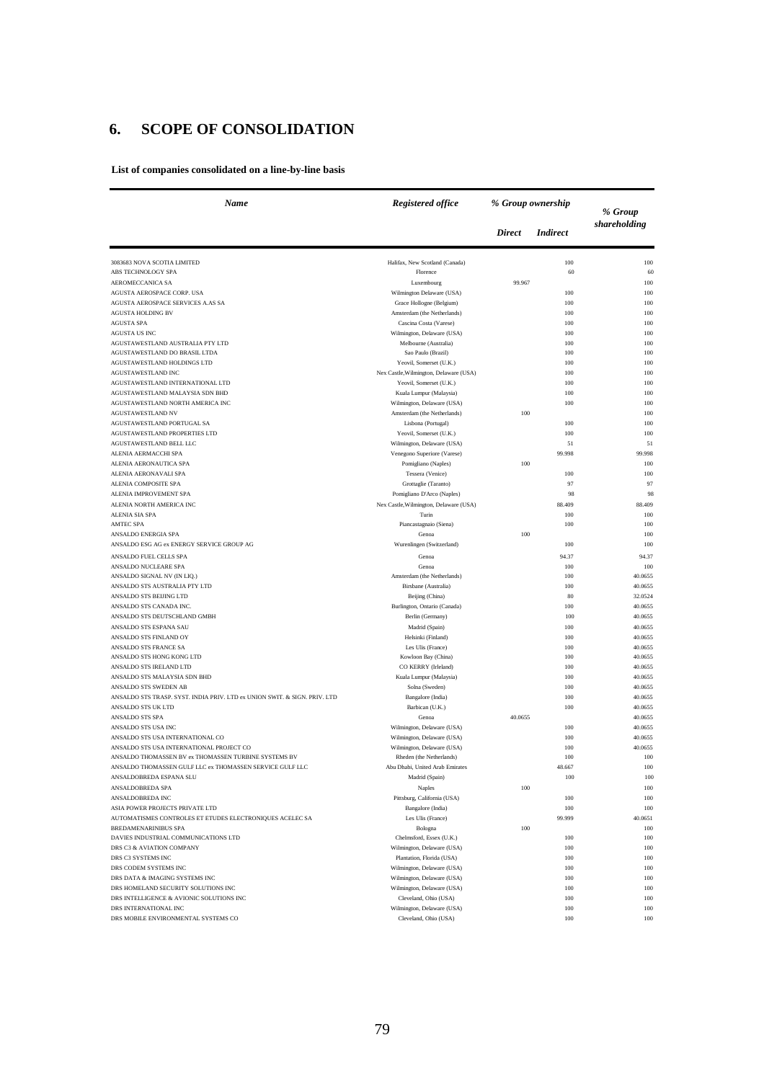# **6. SCOPE OF CONSOLIDATION**

**List of companies consolidated on a line-by-line basis**

| Name                                                                                               | <b>Registered office</b>                               | % Group ownership |                 | % Group            |  |
|----------------------------------------------------------------------------------------------------|--------------------------------------------------------|-------------------|-----------------|--------------------|--|
|                                                                                                    |                                                        | <b>Direct</b>     | <i>Indirect</i> | shareholding       |  |
| 3083683 NOVA SCOTIA LIMITED                                                                        | Halifax, New Scotland (Canada)                         |                   | 100             | 100                |  |
| ABS TECHNOLOGY SPA                                                                                 | Florence                                               |                   | 60              | 60                 |  |
| AEROMECCANICA SA                                                                                   | Luxembourg                                             | 99.967            |                 | 100                |  |
| AGUSTA AEROSPACE CORP. USA                                                                         | Wilmington Delaware (USA)                              |                   | 100             | 100                |  |
| AGUSTA AEROSPACE SERVICES A.AS SA                                                                  | Grace Hollogne (Belgium)                               |                   | 100             | 100                |  |
| <b>AGUSTA HOLDING BV</b>                                                                           | Amsterdam (the Netherlands)                            |                   | 100             | 100                |  |
| <b>AGUSTA SPA</b>                                                                                  | Cascina Costa (Varese)                                 |                   | 100             | 100                |  |
| <b>AGUSTA US INC</b><br>AGUSTAWESTLAND AUSTRALIA PTY LTD                                           | Wilmington, Delaware (USA)<br>Melbourne (Australia)    |                   | 100             | 100<br>100         |  |
| AGUSTAWESTLAND DO BRASIL LTDA                                                                      | Sao Paulo (Brazil)                                     |                   | 100<br>100      | 100                |  |
| AGUSTAWESTLAND HOLDINGS LTD                                                                        | Yeovil, Somerset (U.K.)                                |                   | 100             | 100                |  |
| AGUSTAWESTLAND INC                                                                                 | Nex Castle, Wilmington, Delaware (USA)                 |                   | 100             | 100                |  |
| AGUSTAWESTLAND INTERNATIONAL LTD                                                                   | Yeovil, Somerset (U.K.)                                |                   | 100             | 100                |  |
| AGUSTAWESTLAND MALAYSIA SDN BHD                                                                    | Kuala Lumpur (Malaysia)                                |                   | 100             | 100                |  |
| AGUSTAWESTLAND NORTH AMERICA INC                                                                   | Wilmington, Delaware (USA)                             |                   | 100             | 100                |  |
| <b>AGUSTAWESTLAND NV</b>                                                                           | Amsterdam (the Netherlands)                            | 100               |                 | 100                |  |
| AGUSTAWESTLAND PORTUGAL SA                                                                         | Lisbona (Portugal)                                     |                   | 100             | 100                |  |
| AGUSTAWESTLAND PROPERTIES LTD                                                                      | Yeovil, Somerset (U.K.)                                |                   | 100             | 100                |  |
| AGUSTAWESTLAND BELL LLC                                                                            | Wilmington, Delaware (USA)                             |                   | 51              | 51                 |  |
| ALENIA AERMACCHI SPA                                                                               | Venegono Superiore (Varese)                            |                   | 99.998          | 99.998             |  |
| ALENIA AERONAUTICA SPA                                                                             | Pomigliano (Naples)                                    | 100               |                 | 100                |  |
| ALENIA AERONAVALI SPA                                                                              | Tessera (Venice)                                       |                   | 100             | 100                |  |
| ALENIA COMPOSITE SPA                                                                               | Grottaglie (Taranto)                                   |                   | 97              | 97                 |  |
| ALENIA IMPROVEMENT SPA<br>ALENIA NORTH AMERICA INC                                                 | Pomigliano D'Arco (Naples)                             |                   | 98              | 98                 |  |
| <b>ALENIA SIA SPA</b>                                                                              | Nex Castle, Wilmington, Delaware (USA)<br>Turin        |                   | 88.409<br>100   | 88.409<br>100      |  |
| <b>AMTEC SPA</b>                                                                                   | Piancastagnaio (Siena)                                 |                   | 100             | 100                |  |
| ANSALDO ENERGIA SPA                                                                                | Genoa                                                  | 100               |                 | 100                |  |
| ANSALDO ESG AG ex ENERGY SERVICE GROUP AG                                                          | Wurenlingen (Switzerland)                              |                   | 100             | 100                |  |
| ANSALDO FUEL CELLS SPA                                                                             | Genoa                                                  |                   | 94.37           | 94.37              |  |
| ANSALDO NUCLEARE SPA                                                                               | Genoa                                                  |                   | 100             | 100                |  |
| ANSALDO SIGNAL NV (IN LIQ.)                                                                        | Amsterdam (the Netherlands)                            |                   | 100             | 40.0655            |  |
| ANSALDO STS AUSTRALIA PTY LTD                                                                      | Birsbane (Australia)                                   |                   | 100             | 40.0655            |  |
| ANSALDO STS BEIJING LTD                                                                            | Beijing (China)                                        |                   | 80              | 32.0524            |  |
| ANSALDO STS CANADA INC.                                                                            | Burlington, Ontario (Canada)                           |                   | 100             | 40.0655            |  |
| ANSALDO STS DEUTSCHLAND GMBH                                                                       | Berlin (Germany)                                       |                   | 100             | 40.0655            |  |
| ANSALDO STS ESPANA SAU                                                                             | Madrid (Spain)                                         |                   | 100             | 40.0655            |  |
| ANSALDO STS FINLAND OY                                                                             | Helsinki (Finland)                                     |                   | 100             | 40.0655            |  |
| ANSALDO STS FRANCE SA                                                                              | Les Ulis (France)                                      |                   | 100             | 40.0655            |  |
| ANSALDO STS HONG KONG LTD                                                                          | Kowloon Bay (China)                                    |                   | 100             | 40.0655            |  |
| ANSALDO STS IRELAND LTD                                                                            | CO KERRY (Irleland)                                    |                   | 100             | 40.0655            |  |
| ANSALDO STS MALAYSIA SDN BHD                                                                       | Kuala Lumpur (Malaysia)                                |                   | 100             | 40.0655            |  |
| ANSALDO STS SWEDEN AB<br>ANSALDO STS TRASP. SYST. INDIA PRIV. LTD ex UNION SWIT. & SIGN. PRIV. LTD | Solna (Sweden)<br>Bangalore (India)                    |                   | 100<br>100      | 40.0655<br>40.0655 |  |
| ANSALDO STS UK LTD                                                                                 | Barbican (U.K.)                                        |                   | 100             | 40.0655            |  |
| ANSALDO STS SPA                                                                                    | Genoa                                                  | 40.0655           |                 | 40.0655            |  |
| ANSALDO STS USA INC                                                                                | Wilmington, Delaware (USA)                             |                   | 100             | 40.0655            |  |
| ANSALDO STS USA INTERNATIONAL CO                                                                   | Wilmington, Delaware (USA)                             |                   | 100             | 40.0655            |  |
| ANSALDO STS USA INTERNATIONAL PROJECT CO                                                           | Wilmington, Delaware (USA)                             |                   | 100             | 40.0655            |  |
| ANSALDO THOMASSEN BV ex THOMASSEN TURBINE SYSTEMS BV                                               | Rheden (the Netherlands)                               |                   | 100             | 100                |  |
| ANSALDO THOMASSEN GULF LLC ex THOMASSEN SERVICE GULF LLC                                           | Abu Dhabi, United Arab Emirates                        |                   | 48.667          | 100                |  |
| ANSALDOBREDA ESPANA SLU                                                                            | Madrid (Spain)                                         |                   | 100             | 100                |  |
| ANSALDOBREDA SPA                                                                                   | Naples                                                 | 100               |                 | 100                |  |
| <b>ANSALDOBREDA INC</b>                                                                            | Pittsburg, California (USA)                            |                   | 100             | 100                |  |
| ASIA POWER PROJECTS PRIVATE LTD                                                                    | Bangalore (India)                                      |                   | 100             | 100                |  |
| AUTOMATISMES CONTROLES ET ETUDES ELECTRONIQUES ACELEC SA                                           | Les Ulis (France)                                      |                   | 99.999          | 40.0651            |  |
| <b>BREDAMENARINIBUS SPA</b><br>DAVIES INDUSTRIAL COMMUNICATIONS LTD                                | Bologna                                                | 100               |                 | 100                |  |
| DRS C3 & AVIATION COMPANY                                                                          | Chelmsford, Essex (U.K.)<br>Wilmington, Delaware (USA) |                   | 100<br>100      | 100<br>100         |  |
| DRS C3 SYSTEMS INC                                                                                 | Plantation, Florida (USA)                              |                   | 100             | 100                |  |
| DRS CODEM SYSTEMS INC                                                                              | Wilmington, Delaware (USA)                             |                   | 100             | 100                |  |
| DRS DATA & IMAGING SYSTEMS INC                                                                     | Wilmington, Delaware (USA)                             |                   | 100             | 100                |  |
| DRS HOMELAND SECURITY SOLUTIONS INC                                                                | Wilmington, Delaware (USA)                             |                   | 100             | 100                |  |
| DRS INTELLIGENCE & AVIONIC SOLUTIONS INC                                                           | Cleveland, Ohio (USA)                                  |                   | 100             | 100                |  |
| DRS INTERNATIONAL INC                                                                              | Wilmington, Delaware (USA)                             |                   | 100             | 100                |  |
| DRS MOBILE ENVIRONMENTAL SYSTEMS CO                                                                | Cleveland, Ohio (USA)                                  |                   | 100             | 100                |  |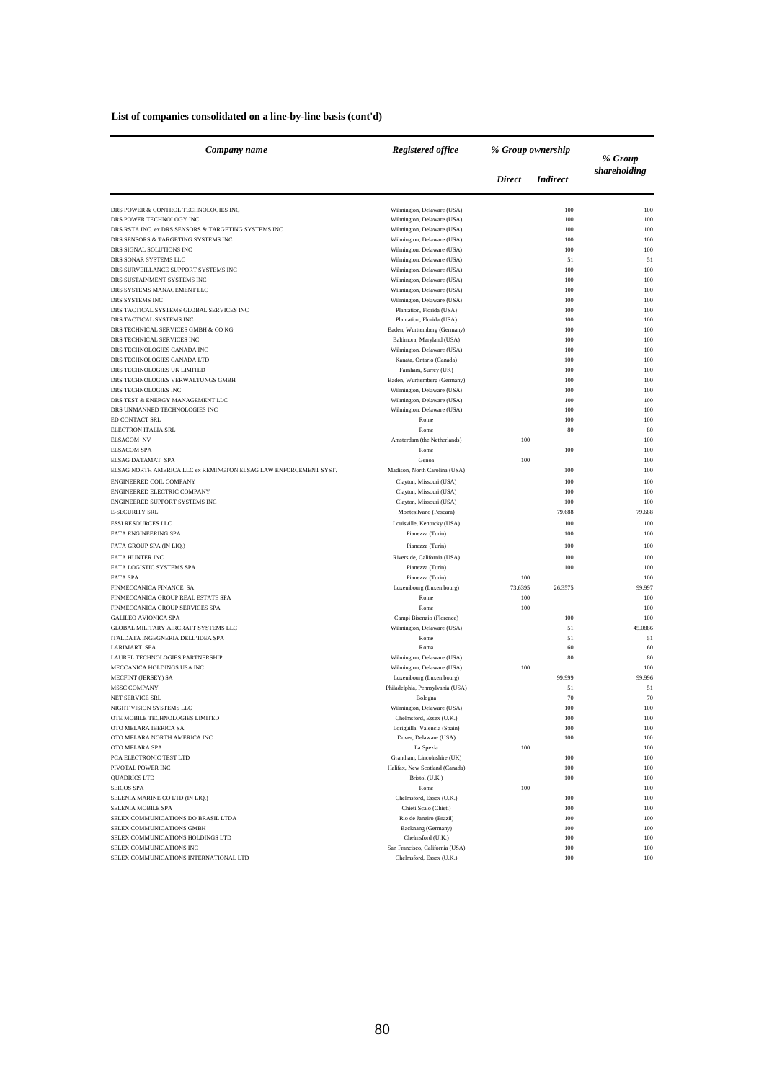### **List of companies consolidated on a line-by-line basis (cont'd)**

| Company name                                                     | <b>Registered office</b>                                 | % Group ownership |                 | % Group      |
|------------------------------------------------------------------|----------------------------------------------------------|-------------------|-----------------|--------------|
|                                                                  |                                                          | <b>Direct</b>     | <i>Indirect</i> | shareholding |
| DRS POWER & CONTROL TECHNOLOGIES INC                             | Wilmington, Delaware (USA)                               |                   | 100             | 100          |
| DRS POWER TECHNOLOGY INC                                         | Wilmington, Delaware (USA)                               |                   | 100             | 100          |
| DRS RSTA INC. ex DRS SENSORS & TARGETING SYSTEMS INC             | Wilmington, Delaware (USA)                               |                   | 100             | 100          |
| DRS SENSORS & TARGETING SYSTEMS INC                              | Wilmington, Delaware (USA)                               |                   | 100<br>100      | 100<br>100   |
| DRS SIGNAL SOLUTIONS INC<br>DRS SONAR SYSTEMS LLC                | Wilmington, Delaware (USA)<br>Wilmington, Delaware (USA) |                   | 51              | 51           |
| DRS SURVEILLANCE SUPPORT SYSTEMS INC                             | Wilmington, Delaware (USA)                               |                   | 100             | 100          |
| DRS SUSTAINMENT SYSTEMS INC                                      | Wilmington, Delaware (USA)                               |                   | 100             | 100          |
| DRS SYSTEMS MANAGEMENT LLC                                       | Wilmington, Delaware (USA)                               |                   | 100             | 100          |
| DRS SYSTEMS INC                                                  | Wilmington, Delaware (USA)                               |                   | 100             | 100          |
| DRS TACTICAL SYSTEMS GLOBAL SERVICES INC                         | Plantation, Florida (USA)                                |                   | 100             | 100          |
| DRS TACTICAL SYSTEMS INC                                         | Plantation, Florida (USA)                                |                   | 100             | 100          |
| DRS TECHNICAL SERVICES GMBH & CO KG                              | Baden, Wurttemberg (Germany)                             |                   | 100             | 100          |
| DRS TECHNICAL SERVICES INC                                       | Baltimora, Maryland (USA)                                |                   | 100             | 100          |
| DRS TECHNOLOGIES CANADA INC                                      | Wilmington, Delaware (USA)                               |                   | 100             | 100          |
| DRS TECHNOLOGIES CANADA LTD                                      | Kanata, Ontario (Canada)                                 |                   | 100             | 100          |
| DRS TECHNOLOGIES UK LIMITED                                      | Farnham, Surrey (UK)                                     |                   | 100             | 100          |
| DRS TECHNOLOGIES VERWALTUNGS GMBH                                | Baden, Wurttemberg (Germany)                             |                   | 100             | 100          |
| DRS TECHNOLOGIES INC                                             | Wilmington, Delaware (USA)                               |                   | 100             | 100          |
| DRS TEST & ENERGY MANAGEMENT LLC                                 | Wilmington, Delaware (USA)                               |                   | 100             | 100          |
| DRS UNMANNED TECHNOLOGIES INC                                    | Wilmington, Delaware (USA)                               |                   | 100             | 100          |
| ED CONTACT SRL                                                   | Rome                                                     |                   | 100             | 100          |
| ELECTRON ITALIA SRL                                              | Rome                                                     |                   | $80\,$          | 80           |
| <b>ELSACOM NV</b><br><b>ELSACOM SPA</b>                          | Amsterdam (the Netherlands)<br>Rome                      | 100               | 100             | 100<br>100   |
| <b>ELSAG DATAMAT SPA</b>                                         | Genoa                                                    | 100               |                 | 100          |
| ELSAG NORTH AMERICA LLC ex REMINGTON ELSAG LAW ENFORCEMENT SYST. | Madison, North Carolina (USA)                            |                   | 100             | 100          |
|                                                                  |                                                          |                   |                 |              |
| ENGINEERED COIL COMPANY<br>ENGINEERED ELECTRIC COMPANY           | Clayton, Missouri (USA)                                  |                   | 100             | 100          |
| ENGINEERED SUPPORT SYSTEMS INC                                   | Clayton, Missouri (USA)<br>Clayton, Missouri (USA)       |                   | 100<br>100      | 100<br>100   |
| <b>E-SECURITY SRL</b>                                            | Montesilvano (Pescara)                                   |                   | 79.688          | 79.688       |
|                                                                  |                                                          |                   |                 |              |
| <b>ESSI RESOURCES LLC</b><br>FATA ENGINEERING SPA                | Louisville, Kentucky (USA)                               |                   | 100<br>100      | 100<br>100   |
|                                                                  | Pianezza (Turin)                                         |                   |                 |              |
| FATA GROUP SPA (IN LIQ.)                                         | Pianezza (Turin)                                         |                   | 100             | 100          |
| FATA HUNTER INC                                                  | Riverside, California (USA)                              |                   | 100             | 100          |
| FATA LOGISTIC SYSTEMS SPA                                        | Pianezza (Turin)                                         |                   | 100             | 100          |
| <b>FATA SPA</b>                                                  | Pianezza (Turin)                                         | 100               |                 | 100          |
| FINMECCANICA FINANCE SA                                          | Luxembourg (Luxembourg)                                  | 73.6395           | 26.3575         | 99.997       |
| FINMECCANICA GROUP REAL ESTATE SPA                               | Rome                                                     | 100               |                 | 100          |
| FINMECCANICA GROUP SERVICES SPA<br><b>GALILEO AVIONICA SPA</b>   | Rome                                                     | 100               |                 | 100<br>100   |
| GLOBAL MILITARY AIRCRAFT SYSTEMS LLC                             | Campi Bisenzio (Florence)<br>Wilmington, Delaware (USA)  |                   | 100<br>51       | 45.0886      |
| ITALDATA INGEGNERIA DELL'IDEA SPA                                | Rome                                                     |                   | 51              | 51           |
| <b>LARIMART SPA</b>                                              | Roma                                                     |                   | 60              | 60           |
| LAUREL TECHNOLOGIES PARTNERSHIP                                  | Wilmington, Delaware (USA)                               |                   | 80              | 80           |
| MECCANICA HOLDINGS USA INC                                       | Wilmington, Delaware (USA)                               | 100               |                 | 100          |
| <b>MECFINT (JERSEY) SA</b>                                       | Luxembourg (Luxembourg)                                  |                   | 99.999          | 99.996       |
| <b>MSSC COMPANY</b>                                              | Philadelphia, Pennsylvania (USA)                         |                   | 51              | 51           |
| NET SERVICE SRL                                                  | Bologna                                                  |                   | 70              | 70           |
| NIGHT VISION SYSTEMS LLC                                         | Wilmington, Delaware (USA)                               |                   | 100             | 100          |
| OTE MOBILE TECHNOLOGIES LIMITED                                  | Chelmsford, Essex (U.K.)                                 |                   | 100             | 100          |
| OTO MELARA IBERICA SA                                            | Loriguilla, Valencia (Spain)                             |                   | 100             | 100          |
| OTO MELARA NORTH AMERICA INC                                     | Dover, Delaware (USA)                                    |                   | 100             | 100          |
| OTO MELARA SPA                                                   | La Spezia                                                | 100               |                 | 100          |
| PCA ELECTRONIC TEST LTD                                          | Grantham, Lincolnshire (UK)                              |                   | 100             | 100          |
| PIVOTAL POWER INC                                                | Halifax, New Scotland (Canada)                           |                   | 100             | 100          |
| <b>QUADRICS LTD</b>                                              | Bristol (U.K.)                                           |                   | 100             | 100          |
| SEICOS SPA                                                       | Rome                                                     | 100               |                 | 100          |
| SELENIA MARINE CO LTD (IN LIQ.)                                  | Chelmsford, Essex (U.K.)                                 |                   | 100             | 100          |
| SELENIA MOBILE SPA                                               | Chieti Scalo (Chieti)                                    |                   | 100             | 100          |
| SELEX COMMUNICATIONS DO BRASIL LTDA                              | Rio de Janeiro (Brazil)                                  |                   | 100             | 100          |
| SELEX COMMUNICATIONS GMBH                                        | Backnang (Germany)                                       |                   | 100             | 100          |
| SELEX COMMUNICATIONS HOLDINGS LTD                                | Chelmsford (U.K.)                                        |                   | 100             | 100          |
| SELEX COMMUNICATIONS INC                                         | San Francisco, California (USA)                          |                   | 100             | 100          |
| SELEX COMMUNICATIONS INTERNATIONAL LTD                           | Chelmsford, Essex (U.K.)                                 |                   | 100             | 100          |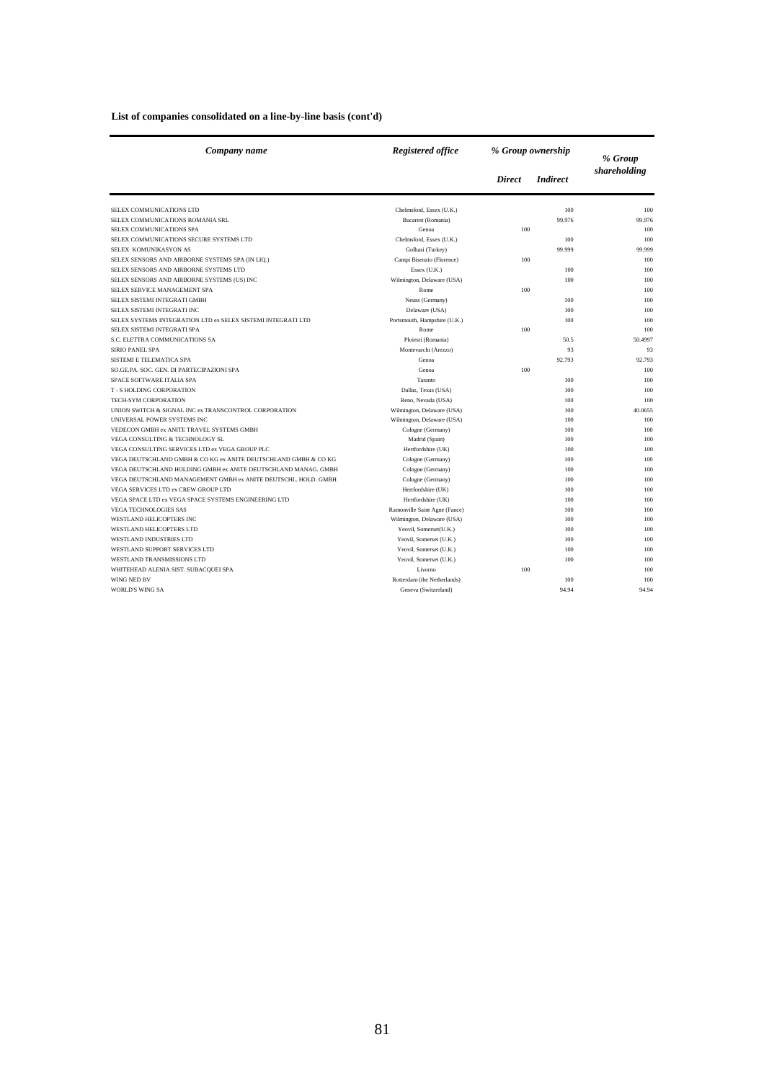### **List of companies consolidated on a line-by-line basis (cont'd)**

| Company name                                                    | Registered office             | % Group ownership |                 | % Group      |
|-----------------------------------------------------------------|-------------------------------|-------------------|-----------------|--------------|
|                                                                 |                               | <b>Direct</b>     | <b>Indirect</b> | shareholding |
| SELEX COMMUNICATIONS LTD                                        | Chelmsford, Essex (U.K.)      |                   | 100             | 100          |
| SELEX COMMUNICATIONS ROMANIA SRL                                | Bucarest (Romania)            |                   | 99.976          | 99.976       |
| SELEX COMMUNICATIONS SPA                                        | Genoa                         | 100               |                 | 100          |
| SELEX COMMUNICATIONS SECURE SYSTEMS LTD                         | Chelmsford, Essex (U.K.)      |                   | 100             | 100          |
| SELEX KOMUNIKASYON AS                                           | Golbasi (Turkey)              |                   | 99.999          | 99,999       |
| SELEX SENSORS AND AIRBORNE SYSTEMS SPA (IN LIQ.)                | Campi Bisenzio (Florence)     | 100               |                 | 100          |
| SELEX SENSORS AND AIRBORNE SYSTEMS LTD                          | Essex (U.K.)                  |                   | 100             | 100          |
| SELEX SENSORS AND AIRBORNE SYSTEMS (US) INC                     | Wilmington, Delaware (USA)    |                   | 100             | 100          |
| SELEX SERVICE MANAGEMENT SPA                                    | Rome                          | 100               |                 | 100          |
| SELEX SISTEMI INTEGRATI GMBH                                    | Neuss (Germany)               |                   | 100             | 100          |
| SELEX SISTEMI INTEGRATI INC                                     | Delaware (USA)                |                   | 100             | 100          |
| SELEX SYSTEMS INTEGRATION LTD ex SELEX SISTEMI INTEGRATI LTD    | Portsmouth, Hampshire (U.K.)  |                   | 100             | 100          |
| SELEX SISTEMI INTEGRATI SPA                                     | Rome                          | 100               |                 | 100          |
| S.C. ELETTRA COMMUNICATIONS SA                                  | Ploiesti (Romania)            |                   | 50.5            | 50.4997      |
| <b>SIRIO PANEL SPA</b>                                          | Montevarchi (Arezzo)          |                   | 93              | 93           |
| SISTEMI E TELEMATICA SPA                                        | Genoa                         |                   | 92.793          | 92.793       |
| SO.GE.PA. SOC. GEN. DI PARTECIPAZIONI SPA                       | Genoa                         | 100               |                 | 100          |
| SPACE SOFTWARE ITALIA SPA                                       | Taranto                       |                   | 100             | 100          |
| <b>T-S HOLDING CORPORATION</b>                                  | Dallas, Texas (USA)           |                   | 100             | 100          |
| TECH-SYM CORPORATION                                            | Reno, Nevada (USA)            |                   | 100             | 100          |
| UNION SWITCH & SIGNAL INC ex TRANSCONTROL CORPORATION           | Wilmington, Delaware (USA)    |                   | 100             | 40.0655      |
| UNIVERSAL POWER SYSTEMS INC                                     | Wilmington, Delaware (USA)    |                   | 100             | 100          |
| VEDECON GMBH ex ANITE TRAVEL SYSTEMS GMBH                       | Cologne (Germany)             |                   | 100             | 100          |
| VEGA CONSULTING & TECHNOLOGY SL                                 | Madrid (Spain)                |                   | 100             | 100          |
| VEGA CONSULTING SERVICES LTD ex VEGA GROUP PLC                  | Hertfordshire (UK)            |                   | 100             | 100          |
| VEGA DEUTSCHLAND GMBH & CO KG ex ANITE DEUTSCHLAND GMBH & CO KG | Cologne (Germany)             |                   | 100             | 100          |
| VEGA DEUTSCHLAND HOLDING GMBH ex ANITE DEUTSCHLAND MANAG. GMBH  | Cologne (Germany)             |                   | 100             | 100          |
| VEGA DEUTSCHLAND MANAGEMENT GMBH ex ANITE DEUTSCHL. HOLD. GMBH  | Cologne (Germany)             |                   | 100             | 100          |
| VEGA SERVICES LTD ex CREW GROUP LTD                             | Hertfordshire (UK)            |                   | 100             | 100          |
| VEGA SPACE LTD ex VEGA SPACE SYSTEMS ENGINEERING LTD            | Hertfordshire (UK)            |                   | 100             | 100          |
| <b>VEGA TECHNOLOGIES SAS</b>                                    | Ramonville Saint Agne (Fance) |                   | 100             | 100          |
| WESTLAND HELICOPTERS INC                                        | Wilmington, Delaware (USA)    |                   | 100             | 100          |
| <b>WESTLAND HELICOPTERS LTD</b>                                 | Yeovil, Somerset(U.K.)        |                   | 100             | 100          |
| <b>WESTLAND INDUSTRIES LTD</b>                                  | Yeovil, Somerset (U.K.)       |                   | 100             | 100          |
| WESTLAND SUPPORT SERVICES LTD                                   | Yeovil, Somerset (U.K.)       |                   | 100             | 100          |
| WESTLAND TRANSMISSIONS LTD                                      | Yeovil, Somerset (U.K.)       |                   | 100             | 100          |
| WHITEHEAD ALENIA SIST. SUBACQUEI SPA                            | Livorno                       | 100               |                 | 100          |
| WING NED BV                                                     | Rotterdam (the Netherlands)   |                   | 100             | 100          |
| <b>WORLD'S WING SA</b>                                          | Geneva (Switzerland)          |                   | 94.94           | 94.94        |
|                                                                 |                               |                   |                 |              |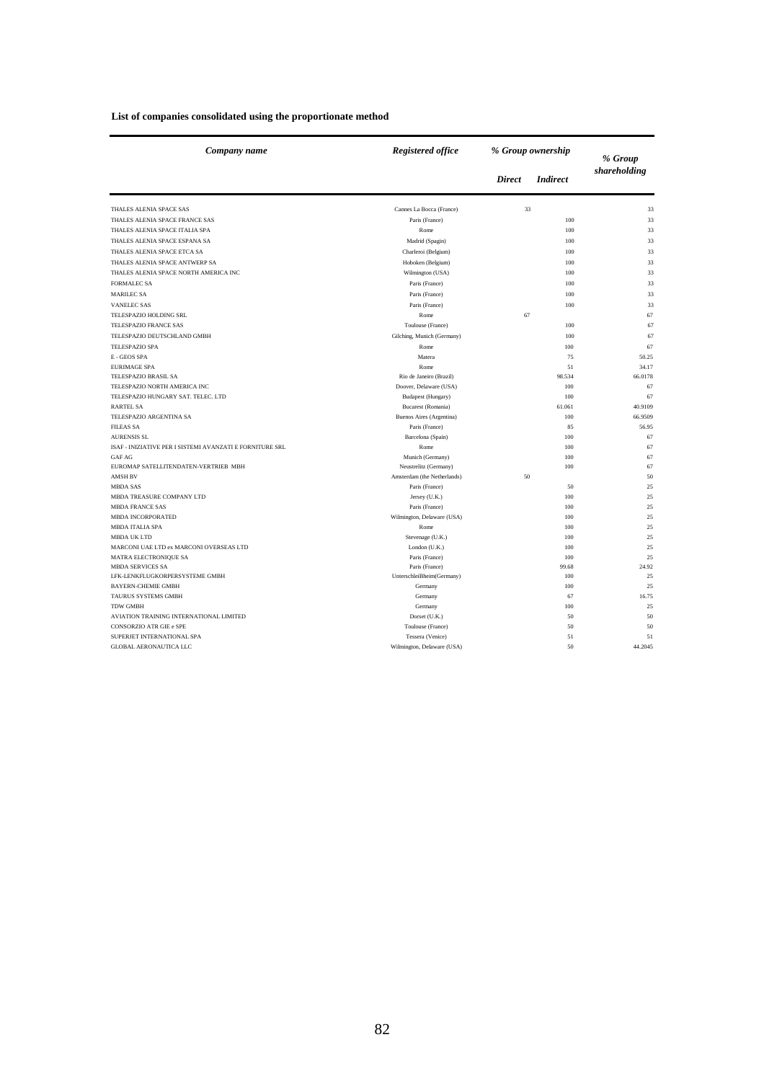| List of companies consolidated using the proportionate method |  |  |
|---------------------------------------------------------------|--|--|
|---------------------------------------------------------------|--|--|

| Company name                                             | Registered office<br>% Group ownership |               |                 | % Group      |
|----------------------------------------------------------|----------------------------------------|---------------|-----------------|--------------|
|                                                          |                                        | <b>Direct</b> | <i>Indirect</i> | shareholding |
| THALES ALENIA SPACE SAS                                  | Cannes La Bocca (France)               | 33            |                 | 33           |
| THALES ALENIA SPACE FRANCE SAS                           | Paris (France)                         |               | 100             | 33           |
| THALES ALENIA SPACE ITALIA SPA                           | Rome                                   |               | 100             | 33           |
| THALES ALENIA SPACE ESPANA SA                            | Madrid (Spagin)                        |               | 100             | 33           |
| THALES ALENIA SPACE ETCA SA                              | Charleroi (Belgium)                    |               | 100             | 33           |
| THALES ALENIA SPACE ANTWERP SA                           | Hoboken (Belgium)                      |               | 100             | 33           |
| THALES ALENIA SPACE NORTH AMERICA INC                    | Wilmington (USA)                       |               | 100             | 33           |
| <b>FORMALEC SA</b>                                       | Paris (France)                         |               | 100             | 33           |
| <b>MARILEC SA</b>                                        | Paris (France)                         |               | 100             | 33           |
| <b>VANELEC SAS</b>                                       | Paris (France)                         |               | 100             | 33           |
|                                                          |                                        |               |                 |              |
| TELESPAZIO HOLDING SRL                                   | Rome                                   | 67            |                 | 67           |
| TELESPAZIO FRANCE SAS                                    | Toulouse (France)                      |               | 100             | 67           |
| TELESPAZIO DEUTSCHLAND GMBH                              | Gilching, Munich (Germany)             |               | 100             | 67           |
| TELESPAZIO SPA                                           | Rome                                   |               | 100             | 67           |
| E - GEOS SPA                                             | Matera                                 |               | 75              | 50.25        |
| <b>EURIMAGE SPA</b>                                      | Rome                                   |               | 51              | 34.17        |
| TELESPAZIO BRASIL SA                                     | Rio de Janeiro (Brazil)                |               | 98.534          | 66.0178      |
| TELESPAZIO NORTH AMERICA INC                             | Doover, Delaware (USA)                 |               | 100             | 67           |
| TELESPAZIO HUNGARY SAT. TELEC. LTD                       | <b>Budapest (Hungary)</b>              |               | 100             | 67           |
| <b>RARTEL SA</b>                                         | Bucarest (Romania)                     |               | 61.061          | 40.9109      |
| TELESPAZIO ARGENTINA SA                                  | Buenos Aires (Argentina)               |               | 100             | 66.9509      |
| <b>FILEAS SA</b>                                         | Paris (France)                         |               | 85              | 56.95        |
| <b>AURENSIS SL</b>                                       | Barcelona (Spain)                      |               | 100             | 67           |
| ISAF - INIZIATIVE PER I SISTEMI AVANZATI E FORNITURE SRL | Rome                                   |               | 100             | 67           |
| <b>GAF AG</b>                                            | Munich (Germany)                       |               | 100             | 67           |
| EUROMAP SATELLITENDATEN-VERTRIEB MBH                     | Neustrelitz (Germany)                  |               | 100             | 67           |
| <b>AMSH BV</b>                                           | Amsterdam (the Netherlands)            | 50            |                 | 50           |
| <b>MBDA SAS</b><br>MBDA TREASURE COMPANY LTD             | Paris (France)                         |               | 50              | 25<br>25     |
| <b>MBDA FRANCE SAS</b>                                   | Jersey (U.K.)                          |               | 100<br>100      | 25           |
| <b>MBDA INCORPORATED</b>                                 | Paris (France)                         |               | 100             | 25           |
|                                                          | Wilmington, Delaware (USA)<br>Rome     |               |                 |              |
| <b>MBDA ITALIA SPA</b><br><b>MBDA UK LTD</b>             | Stevenage (U.K.)                       |               | 100<br>100      | 25<br>25     |
| MARCONI UAE LTD ex MARCONI OVERSEAS LTD                  | London (U.K.)                          |               | 100             | 25           |
| <b>MATRA ELECTRONIQUE SA</b>                             | Paris (France)                         |               | 100             | 25           |
| <b>MBDA SERVICES SA</b>                                  | Paris (France)                         |               | 99.68           | 24.92        |
| LFK-LENKFLUGKORPERSYSTEME GMBH                           | UnterschleiBheim(Germany)              |               | 100             | 25           |
| <b>BAYERN-CHEMIE GMBH</b>                                | Germany                                |               | 100             | 25           |
| <b>TAURUS SYSTEMS GMBH</b>                               | Germany                                |               | 67              | 16.75        |
| <b>TDW GMBH</b>                                          | Germany                                |               | 100             | 25           |
| AVIATION TRAINING INTERNATIONAL LIMITED                  | Dorset (U.K.)                          |               | 50              | 50           |
| CONSORZIO ATR GIE e SPE                                  | Toulouse (France)                      |               | 50              | 50           |
| SUPERJET INTERNATIONAL SPA                               | Tessera (Venice)                       |               | 51              | 51           |
| <b>GLOBAL AERONAUTICA LLC</b>                            | Wilmington, Delaware (USA)             |               | 50              | 44.2045      |
|                                                          |                                        |               |                 |              |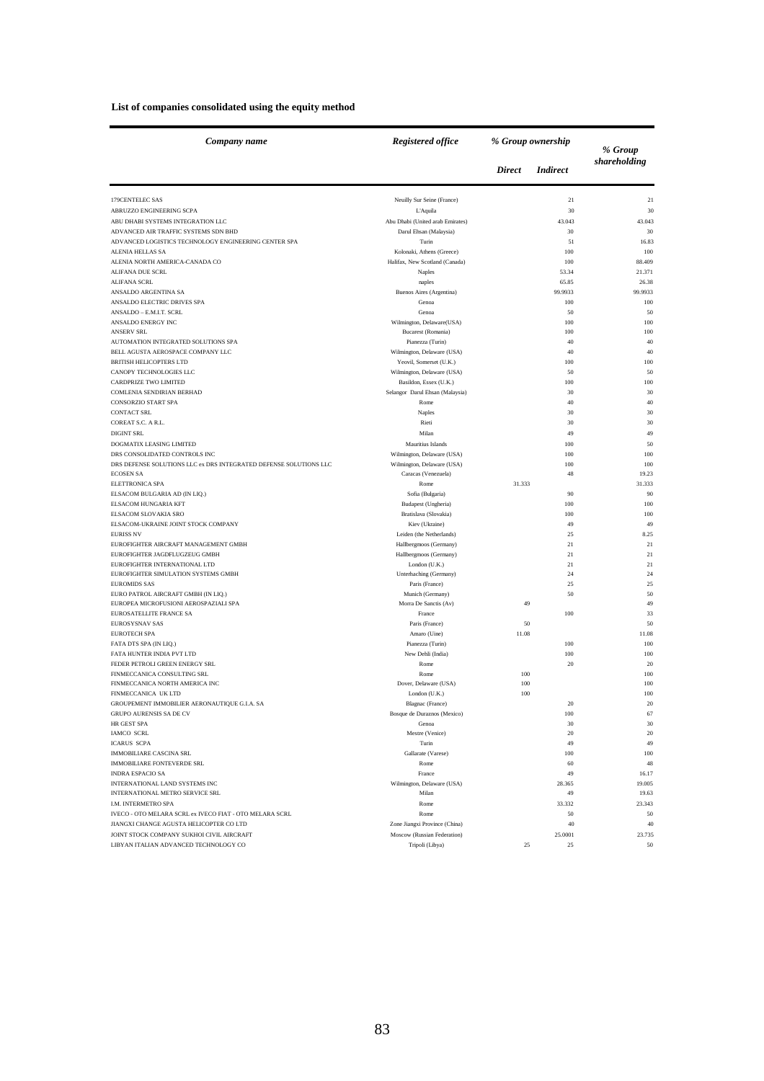### **List of companies consolidated using the equity method**

| Company name                                                      | Registered office<br>% Group ownership |               |                 | % Group         |
|-------------------------------------------------------------------|----------------------------------------|---------------|-----------------|-----------------|
|                                                                   |                                        | <b>Direct</b> | <i>Indirect</i> | shareholding    |
| 179CENTELEC SAS                                                   | Neuilly Sur Seine (France)             |               | 21              | 21              |
| ABRUZZO ENGINEERING SCPA                                          | L'Aquila                               |               | 30              | 30              |
| ABU DHABI SYSTEMS INTEGRATION LLC                                 | Abu Dhabi (United arab Emirates)       |               | 43.043          | 43.043          |
| ADVANCED AIR TRAFFIC SYSTEMS SDN BHD                              | Darul Ehsan (Malaysia)                 |               | 30              | 30              |
| ADVANCED LOGISTICS TECHNOLOGY ENGINEERING CENTER SPA              | Turin                                  |               | 51              | 16.83           |
| ALENIA HELLAS SA                                                  | Kolonaki, Athens (Greece)              |               | 100             | 100             |
| ALENIA NORTH AMERICA-CANADA CO                                    | Halifax, New Scotland (Canada)         |               | 100             | 88.409          |
| <b>ALIFANA DUE SCRL</b><br><b>ALIFANA SCRL</b>                    | Naples                                 |               | 53.34<br>65.85  | 21.371<br>26.38 |
| ANSALDO ARGENTINA SA                                              | naples<br>Buenos Aires (Argentina)     |               | 99.9933         | 99.9933         |
| ANSALDO ELECTRIC DRIVES SPA                                       | Genoa                                  |               | 100             | 100             |
| ANSALDO - E.M.I.T. SCRL                                           | Genoa                                  |               | 50              | 50              |
| ANSALDO ENERGY INC                                                | Wilmington, Delaware(USA)              |               | 100             | 100             |
| <b>ANSERV SRL</b>                                                 | Bucarest (Romania)                     |               | 100             | 100             |
| AUTOMATION INTEGRATED SOLUTIONS SPA                               | Pianezza (Turin)                       |               | 40              | 40              |
| BELL AGUSTA AEROSPACE COMPANY LLC                                 | Wilmington, Delaware (USA)             |               | 40              | 40              |
| <b>BRITISH HELICOPTERS LTD</b>                                    | Yeovil, Somerset (U.K.)                |               | 100             | 100             |
| CANOPY TECHNOLOGIES LLC                                           | Wilmington, Delaware (USA)             |               | 50              | 50              |
| CARDPRIZE TWO LIMITED                                             | Basildon, Essex (U.K.)                 |               | 100             | 100             |
| COMLENIA SENDIRIAN BERHAD                                         | Selangor Darul Ehsan (Malaysia)        |               | 30              | 30              |
| <b>CONSORZIO START SPA</b>                                        | Rome                                   |               | 40              | 40              |
| <b>CONTACT SRL</b>                                                | Naples                                 |               | 30              | 30              |
| COREAT S.C. A R.L.                                                | Rieti                                  |               | 30              | 30              |
| DIGINT SRL                                                        | Milan                                  |               | 49              | 49              |
| DOGMATIX LEASING LIMITED                                          | Mauritius Islands                      |               | 100             | 50              |
| DRS CONSOLIDATED CONTROLS INC                                     | Wilmington, Delaware (USA)             |               | 100             | 100             |
| DRS DEFENSE SOLUTIONS LLC ex DRS INTEGRATED DEFENSE SOLUTIONS LLC | Wilmington, Delaware (USA)             |               | 100             | 100             |
| <b>ECOSEN SA</b>                                                  | Caracas (Venezuela)                    |               | 48              | 19.23           |
| ELETTRONICA SPA<br>ELSACOM BULGARIA AD (IN LIQ.)                  | Rome<br>Sofia (Bulgaria)               | 31.333        | 90              | 31.333<br>90    |
| ELSACOM HUNGARIA KFT                                              | Budapest (Ungheria)                    |               | 100             | 100             |
| ELSACOM SLOVAKIA SRO                                              | Bratislava (Slovakia)                  |               | 100             | 100             |
| ELSACOM-UKRAINE JOINT STOCK COMPANY                               | Kiev (Ukraine)                         |               | 49              | 49              |
| <b>EURISS NV</b>                                                  | Leiden (the Netherlands)               |               | 25              | 8.25            |
| EUROFIGHTER AIRCRAFT MANAGEMENT GMBH                              | Hallbergmoos (Germany)                 |               | 21              | 21              |
| EUROFIGHTER JAGDFLUGZEUG GMBH                                     | Hallbergmoos (Germany)                 |               | 21              | 21              |
| EUROFIGHTER INTERNATIONAL LTD                                     | London (U.K.)                          |               | 21              | 21              |
| EUROFIGHTER SIMULATION SYSTEMS GMBH                               | Unterhaching (Germany)                 |               | 24              | 24              |
| <b>EUROMIDS SAS</b>                                               | Paris (France)                         |               | 25              | 25              |
| EURO PATROL AIRCRAFT GMBH (IN LIQ.)                               | Munich (Germany)                       |               | 50              | 50              |
| EUROPEA MICROFUSIONI AEROSPAZIALI SPA                             | Morra De Sanctis (Av)                  | 49            |                 | 49              |
| EUROSATELLITE FRANCE SA                                           | France                                 |               | 100             | 33              |
| <b>EUROSYSNAV SAS</b>                                             | Paris (France)                         | 50            |                 | 50              |
| <b>EUROTECH SPA</b>                                               | Amaro (Uine)                           | 11.08         |                 | 11.08<br>100    |
| FATA DTS SPA (IN LIQ.)<br>FATA HUNTER INDIA PVT LTD               | Pianezza (Turin)<br>New Dehli (India)  |               | 100<br>100      | 100             |
| FEDER PETROLI GREEN ENERGY SRL                                    | Rome                                   |               | $20\,$          | 20              |
| FINMECCANICA CONSULTING SRL                                       | Rome                                   | 100           |                 | 100             |
| FINMECCANICA NORTH AMERICA INC                                    | Dover, Delaware (USA)                  | 100           |                 | 100             |
| FINMECCANICA UK LTD                                               | London (U.K.)                          | 100           |                 | 100             |
| GROUPEMENT IMMOBILIER AERONAUTIQUE G.I.A. SA                      | Blagnac (France)                       |               | 20              | 20.             |
| GRUPO AURENSIS SA DE CV                                           | Bosque de Duraznos (Mexico)            |               | 100             | 67              |
| HR GEST SPA                                                       | Genoa                                  |               | 30              | 30              |
| IAMCO SCRL                                                        | Mestre (Venice)                        |               | 20              | $20\,$          |
| <b>ICARUS SCPA</b>                                                | Turin                                  |               | 49              | 49              |
| <b>IMMOBILIARE CASCINA SRL</b>                                    | Gallarate (Varese)                     |               | 100             | 100             |
| IMMOBILIARE FONTEVERDE SRL                                        | Rome                                   |               | 60              | 48              |
| <b>INDRA ESPACIO SA</b>                                           | France                                 |               | 49              | 16.17           |
| INTERNATIONAL LAND SYSTEMS INC                                    | Wilmington, Delaware (USA)             |               | 28.365          | 19.005          |
| INTERNATIONAL METRO SERVICE SRL                                   | Milan                                  |               | 49              | 19.63           |
| <b>I.M. INTERMETRO SPA</b>                                        | Rome                                   |               | 33.332          | 23.343          |
| IVECO - OTO MELARA SCRL ex IVECO FIAT - OTO MELARA SCRL           | Rome                                   |               | 50              | 50              |
| JIANGXI CHANGE AGUSTA HELICOPTER CO LTD                           | Zone Jiangxi Province (China)          |               | 40              | 40              |
| JOINT STOCK COMPANY SUKHOI CIVIL AIRCRAFT                         | Moscow (Russian Federation)            |               | 25.0001         | 23.735          |
| LIBYAN ITALIAN ADVANCED TECHNOLOGY CO                             | Tripoli (Libya)                        | 25            | 25              | 50              |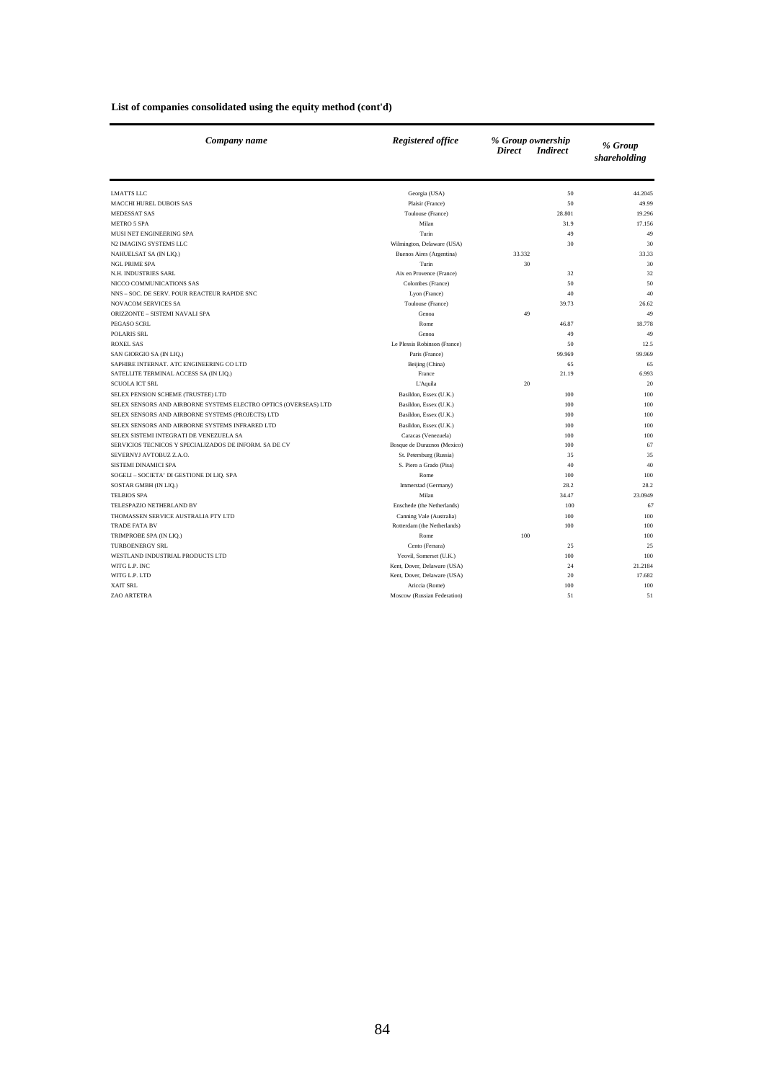|  | List of companies consolidated using the equity method (cont'd) |  |  |
|--|-----------------------------------------------------------------|--|--|
|  |                                                                 |  |  |

| Company name                                                     | <b>Registered office</b>     | % Group ownership<br><b>Direct</b><br><i>Indirect</i> | % Group<br>shareholding |
|------------------------------------------------------------------|------------------------------|-------------------------------------------------------|-------------------------|
| <b>LMATTS LLC</b>                                                | Georgia (USA)                | 50                                                    | 44.2045                 |
| <b>MACCHI HUREL DUBOIS SAS</b>                                   | Plaisir (France)             | 50                                                    | 49.99                   |
| MEDESSAT SAS                                                     | Toulouse (France)            | 28.801                                                | 19.296                  |
| <b>METRO 5 SPA</b>                                               | Milan                        | 31.9                                                  | 17.156                  |
| MUSI NET ENGINEERING SPA                                         | Turin                        | 49                                                    | 49                      |
| N2 IMAGING SYSTEMS LLC                                           | Wilmington, Delaware (USA)   | 30                                                    | 30                      |
| NAHUELSAT SA (IN LIQ.)                                           | Buenos Aires (Argentina)     | 33.332                                                | 33.33                   |
| <b>NGL PRIME SPA</b>                                             | Turin                        | 30                                                    | 30                      |
| N.H. INDUSTRIES SARL                                             | Aix en Provence (France)     | 32                                                    | 32                      |
| NICCO COMMUNICATIONS SAS                                         | Colombes (France)            | 50                                                    | 50                      |
| NNS - SOC. DE SERV. POUR REACTEUR RAPIDE SNC                     | Lyon (France)                | 40                                                    | 40                      |
| <b>NOVACOM SERVICES SA</b>                                       | Toulouse (France)            | 39.73                                                 | 26.62                   |
| ORIZZONTE - SISTEMI NAVALI SPA                                   | Genoa                        | 49                                                    | 49                      |
| PEGASO SCRL                                                      | Rome                         | 46.87                                                 | 18.778                  |
| <b>POLARIS SRL</b>                                               | Genoa                        | 49                                                    | 49                      |
| <b>ROXEL SAS</b>                                                 | Le Plessis Robinson (France) | 50                                                    | 12.5                    |
| SAN GIORGIO SA (IN LIQ.)                                         | Paris (France)               | 99.969                                                | 99.969                  |
| SAPHIRE INTERNAT. ATC ENGINEERING CO LTD                         | Beijing (China)              | 65                                                    | 65                      |
| SATELLITE TERMINAL ACCESS SA (IN LIQ.)                           | France                       | 21.19                                                 | 6.993                   |
| <b>SCUOLA ICT SRL</b>                                            | L'Aquila                     | 20                                                    | 20                      |
| SELEX PENSION SCHEME (TRUSTEE) LTD                               | Basildon, Essex (U.K.)       | 100                                                   | 100                     |
| SELEX SENSORS AND AIRBORNE SYSTEMS ELECTRO OPTICS (OVERSEAS) LTD | Basildon, Essex (U.K.)       | 100                                                   | 100                     |
| SELEX SENSORS AND AIRBORNE SYSTEMS (PROJECTS) LTD                | Basildon, Essex (U.K.)       | 100                                                   | 100                     |
| SELEX SENSORS AND AIRBORNE SYSTEMS INFRARED LTD                  | Basildon, Essex (U.K.)       | 100                                                   | 100                     |
| SELEX SISTEMI INTEGRATI DE VENEZUELA SA                          | Caracas (Venezuela)          | 100                                                   | 100                     |
| SERVICIOS TECNICOS Y SPECIALIZADOS DE INFORM. SA DE CV           | Bosque de Duraznos (Mexico)  | 100                                                   | 67                      |
| SEVERNYJ AVTOBUZ Z.A.O.                                          | St. Petersburg (Russia)      | 35                                                    | 35                      |
| SISTEMI DINAMICI SPA                                             | S. Piero a Grado (Pisa)      | 40                                                    | 40                      |
| SOGELI - SOCIETA' DI GESTIONE DI LIQ. SPA                        | Rome                         | 100                                                   | 100                     |
| SOSTAR GMBH (IN LIQ.)                                            | Immerstad (Germany)          | 28.2                                                  | 28.2                    |
| <b>TELBIOS SPA</b>                                               | Milan                        | 34.47                                                 | 23.0949                 |
| TELESPAZIO NETHERLAND BV                                         | Enschede (the Netherlands)   | 100                                                   | 67                      |
| THOMASSEN SERVICE AUSTRALIA PTY LTD                              | Canning Vale (Australia)     | 100                                                   | 100                     |
| <b>TRADE FATA BV</b>                                             | Rotterdam (the Netherlands)  | 100                                                   | 100                     |
| TRIMPROBE SPA (IN LIQ.)                                          | Rome                         | 100                                                   | 100                     |
| <b>TURBOENERGY SRL</b>                                           | Cento (Ferrara)              | 25                                                    | 25                      |
| WESTLAND INDUSTRIAL PRODUCTS LTD                                 | Yeovil, Somerset (U.K.)      | 100                                                   | 100                     |
| WITG L.P. INC                                                    | Kent, Dover, Delaware (USA)  | 24                                                    | 21.2184                 |
| WITG L.P. LTD                                                    | Kent, Dover, Delaware (USA)  | 20                                                    | 17.682                  |
| <b>XAIT SRL</b>                                                  | Ariccia (Rome)               | 100                                                   | 100                     |
| ZAO ARTETRA                                                      | Moscow (Russian Federation)  | 51                                                    | 51                      |
|                                                                  |                              |                                                       |                         |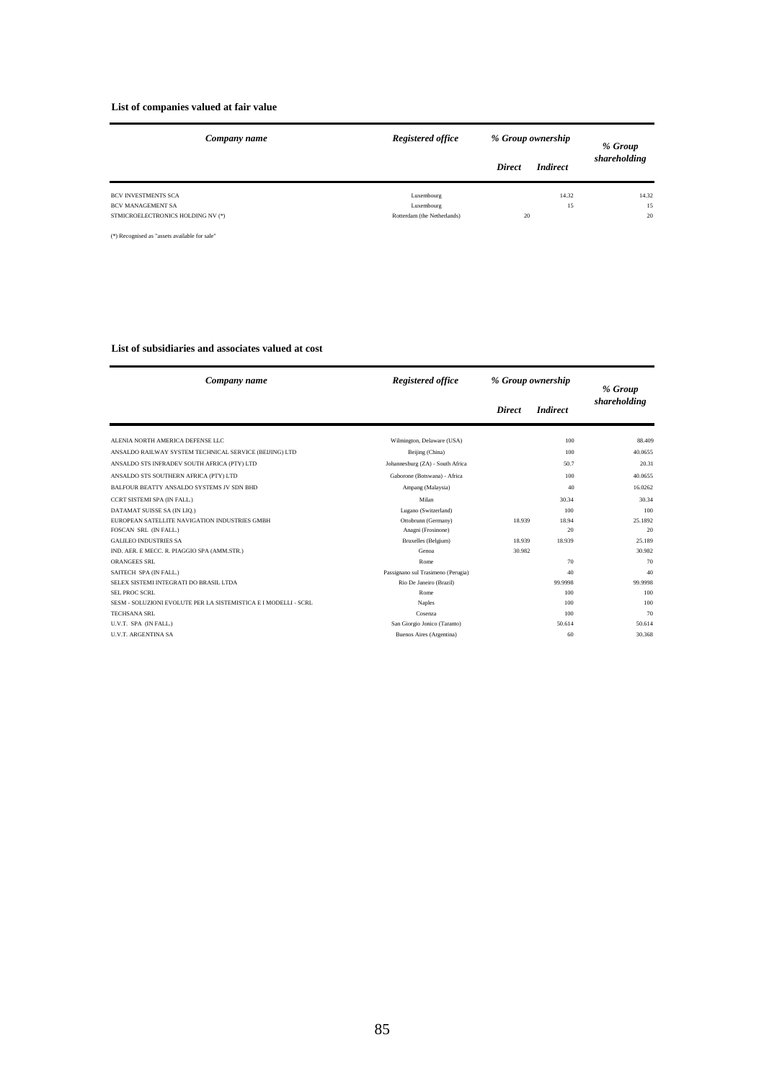#### **List of companies valued at fair value**

| Company name                                    | Registered office           | % Group ownership |                 | % Group      |  |
|-------------------------------------------------|-----------------------------|-------------------|-----------------|--------------|--|
|                                                 |                             | <b>Direct</b>     | <i>Indirect</i> | shareholding |  |
| <b>BCV INVESTMENTS SCA</b><br>BCV MANAGEMENT SA | Luxembourg<br>Luxembourg    |                   | 14.32<br>15     | 14.32<br>15  |  |
| STMICROELECTRONICS HOLDING NV (*)               | Rotterdam (the Netherlands) | 20                |                 | 20           |  |

(\*) Recognised as "assets available for sale"

#### **List of subsidiaries and associates valued at cost**

| Company name                                                    | Registered office                  | % Group ownership |                 | % Group      |
|-----------------------------------------------------------------|------------------------------------|-------------------|-----------------|--------------|
|                                                                 |                                    | <b>Direct</b>     | <i>Indirect</i> | shareholding |
| ALENIA NORTH AMERICA DEFENSE LLC                                | Wilmington, Delaware (USA)         |                   | 100             | 88.409       |
| ANSALDO RAILWAY SYSTEM TECHNICAL SERVICE (BEIJING) LTD          | Beijing (China)                    |                   | 100             | 40.0655      |
| ANSALDO STS INFRADEV SOUTH AFRICA (PTY) LTD                     | Johannesburg (ZA) - South Africa   |                   | 50.7            | 20.31        |
| ANSALDO STS SOUTHERN AFRICA (PTY) LTD                           | Gaborone (Botswana) - Africa       |                   | 100             | 40.0655      |
| BALFOUR BEATTY ANSALDO SYSTEMS JV SDN BHD                       | Ampang (Malaysia)                  |                   | 40              | 16.0262      |
| CCRT SISTEMI SPA (IN FALL.)                                     | Milan                              |                   | 30.34           | 30.34        |
| DATAMAT SUISSE SA (IN LIQ.)                                     | Lugano (Switzerland)               |                   | 100             | 100          |
| EUROPEAN SATELLITE NAVIGATION INDUSTRIES GMBH                   | Ottobrunn (Germany)                | 18.939            | 18.94           | 25.1892      |
| FOSCAN SRL (IN FALL.)                                           | Anagni (Frosinone)                 |                   | 20              | 20           |
| <b>GALILEO INDUSTRIES SA</b>                                    | Bruxelles (Belgium)                | 18.939            | 18.939          | 25.189       |
| IND. AER. E MECC. R. PIAGGIO SPA (AMM.STR.)                     | Genoa                              | 30.982            |                 | 30.982       |
| ORANGEES SRL                                                    | Rome                               |                   | 70              | 70           |
| SAITECH SPA (IN FALL.)                                          | Passignano sul Trasimeno (Perugia) |                   | 40              | 40           |
| SELEX SISTEMI INTEGRATI DO BRASIL LTDA                          | Rio De Janeiro (Brazil)            |                   | 99.9998         | 99.9998      |
| <b>SEL PROC SCRL</b>                                            | Rome                               |                   | 100             | 100          |
| SESM - SOLUZIONI EVOLUTE PER LA SISTEMISTICA E I MODELLI - SCRL | Naples                             |                   | 100             | 100          |
| TECHSANA SRL                                                    | Cosenza                            |                   | 100             | 70           |
| U.V.T. SPA (IN FALL.)                                           | San Giorgio Jonico (Taranto)       |                   | 50.614          | 50.614       |
| <b>U.V.T. ARGENTINA SA</b>                                      | Buenos Aires (Argentina)           |                   | 60              | 30.368       |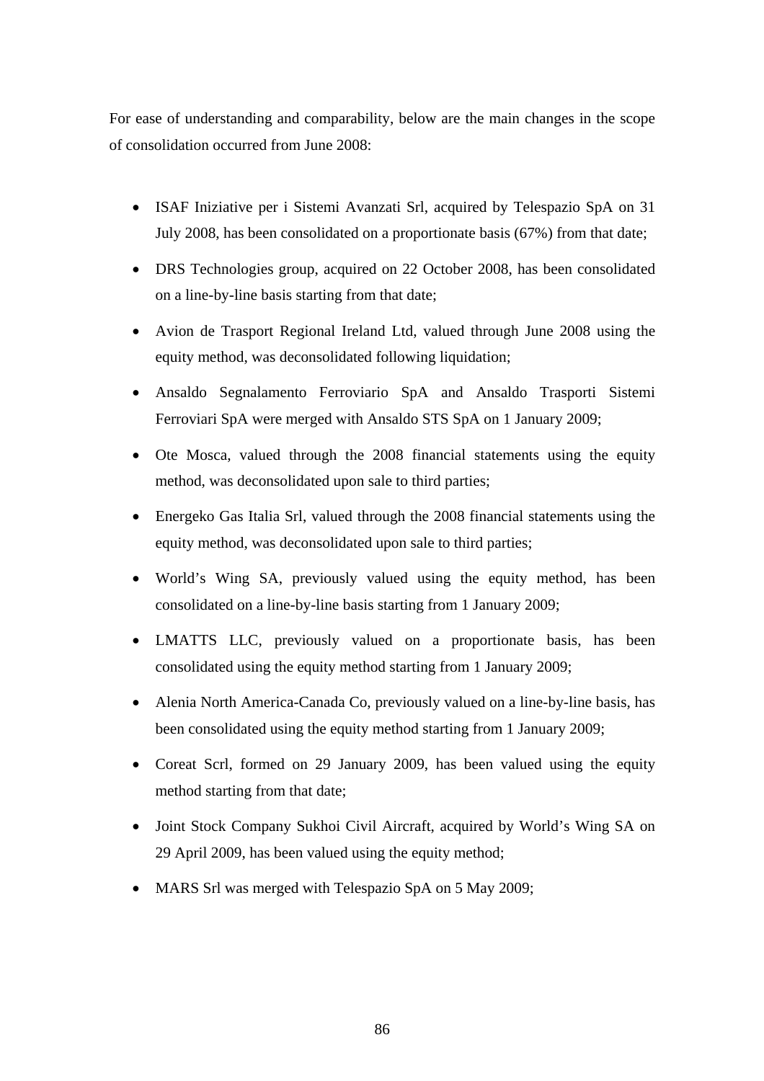For ease of understanding and comparability, below are the main changes in the scope of consolidation occurred from June 2008:

- ISAF Iniziative per i Sistemi Avanzati Srl, acquired by Telespazio SpA on 31 July 2008, has been consolidated on a proportionate basis (67%) from that date;
- DRS Technologies group, acquired on 22 October 2008, has been consolidated on a line-by-line basis starting from that date;
- Avion de Trasport Regional Ireland Ltd, valued through June 2008 using the equity method, was deconsolidated following liquidation;
- Ansaldo Segnalamento Ferroviario SpA and Ansaldo Trasporti Sistemi Ferroviari SpA were merged with Ansaldo STS SpA on 1 January 2009;
- Ote Mosca, valued through the 2008 financial statements using the equity method, was deconsolidated upon sale to third parties;
- Energeko Gas Italia Srl, valued through the 2008 financial statements using the equity method, was deconsolidated upon sale to third parties;
- World's Wing SA, previously valued using the equity method, has been consolidated on a line-by-line basis starting from 1 January 2009;
- LMATTS LLC, previously valued on a proportionate basis, has been consolidated using the equity method starting from 1 January 2009;
- Alenia North America-Canada Co, previously valued on a line-by-line basis, has been consolidated using the equity method starting from 1 January 2009;
- Coreat Scrl, formed on 29 January 2009, has been valued using the equity method starting from that date;
- Joint Stock Company Sukhoi Civil Aircraft, acquired by World's Wing SA on 29 April 2009, has been valued using the equity method;
- MARS Srl was merged with Telespazio SpA on 5 May 2009;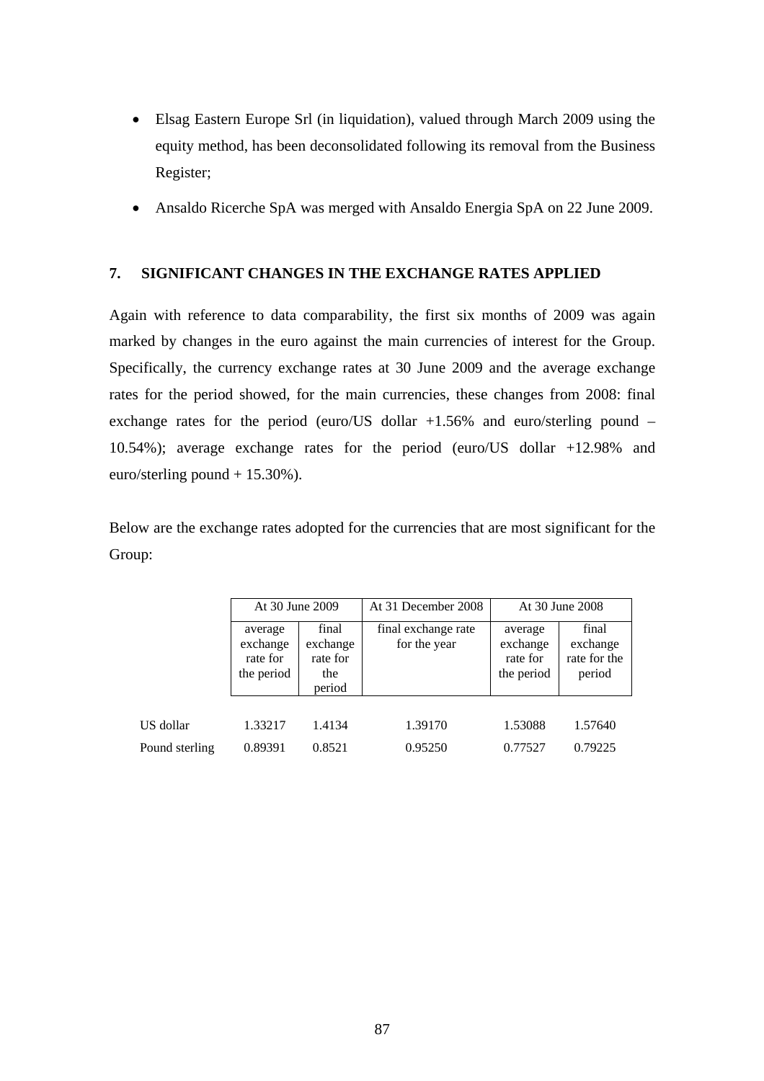- Elsag Eastern Europe Srl (in liquidation), valued through March 2009 using the equity method, has been deconsolidated following its removal from the Business Register;
- Ansaldo Ricerche SpA was merged with Ansaldo Energia SpA on 22 June 2009.

# **7. SIGNIFICANT CHANGES IN THE EXCHANGE RATES APPLIED**

Again with reference to data comparability, the first six months of 2009 was again marked by changes in the euro against the main currencies of interest for the Group. Specifically, the currency exchange rates at 30 June 2009 and the average exchange rates for the period showed, for the main currencies, these changes from 2008: final exchange rates for the period (euro/US dollar +1.56% and euro/sterling pound – 10.54%); average exchange rates for the period (euro/US dollar +12.98% and euro/sterling pound + 15.30%).

Below are the exchange rates adopted for the currencies that are most significant for the Group:

|                | At 30 June 2009                               |                                                | At 31 December 2008                 | At 30 June 2008                               |                                             |  |
|----------------|-----------------------------------------------|------------------------------------------------|-------------------------------------|-----------------------------------------------|---------------------------------------------|--|
|                | average<br>exchange<br>rate for<br>the period | final<br>exchange<br>rate for<br>the<br>period | final exchange rate<br>for the year | average<br>exchange<br>rate for<br>the period | final<br>exchange<br>rate for the<br>period |  |
|                |                                               |                                                |                                     |                                               |                                             |  |
| US dollar      | 1.33217                                       | 1.4134                                         | 1.39170                             | 1.53088                                       | 1.57640                                     |  |
| Pound sterling | 0.89391                                       | 0.8521                                         | 0.95250                             | 0.77527                                       | 0.79225                                     |  |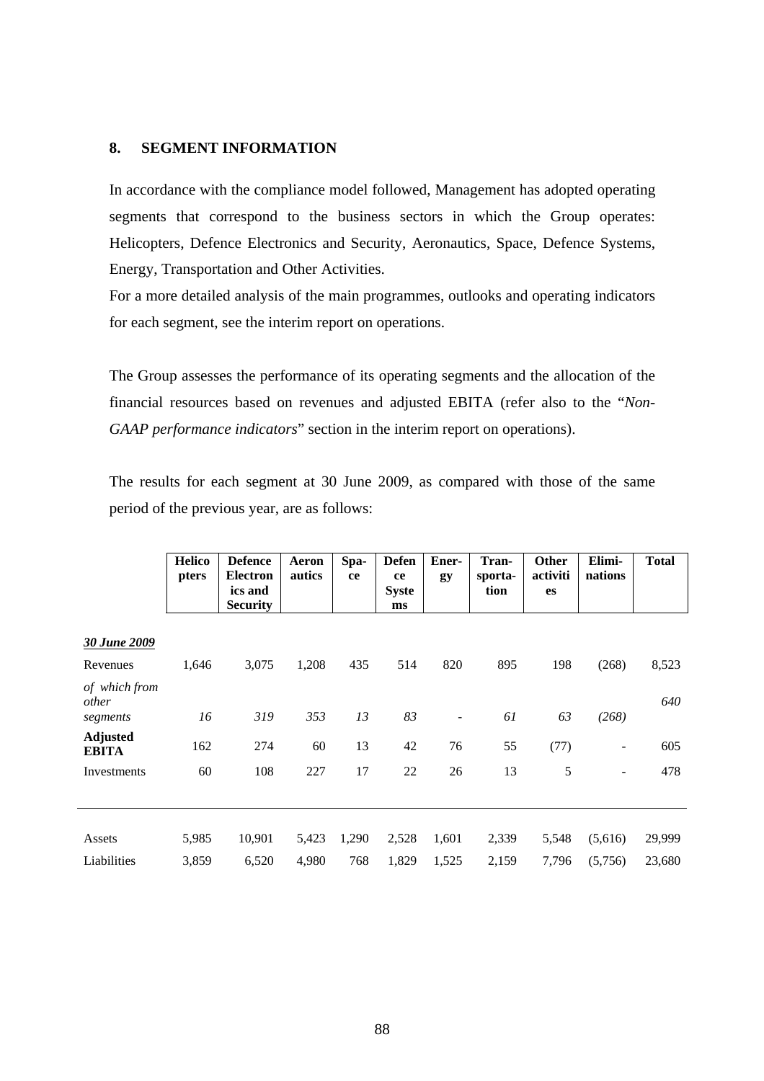# **8. SEGMENT INFORMATION**

In accordance with the compliance model followed, Management has adopted operating segments that correspond to the business sectors in which the Group operates: Helicopters, Defence Electronics and Security, Aeronautics, Space, Defence Systems, Energy, Transportation and Other Activities.

For a more detailed analysis of the main programmes, outlooks and operating indicators for each segment, see the interim report on operations.

The Group assesses the performance of its operating segments and the allocation of the financial resources based on revenues and adjusted EBITA (refer also to the "*Non-GAAP performance indicators*" section in the interim report on operations).

The results for each segment at 30 June 2009, as compared with those of the same period of the previous year, are as follows:

|                                             | <b>Helico</b><br>pters | <b>Defence</b><br><b>Electron</b><br>ics and<br><b>Security</b> | Aeron<br>autics | Spa-<br>ce | <b>Defen</b><br>ce<br><b>Syste</b><br>ms | Ener-<br>gy                    | Tran-<br>sporta-<br>tion | Other<br>activiti<br>es | Elimi-<br>nations        | <b>Total</b> |
|---------------------------------------------|------------------------|-----------------------------------------------------------------|-----------------|------------|------------------------------------------|--------------------------------|--------------------------|-------------------------|--------------------------|--------------|
|                                             |                        |                                                                 |                 |            |                                          |                                |                          |                         |                          |              |
| 30 June 2009<br>Revenues                    | 1,646                  | 3,075                                                           | 1,208           | 435        | 514                                      | 820                            | 895                      | 198                     | (268)                    | 8,523        |
| of which from<br>other                      |                        |                                                                 |                 | 13         | 83                                       |                                | 61                       | 63                      |                          | 640          |
| segments<br><b>Adjusted</b><br><b>EBITA</b> | 16<br>162              | 319<br>274                                                      | 353<br>60       | 13         | 42                                       | $\overline{\phantom{0}}$<br>76 | 55                       | (77)                    | (268)                    | 605          |
| Investments                                 | 60                     | 108                                                             | 227             | 17         | 22                                       | 26                             | 13                       | 5                       | $\overline{\phantom{0}}$ | 478          |
|                                             |                        |                                                                 |                 |            |                                          |                                |                          |                         |                          |              |
| Assets                                      | 5,985                  | 10,901                                                          | 5,423           | 1,290      | 2,528                                    | 1,601                          | 2,339                    | 5,548                   | (5,616)                  | 29,999       |
| Liabilities                                 | 3,859                  | 6,520                                                           | 4,980           | 768        | 1,829                                    | 1,525                          | 2,159                    | 7,796                   | (5,756)                  | 23,680       |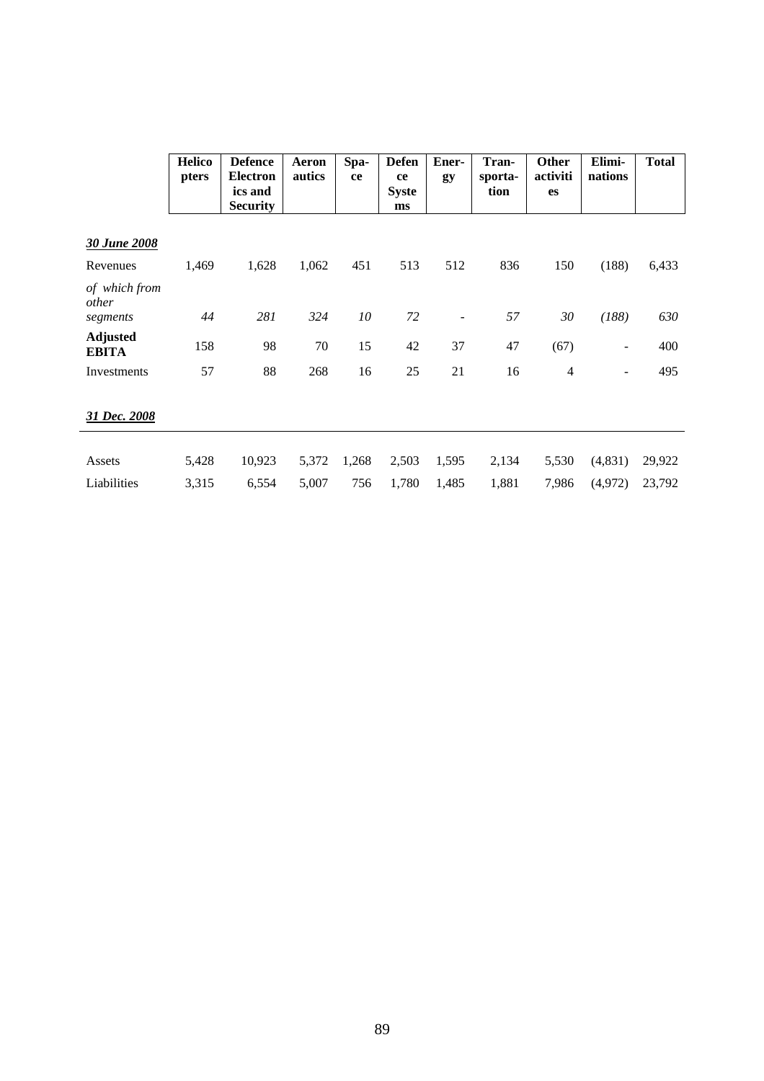|                                    | <b>Helico</b><br>pters | <b>Defence</b><br><b>Electron</b><br>ics and<br><b>Security</b> | Aeron<br>autics | Spa-<br>ce | <b>Defen</b><br>ce<br><b>Syste</b><br>ms | Ener-<br>gy              | Tran-<br>sporta-<br>tion | <b>Other</b><br>activiti<br>es | Elimi-<br>nations | <b>Total</b> |
|------------------------------------|------------------------|-----------------------------------------------------------------|-----------------|------------|------------------------------------------|--------------------------|--------------------------|--------------------------------|-------------------|--------------|
| 30 June 2008                       |                        |                                                                 |                 |            |                                          |                          |                          |                                |                   |              |
| Revenues                           | 1,469                  | 1,628                                                           | 1,062           | 451        | 513                                      | 512                      | 836                      | 150                            | (188)             | 6,433        |
| of which from<br>other<br>segments | 44                     | 281                                                             | 324             | 10         | 72                                       | $\overline{\phantom{a}}$ | 57                       | 30                             | (188)             | 630          |
| <b>Adjusted</b><br><b>EBITA</b>    | 158                    | 98                                                              | 70              | 15         | 42                                       | 37                       | 47                       | (67)                           | $\blacksquare$    | 400          |
| Investments                        | 57                     | 88                                                              | 268             | 16         | 25                                       | 21                       | 16                       | $\overline{4}$                 | $\blacksquare$    | 495          |
| 31 Dec. 2008                       |                        |                                                                 |                 |            |                                          |                          |                          |                                |                   |              |
| Assets                             | 5,428                  | 10,923                                                          | 5,372           | 1,268      | 2,503                                    | 1,595                    | 2,134                    | 5,530                          | (4,831)           | 29,922       |
| Liabilities                        | 3,315                  | 6,554                                                           | 5,007           | 756        | 1,780                                    | 1,485                    | 1,881                    | 7,986                          | (4,972)           | 23,792       |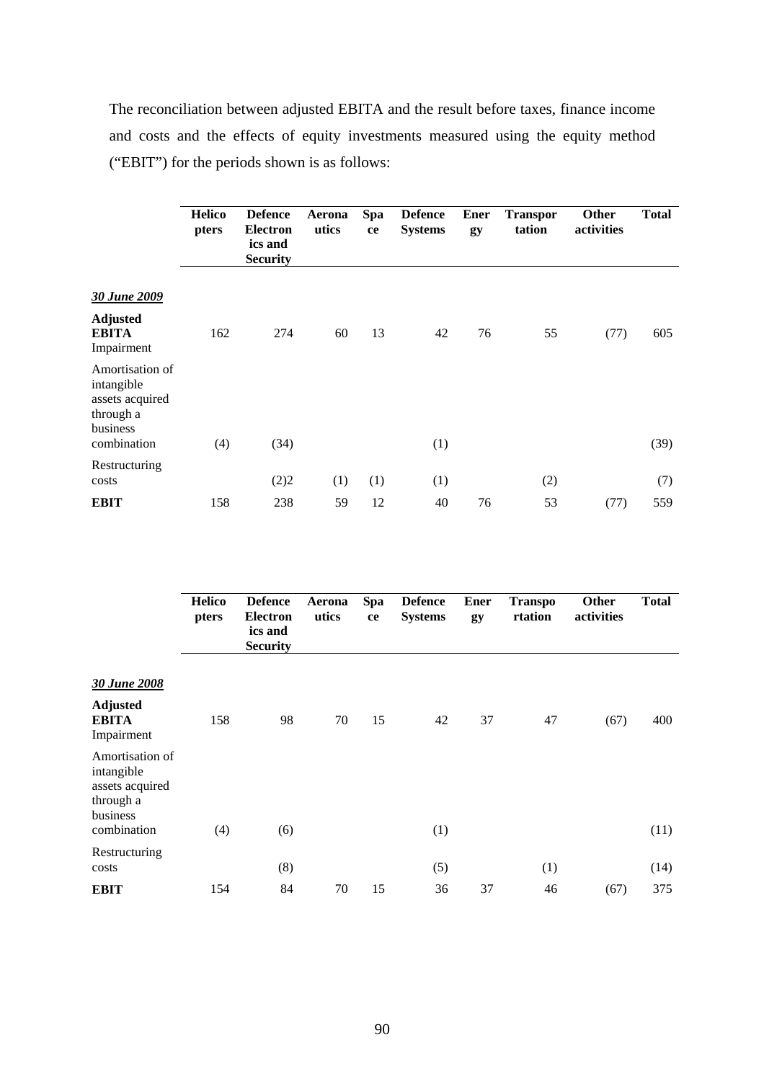The reconciliation between adjusted EBITA and the result before taxes, finance income and costs and the effects of equity investments measured using the equity method ("EBIT") for the periods shown is as follows:

|                                                                           | <b>Helico</b><br>pters | <b>Defence</b><br><b>Electron</b><br>ics and<br><b>Security</b> | Aerona<br>utics | <b>Spa</b><br>ce | <b>Defence</b><br><b>Systems</b> | <b>Ener</b><br>gy | <b>Transpor</b><br>tation | Other<br>activities | <b>Total</b> |
|---------------------------------------------------------------------------|------------------------|-----------------------------------------------------------------|-----------------|------------------|----------------------------------|-------------------|---------------------------|---------------------|--------------|
| 30 June 2009                                                              |                        |                                                                 |                 |                  |                                  |                   |                           |                     |              |
| <b>Adjusted</b><br><b>EBITA</b><br>Impairment                             | 162                    | 274                                                             | 60              | 13               | 42                               | 76                | 55                        | (77)                | 605          |
| Amortisation of<br>intangible<br>assets acquired<br>through a<br>business |                        |                                                                 |                 |                  |                                  |                   |                           |                     |              |
| combination                                                               | (4)                    | (34)                                                            |                 |                  | (1)                              |                   |                           |                     | (39)         |
| Restructuring<br>costs                                                    |                        | (2)2                                                            | (1)             | (1)              | (1)                              |                   | (2)                       |                     | (7)          |
| <b>EBIT</b>                                                               | 158                    | 238                                                             | 59              | 12               | 40                               | 76                | 53                        | (77)                | 559          |

|                                                                                          | <b>Helico</b><br>pters | <b>Defence</b><br><b>Electron</b><br>ics and<br><b>Security</b> | Aerona<br>utics | Spa<br>ce | <b>Defence</b><br><b>Systems</b> | <b>Ener</b><br>gy | <b>Transpo</b><br>rtation | Other<br>activities | <b>Total</b> |
|------------------------------------------------------------------------------------------|------------------------|-----------------------------------------------------------------|-----------------|-----------|----------------------------------|-------------------|---------------------------|---------------------|--------------|
| 30 June 2008                                                                             |                        |                                                                 |                 |           |                                  |                   |                           |                     |              |
| <b>Adjusted</b><br><b>EBITA</b><br>Impairment                                            | 158                    | 98                                                              | 70              | 15        | 42                               | 37                | 47                        | (67)                | 400          |
| Amortisation of<br>intangible<br>assets acquired<br>through a<br>business<br>combination | (4)                    | (6)                                                             |                 |           | (1)                              |                   |                           |                     | (11)         |
| Restructuring<br>costs                                                                   |                        | (8)                                                             |                 |           |                                  |                   | (1)                       |                     | (14)         |
| <b>EBIT</b>                                                                              | 154                    | 84                                                              | 70              | 15        | (5)<br>36                        | 37                | 46                        | (67)                | 375          |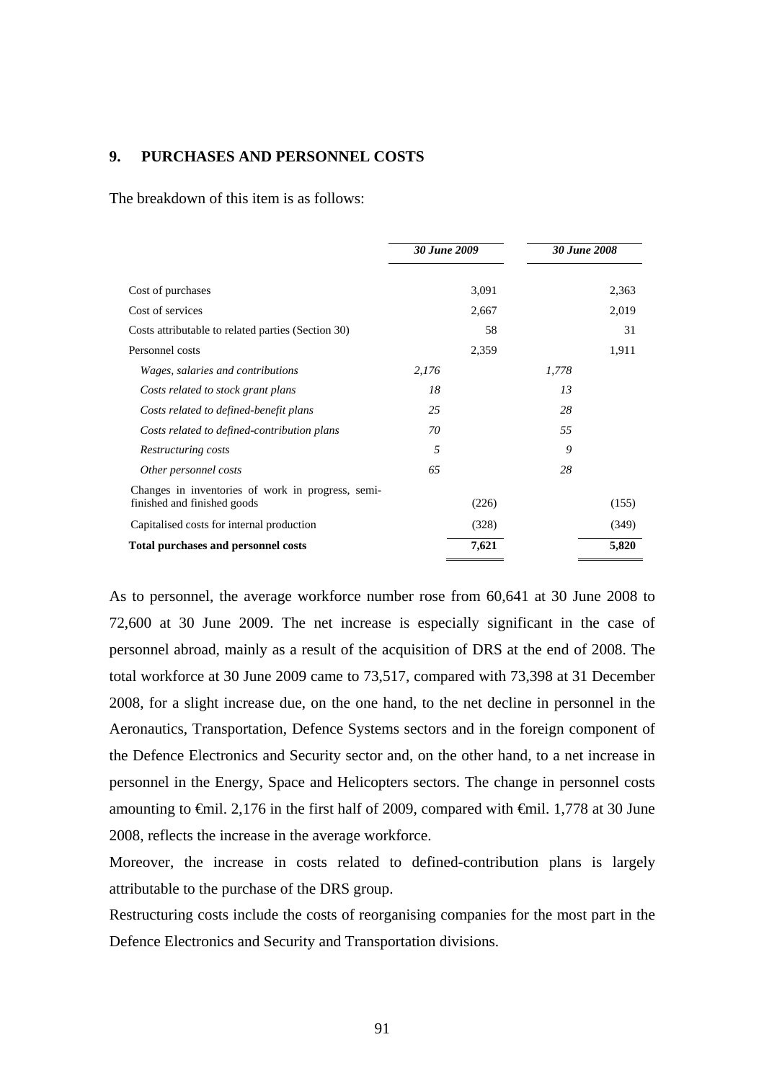# **9. PURCHASES AND PERSONNEL COSTS**

The breakdown of this item is as follows:

|                                                                                  | 30 June 2009 |       | <b>30 June 2008</b> |       |
|----------------------------------------------------------------------------------|--------------|-------|---------------------|-------|
| Cost of purchases                                                                |              | 3,091 |                     | 2,363 |
| Cost of services                                                                 |              | 2,667 |                     | 2,019 |
| Costs attributable to related parties (Section 30)                               |              | 58    |                     | 31    |
| Personnel costs                                                                  |              | 2,359 |                     | 1,911 |
| Wages, salaries and contributions                                                | 2,176        |       | 1,778               |       |
| Costs related to stock grant plans                                               | 18           |       | 13                  |       |
| Costs related to defined-benefit plans                                           | 25           |       | 28                  |       |
| Costs related to defined-contribution plans                                      | 70           |       | 55                  |       |
| Restructuring costs                                                              | 5            |       | 9                   |       |
| Other personnel costs                                                            | 65           |       | 28                  |       |
| Changes in inventories of work in progress, semi-<br>finished and finished goods |              | (226) |                     | (155) |
| Capitalised costs for internal production                                        |              | (328) |                     | (349) |
| <b>Total purchases and personnel costs</b>                                       |              | 7,621 |                     | 5,820 |

As to personnel, the average workforce number rose from 60,641 at 30 June 2008 to 72,600 at 30 June 2009. The net increase is especially significant in the case of personnel abroad, mainly as a result of the acquisition of DRS at the end of 2008. The total workforce at 30 June 2009 came to 73,517, compared with 73,398 at 31 December 2008, for a slight increase due, on the one hand, to the net decline in personnel in the Aeronautics, Transportation, Defence Systems sectors and in the foreign component of the Defence Electronics and Security sector and, on the other hand, to a net increase in personnel in the Energy, Space and Helicopters sectors. The change in personnel costs amounting to  $\epsilon$ mil. 2,176 in the first half of 2009, compared with  $\epsilon$ mil. 1,778 at 30 June 2008, reflects the increase in the average workforce.

Moreover, the increase in costs related to defined-contribution plans is largely attributable to the purchase of the DRS group.

Restructuring costs include the costs of reorganising companies for the most part in the Defence Electronics and Security and Transportation divisions.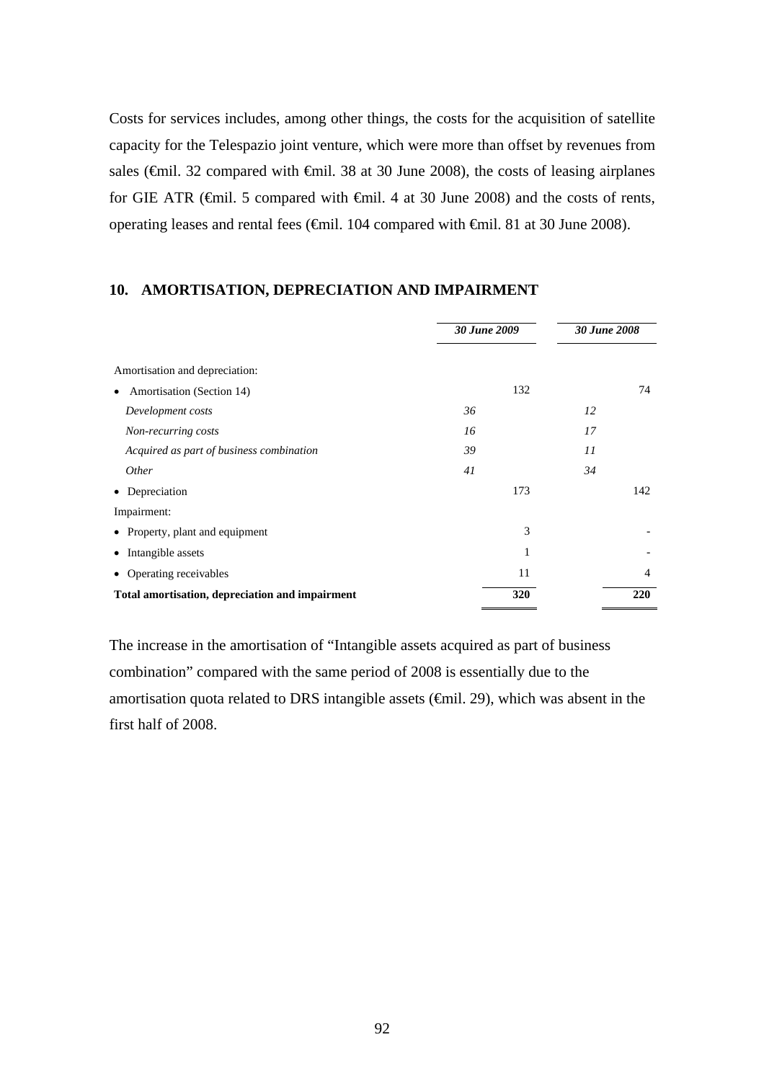Costs for services includes, among other things, the costs for the acquisition of satellite capacity for the Telespazio joint venture, which were more than offset by revenues from sales (€mil. 32 compared with €mil. 38 at 30 June 2008), the costs of leasing airplanes for GIE ATR (€mil. 5 compared with €mil. 4 at 30 June 2008) and the costs of rents, operating leases and rental fees (€mil. 104 compared with €mil. 81 at 30 June 2008).

# **10. AMORTISATION, DEPRECIATION AND IMPAIRMENT**

|                                                 | 30 June 2009 | <b>30 June 2008</b> |
|-------------------------------------------------|--------------|---------------------|
| Amortisation and depreciation:                  |              |                     |
| Amortisation (Section 14)<br>$\bullet$          | 132          | 74                  |
| Development costs                               | 36           | 12                  |
| Non-recurring costs                             | 16           | 17                  |
| Acquired as part of business combination        | 39           | 11                  |
| <i>Other</i>                                    | 41           | 34                  |
| • Depreciation                                  | 173          | 142                 |
| Impairment:                                     |              |                     |
| • Property, plant and equipment                 | 3            |                     |
| • Intangible assets                             | 1            |                     |
| • Operating receivables                         | 11           | $\overline{4}$      |
| Total amortisation, depreciation and impairment | 320          | 220                 |

The increase in the amortisation of "Intangible assets acquired as part of business combination" compared with the same period of 2008 is essentially due to the amortisation quota related to DRS intangible assets  $(\text{fmid. 29})$ , which was absent in the first half of 2008.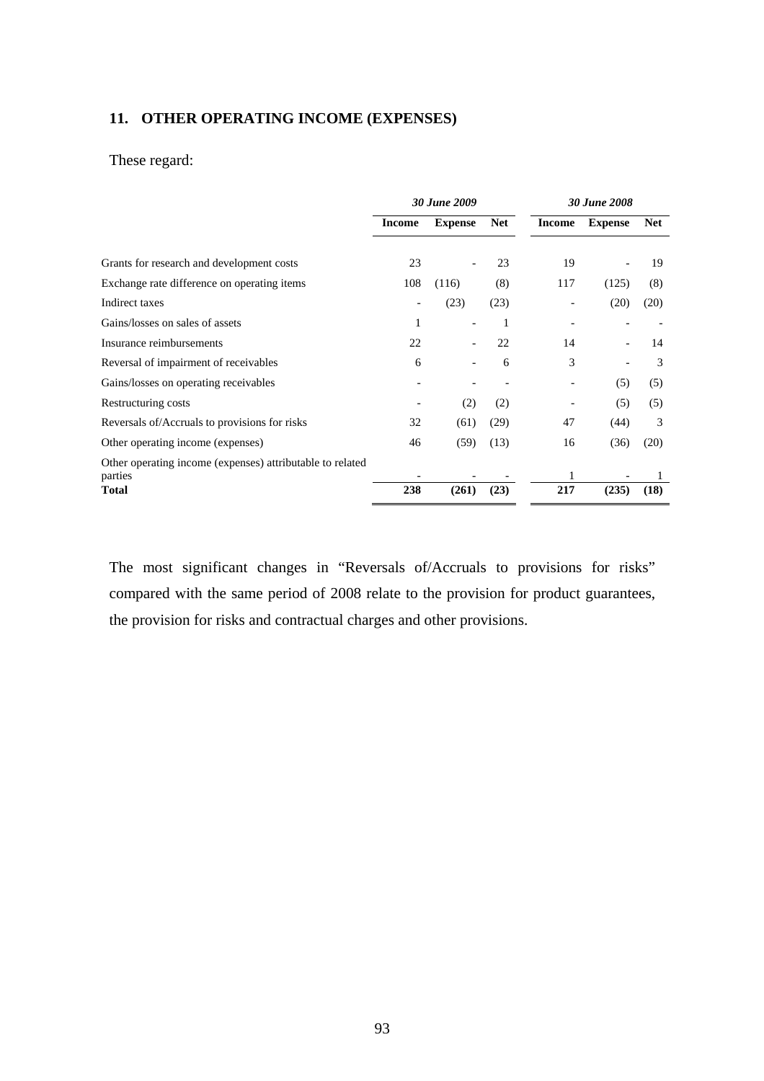# **11. OTHER OPERATING INCOME (EXPENSES)**

# These regard:

|                                                                      | <b>30 June 2009</b> |                |            | <b>30 June 2008</b> |                |            |
|----------------------------------------------------------------------|---------------------|----------------|------------|---------------------|----------------|------------|
|                                                                      | <b>Income</b>       | <b>Expense</b> | <b>Net</b> | <b>Income</b>       | <b>Expense</b> | <b>Net</b> |
| Grants for research and development costs                            | 23                  |                | 23         | 19                  |                | 19         |
| Exchange rate difference on operating items                          | 108                 | (116)          | (8)        | 117                 | (125)          | (8)        |
| Indirect taxes                                                       |                     | (23)           | (23)       |                     | (20)           | (20)       |
| Gains/losses on sales of assets                                      | 1                   |                | 1          |                     |                |            |
| Insurance reimbursements                                             | 22                  |                | 22         | 14                  |                | 14         |
| Reversal of impairment of receivables                                | 6                   |                | 6          | 3                   |                | 3          |
| Gains/losses on operating receivables                                |                     |                |            |                     | (5)            | (5)        |
| Restructuring costs                                                  |                     | (2)            | (2)        |                     | (5)            | (5)        |
| Reversals of/Accruals to provisions for risks                        | 32                  | (61)           | (29)       | 47                  | (44)           | 3          |
| Other operating income (expenses)                                    | 46                  | (59)           | (13)       | 16                  | (36)           | (20)       |
| Other operating income (expenses) attributable to related<br>parties |                     |                |            | 1                   |                |            |
| <b>Total</b>                                                         | 238                 | (261)          | (23)       | 217                 | (235)          | (18)       |

The most significant changes in "Reversals of/Accruals to provisions for risks" compared with the same period of 2008 relate to the provision for product guarantees, the provision for risks and contractual charges and other provisions.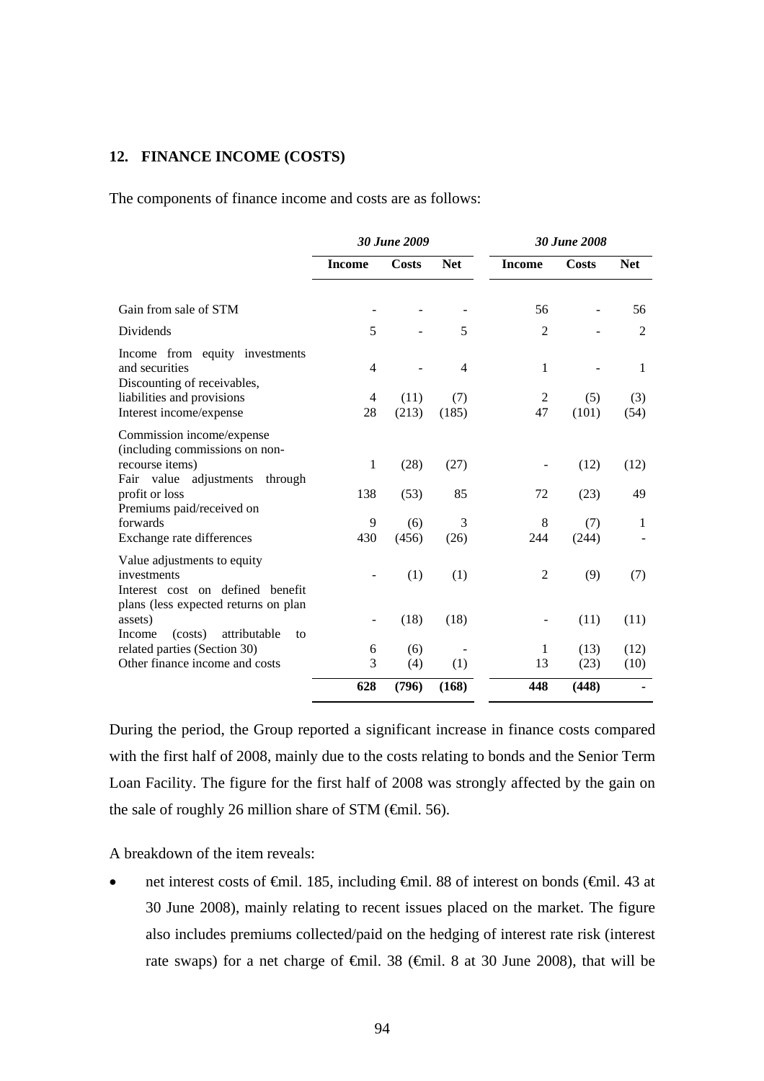# **12. FINANCE INCOME (COSTS)**

The components of finance income and costs are as follows:

|                                                                                                                        |               | <b>30 June 2009</b> |              | <b>30 June 2008</b> |              |                |  |
|------------------------------------------------------------------------------------------------------------------------|---------------|---------------------|--------------|---------------------|--------------|----------------|--|
|                                                                                                                        | <b>Income</b> | Costs               | <b>Net</b>   | <b>Income</b>       | <b>Costs</b> | <b>Net</b>     |  |
| Gain from sale of STM                                                                                                  |               |                     |              | 56                  | ÷            | 56             |  |
| Dividends                                                                                                              | 5             |                     | 5            | $\overline{2}$      |              | $\overline{2}$ |  |
| Income from equity investments<br>and securities                                                                       | 4             |                     | 4            | $\mathbf{1}$        |              | 1              |  |
| Discounting of receivables,<br>liabilities and provisions<br>Interest income/expense                                   | 4<br>28       | (11)<br>(213)       | (7)<br>(185) | 2<br>47             | (5)<br>(101) | (3)<br>(54)    |  |
| Commission income/expense<br>(including commissions on non-<br>recourse items)                                         | 1             | (28)                | (27)         |                     | (12)         | (12)           |  |
| Fair value adjustments<br>through<br>profit or loss<br>Premiums paid/received on                                       | 138           | (53)                | 85           | 72                  | (23)         | 49             |  |
| forwards<br>Exchange rate differences                                                                                  | 9<br>430      | (6)<br>(456)        | 3<br>(26)    | 8<br>244            | (7)<br>(244) | 1              |  |
| Value adjustments to equity<br>investments<br>Interest cost on defined benefit<br>plans (less expected returns on plan |               | (1)                 | (1)          | 2                   | (9)          | (7)            |  |
| assets)<br>attributable<br>Income<br>(costs)<br>to                                                                     |               | (18)                | (18)         |                     | (11)         | (11)           |  |
| related parties (Section 30)<br>Other finance income and costs                                                         | 6<br>3        | (6)<br>(4)          | (1)          | 1<br>13             | (13)<br>(23) | (12)<br>(10)   |  |
|                                                                                                                        | 628           | (796)               | (168)        | 448                 | (448)        |                |  |

During the period, the Group reported a significant increase in finance costs compared with the first half of 2008, mainly due to the costs relating to bonds and the Senior Term Loan Facility. The figure for the first half of 2008 was strongly affected by the gain on the sale of roughly 26 million share of STM  $(\text{fmil. 56})$ .

A breakdown of the item reveals:

• net interest costs of €mil. 185, including €mil. 88 of interest on bonds (€mil. 43 at 30 June 2008), mainly relating to recent issues placed on the market. The figure also includes premiums collected/paid on the hedging of interest rate risk (interest rate swaps) for a net charge of  $\theta$ mil. 38 ( $\theta$ mil. 8 at 30 June 2008), that will be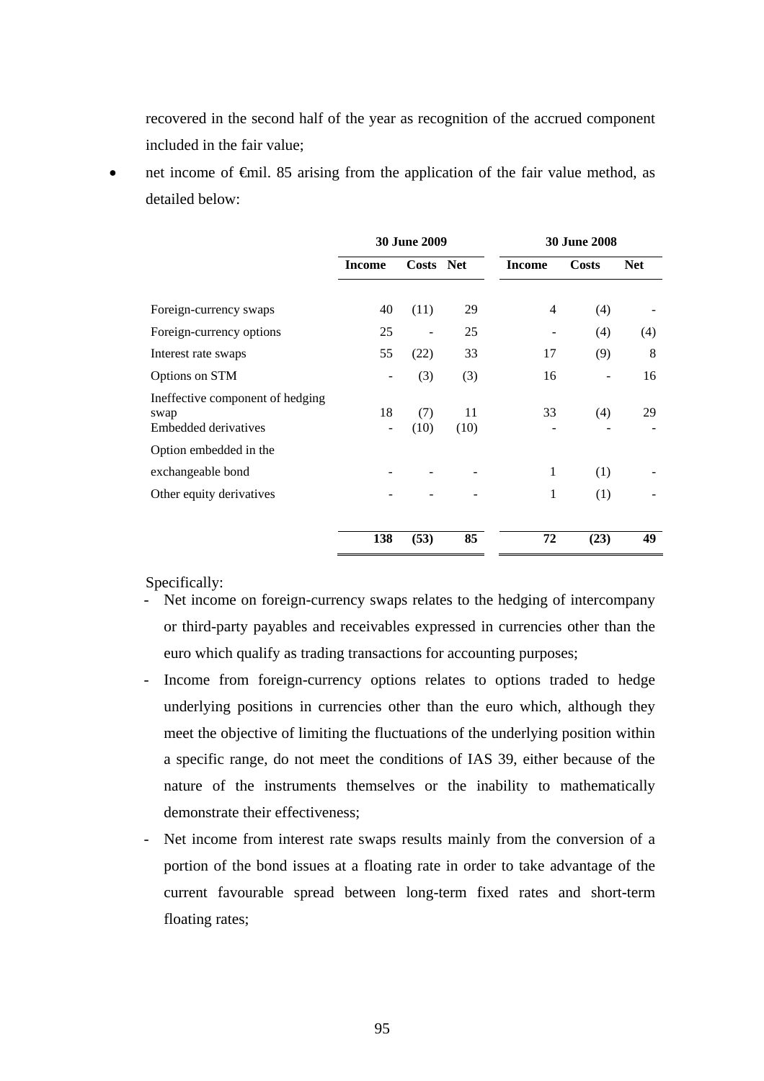recovered in the second half of the year as recognition of the accrued component included in the fair value;

net income of <del>€m</del>il. 85 arising from the application of the fair value method, as detailed below:

|                                                                  | <b>30 June 2009</b> |             |            | <b>30 June 2008</b> |       |            |  |
|------------------------------------------------------------------|---------------------|-------------|------------|---------------------|-------|------------|--|
|                                                                  | <b>Income</b>       | Costs Net   |            | <b>Income</b>       | Costs | <b>Net</b> |  |
| Foreign-currency swaps                                           | 40                  | (11)        | 29         | 4                   | (4)   |            |  |
| Foreign-currency options                                         | 25                  |             | 25         |                     | (4)   | (4)        |  |
| Interest rate swaps                                              | 55                  | (22)        | 33         | 17                  | (9)   | 8          |  |
| Options on STM                                                   |                     | (3)         | (3)        | 16                  |       | 16         |  |
| Ineffective component of hedging<br>swap<br>Embedded derivatives | 18                  | (7)<br>(10) | 11<br>(10) | 33                  | (4)   | 29         |  |
| Option embedded in the                                           |                     |             |            |                     |       |            |  |
| exchangeable bond                                                |                     |             |            | 1                   | (1)   |            |  |
| Other equity derivatives                                         |                     |             |            | 1                   | (1)   |            |  |
|                                                                  | 138                 | (53)        | 85         | 72                  | (23)  | 49         |  |

Specifically:

- Net income on foreign-currency swaps relates to the hedging of intercompany or third-party payables and receivables expressed in currencies other than the euro which qualify as trading transactions for accounting purposes;
- Income from foreign-currency options relates to options traded to hedge underlying positions in currencies other than the euro which, although they meet the objective of limiting the fluctuations of the underlying position within a specific range, do not meet the conditions of IAS 39, either because of the nature of the instruments themselves or the inability to mathematically demonstrate their effectiveness;
- Net income from interest rate swaps results mainly from the conversion of a portion of the bond issues at a floating rate in order to take advantage of the current favourable spread between long-term fixed rates and short-term floating rates;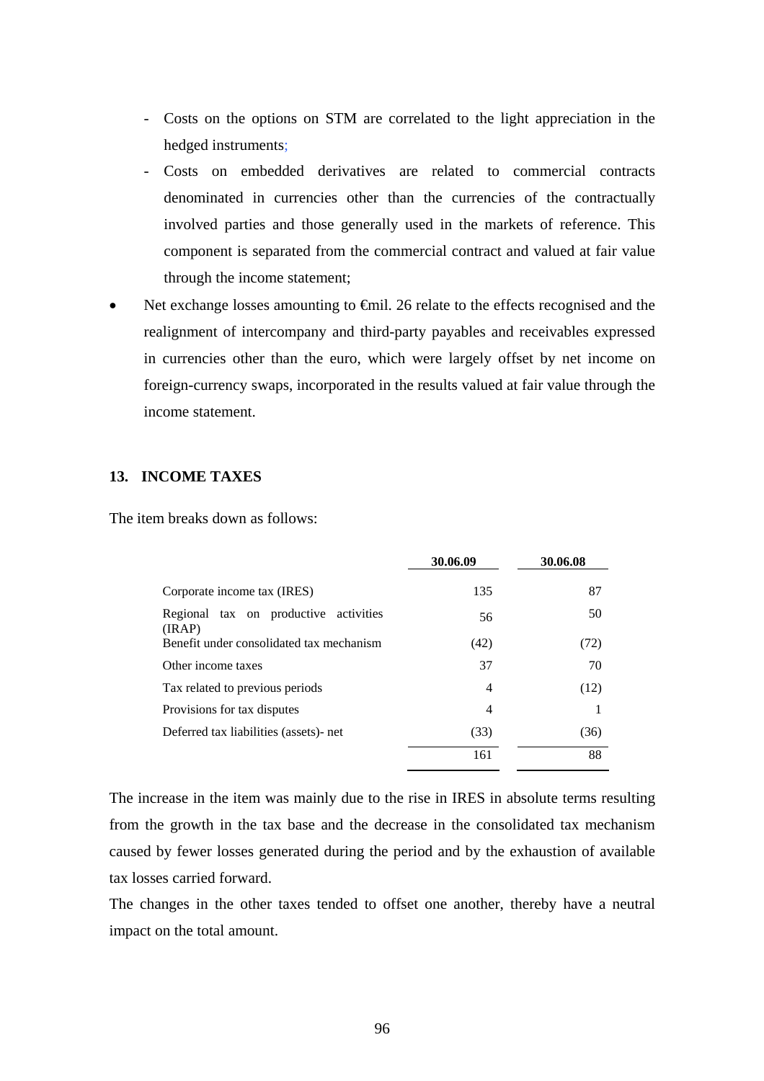- Costs on the options on STM are correlated to the light appreciation in the hedged instruments;
- Costs on embedded derivatives are related to commercial contracts denominated in currencies other than the currencies of the contractually involved parties and those generally used in the markets of reference. This component is separated from the commercial contract and valued at fair value through the income statement;
- Net exchange losses amounting to  $\epsilon$ mil. 26 relate to the effects recognised and the realignment of intercompany and third-party payables and receivables expressed in currencies other than the euro, which were largely offset by net income on foreign-currency swaps, incorporated in the results valued at fair value through the income statement.

# **13. INCOME TAXES**

The item breaks down as follows:

|                                                 | 30.06.09 | 30.06.08 |
|-------------------------------------------------|----------|----------|
| Corporate income tax (IRES)                     | 135      | 87       |
| Regional tax on productive activities<br>(IRAP) | 56       | 50       |
| Benefit under consolidated tax mechanism        | (42)     | (72)     |
| Other income taxes                              | 37       | 70       |
| Tax related to previous periods                 | 4        | (12)     |
| Provisions for tax disputes                     | 4        |          |
| Deferred tax liabilities (assets)- net          | (33)     | (36)     |
|                                                 | 161      | 88       |

The increase in the item was mainly due to the rise in IRES in absolute terms resulting from the growth in the tax base and the decrease in the consolidated tax mechanism caused by fewer losses generated during the period and by the exhaustion of available tax losses carried forward.

The changes in the other taxes tended to offset one another, thereby have a neutral impact on the total amount.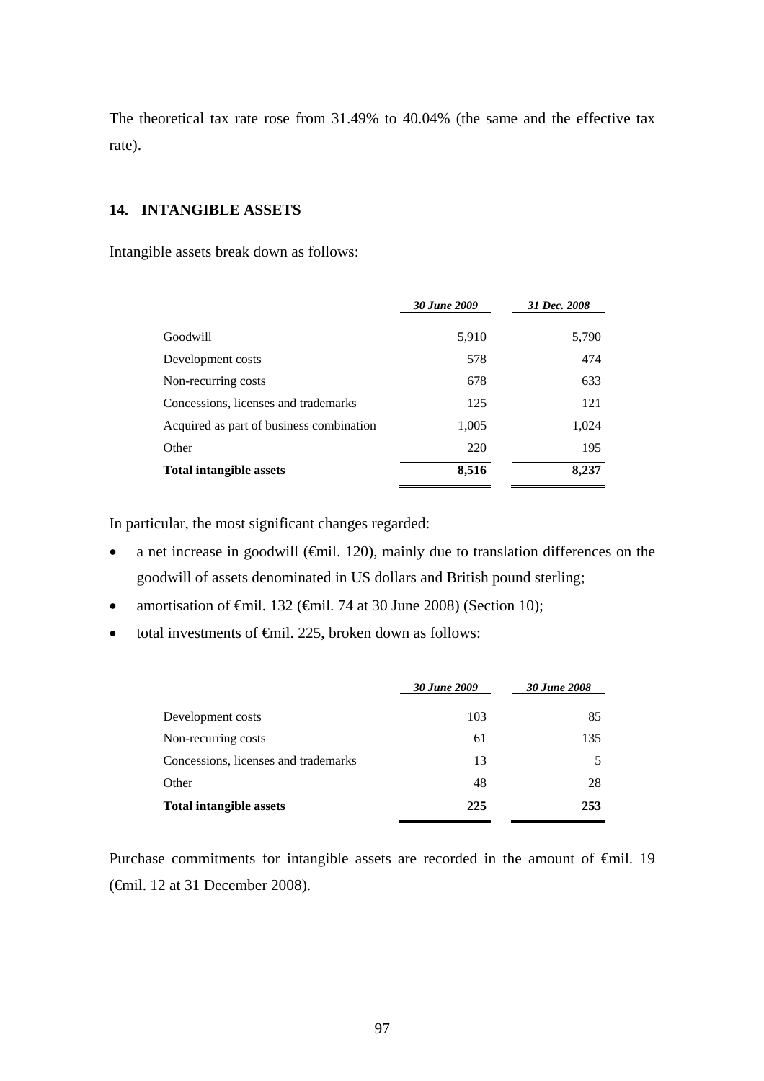The theoretical tax rate rose from 31.49% to 40.04% (the same and the effective tax rate).

# **14. INTANGIBLE ASSETS**

Intangible assets break down as follows:

|                                          | 30 June 2009 | 31 Dec. 2008 |
|------------------------------------------|--------------|--------------|
| Goodwill                                 | 5,910        | 5,790        |
| Development costs                        | 578          | 474          |
| Non-recurring costs                      | 678          | 633          |
| Concessions, licenses and trademarks     | 125          | 121          |
| Acquired as part of business combination | 1,005        | 1,024        |
| Other                                    | 220          | 195          |
| <b>Total intangible assets</b>           | 8,516        | 8,237        |

In particular, the most significant changes regarded:

- a net increase in goodwill (€mil. 120), mainly due to translation differences on the goodwill of assets denominated in US dollars and British pound sterling;
- amortisation of  $\oplus$ mil. 132 ( $\oplus$ mil. 74 at 30 June 2008) (Section 10);
- total investments of €mil. 225, broken down as follows:

| 30 June 2009 | <b>30 June 2008</b> |
|--------------|---------------------|
| 103          | 85                  |
| 61           | 135                 |
| 13           |                     |
| 48           | 28                  |
| 225          | 253                 |
|              |                     |

Purchase commitments for intangible assets are recorded in the amount of €mil. 19 (€mil. 12 at 31 December 2008).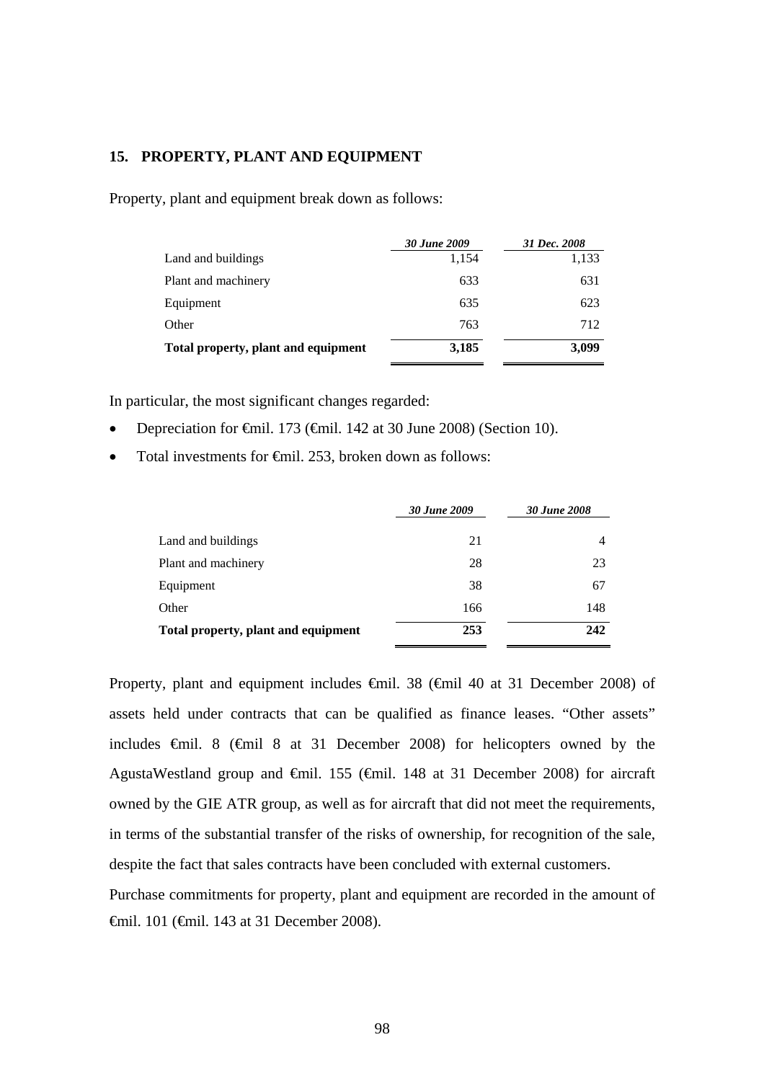### **15. PROPERTY, PLANT AND EQUIPMENT**

Property, plant and equipment break down as follows:

|                                     | 30 June 2009 | 31 Dec. 2008 |
|-------------------------------------|--------------|--------------|
| Land and buildings                  | 1,154        | 1,133        |
| Plant and machinery                 | 633          | 631          |
| Equipment                           | 635          | 623          |
| Other                               | 763          | 712          |
| Total property, plant and equipment | 3,185        | 3,099        |

In particular, the most significant changes regarded:

- Depreciation for €mil. 173 (€mil. 142 at 30 June 2008) (Section 10).
- Total investments for <del>€</del>mil. 253, broken down as follows:

|                                     | 30 June 2009 | 30 June 2008 |  |
|-------------------------------------|--------------|--------------|--|
| Land and buildings                  | 21           | 4            |  |
| Plant and machinery                 | 28           | 23           |  |
| Equipment                           | 38           | 67           |  |
| Other                               | 166          | 148          |  |
| Total property, plant and equipment | 253          | 242          |  |

Property, plant and equipment includes €mil. 38 (€mil 40 at 31 December 2008) of assets held under contracts that can be qualified as finance leases. "Other assets" includes €mil. 8 (€mil 8 at 31 December 2008) for helicopters owned by the AgustaWestland group and €mil. 155 (€mil. 148 at 31 December 2008) for aircraft owned by the GIE ATR group, as well as for aircraft that did not meet the requirements, in terms of the substantial transfer of the risks of ownership, for recognition of the sale, despite the fact that sales contracts have been concluded with external customers.

Purchase commitments for property, plant and equipment are recorded in the amount of €mil. 101 (€mil. 143 at 31 December 2008).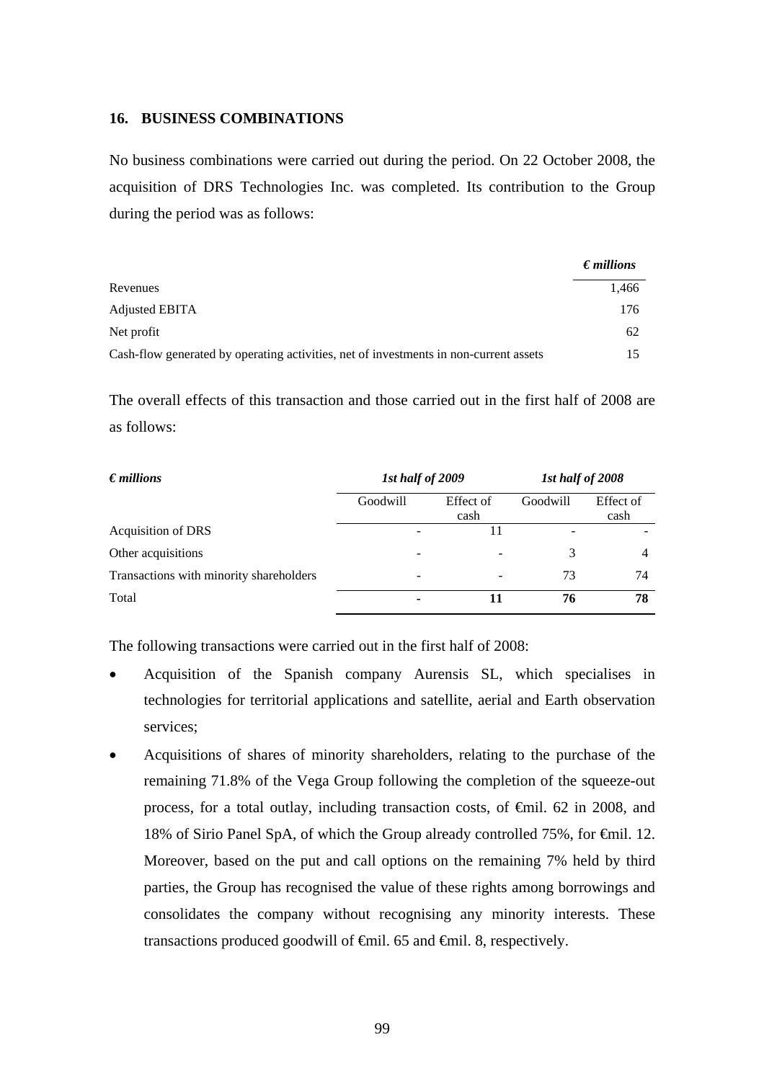### **16. BUSINESS COMBINATIONS**

No business combinations were carried out during the period. On 22 October 2008, the acquisition of DRS Technologies Inc. was completed. Its contribution to the Group during the period was as follows:

|                                                                                       | $\epsilon$ <i>millions</i> |
|---------------------------------------------------------------------------------------|----------------------------|
| Revenues                                                                              | 1.466                      |
| Adjusted EBITA                                                                        | 176                        |
| Net profit                                                                            | 62                         |
| Cash-flow generated by operating activities, net of investments in non-current assets |                            |

The overall effects of this transaction and those carried out in the first half of 2008 are as follows:

| $\epsilon$ <i>millions</i>              | 1st half of 2009 |                   | 1st half of 2008 |                   |
|-----------------------------------------|------------------|-------------------|------------------|-------------------|
|                                         | Goodwill         | Effect of<br>cash | Goodwill         | Effect of<br>cash |
| <b>Acquisition of DRS</b>               |                  | 11                |                  |                   |
| Other acquisitions                      | -                |                   |                  | 4                 |
| Transactions with minority shareholders | -                | -                 | 73               | 74                |
| Total                                   |                  |                   | 76               | 78                |

The following transactions were carried out in the first half of 2008:

- Acquisition of the Spanish company Aurensis SL, which specialises in technologies for territorial applications and satellite, aerial and Earth observation services;
- Acquisitions of shares of minority shareholders, relating to the purchase of the remaining 71.8% of the Vega Group following the completion of the squeeze-out process, for a total outlay, including transaction costs, of €mil. 62 in 2008, and 18% of Sirio Panel SpA, of which the Group already controlled 75%, for €mil. 12. Moreover, based on the put and call options on the remaining 7% held by third parties, the Group has recognised the value of these rights among borrowings and consolidates the company without recognising any minority interests. These transactions produced goodwill of €mil. 65 and €mil. 8, respectively.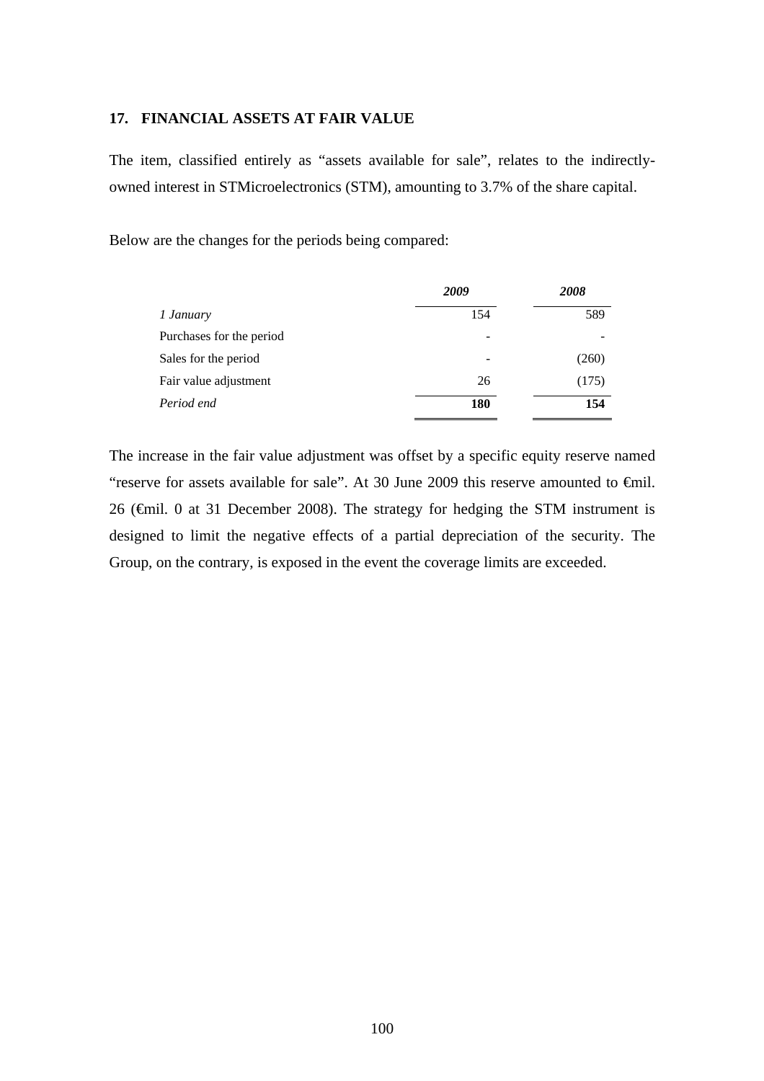### **17. FINANCIAL ASSETS AT FAIR VALUE**

The item, classified entirely as "assets available for sale", relates to the indirectlyowned interest in STMicroelectronics (STM), amounting to 3.7% of the share capital.

Below are the changes for the periods being compared:

|                          | 2009 | 2008  |  |
|--------------------------|------|-------|--|
| 1 January                | 154  | 589   |  |
| Purchases for the period |      |       |  |
| Sales for the period     |      | (260) |  |
| Fair value adjustment    | 26   | (175) |  |
| Period end               | 180  | 154   |  |

The increase in the fair value adjustment was offset by a specific equity reserve named "reserve for assets available for sale". At 30 June 2009 this reserve amounted to  $\epsilon$ mil. 26 (€mil. 0 at 31 December 2008). The strategy for hedging the STM instrument is designed to limit the negative effects of a partial depreciation of the security. The Group, on the contrary, is exposed in the event the coverage limits are exceeded.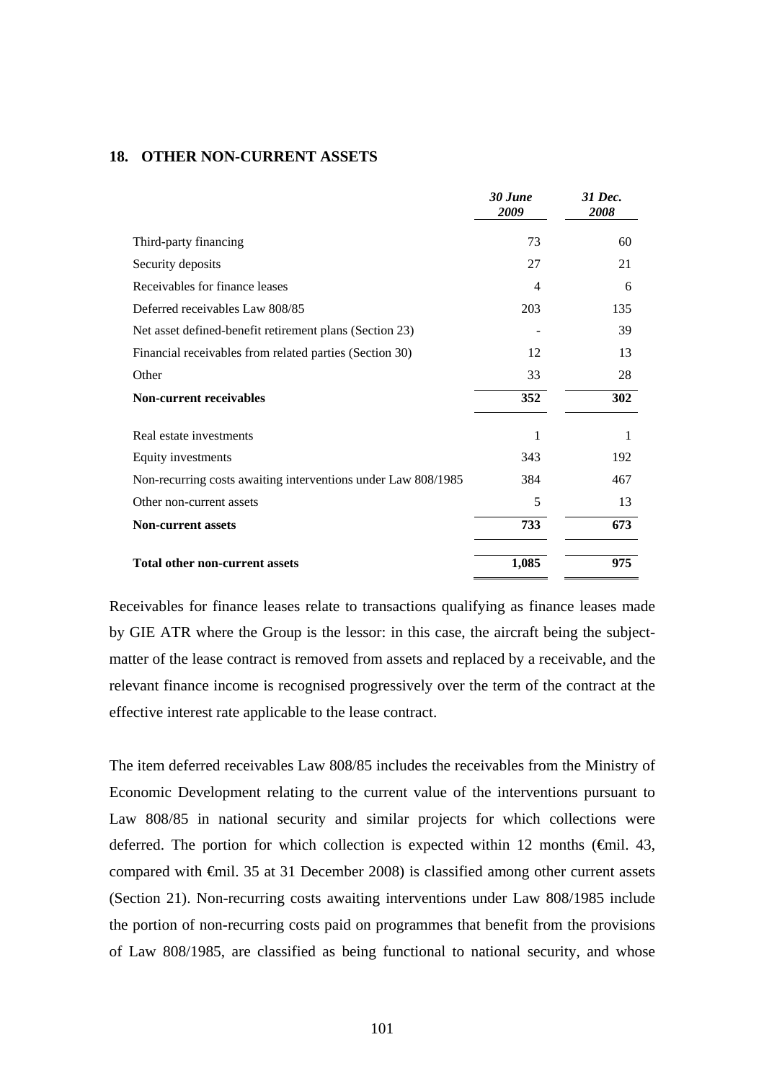### **18. OTHER NON-CURRENT ASSETS**

|                                                               | 30 June<br>2009 | 31 Dec.<br>2008 |
|---------------------------------------------------------------|-----------------|-----------------|
| Third-party financing                                         | 73              | 60              |
| Security deposits                                             | 27              | 21              |
| Receivables for finance leases                                | 4               | 6               |
| Deferred receivables Law 808/85                               | 203             | 135             |
| Net asset defined-benefit retirement plans (Section 23)       |                 | 39              |
| Financial receivables from related parties (Section 30)       | 12              | 13              |
| Other                                                         | 33              | 28              |
| <b>Non-current receivables</b>                                | 352             | 302             |
| Real estate investments                                       | 1               |                 |
| Equity investments                                            | 343             | 192             |
| Non-recurring costs awaiting interventions under Law 808/1985 | 384             | 467             |
| Other non-current assets                                      | 5               | 13              |
| <b>Non-current assets</b>                                     | 733             | 673             |
| <b>Total other non-current assets</b>                         | 1,085           | 975             |

Receivables for finance leases relate to transactions qualifying as finance leases made by GIE ATR where the Group is the lessor: in this case, the aircraft being the subjectmatter of the lease contract is removed from assets and replaced by a receivable, and the relevant finance income is recognised progressively over the term of the contract at the effective interest rate applicable to the lease contract.

The item deferred receivables Law 808/85 includes the receivables from the Ministry of Economic Development relating to the current value of the interventions pursuant to Law 808/85 in national security and similar projects for which collections were deferred. The portion for which collection is expected within 12 months ( $\epsilon$ mil. 43, compared with €mil. 35 at 31 December 2008) is classified among other current assets (Section 21). Non-recurring costs awaiting interventions under Law 808/1985 include the portion of non-recurring costs paid on programmes that benefit from the provisions of Law 808/1985, are classified as being functional to national security, and whose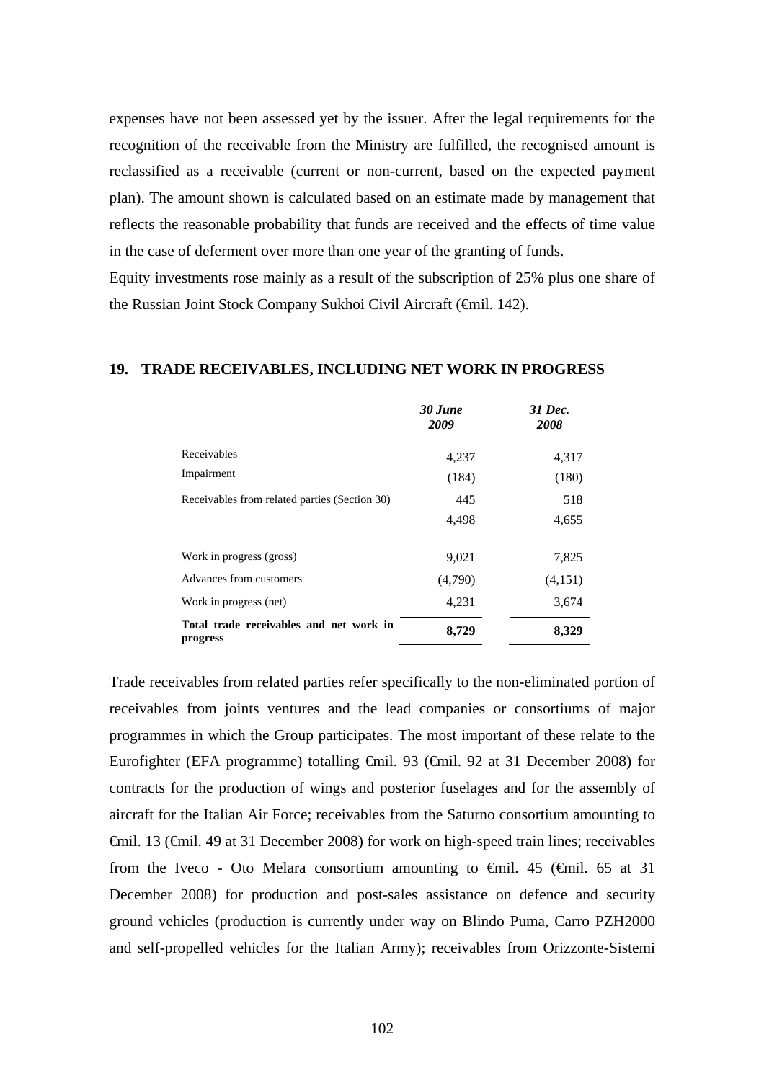expenses have not been assessed yet by the issuer. After the legal requirements for the recognition of the receivable from the Ministry are fulfilled, the recognised amount is reclassified as a receivable (current or non-current, based on the expected payment plan). The amount shown is calculated based on an estimate made by management that reflects the reasonable probability that funds are received and the effects of time value in the case of deferment over more than one year of the granting of funds.

Equity investments rose mainly as a result of the subscription of 25% plus one share of the Russian Joint Stock Company Sukhoi Civil Aircraft (€mil. 142).

### **19. TRADE RECEIVABLES, INCLUDING NET WORK IN PROGRESS**

|                                                     | 30 June<br>2009 | 31 Dec.<br>2008 |
|-----------------------------------------------------|-----------------|-----------------|
| Receivables                                         | 4,237           | 4,317           |
| Impairment                                          | (184)           | (180)           |
| Receivables from related parties (Section 30)       | 445             | 518             |
|                                                     | 4,498           | 4,655           |
| Work in progress (gross)                            | 9,021           | 7,825           |
| Advances from customers                             | (4,790)         | (4,151)         |
| Work in progress (net)                              | 4,231           | 3,674           |
| Total trade receivables and net work in<br>progress | 8,729           | 8,329           |

Trade receivables from related parties refer specifically to the non-eliminated portion of receivables from joints ventures and the lead companies or consortiums of major programmes in which the Group participates. The most important of these relate to the Eurofighter (EFA programme) totalling €mil. 93 (€mil. 92 at 31 December 2008) for contracts for the production of wings and posterior fuselages and for the assembly of aircraft for the Italian Air Force; receivables from the Saturno consortium amounting to €mil. 13 (€mil. 49 at 31 December 2008) for work on high-speed train lines; receivables from the Iveco - Oto Melara consortium amounting to  $\epsilon$ mil. 45 ( $\epsilon$ mil. 65 at 31 December 2008) for production and post-sales assistance on defence and security ground vehicles (production is currently under way on Blindo Puma, Carro PZH2000 and self-propelled vehicles for the Italian Army); receivables from Orizzonte-Sistemi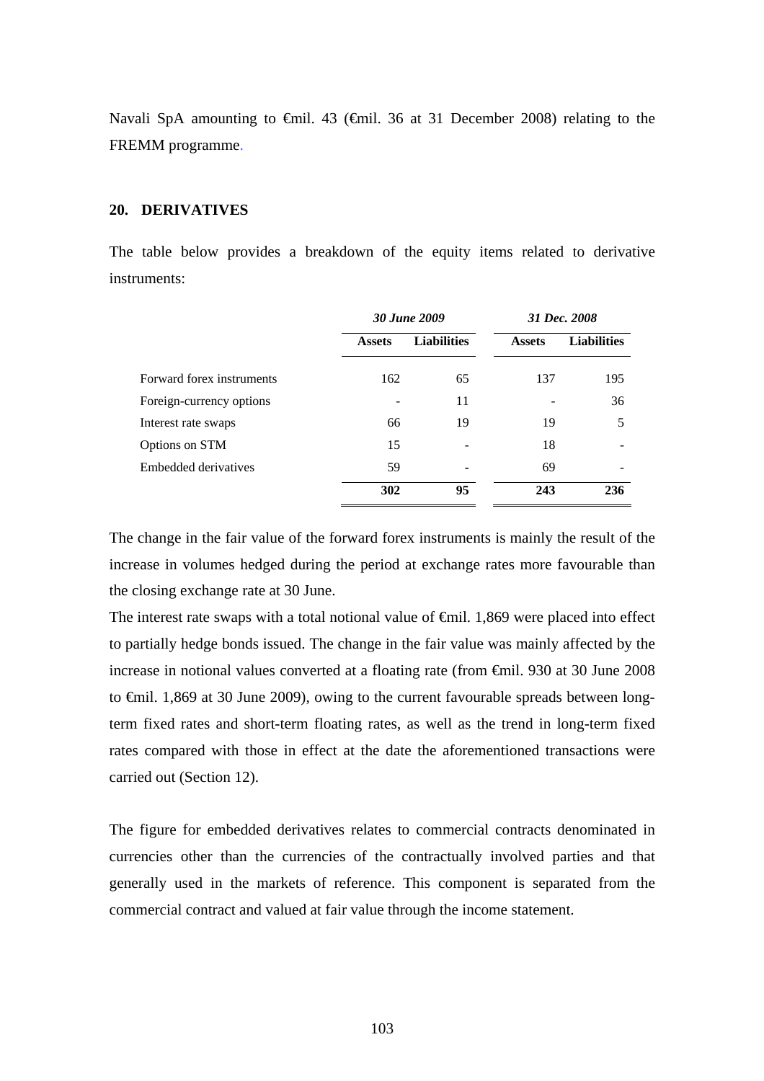Navali SpA amounting to €mil. 43 (€mil. 36 at 31 December 2008) relating to the FREMM programme.

### **20. DERIVATIVES**

The table below provides a breakdown of the equity items related to derivative instruments:

|                           | 30 June 2009  |                    |               | 31 Dec. 2008       |
|---------------------------|---------------|--------------------|---------------|--------------------|
|                           | <b>Assets</b> | <b>Liabilities</b> | <b>Assets</b> | <b>Liabilities</b> |
| Forward forex instruments | 162           | 65                 | 137           | 195                |
| Foreign-currency options  |               | 11                 |               | 36                 |
| Interest rate swaps       | 66            | 19                 | 19            | 5                  |
| Options on STM            | 15            |                    | 18            |                    |
| Embedded derivatives      | 59            |                    | 69            |                    |
|                           | 302           | 95                 | 243           | 236                |

The change in the fair value of the forward forex instruments is mainly the result of the increase in volumes hedged during the period at exchange rates more favourable than the closing exchange rate at 30 June.

The interest rate swaps with a total notional value of €mil. 1,869 were placed into effect to partially hedge bonds issued. The change in the fair value was mainly affected by the increase in notional values converted at a floating rate (from €mil. 930 at 30 June 2008 to €mil. 1,869 at 30 June 2009), owing to the current favourable spreads between longterm fixed rates and short-term floating rates, as well as the trend in long-term fixed rates compared with those in effect at the date the aforementioned transactions were carried out (Section 12).

The figure for embedded derivatives relates to commercial contracts denominated in currencies other than the currencies of the contractually involved parties and that generally used in the markets of reference. This component is separated from the commercial contract and valued at fair value through the income statement.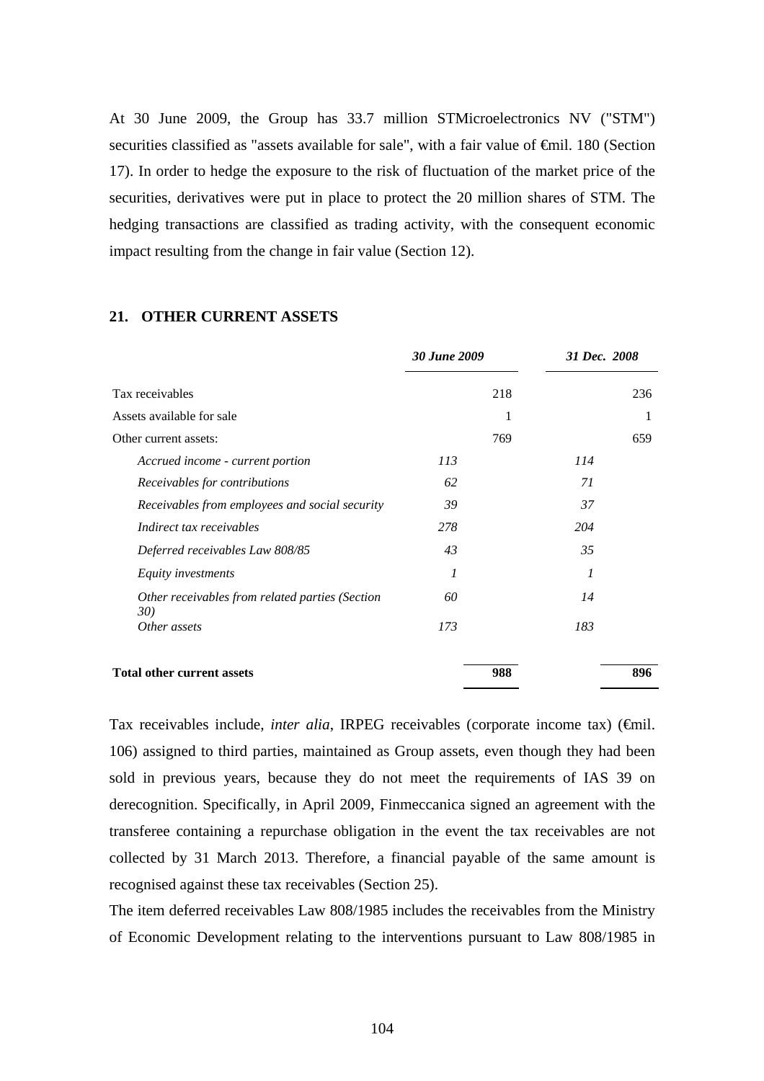At 30 June 2009, the Group has 33.7 million STMicroelectronics NV ("STM") securities classified as "assets available for sale", with a fair value of <del>€m</del>il. 180 (Section 17). In order to hedge the exposure to the risk of fluctuation of the market price of the securities, derivatives were put in place to protect the 20 million shares of STM. The hedging transactions are classified as trading activity, with the consequent economic impact resulting from the change in fair value (Section 12).

|                                                        | <b>30 June 2009</b> |     | 31 Dec. 2008 |  |
|--------------------------------------------------------|---------------------|-----|--------------|--|
| Tax receivables                                        | 218                 |     | 236          |  |
| Assets available for sale                              |                     | 1   |              |  |
| Other current assets:                                  | 769                 |     | 659          |  |
| Accrued income - current portion                       | 113                 | 114 |              |  |
| Receivables for contributions                          | 62                  | 71  |              |  |
| Receivables from employees and social security         | 39                  | 37  |              |  |
| Indirect tax receivables                               | 278                 | 204 |              |  |
| Deferred receivables Law 808/85                        | 43                  | 35  |              |  |
| Equity investments                                     | $\boldsymbol{l}$    | 1   |              |  |
| Other receivables from related parties (Section<br>30) | 60                  | 14  |              |  |
| Other assets                                           | 173                 | 183 |              |  |
| <b>Total other current assets</b>                      | 988                 |     | 896          |  |

# **21. OTHER CURRENT ASSETS**

Tax receivables include, *inter alia*, IRPEG receivables (corporate income tax) (€mil. 106) assigned to third parties, maintained as Group assets, even though they had been sold in previous years, because they do not meet the requirements of IAS 39 on derecognition. Specifically, in April 2009, Finmeccanica signed an agreement with the transferee containing a repurchase obligation in the event the tax receivables are not collected by 31 March 2013. Therefore, a financial payable of the same amount is recognised against these tax receivables (Section 25).

The item deferred receivables Law 808/1985 includes the receivables from the Ministry of Economic Development relating to the interventions pursuant to Law 808/1985 in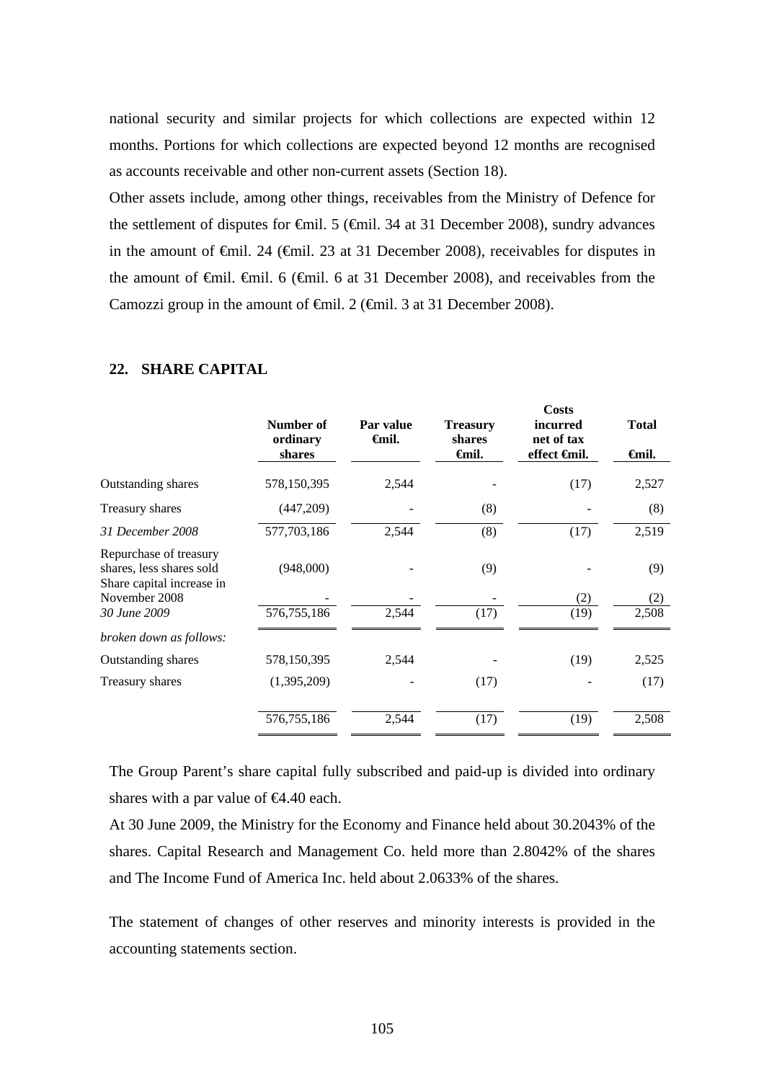national security and similar projects for which collections are expected within 12 months. Portions for which collections are expected beyond 12 months are recognised as accounts receivable and other non-current assets (Section 18).

Other assets include, among other things, receivables from the Ministry of Defence for the settlement of disputes for €mil. 5 (€mil. 34 at 31 December 2008), sundry advances in the amount of €mil. 24 (€mil. 23 at 31 December 2008), receivables for disputes in the amount of  $\theta$ mil.  $\theta$  ( $\theta$ mil. 6 at 31 December 2008), and receivables from the Camozzi group in the amount of  $\oplus$  mil. 2 ( $\oplus$  mil. 3 at 31 December 2008).

|                                                                                 | Number of<br>ordinary<br>shares | Par value<br><b>∈</b> mil. | <b>Treasury</b><br>shares<br>Gmil. | Costs<br>incurred<br>net of tax<br>effect <del>G</del> nil. | <b>Total</b><br><b>∈mil.</b> |
|---------------------------------------------------------------------------------|---------------------------------|----------------------------|------------------------------------|-------------------------------------------------------------|------------------------------|
| Outstanding shares                                                              | 578,150,395                     | 2,544                      |                                    | (17)                                                        | 2,527                        |
| Treasury shares                                                                 | (447,209)                       |                            | (8)                                |                                                             | (8)                          |
| 31 December 2008                                                                | 577,703,186                     | 2,544                      | (8)                                | (17)                                                        | 2,519                        |
| Repurchase of treasury<br>shares, less shares sold<br>Share capital increase in | (948,000)                       |                            | (9)                                |                                                             | (9)                          |
| November 2008                                                                   |                                 |                            |                                    | (2)                                                         | (2)                          |
| 30 June 2009                                                                    | 576, 755, 186                   | 2,544                      | (17)                               | (19)                                                        | 2,508                        |
| broken down as follows:                                                         |                                 |                            |                                    |                                                             |                              |
| Outstanding shares                                                              | 578,150,395                     | 2,544                      |                                    | (19)                                                        | 2,525                        |
| Treasury shares                                                                 | (1,395,209)                     |                            | (17)                               |                                                             | (17)                         |
|                                                                                 | 576,755,186                     | 2,544                      | (17)                               | (19)                                                        | 2,508                        |

### **22. SHARE CAPITAL**

The Group Parent's share capital fully subscribed and paid-up is divided into ordinary shares with a par value of  $\epsilon 4.40$  each.

At 30 June 2009, the Ministry for the Economy and Finance held about 30.2043% of the shares. Capital Research and Management Co. held more than 2.8042% of the shares and The Income Fund of America Inc. held about 2.0633% of the shares.

The statement of changes of other reserves and minority interests is provided in the accounting statements section.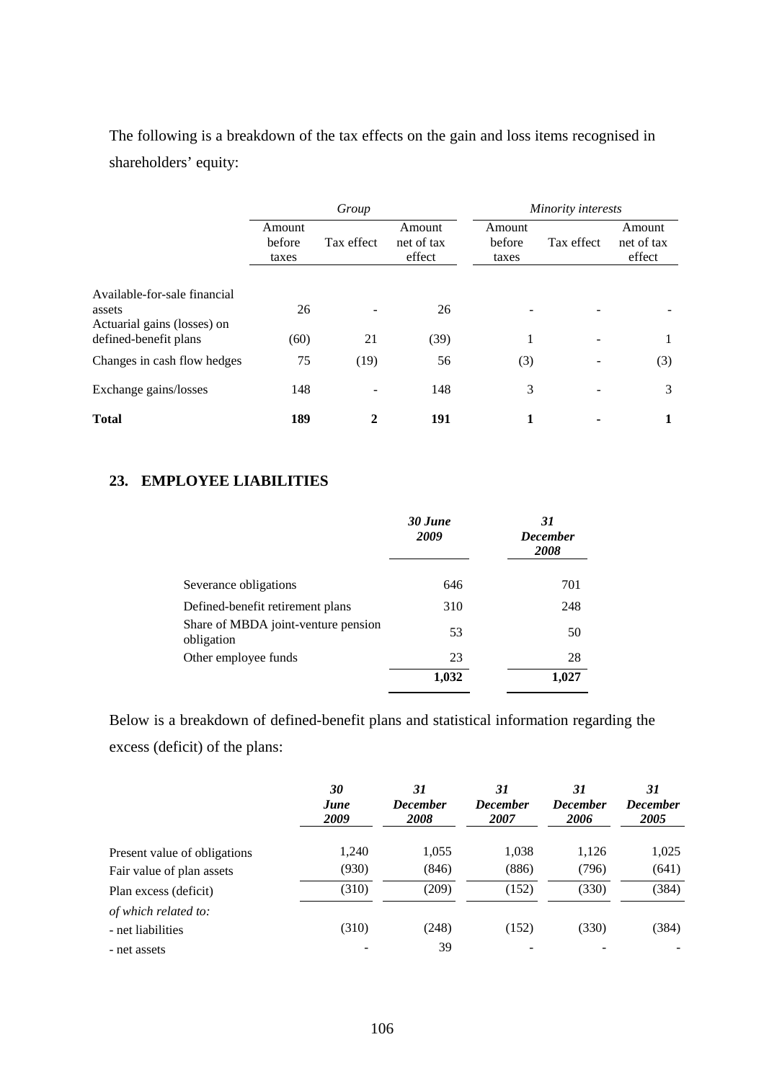The following is a breakdown of the tax effects on the gain and loss items recognised in shareholders' equity:

|                                                                                                | Group                     |            |                                |                           | Minority interests |                                |
|------------------------------------------------------------------------------------------------|---------------------------|------------|--------------------------------|---------------------------|--------------------|--------------------------------|
|                                                                                                | Amount<br>before<br>taxes | Tax effect | Amount<br>net of tax<br>effect | Amount<br>before<br>taxes | Tax effect         | Amount<br>net of tax<br>effect |
| Available-for-sale financial<br>assets<br>Actuarial gains (losses) on<br>defined-benefit plans | 26<br>(60)                | 21         | 26<br>(39)                     |                           | ۰                  | 1                              |
| Changes in cash flow hedges                                                                    | 75                        | (19)       | 56                             | (3)                       |                    | (3)                            |
| Exchange gains/losses                                                                          | 148                       |            | 148                            | 3                         |                    | 3                              |
| <b>Total</b>                                                                                   | 189                       | 2          | 191                            | 1                         |                    |                                |

# **23. EMPLOYEE LIABILITIES**

|                                                   | 30 June<br>2009 | 31<br><b>December</b><br>2008 |
|---------------------------------------------------|-----------------|-------------------------------|
| Severance obligations                             | 646             | 701                           |
| Defined-benefit retirement plans                  | 310             | 248                           |
| Share of MBDA joint-venture pension<br>obligation | 53              | 50                            |
| Other employee funds                              | 23              | 28                            |
|                                                   | 1,032           | 1,027                         |

Below is a breakdown of defined-benefit plans and statistical information regarding the excess (deficit) of the plans:

|                              | 30<br>June<br>2009 | 31<br><b>December</b><br><b>2008</b> | 31<br><b>December</b><br>2007 | 31<br><b>December</b><br>2006 | 31<br><b>December</b><br>2005 |
|------------------------------|--------------------|--------------------------------------|-------------------------------|-------------------------------|-------------------------------|
| Present value of obligations | 1,240              | 1,055                                | 1,038                         | 1.126                         | 1,025                         |
| Fair value of plan assets    | (930)              | (846)                                | (886)                         | (796)                         | (641)                         |
| Plan excess (deficit)        | (310)              | (209)                                | (152)                         | (330)                         | (384)                         |
| of which related to:         |                    |                                      |                               |                               |                               |
| - net liabilities            | (310)              | (248)                                | (152)                         | (330)                         | (384)                         |
| - net assets                 |                    | 39                                   |                               |                               |                               |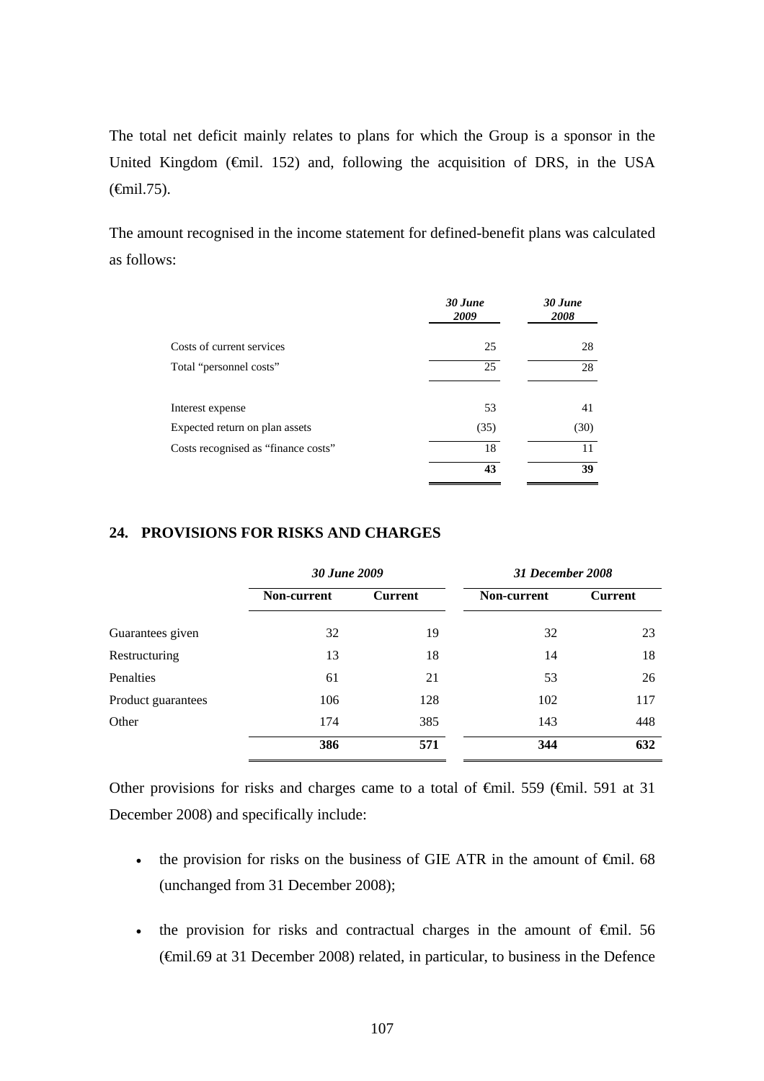The total net deficit mainly relates to plans for which the Group is a sponsor in the United Kingdom ( $\bigoplus$ mil. 152) and, following the acquisition of DRS, in the USA (€mil.75).

The amount recognised in the income statement for defined-benefit plans was calculated as follows:

|                                     | 30 June<br>2009 | 30 June<br>2008 |
|-------------------------------------|-----------------|-----------------|
| Costs of current services           | 25              | 28              |
| Total "personnel costs"             | 25              | 28              |
| Interest expense                    | 53              | 41              |
| Expected return on plan assets      | (35)            | (30)            |
| Costs recognised as "finance costs" | 18              | 11              |
|                                     | 43              | 39              |

# **24. PROVISIONS FOR RISKS AND CHARGES**

|                    | 30 June 2009 |                | 31 December 2008 |                |  |
|--------------------|--------------|----------------|------------------|----------------|--|
|                    | Non-current  | <b>Current</b> | Non-current      | <b>Current</b> |  |
| Guarantees given   | 32           | 19             | 32               | 23             |  |
| Restructuring      | 13           | 18             | 14               | 18             |  |
| Penalties          | 61           | 21             | 53               | 26             |  |
| Product guarantees | 106          | 128            | 102              | 117            |  |
| Other              | 174          | 385            | 143              | 448            |  |
|                    | 386          | 571            | 344              | 632            |  |

Other provisions for risks and charges came to a total of €mil. 559 (€mil. 591 at 31 December 2008) and specifically include:

- the provision for risks on the business of GIE ATR in the amount of  $\epsilon$ mil. 68 (unchanged from 31 December 2008);
- the provision for risks and contractual charges in the amount of  $\epsilon$ mil. 56 (€mil.69 at 31 December 2008) related, in particular, to business in the Defence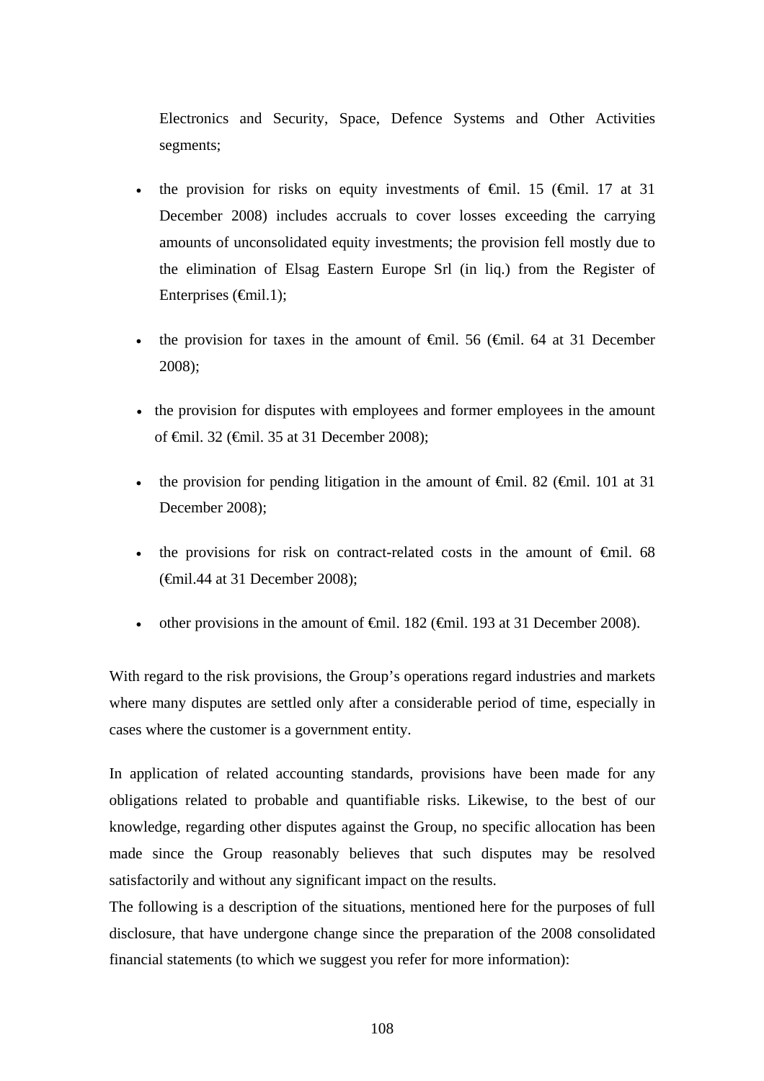Electronics and Security, Space, Defence Systems and Other Activities segments;

- the provision for risks on equity investments of  $\theta$ mil. 15 ( $\theta$ mil. 17 at 31 December 2008) includes accruals to cover losses exceeding the carrying amounts of unconsolidated equity investments; the provision fell mostly due to the elimination of Elsag Eastern Europe Srl (in liq.) from the Register of Enterprises  $(\text{fmil.1});$
- the provision for taxes in the amount of  $\theta$ mil. 56 ( $\theta$ mil. 64 at 31 December 2008);
- the provision for disputes with employees and former employees in the amount of €mil. 32 (€mil. 35 at 31 December 2008);
- the provision for pending litigation in the amount of  $\theta$ mil. 82 ( $\theta$ mil. 101 at 31 December 2008);
- the provisions for risk on contract-related costs in the amount of  $\epsilon$ mil. 68 (€mil.44 at 31 December 2008);
- other provisions in the amount of  $\epsilon$ mil. 182 ( $\epsilon$ mil. 193 at 31 December 2008).

With regard to the risk provisions, the Group's operations regard industries and markets where many disputes are settled only after a considerable period of time, especially in cases where the customer is a government entity.

In application of related accounting standards, provisions have been made for any obligations related to probable and quantifiable risks. Likewise, to the best of our knowledge, regarding other disputes against the Group, no specific allocation has been made since the Group reasonably believes that such disputes may be resolved satisfactorily and without any significant impact on the results.

The following is a description of the situations, mentioned here for the purposes of full disclosure, that have undergone change since the preparation of the 2008 consolidated financial statements (to which we suggest you refer for more information):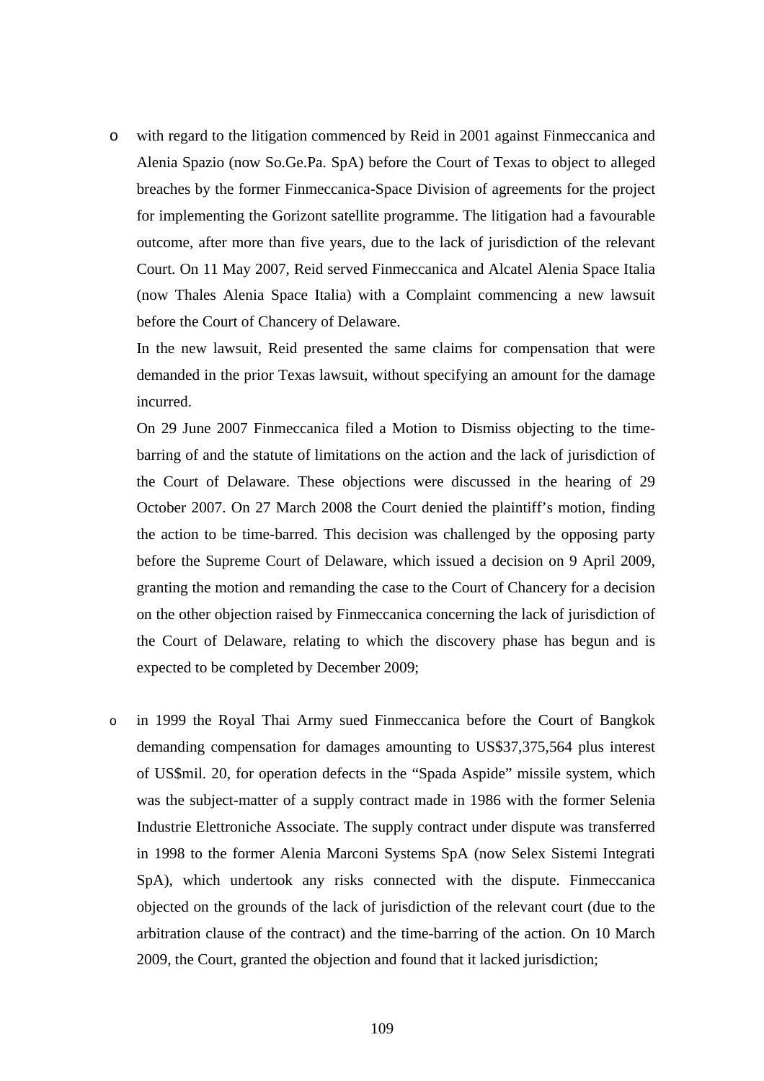o with regard to the litigation commenced by Reid in 2001 against Finmeccanica and Alenia Spazio (now So.Ge.Pa. SpA) before the Court of Texas to object to alleged breaches by the former Finmeccanica-Space Division of agreements for the project for implementing the Gorizont satellite programme. The litigation had a favourable outcome, after more than five years, due to the lack of jurisdiction of the relevant Court. On 11 May 2007, Reid served Finmeccanica and Alcatel Alenia Space Italia (now Thales Alenia Space Italia) with a Complaint commencing a new lawsuit before the Court of Chancery of Delaware.

In the new lawsuit, Reid presented the same claims for compensation that were demanded in the prior Texas lawsuit, without specifying an amount for the damage incurred.

On 29 June 2007 Finmeccanica filed a Motion to Dismiss objecting to the timebarring of and the statute of limitations on the action and the lack of jurisdiction of the Court of Delaware. These objections were discussed in the hearing of 29 October 2007. On 27 March 2008 the Court denied the plaintiff's motion, finding the action to be time-barred. This decision was challenged by the opposing party before the Supreme Court of Delaware, which issued a decision on 9 April 2009, granting the motion and remanding the case to the Court of Chancery for a decision on the other objection raised by Finmeccanica concerning the lack of jurisdiction of the Court of Delaware, relating to which the discovery phase has begun and is expected to be completed by December 2009;

o in 1999 the Royal Thai Army sued Finmeccanica before the Court of Bangkok demanding compensation for damages amounting to US\$37,375,564 plus interest of US\$mil. 20, for operation defects in the "Spada Aspide" missile system, which was the subject-matter of a supply contract made in 1986 with the former Selenia Industrie Elettroniche Associate. The supply contract under dispute was transferred in 1998 to the former Alenia Marconi Systems SpA (now Selex Sistemi Integrati SpA), which undertook any risks connected with the dispute. Finmeccanica objected on the grounds of the lack of jurisdiction of the relevant court (due to the arbitration clause of the contract) and the time-barring of the action. On 10 March 2009, the Court, granted the objection and found that it lacked jurisdiction;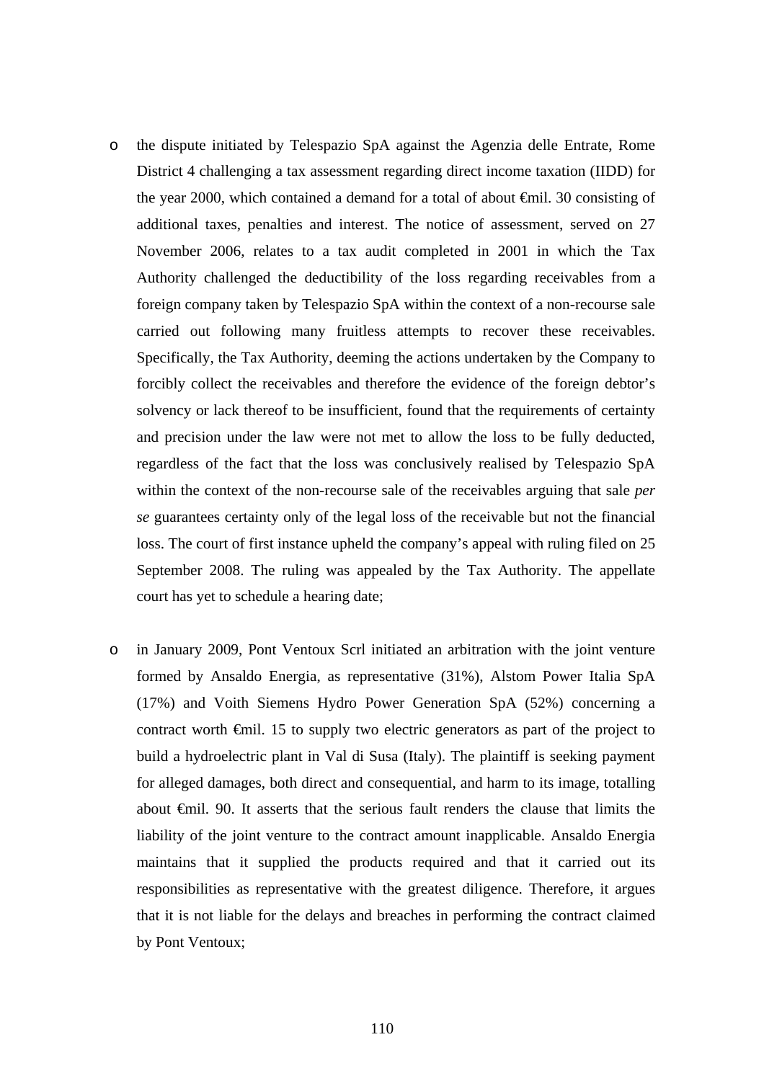- o the dispute initiated by Telespazio SpA against the Agenzia delle Entrate, Rome District 4 challenging a tax assessment regarding direct income taxation (IIDD) for the year 2000, which contained a demand for a total of about €mil. 30 consisting of additional taxes, penalties and interest. The notice of assessment, served on 27 November 2006, relates to a tax audit completed in 2001 in which the Tax Authority challenged the deductibility of the loss regarding receivables from a foreign company taken by Telespazio SpA within the context of a non-recourse sale carried out following many fruitless attempts to recover these receivables. Specifically, the Tax Authority, deeming the actions undertaken by the Company to forcibly collect the receivables and therefore the evidence of the foreign debtor's solvency or lack thereof to be insufficient, found that the requirements of certainty and precision under the law were not met to allow the loss to be fully deducted, regardless of the fact that the loss was conclusively realised by Telespazio SpA within the context of the non-recourse sale of the receivables arguing that sale *per se* guarantees certainty only of the legal loss of the receivable but not the financial loss. The court of first instance upheld the company's appeal with ruling filed on 25 September 2008. The ruling was appealed by the Tax Authority. The appellate court has yet to schedule a hearing date;
- o in January 2009, Pont Ventoux Scrl initiated an arbitration with the joint venture formed by Ansaldo Energia, as representative (31%), Alstom Power Italia SpA (17%) and Voith Siemens Hydro Power Generation SpA (52%) concerning a contract worth €mil. 15 to supply two electric generators as part of the project to build a hydroelectric plant in Val di Susa (Italy). The plaintiff is seeking payment for alleged damages, both direct and consequential, and harm to its image, totalling about €mil. 90. It asserts that the serious fault renders the clause that limits the liability of the joint venture to the contract amount inapplicable. Ansaldo Energia maintains that it supplied the products required and that it carried out its responsibilities as representative with the greatest diligence. Therefore, it argues that it is not liable for the delays and breaches in performing the contract claimed by Pont Ventoux;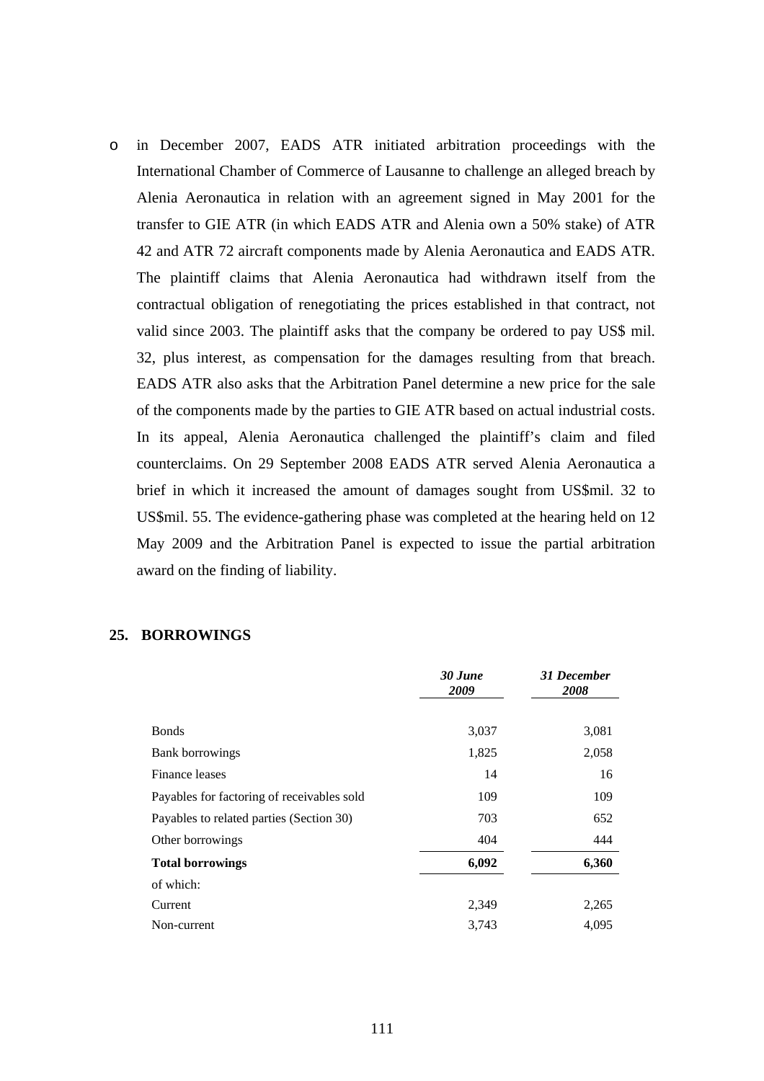o in December 2007, EADS ATR initiated arbitration proceedings with the International Chamber of Commerce of Lausanne to challenge an alleged breach by Alenia Aeronautica in relation with an agreement signed in May 2001 for the transfer to GIE ATR (in which EADS ATR and Alenia own a 50% stake) of ATR 42 and ATR 72 aircraft components made by Alenia Aeronautica and EADS ATR. The plaintiff claims that Alenia Aeronautica had withdrawn itself from the contractual obligation of renegotiating the prices established in that contract, not valid since 2003. The plaintiff asks that the company be ordered to pay US\$ mil. 32, plus interest, as compensation for the damages resulting from that breach. EADS ATR also asks that the Arbitration Panel determine a new price for the sale of the components made by the parties to GIE ATR based on actual industrial costs. In its appeal, Alenia Aeronautica challenged the plaintiff's claim and filed counterclaims. On 29 September 2008 EADS ATR served Alenia Aeronautica a brief in which it increased the amount of damages sought from US\$mil. 32 to US\$mil. 55. The evidence-gathering phase was completed at the hearing held on 12 May 2009 and the Arbitration Panel is expected to issue the partial arbitration award on the finding of liability.

#### **25. BORROWINGS**

|                                            | 30 June<br>2009 | 31 December<br>2008 |
|--------------------------------------------|-----------------|---------------------|
|                                            |                 |                     |
| <b>Bonds</b>                               | 3,037           | 3,081               |
| Bank borrowings                            | 1,825           | 2,058               |
| Finance leases                             | 14              | 16                  |
| Payables for factoring of receivables sold | 109             | 109                 |
| Payables to related parties (Section 30)   | 703             | 652                 |
| Other borrowings                           | 404             | 444                 |
| <b>Total borrowings</b>                    | 6,092           | 6,360               |
| of which:                                  |                 |                     |
| Current                                    | 2,349           | 2,265               |
| Non-current                                | 3,743           | 4.095               |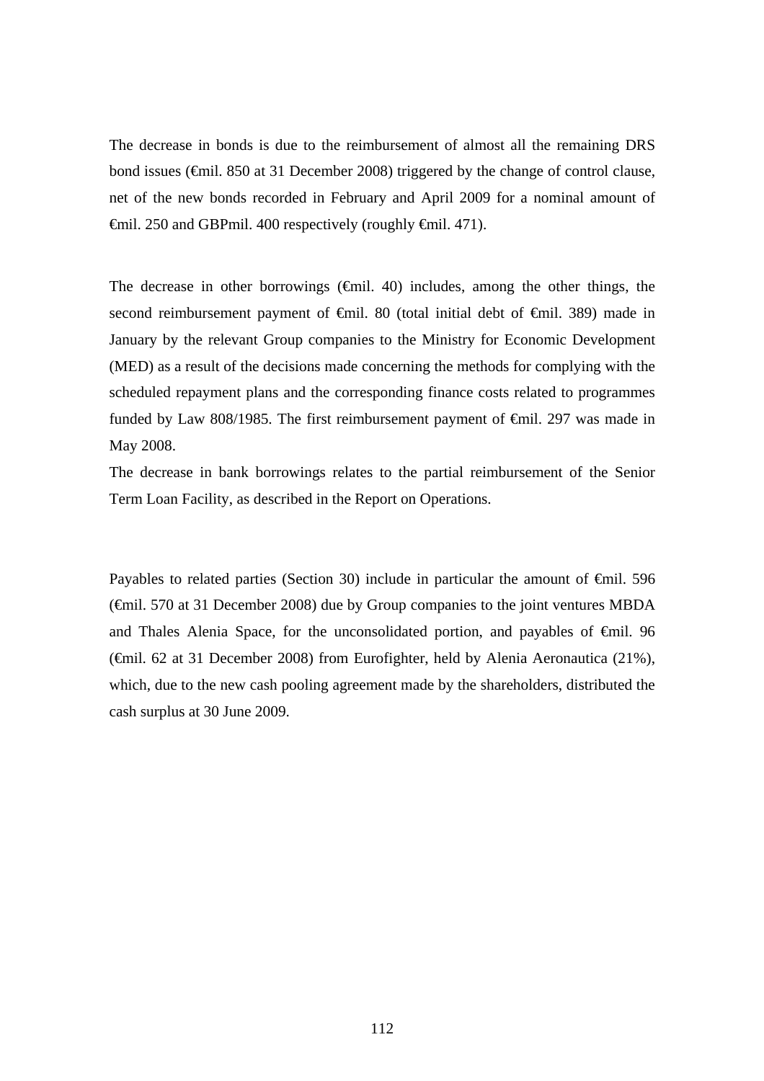The decrease in bonds is due to the reimbursement of almost all the remaining DRS bond issues (€mil. 850 at 31 December 2008) triggered by the change of control clause, net of the new bonds recorded in February and April 2009 for a nominal amount of €mil. 250 and GBPmil. 400 respectively (roughly €mil. 471).

The decrease in other borrowings  $(\text{fmid. } 40)$  includes, among the other things, the second reimbursement payment of <del>€</del>mil. 80 (total initial debt of <del>€</del>mil. 389) made in January by the relevant Group companies to the Ministry for Economic Development (MED) as a result of the decisions made concerning the methods for complying with the scheduled repayment plans and the corresponding finance costs related to programmes funded by Law 808/1985. The first reimbursement payment of €mil. 297 was made in May 2008.

The decrease in bank borrowings relates to the partial reimbursement of the Senior Term Loan Facility, as described in the Report on Operations.

Payables to related parties (Section 30) include in particular the amount of  $\epsilon$ mil. 596 (€mil. 570 at 31 December 2008) due by Group companies to the joint ventures MBDA and Thales Alenia Space, for the unconsolidated portion, and payables of €mil. 96 (€mil. 62 at 31 December 2008) from Eurofighter, held by Alenia Aeronautica (21%), which, due to the new cash pooling agreement made by the shareholders, distributed the cash surplus at 30 June 2009.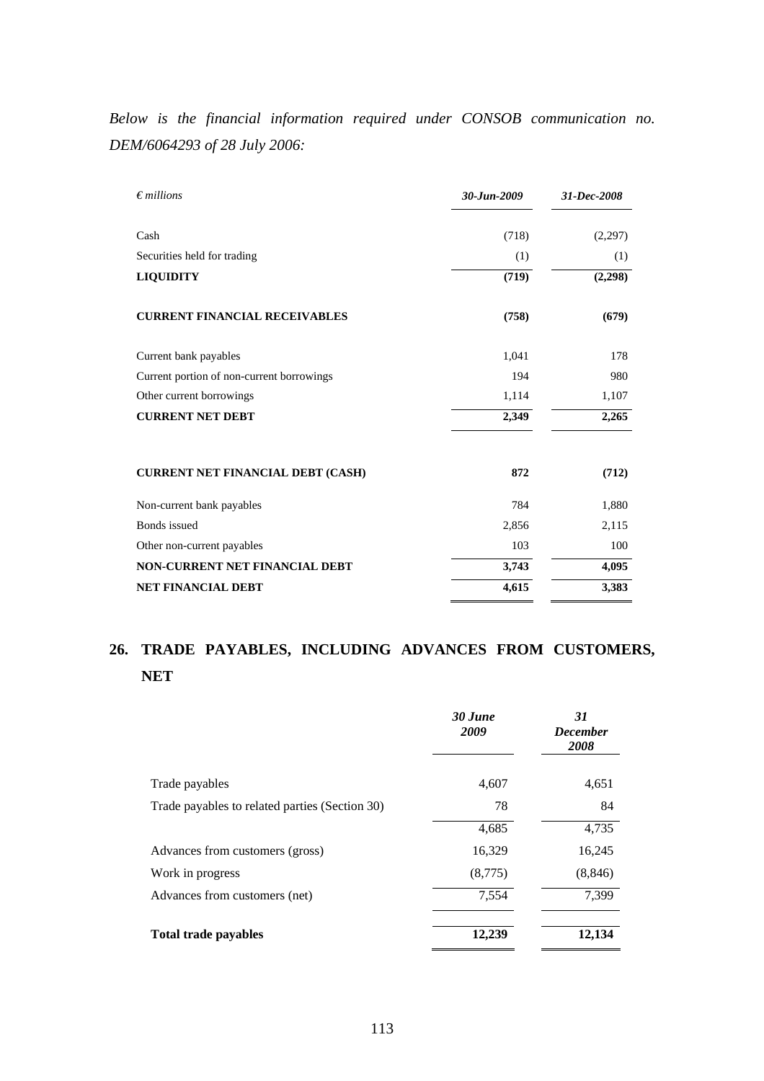*Below is the financial information required under CONSOB communication no. DEM/6064293 of 28 July 2006:* 

| $\epsilon$ millions                       | $30 - Jun - 2009$ | 31-Dec-2008 |
|-------------------------------------------|-------------------|-------------|
| Cash                                      | (718)             | (2,297)     |
| Securities held for trading               | (1)               | (1)         |
| <b>LIQUIDITY</b>                          | (719)             | (2,298)     |
| <b>CURRENT FINANCIAL RECEIVABLES</b>      | (758)             | (679)       |
| Current bank payables                     | 1,041             | 178         |
| Current portion of non-current borrowings | 194               | 980         |
| Other current borrowings                  | 1,114             | 1,107       |
| <b>CURRENT NET DEBT</b>                   | 2,349             | 2,265       |
| <b>CURRENT NET FINANCIAL DEBT (CASH)</b>  | 872               | (712)       |
| Non-current bank payables                 | 784               | 1,880       |
| <b>Bonds</b> issued                       | 2,856             | 2,115       |
| Other non-current payables                | 103               | 100         |
| <b>NON-CURRENT NET FINANCIAL DEBT</b>     | 3,743             | 4,095       |
| <b>NET FINANCIAL DEBT</b>                 | 4,615             | 3,383       |

### **26. TRADE PAYABLES, INCLUDING ADVANCES FROM CUSTOMERS, NET**

|                                                | 30 June<br>2009 | 31<br><b>December</b><br>2008 |
|------------------------------------------------|-----------------|-------------------------------|
| Trade payables                                 | 4,607           | 4,651                         |
| Trade payables to related parties (Section 30) | 78              | 84                            |
|                                                | 4,685           | 4,735                         |
| Advances from customers (gross)                | 16,329          | 16,245                        |
| Work in progress                               | (8,775)         | (8, 846)                      |
| Advances from customers (net)                  | 7,554           | 7,399                         |
| <b>Total trade payables</b>                    | 12,239          | 12,134                        |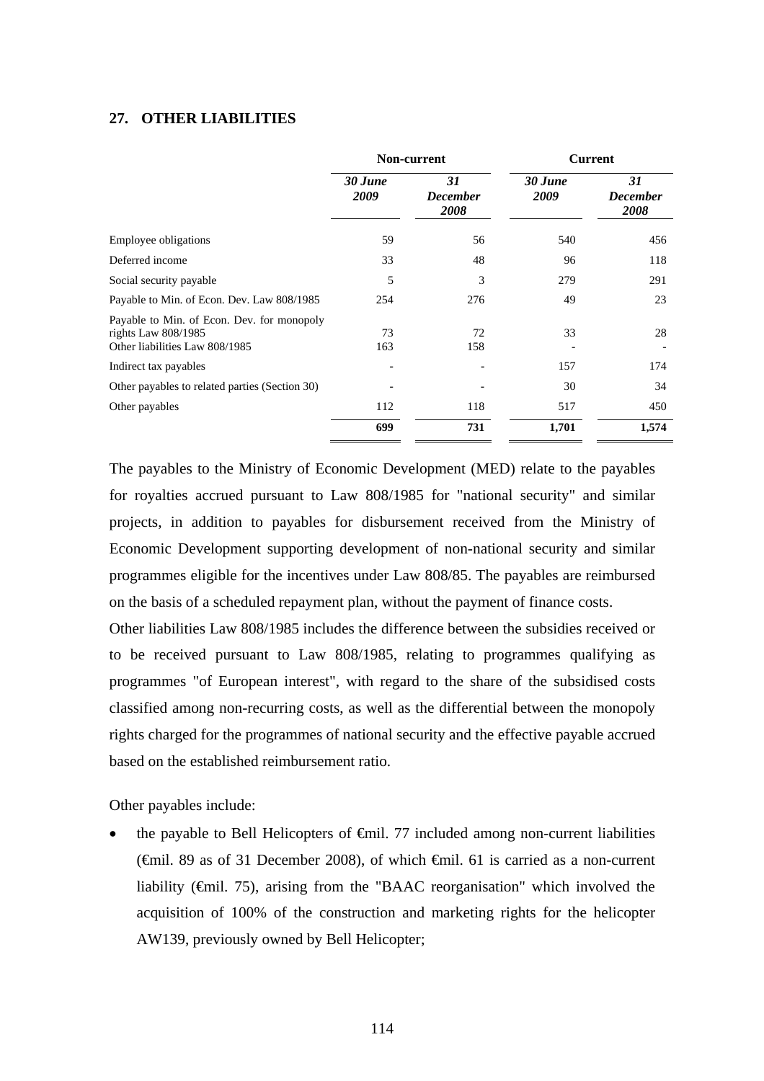#### **27. OTHER LIABILITIES**

|                                                                                                     |                 | Non-current                   | <b>Current</b>  |                                      |  |
|-----------------------------------------------------------------------------------------------------|-----------------|-------------------------------|-----------------|--------------------------------------|--|
|                                                                                                     | 30 June<br>2009 | 31<br><b>December</b><br>2008 | 30 June<br>2009 | 31<br><b>December</b><br><b>2008</b> |  |
| <b>Employee obligations</b>                                                                         | 59              | 56                            | 540             | 456                                  |  |
| Deferred income                                                                                     | 33              | 48                            | 96              | 118                                  |  |
| Social security payable                                                                             | 5               | 3                             | 279             | 291                                  |  |
| Payable to Min. of Econ. Dev. Law 808/1985                                                          | 254             | 276                           | 49              | 23                                   |  |
| Payable to Min. of Econ. Dev. for monopoly<br>rights Law 808/1985<br>Other liabilities Law 808/1985 | 73<br>163       | 72<br>158                     | 33              | 28                                   |  |
| Indirect tax payables                                                                               |                 |                               | 157             | 174                                  |  |
| Other payables to related parties (Section 30)                                                      |                 |                               | 30              | 34                                   |  |
| Other payables                                                                                      | 112             | 118                           | 517             | 450                                  |  |
|                                                                                                     | 699             | 731                           | 1,701           | 1,574                                |  |

The payables to the Ministry of Economic Development (MED) relate to the payables for royalties accrued pursuant to Law 808/1985 for "national security" and similar projects, in addition to payables for disbursement received from the Ministry of Economic Development supporting development of non-national security and similar programmes eligible for the incentives under Law 808/85. The payables are reimbursed on the basis of a scheduled repayment plan, without the payment of finance costs.

Other liabilities Law 808/1985 includes the difference between the subsidies received or to be received pursuant to Law 808/1985, relating to programmes qualifying as programmes "of European interest", with regard to the share of the subsidised costs classified among non-recurring costs, as well as the differential between the monopoly rights charged for the programmes of national security and the effective payable accrued based on the established reimbursement ratio.

Other payables include:

the payable to Bell Helicopters of  $\epsilon$ mil. 77 included among non-current liabilities (€mil. 89 as of 31 December 2008), of which €mil. 61 is carried as a non-current liability (€mil. 75), arising from the "BAAC reorganisation" which involved the acquisition of 100% of the construction and marketing rights for the helicopter AW139, previously owned by Bell Helicopter;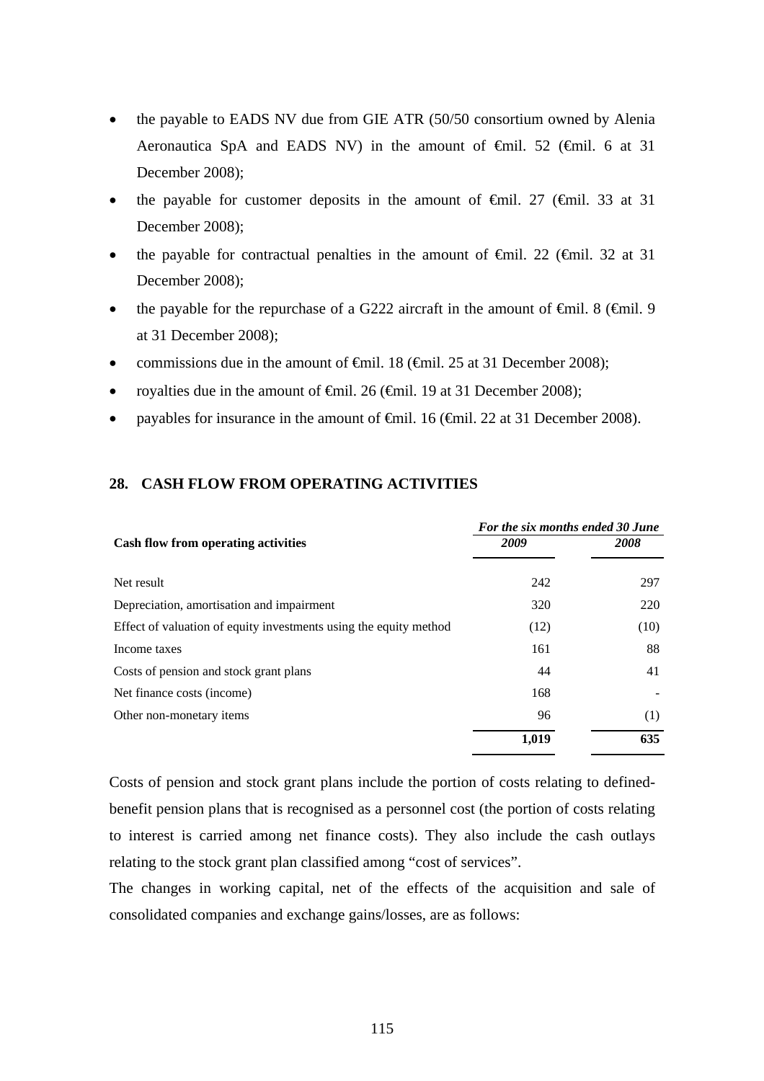- the payable to EADS NV due from GIE ATR (50/50 consortium owned by Alenia Aeronautica SpA and EADS NV) in the amount of  $\theta$ il. 52 ( $\theta$ mil. 6 at 31 December 2008);
- the payable for customer deposits in the amount of  $\theta$ mil. 27 ( $\theta$ mil. 33 at 31 December 2008);
- the payable for contractual penalties in the amount of  $\epsilon$ mil. 22 ( $\epsilon$ mil. 32 at 31 December 2008);
- the payable for the repurchase of a G222 aircraft in the amount of  $\epsilon$ mil. 8 ( $\epsilon$ mil. 9 at 31 December 2008);
- commissions due in the amount of  $\theta$ mil. 18 ( $\theta$ mil. 25 at 31 December 2008);
- royalties due in the amount of  $\epsilon$ mil. 26 ( $\epsilon$ mil. 19 at 31 December 2008);
- payables for insurance in the amount of €mil. 16 (€mil. 22 at 31 December 2008).

#### **28. CASH FLOW FROM OPERATING ACTIVITIES**

|                                                                   | For the six months ended 30 June |      |  |  |
|-------------------------------------------------------------------|----------------------------------|------|--|--|
| <b>Cash flow from operating activities</b>                        | 2009                             | 2008 |  |  |
|                                                                   |                                  |      |  |  |
| Net result                                                        | 242                              | 297  |  |  |
| Depreciation, amortisation and impairment                         | 320                              | 220  |  |  |
| Effect of valuation of equity investments using the equity method | (12)                             | (10) |  |  |
| Income taxes                                                      | 161                              | 88   |  |  |
| Costs of pension and stock grant plans                            | 44                               | 41   |  |  |
| Net finance costs (income)                                        | 168                              |      |  |  |
| Other non-monetary items                                          | 96                               | (1)  |  |  |
|                                                                   | 1,019                            | 635  |  |  |

Costs of pension and stock grant plans include the portion of costs relating to definedbenefit pension plans that is recognised as a personnel cost (the portion of costs relating to interest is carried among net finance costs). They also include the cash outlays relating to the stock grant plan classified among "cost of services".

The changes in working capital, net of the effects of the acquisition and sale of consolidated companies and exchange gains/losses, are as follows: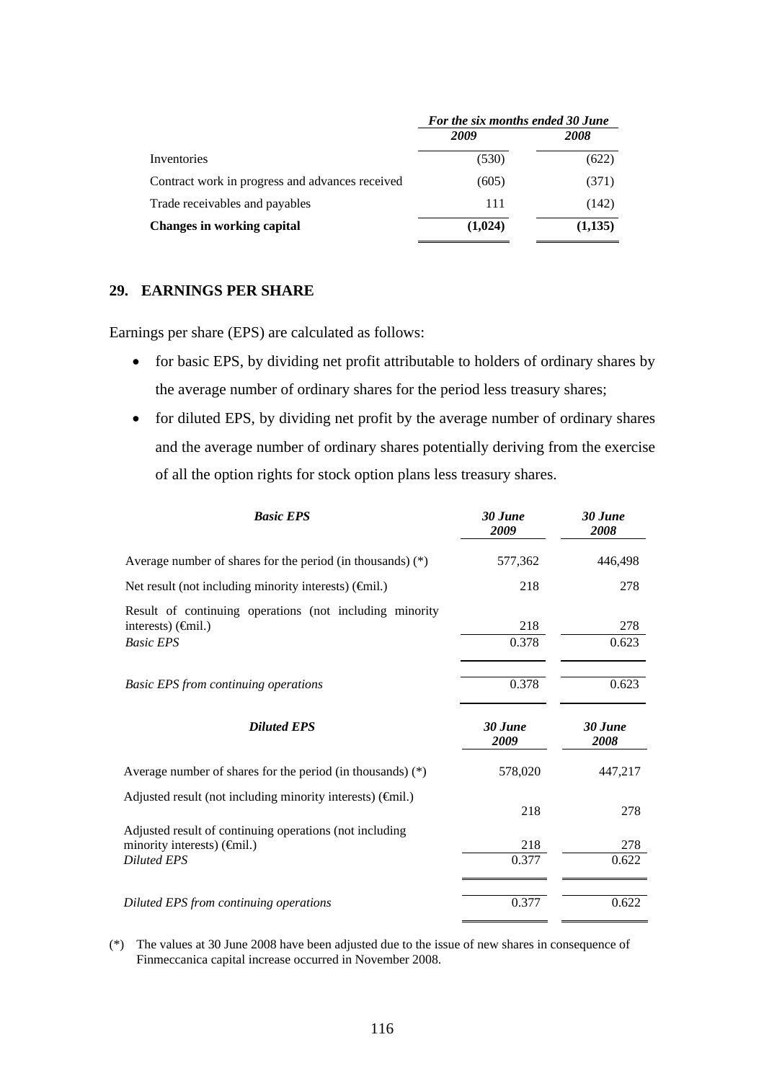|                                                 | For the six months ended 30 June |         |  |
|-------------------------------------------------|----------------------------------|---------|--|
|                                                 | 2009                             | 2008    |  |
| Inventories                                     | (530)                            | (622)   |  |
| Contract work in progress and advances received | (605)                            | (371)   |  |
| Trade receivables and payables                  | 111                              | (142)   |  |
| <b>Changes in working capital</b>               | (1,024)                          | (1,135) |  |

#### **29. EARNINGS PER SHARE**

Earnings per share (EPS) are calculated as follows:

- for basic EPS, by dividing net profit attributable to holders of ordinary shares by the average number of ordinary shares for the period less treasury shares;
- for diluted EPS, by dividing net profit by the average number of ordinary shares and the average number of ordinary shares potentially deriving from the exercise of all the option rights for stock option plans less treasury shares.

| <b>Basic EPS</b>                                                                                                                   | 30 June<br>2009 | 30 June<br>2008 |
|------------------------------------------------------------------------------------------------------------------------------------|-----------------|-----------------|
| Average number of shares for the period (in thousands) $(*)$                                                                       | 577,362         | 446,498         |
| Net result (not including minority interests) $(\widehat{\mathsf{f}}$ mil.)                                                        | 218             | 278             |
| Result of continuing operations (not including minority<br>interests) $(\widehat{\mathsf{f}}$ mil.)<br><b>Basic EPS</b>            | 218<br>0.378    | 278<br>0.623    |
| <b>Basic EPS from continuing operations</b>                                                                                        | 0.378           | 0.623           |
| <b>Diluted EPS</b>                                                                                                                 | 30 June<br>2009 | 30 June<br>2008 |
| Average number of shares for the period (in thousands) $(*)$                                                                       | 578,020         | 447,217         |
| Adjusted result (not including minority interests) (finil.)                                                                        | 218             | 278             |
| Adjusted result of continuing operations (not including<br>minority interests) $(\widehat{\mathsf{f}}$ mil.)<br><b>Diluted EPS</b> | 218<br>0.377    | 278<br>0.622    |
| Diluted EPS from continuing operations                                                                                             | 0.377           | 0.622           |

(\*) The values at 30 June 2008 have been adjusted due to the issue of new shares in consequence of Finmeccanica capital increase occurred in November 2008.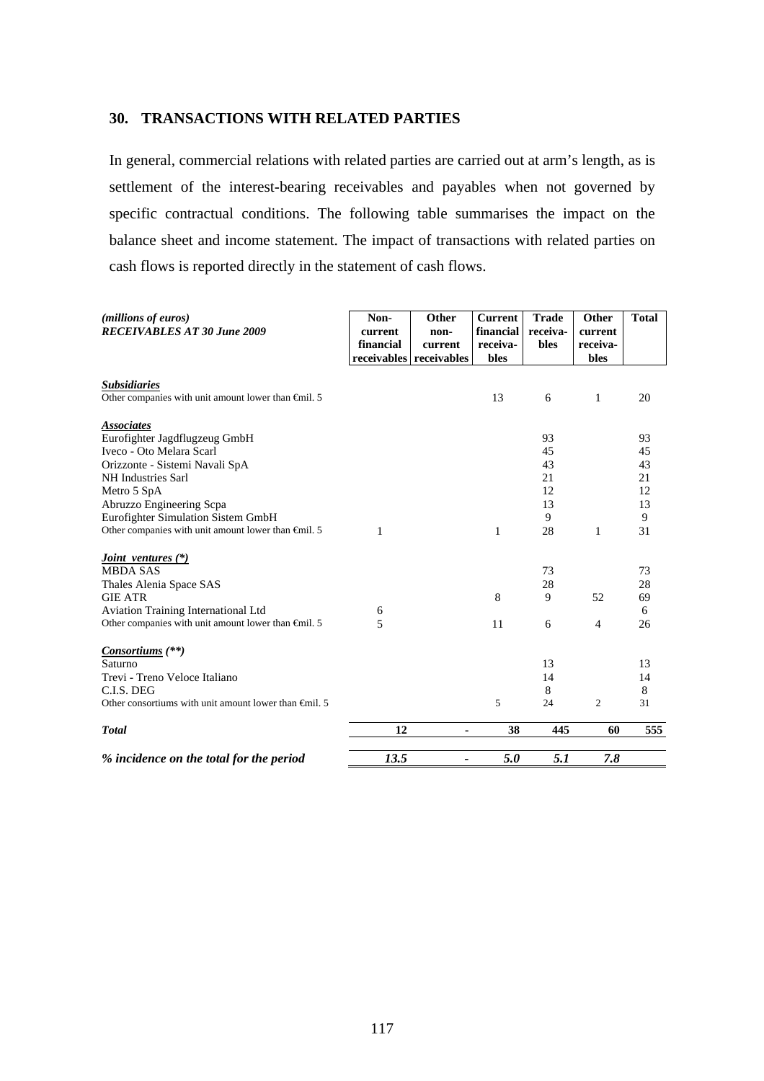#### **30. TRANSACTIONS WITH RELATED PARTIES**

In general, commercial relations with related parties are carried out at arm's length, as is settlement of the interest-bearing receivables and payables when not governed by specific contractual conditions. The following table summarises the impact on the balance sheet and income statement. The impact of transactions with related parties on cash flows is reported directly in the statement of cash flows.

| ( <i>millions of euros</i> )<br><b>RECEIVABLES AT 30 June 2009</b> | Non-<br>current<br>financial | Other<br>non-<br>current<br>receivables receivables | <b>Current</b><br>financial<br>receiva-<br>bles | <b>Trade</b><br>receiva-<br>bles | Other<br>current<br>receiva-<br>bles | <b>Total</b> |
|--------------------------------------------------------------------|------------------------------|-----------------------------------------------------|-------------------------------------------------|----------------------------------|--------------------------------------|--------------|
| <b>Subsidiaries</b>                                                |                              |                                                     |                                                 |                                  |                                      |              |
| Other companies with unit amount lower than $\epsilon$ mil. 5      |                              |                                                     | 13                                              | 6                                | $\mathbf{1}$                         | 20           |
| <b>Associates</b>                                                  |                              |                                                     |                                                 |                                  |                                      |              |
| Eurofighter Jagdflugzeug GmbH                                      |                              |                                                     |                                                 | 93                               |                                      | 93           |
| Iveco - Oto Melara Scarl                                           |                              |                                                     |                                                 | 45                               |                                      | 45           |
| Orizzonte - Sistemi Navali SpA                                     |                              |                                                     |                                                 | 43                               |                                      | 43           |
| NH Industries Sarl                                                 |                              |                                                     |                                                 | 21                               |                                      | 21           |
| Metro 5 SpA                                                        |                              |                                                     |                                                 | 12                               |                                      | 12           |
| Abruzzo Engineering Scpa                                           |                              |                                                     |                                                 | 13                               |                                      | 13           |
| Eurofighter Simulation Sistem GmbH                                 |                              |                                                     |                                                 | 9                                |                                      | 9            |
| Other companies with unit amount lower than $\epsilon$ mil. 5      | 1                            |                                                     | 1                                               | 28                               | 1                                    | 31           |
| <i>Joint ventures</i> $(*)$                                        |                              |                                                     |                                                 |                                  |                                      |              |
| <b>MBDA SAS</b>                                                    |                              |                                                     |                                                 | 73                               |                                      | 73           |
| Thales Alenia Space SAS                                            |                              |                                                     |                                                 | 28                               |                                      | 28           |
| <b>GIE ATR</b>                                                     |                              |                                                     | 8                                               | 9                                | 52                                   | 69           |
| Aviation Training International Ltd                                | 6                            |                                                     |                                                 |                                  |                                      | 6            |
| Other companies with unit amount lower than $\epsilon$ mil. 5      | 5                            |                                                     | 11                                              | 6                                | $\overline{4}$                       | 26           |
| Consortiums $(**)$                                                 |                              |                                                     |                                                 |                                  |                                      |              |
| Saturno                                                            |                              |                                                     |                                                 | 13                               |                                      | 13           |
| Trevi - Treno Veloce Italiano                                      |                              |                                                     |                                                 | 14                               |                                      | 14           |
| C.L.S. DEG                                                         |                              |                                                     |                                                 | 8                                |                                      | 8            |
| Other consortiums with unit amount lower than $\oplus$ nil. 5      |                              |                                                     | 5                                               | 24                               | 2                                    | 31           |
| <b>Total</b>                                                       | 12                           | ä,                                                  | 38                                              | 445                              | 60                                   | 555          |
| % incidence on the total for the period                            | 13.5                         | -                                                   | 5.0                                             | 5.1                              | 7.8                                  |              |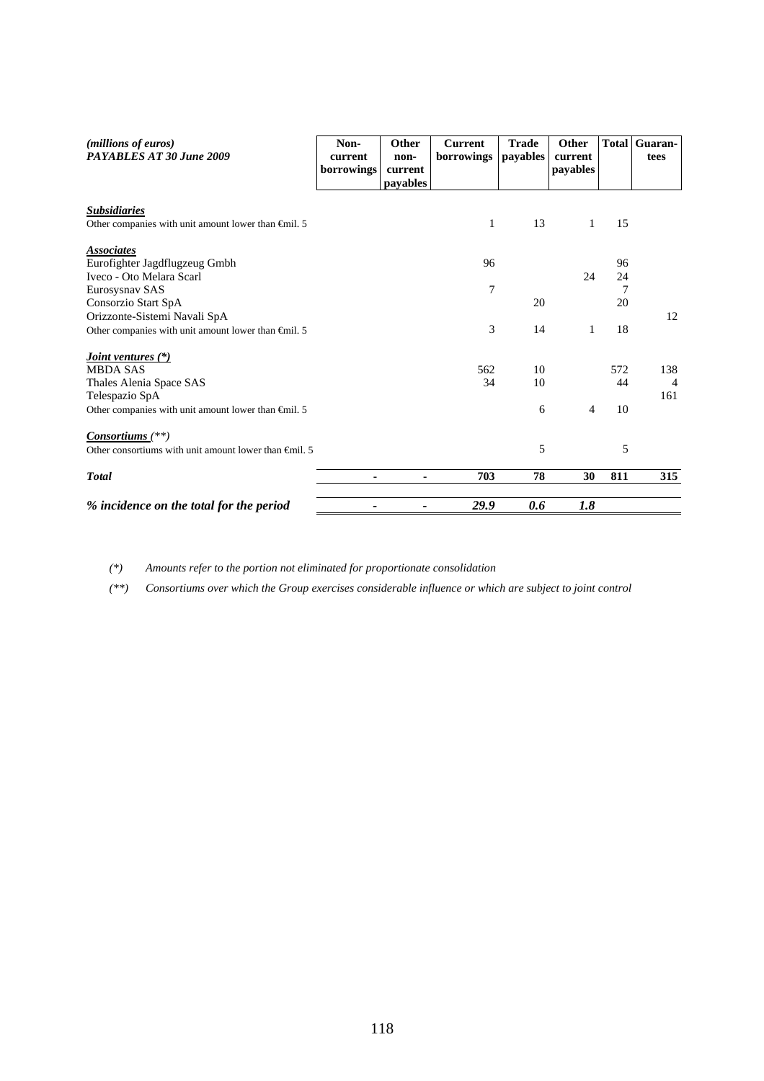| ( <i>millions of euros</i> )<br>PAYABLES AT 30 June 2009      | Non-<br>current<br>borrowings | Other<br>non-<br>current<br>payables | <b>Current</b><br>borrowings | <b>Trade</b><br>payables | Other<br>current<br>payables | <b>Total</b> | Guaran-<br>tees |
|---------------------------------------------------------------|-------------------------------|--------------------------------------|------------------------------|--------------------------|------------------------------|--------------|-----------------|
| <b>Subsidiaries</b>                                           |                               |                                      |                              |                          |                              |              |                 |
| Other companies with unit amount lower than $\epsilon$ mil. 5 |                               |                                      | 1                            | 13                       | 1                            | 15           |                 |
| <b>Associates</b>                                             |                               |                                      |                              |                          |                              |              |                 |
| Eurofighter Jagdflugzeug Gmbh                                 |                               |                                      | 96                           |                          |                              | 96           |                 |
| Iveco - Oto Melara Scarl                                      |                               |                                      |                              |                          | 24                           | 24           |                 |
| Eurosysnav SAS                                                |                               |                                      | $\tau$                       |                          |                              | 7            |                 |
| Consorzio Start SpA                                           |                               |                                      |                              | 20                       |                              | 20           |                 |
| Orizzonte-Sistemi Navali SpA                                  |                               |                                      |                              |                          |                              |              | 12              |
| Other companies with unit amount lower than $\epsilon$ mil. 5 |                               |                                      | 3                            | 14                       | 1                            | 18           |                 |
| <i><u><b>Joint ventures (*)</b></u></i>                       |                               |                                      |                              |                          |                              |              |                 |
| <b>MBDA SAS</b>                                               |                               |                                      | 562                          | 10                       |                              | 572          | 138             |
| Thales Alenia Space SAS                                       |                               |                                      | 34                           | 10                       |                              | 44           | $\overline{4}$  |
| Telespazio SpA                                                |                               |                                      |                              |                          |                              |              | 161             |
| Other companies with unit amount lower than $\epsilon$ mil. 5 |                               |                                      |                              | 6                        | $\overline{4}$               | 10           |                 |
| $Consortiums$ <sup>(**)</sup>                                 |                               |                                      |                              |                          |                              |              |                 |
| Other consortiums with unit amount lower than $\theta$ mil. 5 |                               |                                      |                              | 5                        |                              | 5            |                 |
| <b>Total</b>                                                  | ۰                             | ۰                                    | 703                          | 78                       | 30                           | 811          | 315             |
| % incidence on the total for the period                       |                               | $\overline{\phantom{a}}$             | 29.9                         | 0.6                      | 1.8                          |              |                 |

*(\*) Amounts refer to the portion not eliminated for proportionate consolidation* 

*(\*\*) Consortiums over which the Group exercises considerable influence or which are subject to joint control*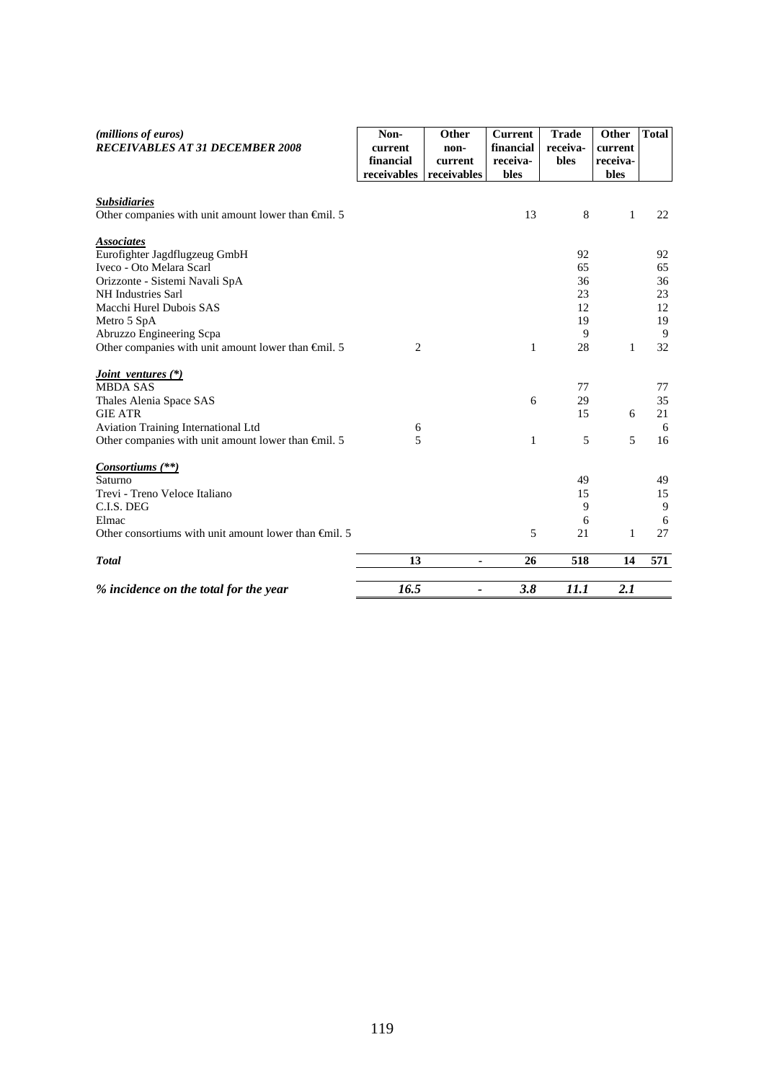| (millions of euros)<br>RECEIVABLES AT 31 DECEMBER 2008                               | Non-<br>current<br>financial<br>receivables | Other<br>non-<br>current<br>receivables | <b>Current</b><br>financial<br>receiva-<br>bles | <b>Trade</b><br>receiva-<br>bles | Other<br>current<br>receiva-<br>bles | <b>Total</b> |
|--------------------------------------------------------------------------------------|---------------------------------------------|-----------------------------------------|-------------------------------------------------|----------------------------------|--------------------------------------|--------------|
|                                                                                      |                                             |                                         |                                                 |                                  |                                      |              |
| <b>Subsidiaries</b><br>Other companies with unit amount lower than $\epsilon$ mil. 5 |                                             |                                         | 13                                              | 8                                | $\mathbf{1}$                         | 22           |
|                                                                                      |                                             |                                         |                                                 |                                  |                                      |              |
| <b>Associates</b>                                                                    |                                             |                                         |                                                 |                                  |                                      |              |
| Eurofighter Jagdflugzeug GmbH                                                        |                                             |                                         |                                                 | 92                               |                                      | 92           |
| Iveco - Oto Melara Scarl                                                             |                                             |                                         |                                                 | 65<br>36                         |                                      | 65           |
| Orizzonte - Sistemi Navali SpA<br>NH Industries Sarl                                 |                                             |                                         |                                                 | 23                               |                                      | 36<br>23     |
| Macchi Hurel Dubois SAS                                                              |                                             |                                         |                                                 | 12                               |                                      | 12           |
| Metro 5 SpA                                                                          |                                             |                                         |                                                 | 19                               |                                      | 19           |
| Abruzzo Engineering Scpa                                                             |                                             |                                         |                                                 | 9                                |                                      | 9            |
| Other companies with unit amount lower than $\epsilon$ mil. 5                        | 2                                           |                                         | 1                                               | 28                               | 1                                    | 32           |
| <i>Joint ventures</i> (*)                                                            |                                             |                                         |                                                 |                                  |                                      |              |
| <b>MBDA SAS</b>                                                                      |                                             |                                         |                                                 | 77                               |                                      | 77           |
| Thales Alenia Space SAS                                                              |                                             |                                         | 6                                               | 29                               |                                      | 35           |
| <b>GIE ATR</b>                                                                       |                                             |                                         |                                                 | 15                               | 6                                    | 21           |
| Aviation Training International Ltd                                                  | 6                                           |                                         |                                                 |                                  |                                      | 6            |
| Other companies with unit amount lower than $\epsilon$ mil. 5                        | $\overline{5}$                              |                                         | 1                                               | 5                                | 5                                    | 16           |
| Consortiums (**)                                                                     |                                             |                                         |                                                 |                                  |                                      |              |
| Saturno                                                                              |                                             |                                         |                                                 | 49                               |                                      | 49           |
| Trevi - Treno Veloce Italiano                                                        |                                             |                                         |                                                 | 15                               |                                      | 15           |
| C.I.S. DEG                                                                           |                                             |                                         |                                                 | 9                                |                                      | 9            |
| Elmac                                                                                |                                             |                                         |                                                 | 6                                |                                      | 6            |
| Other consortiums with unit amount lower than $\oplus$ nil. 5                        |                                             |                                         | 5                                               | 21                               | 1                                    | 27           |
| <b>Total</b>                                                                         | 13                                          | ٠                                       | 26                                              | 518                              | 14                                   | 571          |
| % incidence on the total for the year                                                | 16.5                                        |                                         | 3.8                                             | 11.1                             | 2.1                                  |              |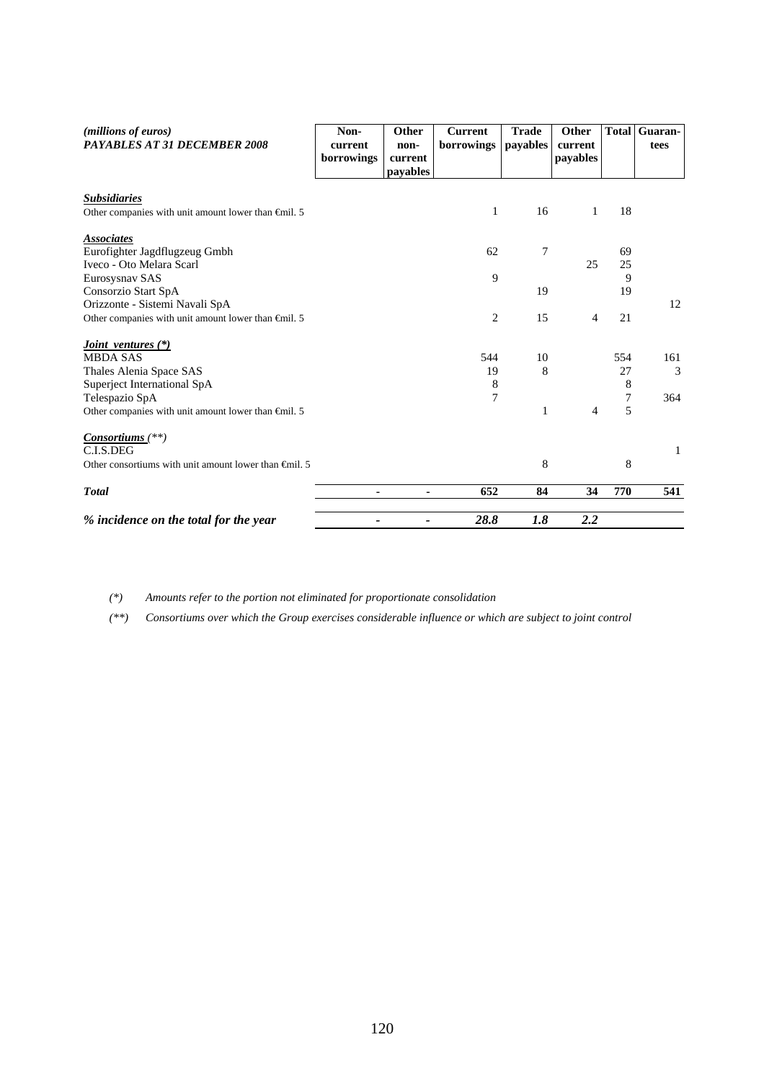| (millions of euros)<br><b>PAYABLES AT 31 DECEMBER 2008</b>    | Non-<br>current<br>borrowings | Other<br>non-<br>current<br>payables | <b>Current</b><br>borrowings | <b>Trade</b><br>payables | Other<br>current<br>payables | <b>Total</b> | Guaran-<br>tees |
|---------------------------------------------------------------|-------------------------------|--------------------------------------|------------------------------|--------------------------|------------------------------|--------------|-----------------|
| <b>Subsidiaries</b>                                           |                               |                                      |                              | 16                       | 1                            | 18           |                 |
| Other companies with unit amount lower than $\epsilon$ mil. 5 |                               |                                      | 1                            |                          |                              |              |                 |
| <b>Associates</b><br>Eurofighter Jagdflugzeug Gmbh            |                               |                                      | 62                           | $\overline{7}$           |                              | 69           |                 |
| Iveco - Oto Melara Scarl                                      |                               |                                      |                              |                          | 25                           | 25           |                 |
| Eurosysnav SAS<br>Consorzio Start SpA                         |                               |                                      | 9                            | 19                       |                              | 9<br>19      |                 |
| Orizzonte - Sistemi Navali SpA                                |                               |                                      |                              |                          |                              |              | 12              |
| Other companies with unit amount lower than $\epsilon$ mil. 5 |                               |                                      | $\overline{c}$               | 15                       | 4                            | 21           |                 |
| <i>Joint ventures</i> (*)<br><b>MBDA SAS</b>                  |                               |                                      | 544                          | 10                       |                              | 554          | 161             |
| Thales Alenia Space SAS                                       |                               |                                      | 19                           | 8                        |                              | 27           | 3               |
| Superject International SpA                                   |                               |                                      | 8                            |                          |                              | 8            |                 |
| Telespazio SpA                                                |                               |                                      | $\overline{7}$               |                          |                              | 7            | 364             |
| Other companies with unit amount lower than $\epsilon$ mil. 5 |                               |                                      |                              | 1                        | 4                            | 5            |                 |
| Consortiums (**)<br>C.I.S.DEG                                 |                               |                                      |                              |                          |                              |              | 1               |
| Other consortiums with unit amount lower than $\oplus$ nil. 5 |                               |                                      |                              | 8                        |                              | 8            |                 |
| <b>T</b> otal                                                 |                               |                                      | 652                          | 84                       | 34                           | 770          | 541             |
| % incidence on the total for the year                         |                               |                                      | 28.8                         | 1.8                      | 2.2                          |              |                 |

*(\*) Amounts refer to the portion not eliminated for proportionate consolidation* 

*(\*\*) Consortiums over which the Group exercises considerable influence or which are subject to joint control*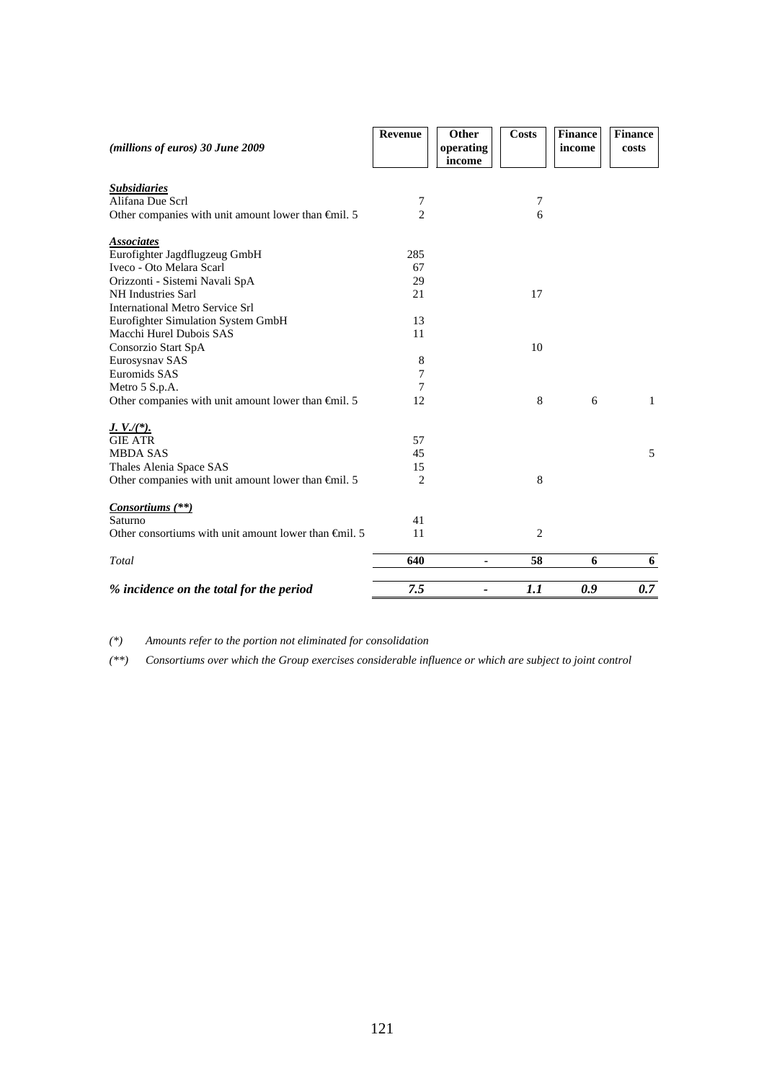|                                                               | Revenue        | Other     | <b>Costs</b>   | <b>Finance</b> | <b>Finance</b> |
|---------------------------------------------------------------|----------------|-----------|----------------|----------------|----------------|
| (millions of euros) 30 June 2009                              |                | operating |                | income         | costs          |
|                                                               |                | income    |                |                |                |
| <b>Subsidiaries</b>                                           |                |           |                |                |                |
| Alifana Due Scrl                                              | 7              |           | 7              |                |                |
| Other companies with unit amount lower than $\epsilon$ mil. 5 | $\overline{2}$ |           | 6              |                |                |
| <b>Associates</b>                                             |                |           |                |                |                |
| Eurofighter Jagdflugzeug GmbH                                 | 285            |           |                |                |                |
| Iveco - Oto Melara Scarl                                      | 67             |           |                |                |                |
| Orizzonti - Sistemi Navali SpA                                | 29             |           |                |                |                |
| NH Industries Sarl                                            | 21             |           | 17             |                |                |
| <b>International Metro Service Srl</b>                        |                |           |                |                |                |
| Eurofighter Simulation System GmbH                            | 13             |           |                |                |                |
| Macchi Hurel Dubois SAS                                       | 11             |           |                |                |                |
| Consorzio Start SpA                                           |                |           | 10             |                |                |
| Eurosysnav SAS                                                | 8              |           |                |                |                |
| Euromids SAS                                                  | 7              |           |                |                |                |
| Metro 5 S.p.A.                                                | 7              |           |                |                |                |
| Other companies with unit amount lower than $\epsilon$ mil. 5 | 12             |           | 8              | 6              | 1              |
| $J. V./(*)$ .                                                 |                |           |                |                |                |
| <b>GIE ATR</b>                                                | 57             |           |                |                |                |
| <b>MBDA SAS</b>                                               | 45             |           |                |                | 5              |
| Thales Alenia Space SAS                                       | 15             |           |                |                |                |
| Other companies with unit amount lower than $\epsilon$ mil. 5 | $\overline{2}$ |           | 8              |                |                |
| <i>Consortiums</i> (**)                                       |                |           |                |                |                |
| Saturno                                                       | 41             |           |                |                |                |
| Other consortiums with unit amount lower than $\oplus$ nil. 5 | 11             |           | $\overline{2}$ |                |                |
| Total                                                         | 640            | ۰         | 58             | 6              | 6              |
| % incidence on the total for the period                       | 7.5            |           | 1.1            | 0.9            | 0.7            |
|                                                               |                |           |                |                |                |

*(\*) Amounts refer to the portion not eliminated for consolidation* 

*(\*\*) Consortiums over which the Group exercises considerable influence or which are subject to joint control*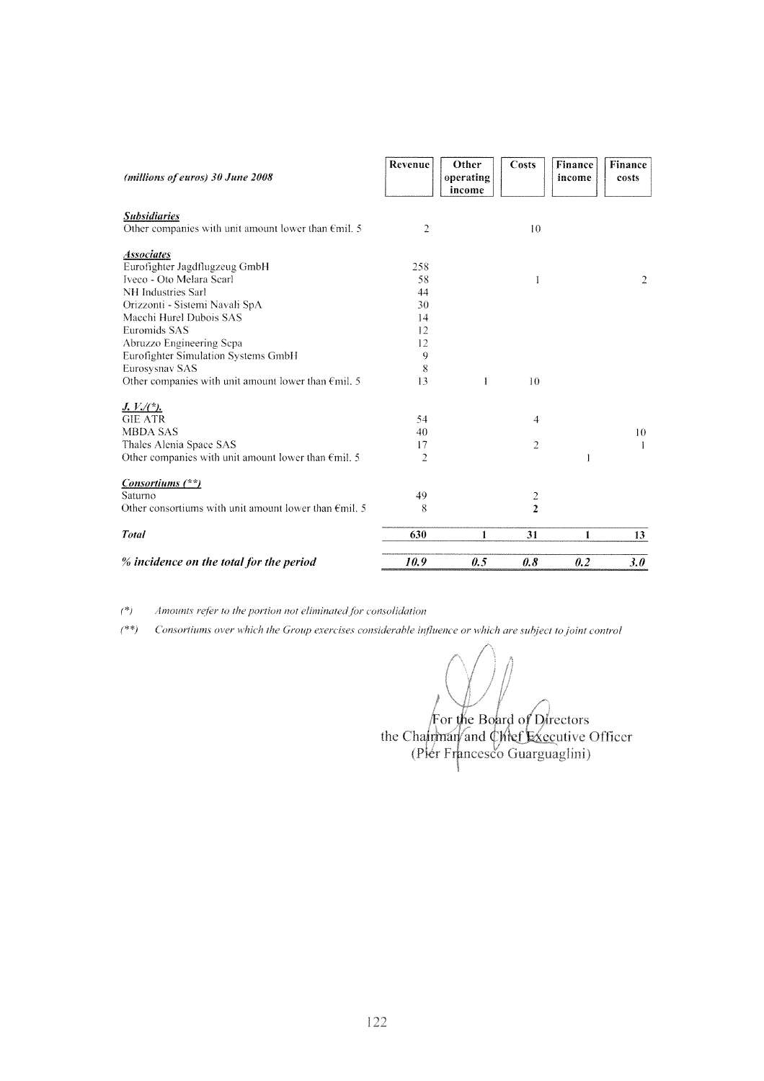| (millions of euros) 30 June 2008                                                     | Revenue | Other<br>operating<br>income | Costs          | Finance<br>income | <b>Finance</b><br>costs |
|--------------------------------------------------------------------------------------|---------|------------------------------|----------------|-------------------|-------------------------|
| <b>Subsidiaries</b><br>Other companies with unit amount lower than $\epsilon$ mil. 5 | 2       |                              | 10             |                   |                         |
|                                                                                      |         |                              |                |                   |                         |
| <b>Associates</b>                                                                    |         |                              |                |                   |                         |
| Eurofighter Jagdflugzeug GmbH                                                        | 258     |                              |                |                   |                         |
| Iveco - Oto Melara Scarl                                                             | 58      |                              | 1              |                   | 2                       |
| NH Industries Sarl                                                                   | 44      |                              |                |                   |                         |
| Orizzonti - Sistemi Navali SpA                                                       | 30      |                              |                |                   |                         |
| Macchi Hurel Dubois SAS                                                              | 14      |                              |                |                   |                         |
| Euromids SAS                                                                         | 12      |                              |                |                   |                         |
| Abruzzo Engineering Scpa                                                             | 12      |                              |                |                   |                         |
| Eurofighter Simulation Systems GmbH                                                  | 9       |                              |                |                   |                         |
| Eurosysnav SAS                                                                       | 8       |                              |                |                   |                         |
| Other companies with unit amount lower than $\epsilon$ mil. 5                        | 13      | 1                            | 10             |                   |                         |
| $J. V.$ $(*)$ .                                                                      |         |                              |                |                   |                         |
| <b>GIE ATR</b>                                                                       | 54      |                              | 4              |                   |                         |
| <b>MBDA SAS</b>                                                                      | 40      |                              |                |                   | 10                      |
| Thales Alenia Space SAS                                                              | 17      |                              | $\overline{2}$ |                   | 1                       |
| Other companies with unit amount lower than $\epsilon$ mil. 5                        | 2       |                              |                | 1                 |                         |
| Consortiums (**)                                                                     |         |                              |                |                   |                         |
| Saturno                                                                              | 49      |                              |                |                   |                         |
| Other consortiums with unit amount lower than $\epsilon$ mil. 5                      | 8       |                              | $\frac{2}{2}$  |                   |                         |
| <b>Total</b>                                                                         | 630     | 1                            | 31             | 1                 | 13                      |
| % incidence on the total for the period                                              | 10.9    | 0.5                          | 0.8            | 0.2               | 3.0                     |

 $(*)$ Amounts refer to the portion not eliminated for consolidation

 $($ \*\*) Consortiums over which the Group exercises considerable influence or which are subject to joint control

For the Board of Directors<br>the Chairman and Chref Executive Officer<br>(Pier Francesco Guarguaglini)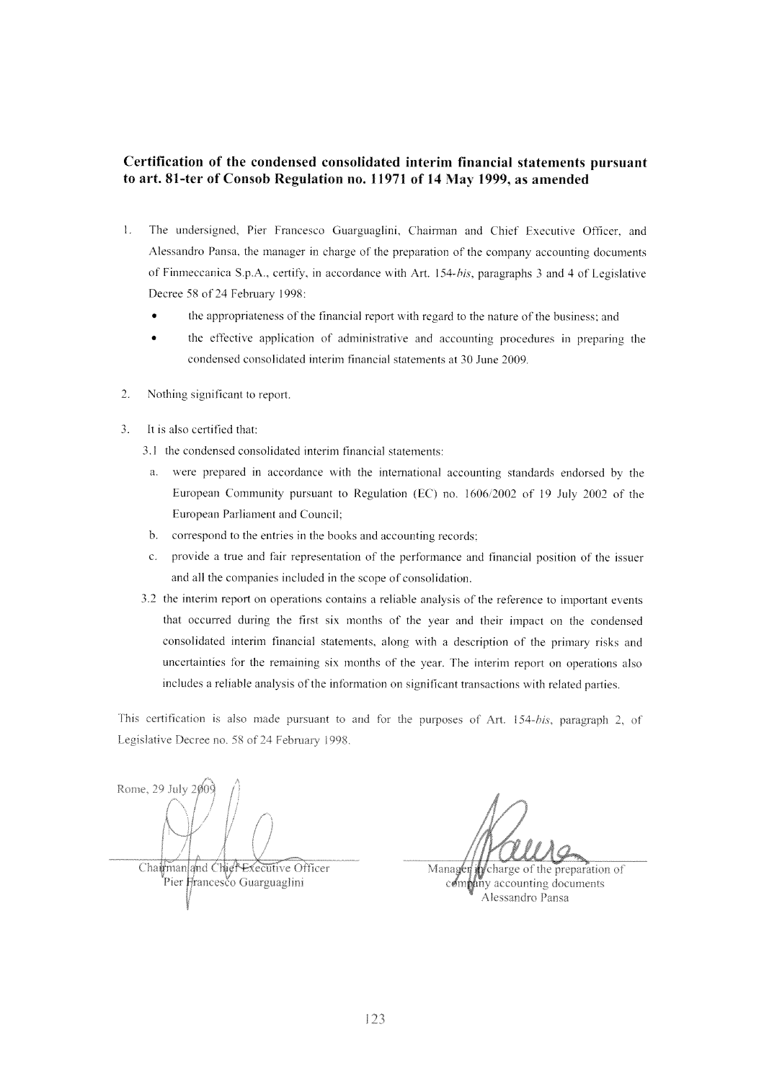#### Certification of the condensed consolidated interim financial statements pursuant to art. 81-ter of Consob Regulation no. 11971 of 14 May 1999, as amended

- $\mathbf{I}$ . The undersigned, Pier Francesco Guarguaglini, Chairman and Chief Executive Officer, and Alessandro Pansa, the manager in charge of the preparation of the company accounting documents of Finmeccanica S.p.A., certify, in accordance with Art. 154-bis, paragraphs 3 and 4 of Legislative Decree 58 of 24 February 1998:
	- the appropriateness of the financial report with regard to the nature of the business; and
	- the effective application of administrative and accounting procedures in preparing the condensed consolidated interim financial statements at 30 June 2009.
- 2. Nothing significant to report.
- It is also certified that:  $\mathcal{R}$ 
	- 3.1 the condensed consolidated interim financial statements:
	- were prepared in accordance with the international accounting standards endorsed by the  $a<sub>z</sub>$ European Community pursuant to Regulation (EC) no. 1606/2002 of 19 July 2002 of the European Parliament and Council;
	- $h$ correspond to the entries in the books and accounting records;
	- provide a true and fair representation of the performance and financial position of the issuer  $\mathcal{C}$ and all the companies included in the scope of consolidation.
	- 3.2 the interim report on operations contains a reliable analysis of the reference to important events that occurred during the first six months of the year and their impact on the condensed consolidated interim financial statements, along with a description of the primary risks and uncertainties for the remaining six months of the year. The interim report on operations also includes a reliable analysis of the information on significant transactions with related parties.

This certification is also made pursuant to and for the purposes of Art. 154-bis, paragraph 2, of Legislative Decree no. 58 of 24 February 1998.

Rome, 29 July  $200\overline{9}$ Chairman and Chief Executive Officer Pier Francesco Guarguaglini

Manager in charge of the preparation of company accounting documents Alessandro Pansa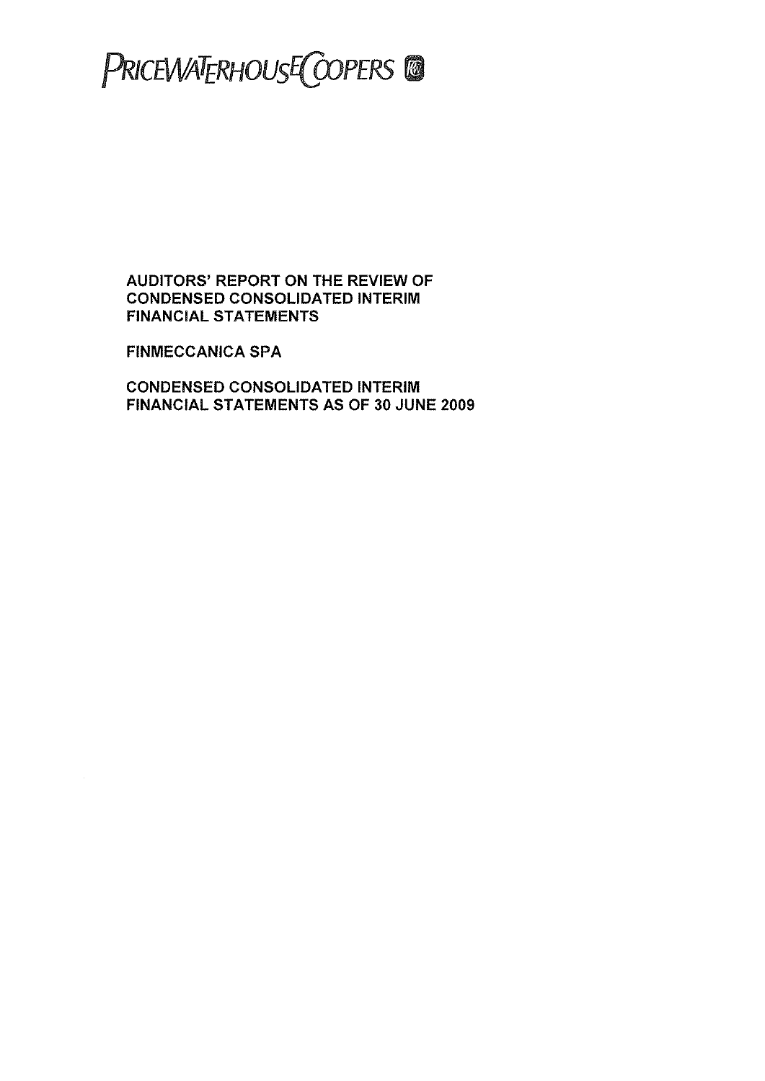## PRICEWATERHOUSE COPERS CO

**AUDITORS' REPORT ON THE REVIEW OF CONDENSED CONSOLIDATED INTERIM FINANCIAL STATEMENTS** 

**FINMECCANICA SPA** 

**CONDENSED CONSOLIDATED INTERIM** FINANCIAL STATEMENTS AS OF 30 JUNE 2009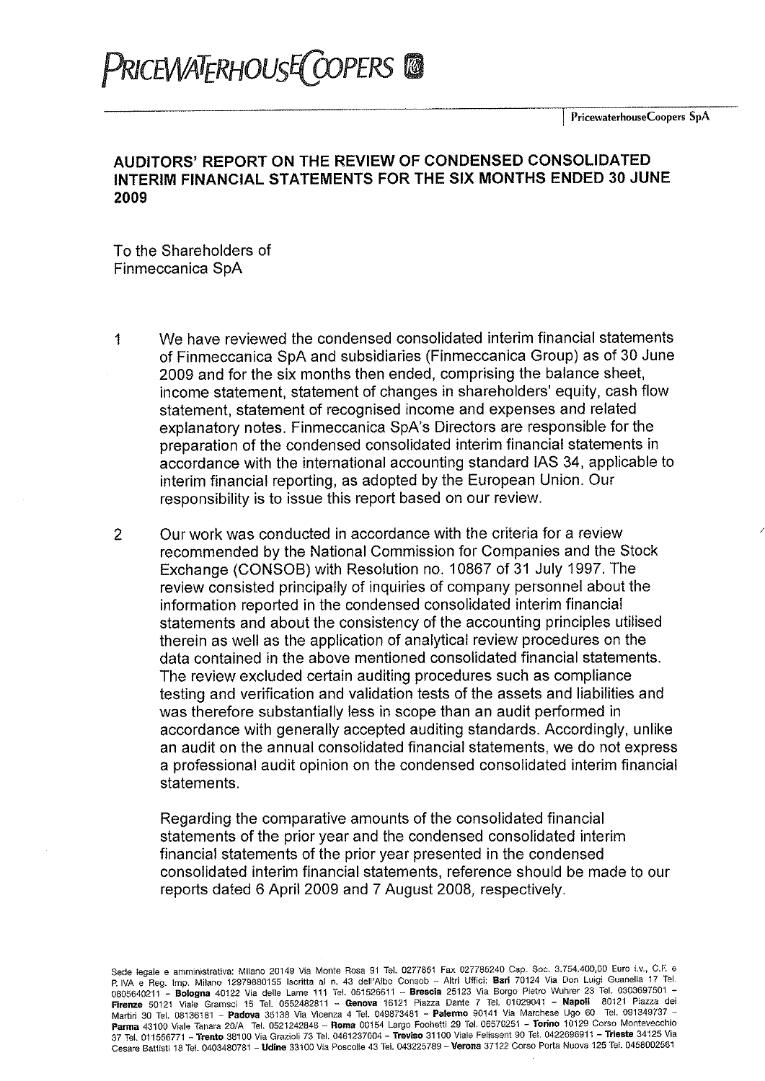### PRICEWATERHOUSE COPERS CO

#### AUDITORS' REPORT ON THE REVIEW OF CONDENSED CONSOLIDATED INTERIM FINANCIAL STATEMENTS FOR THE SIX MONTHS ENDED 30 JUNE 2009

To the Shareholders of Finmeccanica SpA

We have reviewed the condensed consolidated interim financial statements  $\mathbf{1}$ of Finmeccanica SpA and subsidiaries (Finmeccanica Group) as of 30 June 2009 and for the six months then ended, comprising the balance sheet, income statement, statement of changes in shareholders' equity, cash flow statement, statement of recognised income and expenses and related explanatory notes. Finmeccanica SpA's Directors are responsible for the preparation of the condensed consolidated interim financial statements in accordance with the international accounting standard IAS 34, applicable to interim financial reporting, as adopted by the European Union. Our responsibility is to issue this report based on our review.

 $\overline{2}$ Our work was conducted in accordance with the criteria for a review recommended by the National Commission for Companies and the Stock Exchange (CONSOB) with Resolution no. 10867 of 31 July 1997. The review consisted principally of inquiries of company personnel about the information reported in the condensed consolidated interim financial statements and about the consistency of the accounting principles utilised therein as well as the application of analytical review procedures on the data contained in the above mentioned consolidated financial statements. The review excluded certain auditing procedures such as compliance testing and verification and validation tests of the assets and liabilities and was therefore substantially less in scope than an audit performed in accordance with generally accepted auditing standards. Accordingly, unlike an audit on the annual consolidated financial statements, we do not express a professional audit opinion on the condensed consolidated interim financial statements.

Regarding the comparative amounts of the consolidated financial statements of the prior year and the condensed consolidated interim financial statements of the prior year presented in the condensed consolidated interim financial statements, reference should be made to our reports dated 6 April 2009 and 7 August 2008, respectively.

Sede legale e amministrativa: Milano 20149 Via Monte Rosa 91 Tel. 0277851 Fax 027785240 Cap. Soc. 3.754.400,00 Euro i.v., C.F. e P. IVA e Reg. Imp. Milano 12979880155 Iscritta al n. 43 dell'Albo Consob - Altri Uffici: Bari 70124 Via Don Luigi Guanella 17 Tel. 0805640211 - Bologna 40122 Via delle Lame 111 Tel. 051526611 - Brescia 25123 Via Borgo Pietro Wuhrer 23 Tel. 0303697501 -Firenze 50121 Viale Gramsci 15 Tel. 0552482811 - Genova 16121 Piazza Dante 7 Tel. 01029041 - Napoli 80121 Piazza dei Martin 30 Tel. 08136181 - Padova 35138 Via Vicenza 4 Tel. 049873481 - Palermo 90141 Via Marchese Ugo 60 Tel. 091349737 Parma 43100 Viale Tanara 20/A Tel. 0521242848 - Roma 00154 Largo Fochetti 29 Tel. 06570251 - Torino 10129 Corso Montevecchio 37 Tel. 011556771 - Trento 38100 Via Grazioli 73 Tel. 0461237004 - Treviso 31100 Viale Felissent 90 Tel. 0422696911 - Trieste 34125 Via Cesare Battisti 18 Tel. 0403480781 - Udine 33100 Via Poscolle 43 Tel. 043225789 - Verona 37122 Corso Porta Nuova 125 Tel. 0458002561